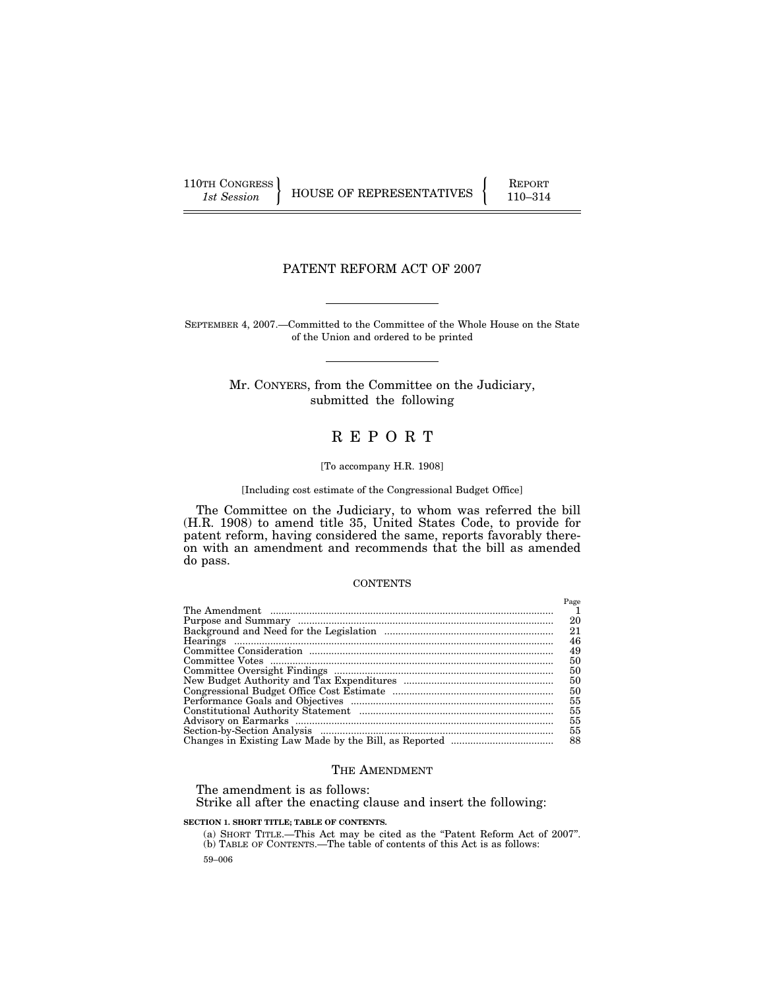110TH CONGRESS REPORT

1st Session **HOUSE OF REPRESENTATIVES** 110–314

## PATENT REFORM ACT OF 2007

SEPTEMBER 4, 2007.—Committed to the Committee of the Whole House on the State of the Union and ordered to be printed

> Mr. CONYERS, from the Committee on the Judiciary, submitted the following

# R E P O R T

## [To accompany H.R. 1908]

### [Including cost estimate of the Congressional Budget Office]

The Committee on the Judiciary, to whom was referred the bill (H.R. 1908) to amend title 35, United States Code, to provide for patent reform, having considered the same, reports favorably thereon with an amendment and recommends that the bill as amended do pass.

## **CONTENTS**

| Page |
|------|
|      |
| 20   |
| 21   |
| 46   |
| 49   |
| 50   |
| 50   |
| 50   |
| 50   |
| 55   |
| 55   |
| 55   |
| 55   |
| 88   |

## THE AMENDMENT

The amendment is as follows:

Strike all after the enacting clause and insert the following:

**SECTION 1. SHORT TITLE; TABLE OF CONTENTS.** 

(a) SHORT TITLE.—This Act may be cited as the ''Patent Reform Act of 2007''. (b) TABLE OF CONTENTS.—The table of contents of this Act is as follows:

59–006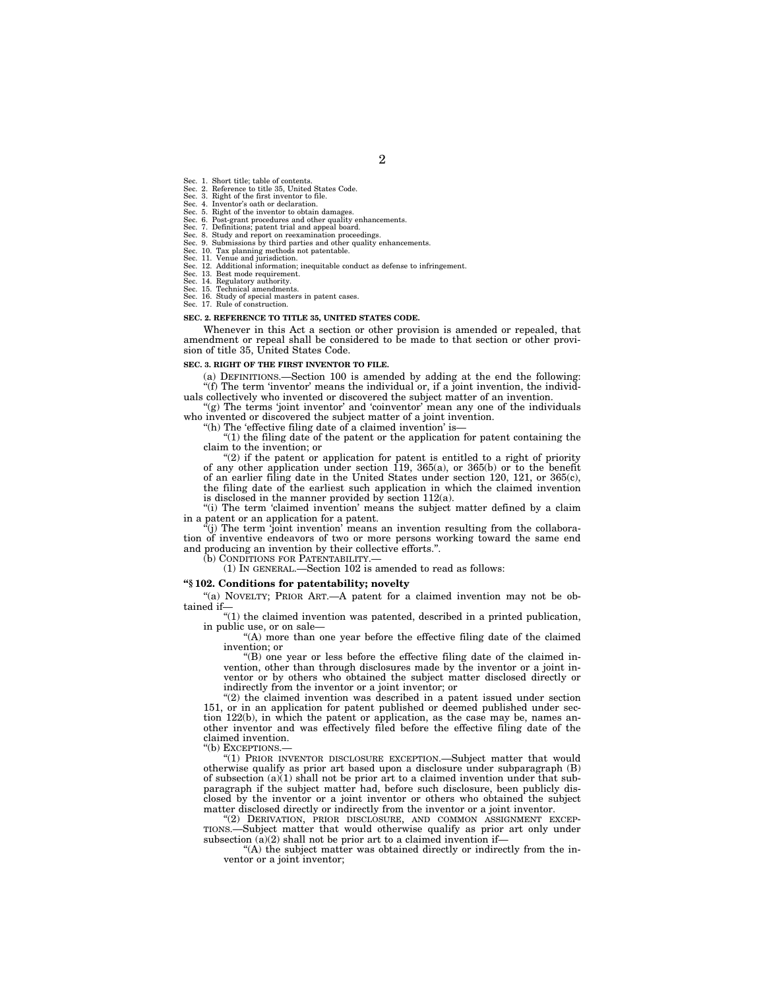Sec. 1. Short title; table of contents. Sec. 2. Reference to title 35, United States Code.

Sec. 3. Right of the first inventor to file.<br>Sec. 4. Inventor's oath or declaration.<br>Sec. 5. Right of the inventor to obtain damages.<br>Sec. 6. Post-grant procedures and other quality enhancements.<br>Sec. 7. Definitions; paten

Sec. 8. Study and report on reexamination proceedings. Sec. 9. Submissions by third parties and other quality enhancements. Sec. 10. Tax planning methods not patentable.

Sec. 11. Venue and jurisdiction. Sec. 12. Additional information; inequitable conduct as defense to infringement. Sec. 13. Best mode requirement.

Sec. 14. Regulatory authority. Sec. 15. Technical amendments. Sec. 17. Rule of construction.

16. Study of special masters in patent cases.

#### **SEC. 2. REFERENCE TO TITLE 35, UNITED STATES CODE.**

Whenever in this Act a section or other provision is amended or repealed, that amendment or repeal shall be considered to be made to that section or other provision of title 35, United States Code.

#### **SEC. 3. RIGHT OF THE FIRST INVENTOR TO FILE.**

(a) DEFINITIONS.—Section 100 is amended by adding at the end the following: ''(f) The term 'inventor' means the individual or, if a joint invention, the individuals collectively who invented or discovered the subject matter of an invention.

''(g) The terms 'joint inventor' and 'coinventor' mean any one of the individuals who invented or discovered the subject matter of a joint invention.

''(h) The 'effective filing date of a claimed invention' is—

 $''(1)$  the filing date of the patent or the application for patent containing the claim to the invention; or

" $(2)$  if the patent or application for patent is entitled to a right of priority of any other application under section 119, 365(a), or 365(b) or to the benefit of an earlier filing date in the United States under section 120, 121, or 365(c), the filing date of the earliest such application in which the claimed invention is disclosed in the manner provided by section  $112(a)$ .

''(i) The term 'claimed invention' means the subject matter defined by a claim in a patent or an application for a patent.

(j) The term 'joint invention' means an invention resulting from the collaboration of inventive endeavors of two or more persons working toward the same end and producing an invention by their collective efforts.''.

(b) CONDITIONS FOR PATENTABILITY.—

(1) IN GENERAL.—Section 102 is amended to read as follows:

#### **''§ 102. Conditions for patentability; novelty**

''(a) NOVELTY; PRIOR ART.—A patent for a claimed invention may not be obtained if—

''(1) the claimed invention was patented, described in a printed publication, in public use, or on sale—

"(A) more than one year before the effective filing date of the claimed invention; or

''(B) one year or less before the effective filing date of the claimed invention, other than through disclosures made by the inventor or a joint inventor or by others who obtained the subject matter disclosed directly or indirectly from the inventor or a joint inventor; or

''(2) the claimed invention was described in a patent issued under section 151, or in an application for patent published or deemed published under section 122(b), in which the patent or application, as the case may be, names another inventor and was effectively filed before the effective filing date of the claimed invention.

"(b) EXCEPTIONS.-

''(1) PRIOR INVENTOR DISCLOSURE EXCEPTION.—Subject matter that would otherwise qualify as prior art based upon a disclosure under subparagraph (B) of subsection  $(a)(1)$  shall not be prior art to a claimed invention under that subparagraph if the subject matter had, before such disclosure, been publicly disclosed by the inventor or a joint inventor or others who obtained the subject matter disclosed directly or indirectly from the inventor or a joint inventor.

''(2) DERIVATION, PRIOR DISCLOSURE, AND COMMON ASSIGNMENT EXCEP-TIONS.—Subject matter that would otherwise qualify as prior art only under subsection  $(a)(2)$  shall not be prior art to a claimed invention if-

''(A) the subject matter was obtained directly or indirectly from the inventor or a joint inventor;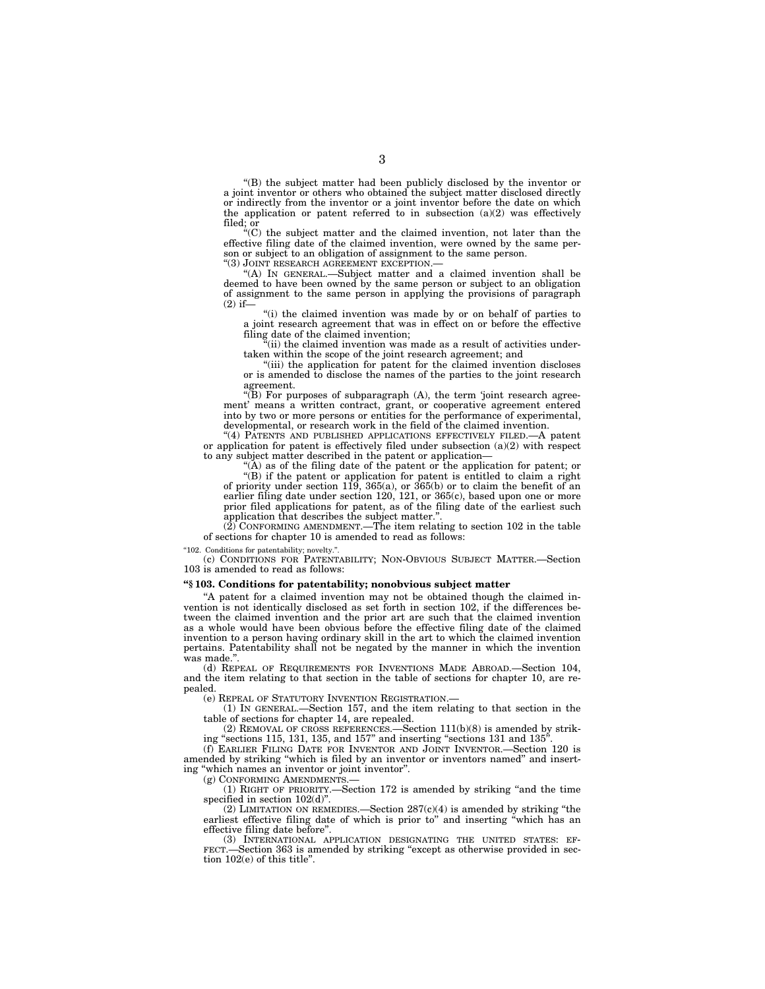''(B) the subject matter had been publicly disclosed by the inventor or a joint inventor or others who obtained the subject matter disclosed directly or indirectly from the inventor or a joint inventor before the date on which the application or patent referred to in subsection  $(a)(2)$  was effectively filed; or

 $C^{\prime\prime}(C)$  the subject matter and the claimed invention, not later than the effective filing date of the claimed invention, were owned by the same person or subject to an obligation of assignment to the same person.

"(3) JOINT RESEARCH AGREEMENT EXCEPTION.

''(A) IN GENERAL.—Subject matter and a claimed invention shall be deemed to have been owned by the same person or subject to an obligation of assignment to the same person in applying the provisions of paragraph  $(2)$  if— $\overline{)}$ 

''(i) the claimed invention was made by or on behalf of parties to a joint research agreement that was in effect on or before the effective filing date of the claimed invention;

(ii) the claimed invention was made as a result of activities undertaken within the scope of the joint research agreement; and

''(iii) the application for patent for the claimed invention discloses or is amended to disclose the names of the parties to the joint research agreement.

''(B) For purposes of subparagraph (A), the term 'joint research agreement' means a written contract, grant, or cooperative agreement entered into by two or more persons or entities for the performance of experimental, developmental, or research work in the field of the claimed invention.

''(4) PATENTS AND PUBLISHED APPLICATIONS EFFECTIVELY FILED.—A patent or application for patent is effectively filed under subsection  $(a)(2)$  with respect to any subject matter described in the patent or application—

''(A) as of the filing date of the patent or the application for patent; or ''(B) if the patent or application for patent is entitled to claim a right of priority under section 119, 365(a), or 365(b) or to claim the benefit of an earlier filing date under section 120, 121, or 365(c), based upon one or more prior filed applications for patent, as of the filing date of the earliest such application that describes the subject matter.''.

 $(2)$  CONFORMING AMENDMENT.—The item relating to section 102 in the table of sections for chapter 10 is amended to read as follows:

''102. Conditions for patentability; novelty.''.

(c) CONDITIONS FOR PATENTABILITY; NON-OBVIOUS SUBJECT MATTER.—Section 103 is amended to read as follows:

## **''§ 103. Conditions for patentability; nonobvious subject matter**

''A patent for a claimed invention may not be obtained though the claimed invention is not identically disclosed as set forth in section 102, if the differences between the claimed invention and the prior art are such that the claimed invention as a whole would have been obvious before the effective filing date of the claimed invention to a person having ordinary skill in the art to which the claimed invention pertains. Patentability shall not be negated by the manner in which the invention was made."

(d) REPEAL OF REQUIREMENTS FOR INVENTIONS MADE ABROAD.—Section 104, and the item relating to that section in the table of sections for chapter 10, are repealed.

(e) REPEAL OF STATUTORY INVENTION REGISTRATION.—

(1) IN GENERAL.—Section 157, and the item relating to that section in the table of sections for chapter 14, are repealed.

(2) REMOVAL OF CROSS REFERENCES.—Section  $111(b)(8)$  is amended by striking ''sections 115, 131, 135, and 157'' and inserting ''sections 131 and 135''.

(f) EARLIER FILING DATE FOR INVENTOR AND JOINT INVENTOR.—Section 120 is amended by striking ''which is filed by an inventor or inventors named'' and inserting ''which names an inventor or joint inventor''.

(g) CONFORMING AMENDMENTS.—

(1) RIGHT OF PRIORITY.—Section 172 is amended by striking ''and the time specified in section  $102(d)$ ".

(2) LIMITATION ON REMEDIES.—Section 287(c)(4) is amended by striking ''the earliest effective filing date of which is prior to'' and inserting ''which has an effective filing date before''.

(3) INTERNATIONAL APPLICATION DESIGNATING THE UNITED STATES: EF-FECT.—Section 363 is amended by striking "except as otherwise provided in section 102(e) of this title''.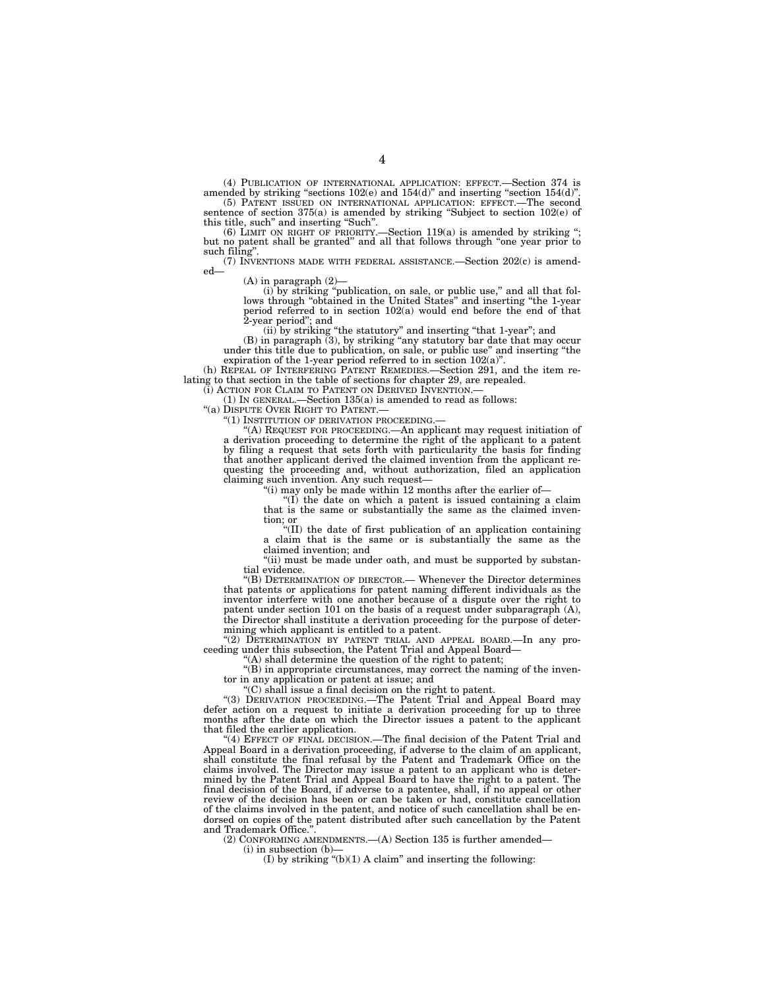(4) PUBLICATION OF INTERNATIONAL APPLICATION: EFFECT.—Section 374 is amended by striking "sections 102(e) and 154(d)" and inserting "section 154(d)".<br>(5) PATENT ISSUED ON INTERNATIONAL APPLICATION: EFFECT.—The second

sentence of section 375(a) is amended by striking "Subject to section 102(e) of this title, such" and inserting "Such".<br>
(6) LIMIT ON RIGHT OF PRIORITY.—Section 119(a) is amended by striking ";

but no patent shall be granted" and all that follows through "one year prior to such filing".

(7) INVENTIONS MADE WITH FEDERAL ASSISTANCE.—Section  $202(c)$  is amended—

ed—<br>
(A) in paragraph (2)—<br>
(i) by striking "publication, on sale, or public use," and all that fol-<br>
lows through "obtained in the United States" and inserting "the 1-year period referred to in section 102(a) would end before the end of that 2-year period''; and

(ii) by striking ''the statutory'' and inserting ''that 1-year''; and (B) in paragraph (3), by striking ''any statutory bar date that may occur under this title due to publication, on sale, or public use" and inserting "the expiration of the 1-year period referred to in section  $102(a)$ ".

expiration of the 1-year period referred to in section 102(a)''. (h) REPEAL OF INTERFERING PATENT REMEDIES.—Section 291, and the item re-lating to that section in the table of sections for chapter 29, are repealed.

(i) ACTION FOR CLAIM TO PATENT ON DERIVED INVENTION.—

(1) IN GENERAL.—Section 135(a) is amended to read as follows:

''(a) DISPUTE OVER RIGHT TO PATENT.—

''(1) INSTITUTION OF DERIVATION PROCEEDING.—

''(A) REQUEST FOR PROCEEDING.—An applicant may request initiation of a derivation proceeding to determine the right of the applicant to a patent by filing a request that sets forth with particularity the basis for finding that another applicant derived the claimed invention from the applicant requesting the proceeding and, without authorization, filed an application claiming such invention. Any such request—

''(i) may only be made within 12 months after the earlier of—

''(I) the date on which a patent is issued containing a claim that is the same or substantially the same as the claimed invention; or

''(II) the date of first publication of an application containing a claim that is the same or is substantially the same as the claimed invention; and

"(ii) must be made under oath, and must be supported by substantial evidence.

''(B) DETERMINATION OF DIRECTOR.— Whenever the Director determines that patents or applications for patent naming different individuals as the inventor interfere with one another because of a dispute over the right to patent under section 101 on the basis of a request under subparagraph (A), the Director shall institute a derivation proceeding for the purpose of determining which applicant is entitled to a patent.

''(2) DETERMINATION BY PATENT TRIAL AND APPEAL BOARD.—In any proceeding under this subsection, the Patent Trial and Appeal Board—

"(A) shall determine the question of the right to patent;

''(B) in appropriate circumstances, may correct the naming of the inventor in any application or patent at issue; and

''(C) shall issue a final decision on the right to patent.

''(3) DERIVATION PROCEEDING.—The Patent Trial and Appeal Board may defer action on a request to initiate a derivation proceeding for up to three months after the date on which the Director issues a patent to the applicant that filed the earlier application.

 $(4)$  EFFECT OF FINAL DECISION.—The final decision of the Patent Trial and Appeal Board in a derivation proceeding, if adverse to the claim of an applicant, shall constitute the final refusal by the Patent and Trademark Office on the claims involved. The Director may issue a patent to an applicant who is determined by the Patent Trial and Appeal Board to have the right to a patent. The final decision of the Board, if adverse to a patentee, shall, if no appeal or other review of the decision has been or can be taken or had, constitute cancellation of the claims involved in the patent, and notice of such cancellation shall be endorsed on copies of the patent distributed after such cancellation by the Patent and Trademark Office.

(2) CONFORMING AMENDMENTS.—(A) Section 135 is further amended—

(i) in subsection (b)—

(I) by striking  $\degree$ (b)(1) A claim" and inserting the following: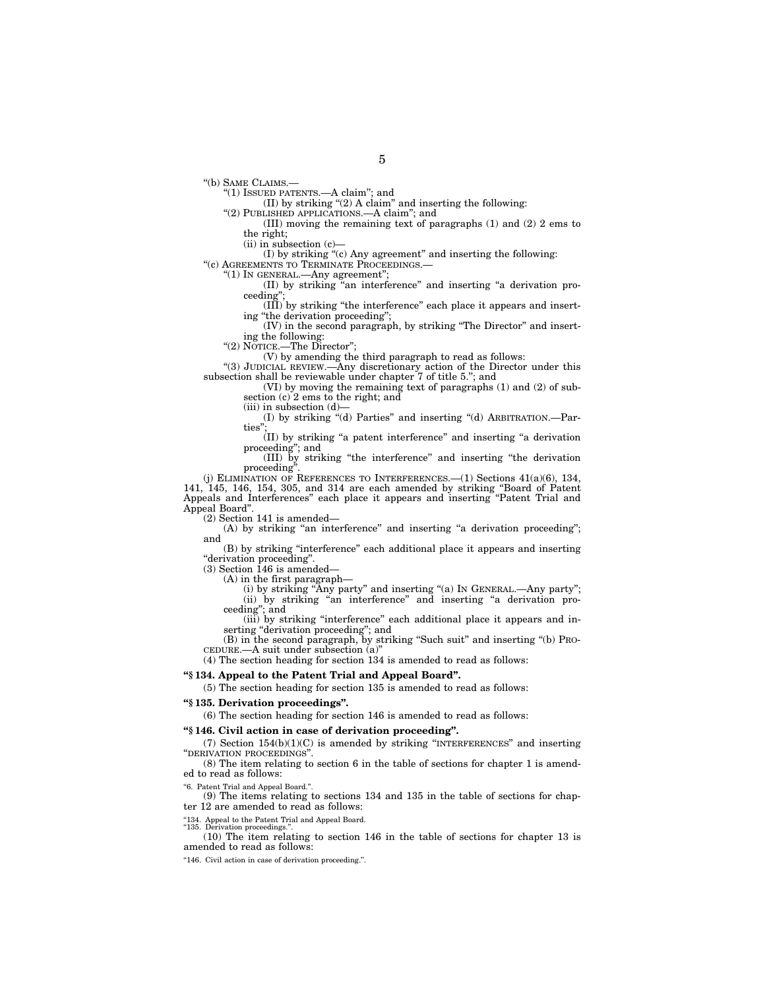"(b) SAME CLAIMS.-

''(1) ISSUED PATENTS.—A claim''; and

(II) by striking  $(2)$  A claim" and inserting the following:

''(2) PUBLISHED APPLICATIONS.—A claim''; and

(III) moving the remaining text of paragraphs (1) and (2) 2 ems to the right;

(ii) in subsection (c)—

(I) by striking ''(c) Any agreement'' and inserting the following:

''(c) AGREEMENTS TO TERMINATE PROCEEDINGS.—

''(1) IN GENERAL.—Any agreement'';

(II) by striking ''an interference'' and inserting ''a derivation proceeding

(III) by striking ''the interference'' each place it appears and inserting "the derivation proceeding";

(IV) in the second paragraph, by striking ''The Director'' and inserting the following:

"(2) NOTICE.—The Director"

(V) by amending the third paragraph to read as follows:

''(3) JUDICIAL REVIEW.—Any discretionary action of the Director under this subsection shall be reviewable under chapter 7 of title 5.''; and

(VI) by moving the remaining text of paragraphs (1) and (2) of subsection (c) 2 ems to the right; and

 $(iii)$  in subsection  $(d)$ 

(I) by striking ''(d) Parties'' and inserting ''(d) ARBITRATION.—Parties"

(II) by striking ''a patent interference'' and inserting ''a derivation proceeding''; and

(III) by striking ''the interference'' and inserting ''the derivation proceeding<sup>'</sup>

(j) ELIMINATION OF REFERENCES TO INTERFERENCES.—(1) Sections  $41(a)(6)$ , 134, 141, 145, 146, 154, 305, and 314 are each amended by striking ''Board of Patent Appeals and Interferences'' each place it appears and inserting ''Patent Trial and Appeal Board''.

(2) Section 141 is amended—

(A) by striking "an interference" and inserting "a derivation proceeding"; and

(B) by striking ''interference'' each additional place it appears and inserting ''derivation proceeding''.

(3) Section 146 is amended—

(A) in the first paragraph—

(i) by striking ''Any party'' and inserting ''(a) IN GENERAL.—Any party''; (ii) by striking ''an interference'' and inserting ''a derivation proceeding''; and

(iii) by striking "interference" each additional place it appears and inserting "derivation proceeding"; and

(B) in the second paragraph, by striking ''Such suit'' and inserting ''(b) PRO-CEDURE.—A suit under subsection (a)''

(4) The section heading for section 134 is amended to read as follows:

### **''§ 134. Appeal to the Patent Trial and Appeal Board''.**

(5) The section heading for section 135 is amended to read as follows:

## **''§ 135. Derivation proceedings''.**

(6) The section heading for section 146 is amended to read as follows:

#### **''§ 146. Civil action in case of derivation proceeding''.**

(7) Section 154(b)(1)(C) is amended by striking ''INTERFERENCES'' and inserting ''DERIVATION PROCEEDINGS''.

(8) The item relating to section 6 in the table of sections for chapter 1 is amended to read as follows:

''6. Patent Trial and Appeal Board.''.

(9) The items relating to sections 134 and 135 in the table of sections for chapter 12 are amended to read as follows:

"134. Appeal to the Patent Trial and Appeal Board.<br>"135. Derivation proceedings.".

(10) The item relating to section 146 in the table of sections for chapter 13 is amended to read as follows:

''146. Civil action in case of derivation proceeding.''.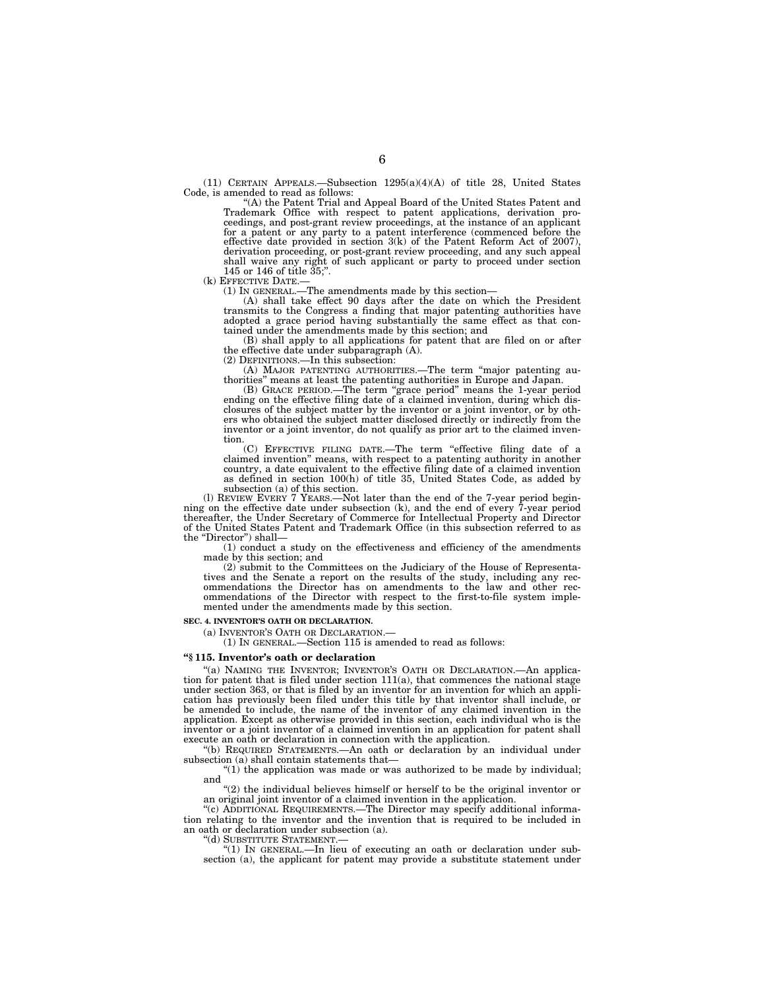(11) CERTAIN APPEALS.—Subsection  $1295(a)(4)(A)$  of title 28, United States Code, is amended to read as follows:

"(A) the Patent Trial and Appeal Board of the United States Patent and Trademark Office with respect to patent applications, derivation proceedings, and post-grant review proceedings, at the instance of an applicant for a patent or any party to a patent interference (commenced before the effective date provided in section 3(k) of the Patent Reform Act of 2007), derivation proceeding, or post-grant review proceeding, and any such appeal shall waive any right of such applicant or party to proceed under section  $145$  or  $146$  of title  $35$ ."

(k) EFFECTIVE DATE.—<br>(1) IN GENERAL.—The amendments made by this section—<br>(A) shall take effect 90 days after the date on which the President transmits to the Congress a finding that major patenting authorities have adopted a grace period having substantially the same effect as that con-

tained under the amendments made by this section; and (B) shall apply to all applications for patent that are filed on or after the effective date under subparagraph (A). (2) DEFINITIONS.—In this subsection:

(A) MAJOR PATENTING AUTHORITIES.—The term ''major patenting au-thorities'' means at least the patenting authorities in Europe and Japan.

(B) GRACE PERIOD.—The term ''grace period'' means the 1-year period ending on the effective filing date of a claimed invention, during which disclosures of the subject matter by the inventor or a joint inventor, or by oth-ers who obtained the subject matter disclosed directly or indirectly from the inventor or a joint inventor, do not qualify as prior art to the claimed invention.

(C) EFFECTIVE FILING DATE.—The term ''effective filing date of a claimed invention" means, with respect to a patenting authority in another country, a date equivalent to the effective filing date of a claimed invention<br>as defined in section 100(h) of title 35, United States Code, as add subsection (a) of this section.

(l) REVIEW EVERY 7 YEARS.—Not later than the end of the 7-year period beginning on the effective date under subsection (k), and the end of every 7-year period thereafter, the Under Secretary of Commerce for Intellectual Property and Director of the United States Patent and Trademark Office (in this subsection referred to as the "Director") shall—<br>(1) conduct a study on the effectiveness and efficiency of the amendments

made by this section; and

(2) submit to the Committees on the Judiciary of the House of Representatives and the Senate a report on the results of the study, including any recommendations the Director has on amendments to the law and other recommendations of the Director with respect to the first-to-file system implemented under the amendments made by this section.

**SEC. 4. INVENTOR'S OATH OR DECLARATION.** 

(a) INVENTOR'S OATH OR DECLARATION.— (1) IN GENERAL.—Section 115 is amended to read as follows:

## **''§ 115. Inventor's oath or declaration**

''(a) NAMING THE INVENTOR; INVENTOR'S OATH OR DECLARATION.—An application for patent that is filed under section 111(a), that commences the national stage under section 363, or that is filed by an inventor for an invention for which an application has previously been filed under this title by that inventor shall include, or be amended to include, the name of the inventor of any claimed invention in the application. Except as otherwise provided in this section, each individual who is the inventor or a joint inventor of a claimed invention in an application for patent shall execute an oath or declaration in connection with the application.

''(b) REQUIRED STATEMENTS.—An oath or declaration by an individual under subsection (a) shall contain statements that—

''(1) the application was made or was authorized to be made by individual; and

''(2) the individual believes himself or herself to be the original inventor or an original joint inventor of a claimed invention in the application.

''(c) ADDITIONAL REQUIREMENTS.—The Director may specify additional information relating to the inventor and the invention that is required to be included in an oath or declaration under subsection (a).

"(d) SUBSTITUTE STATEMENT.

"(1) IN GENERAL.—In lieu of executing an oath or declaration under subsection (a), the applicant for patent may provide a substitute statement under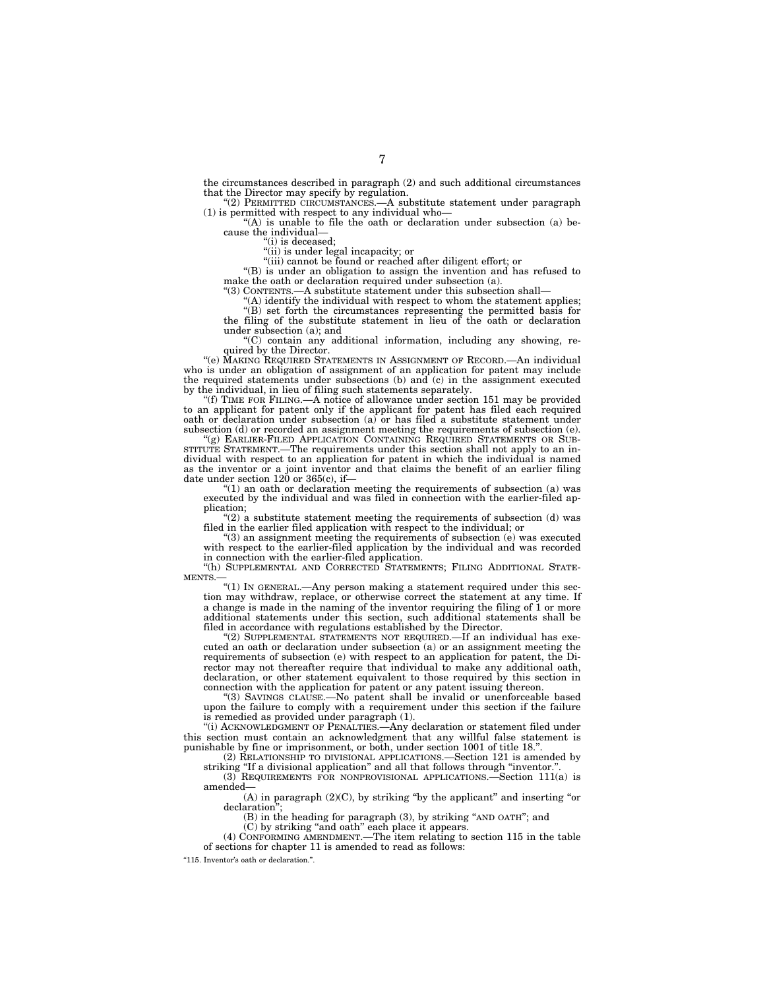the circumstances described in paragraph (2) and such additional circumstances

that the Director may specify by regulation.<br>
"(2) PERMITTED CIRCUMSTANCES.—A substitute statement under paragraph<br>
(1) is permitted with respect to any individual who—

"(A) is unable to file the oath or declaration under subsection (a) because the individual—<br>"(i) is deceased;

''(ii) is under legal incapacity; or

" $(B)$  is under an obligation to assign the invention and has refused to make the oath or declaration required under subsection (a).

''(3) CONTENTS.—A substitute statement under this subsection shall— ''(A) identify the individual with respect to whom the statement applies; ''(B) set forth the circumstances representing the permitted basis for the filing of the substitute statement in lieu of the oath or declaration

under subsection (a); and<br>
"(C) contain any additional information, including any showing, required by the Director.

"(e) MAKING REQUIRED STATEMENTS IN ASSIGNMENT OF RECORD.—An individual who is under an obligation of assignment of an application for patent may include the required statements under subsections (b) and (c) in the assignment executed by the individual, in lieu of filing such statements separately.<br>"(f) TIME FOR FILING.—A notice of allowance under section 151 may be provided

to an applicant for patent only if the applicant for patent has filed each required oath or declaration under subsection (a) or has filed a substitute statement under subsection (d) or recorded an assignment meeting the requirements of subsection (e). "(g) EARLIER-FILED APPLICATION CONTAINING REQUIRED STATEMENTS OR SUB-

STITUTE STATEMENT.—The requirements under this section shall not apply to an individual with respect to an application for patent in which the individual is named as the inventor or a joint inventor and that claims the benefit of an earlier filing date under section 120 or 365 $(c)$ , if—

 $f(1)$  an oath or declaration meeting the requirements of subsection (a) was executed by the individual and was filed in connection with the earlier-filed ap-

"(2) a substitute statement meeting the requirements of subsection (d) was filed in the earlier filed application with respect to the individual; or

filed in the earlier filed application with respect to the individual; or<br>"(3) an assignment meeting the requirements of subsection (e) was executed<br>with respect to the earlier-filed application by the individual and was r in connection with the earlier-filed application.

''(h) SUPPLEMENTAL AND CORRECTED STATEMENTS; FILING ADDITIONAL STATE- MENTS.—

" $(1)$  In GENERAL.—Any person making a statement required under this section may withdraw, replace, or otherwise correct the statement at any time. If a change is made in the naming of the inventor requiring the filing of 1 or more additional statements under this section, such additional statements shall be filed in accordance with regulations established by the Director.

''(2) SUPPLEMENTAL STATEMENTS NOT REQUIRED.—If an individual has executed an oath or declaration under subsection (a) or an assignment meeting the requirements of subsection (e) with respect to an application for patent, the Director may not thereafter require that individual to make any additional oath, declaration, or other statement equivalent to those required by this section in connection with the application for patent or any patent issuing thereon.

''(3) SAVINGS CLAUSE.—No patent shall be invalid or unenforceable based upon the failure to comply with a requirement under this section if the failure is remedied as provided under paragraph (1).

''(i) ACKNOWLEDGMENT OF PENALTIES.—Any declaration or statement filed under this section must contain an acknowledgment that any willful false statement is punishable by fine or imprisonment, or both, under section 1001 of title 18.

(2) RELATIONSHIP TO DIVISIONAL APPLICATIONS.—Section 121 is amended by

striking "If a divisional application" and all that follows through "inventor. (3) REQUIREMENTS FOR NONPROVISIONAL APPLICATIONS.—Section 111(a) is amended—

 $(A)$  in paragraph  $(2)(C)$ , by striking "by the applicant" and inserting "or declaration

(B) in the heading for paragraph (3), by striking ''AND OATH''; and

(C) by striking "and oath" each place it appears.<br>(4) CONFORMING AMENDMENT.—The item relating to section 115 in the table of sections for chapter 11 is amended to read as follows:

''115. Inventor's oath or declaration.''.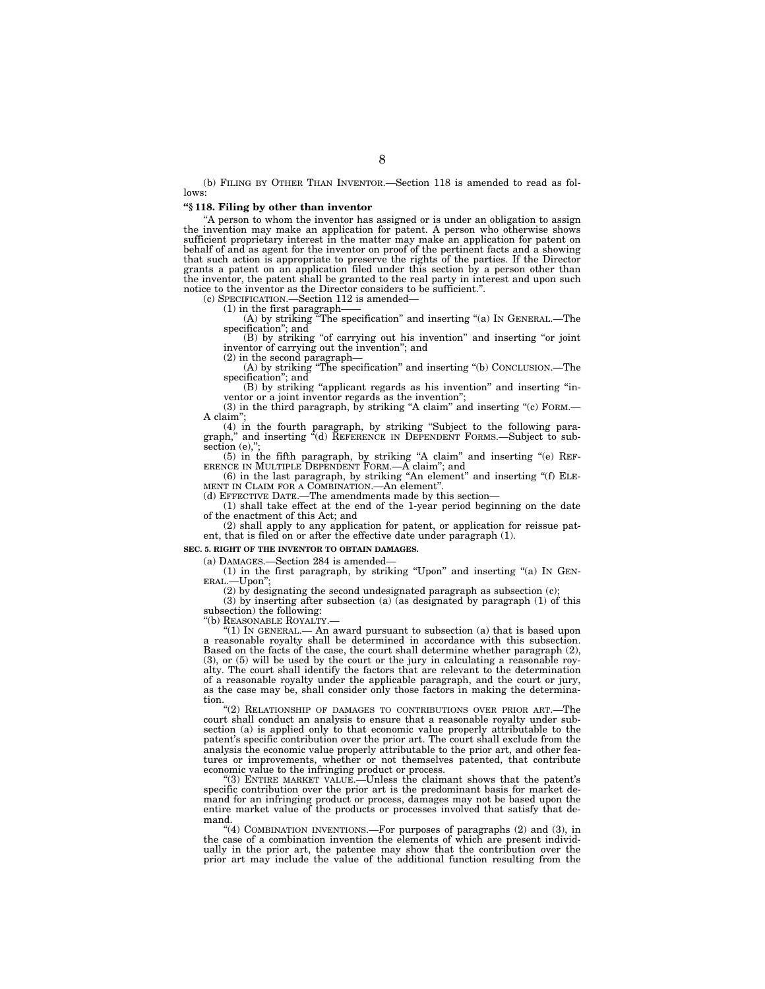(b) FILING BY OTHER THAN INVENTOR.—Section 118 is amended to read as follows:

#### **''§ 118. Filing by other than inventor**

"A person to whom the inventor has assigned or is under an obligation to assign the invention may make an application for patent. A person who otherwise shows sufficient proprietary interest in the matter may make an application for patent on behalf of and as agent for the inventor on proof of the pertinent facts and a showing that such action is appropriate to preserve the rights of the parties. If the Director grants a patent on an application filed under this section by a person other than the inventor, the patent shall be granted to the real party in interest and upon such notice to the inventor as the Director considers to be sufficient.".<br>
(c) SPECIFICATION.—Section 112 is amended—<br>
(1) in the first paragraph——<br>
(A) by striking "The specification" and inserting "(a) IN GENERAL.—The

specification''; and

(B) by striking "of carrying out his invention" and inserting "or joint inventor of carrying out the invention''; and

(2) in the second paragraph— (A) by striking ''The specification'' and inserting ''(b) CONCLUSION.—The specification''; and

(B) by striking ''applicant regards as his invention'' and inserting ''in-

ventor or a joint inventor regards as the invention";<br>
(3) in the third paragraph, by striking "A claim" and inserting "(c) FORM.—<br>
A claim";

(4) in the fourth paragraph, by striking "Subject to the following paragraph," and inserting "(d) REFERENCE IN DEPENDENT FORMS.—Subject to sub $section (e),$ 

(5) in the fifth paragraph, by striking ''A claim'' and inserting ''(e) REF- ERENCE IN MULTIPLE DEPENDENT FORM.—A claim"; and (6) in the last paragraph, by striking "An element" and inserting "(f) ELE-

MENT IN CLAIM FOR A COMBINATION.—An element".<br>
(d) EFFECTIVE DATE.—The amendments made by this section—<br>
(1) shall take effect at the end of the 1-year period beginning on the date

of the enactment of this Act; and

(2) shall apply to any application for patent, or application for reissue patent, that is filed on or after the effective date under paragraph (1).

#### **SEC. 5. RIGHT OF THE INVENTOR TO OBTAIN DAMAGES.**

(a) DAMAGES.—Section 284 is amended—<br>
(1) in the first paragraph, by striking "Upon" and inserting "(a) IN GEN-<br>
ERAL.—Upon";<br>
(2) by designating the second undesignated paragraph as subsection (c);<br>
(3) by inserting afte

subsection) the following:<br>"(b) REASONABLE ROYALTY.—

" $(1)$  In GENERAL.— An award pursuant to subsection (a) that is based upon a reasonable royalty shall be determined in accordance with this subsection. Based on the facts of the case, the court shall determine whether paragraph (2), (3), or (5) will be used by the court or the jury in calculating a reasonable royalty. The court shall identify the factors that are relevant to the determination of a reasonable royalty under the applicable paragraph, and the court or jury, as the case may be, shall consider only those factors in making the determination. ''(2) RELATIONSHIP OF DAMAGES TO CONTRIBUTIONS OVER PRIOR ART.—The

court shall conduct an analysis to ensure that a reasonable royalty under subsection (a) is applied only to that economic value properly attributable to the patent's specific contribution over the prior art. The court shall exclude from the analysis the economic value properly attributable to the prior art, and other features or improvements, whether or not themselves patented, that contribute economic value to the infringing product or process.

''(3) ENTIRE MARKET VALUE.—Unless the claimant shows that the patent's specific contribution over the prior art is the predominant basis for market demand for an infringing product or process, damages may not be based upon the entire market value of the products or processes involved that satisfy that demand.

''(4) COMBINATION INVENTIONS.—For purposes of paragraphs (2) and (3), in the case of a combination invention the elements of which are present individually in the prior art, the patentee may show that the contribution over the prior art may include the value of the additional function resulting from the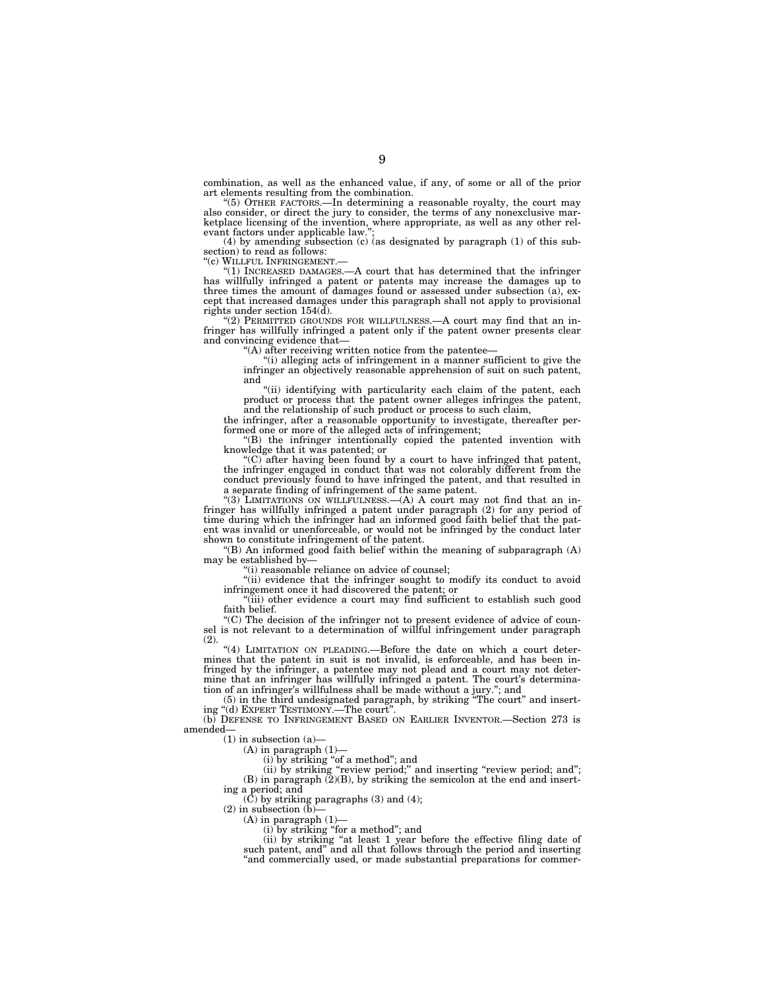combination, as well as the enhanced value, if any, of some or all of the prior

art elements resulting from the combination. ''(5) OTHER FACTORS.—In determining a reasonable royalty, the court may also consider, or direct the jury to consider, the terms of any nonexclusive marketplace licensing of the invention, where appropriate, as well as any other relevant factors under applicable law.'

(4) by amending subsection (c) (as designated by paragraph (1) of this subsection) to read as follows:

''(c) WILLFUL INFRINGEMENT.— ''(1) INCREASED DAMAGES.—A court that has determined that the infringer has willfully infringed a patent or patents may increase the damages up to three times the amount of damages found or assessed under subsection (a), except that increased damages under this paragraph shall not apply to provisional

rights under section 154(d).<br>"(2) PERMITTED GROUNDS FOR WILLFULNESS.—A court may find that an infringer has willfully infringed a patent only if the patent owner presents clear

and convincing evidence that—<br>
"(A) after receiving written notice from the patentee—<br>  $($ i) alleging acts of infringement in a manner sufficient to give the infringer an objectively reasonable apprehension of suit on such patent, and

"(ii) identifying with particularity each claim of the patent, each product or process that the patent owner alleges infringes the patent, and the relationship of such product or process to such claim,

the infringer, after a reasonable opportunity to investigate, thereafter performed one or more of the alleged acts of infringement;

''(B) the infringer intentionally copied the patented invention with knowledge that it was patented; or

''(C) after having been found by a court to have infringed that patent, the infringer engaged in conduct that was not colorably different from the conduct previously found to have infringed the patent, and that resulted in

a separate finding of infringement of the same patent.<br>"(3) LIMITATIONS ON WILLFULNESS.—(A) A court may not find that an infringer has willfully infringed a patent under paragraph (2) for any period of time during which the infringer had an informed good faith belief that the patent was invalid or unenforceable, or would not be infringed by the conduct later shown to constitute infringement of the patent.

''(B) An informed good faith belief within the meaning of subparagraph (A) may be established by—

''(i) reasonable reliance on advice of counsel;

"(ii) evidence that the infringer sought to modify its conduct to avoid infringement once it had discovered the patent; or

''(iii) other evidence a court may find sufficient to establish such good faith belief.

 $C^{\prime\prime}(C)$  The decision of the infringer not to present evidence of advice of counsel is not relevant to a determination of willful infringement under paragraph (2).

"(4) LIMITATION ON PLEADING.—Before the date on which a court determines that the patent in suit is not invalid, is enforceable, and has been infringed by the infringer, a patentee may not plead and a court may not determine that an infringer has willfully infringed a patent. The court's determination of an infringer's willfulness shall be made without a jury.''; and

(5) in the third undesignated paragraph, by striking ''The court'' and inserting ''(d) EXPERT TESTIMONY.—The court''.

(b) DEFENSE TO INFRINGEMENT BASED ON EARLIER INVENTOR.—Section 273 is amended—

 $(1)$  in subsection  $(a)$ 

(A) in paragraph (1)—

(i) by striking ''of a method''; and

(ii) by striking "review period;" and inserting "review period; and"; (B) in paragraph  $(2)(B)$ , by striking the semicolon at the end and inserting a period; and

 $(\overline{C})$  by striking paragraphs  $(3)$  and  $(4)$ ;

 $(2)$  in subsection  $(b)$ 

 $(A)$  in paragraph  $(1)$ -

(i) by striking ''for a method''; and

(ii) by striking ''at least 1 year before the effective filing date of such patent, and" and all that follows through the period and inserting "and commercially used, or made substantial preparations for commer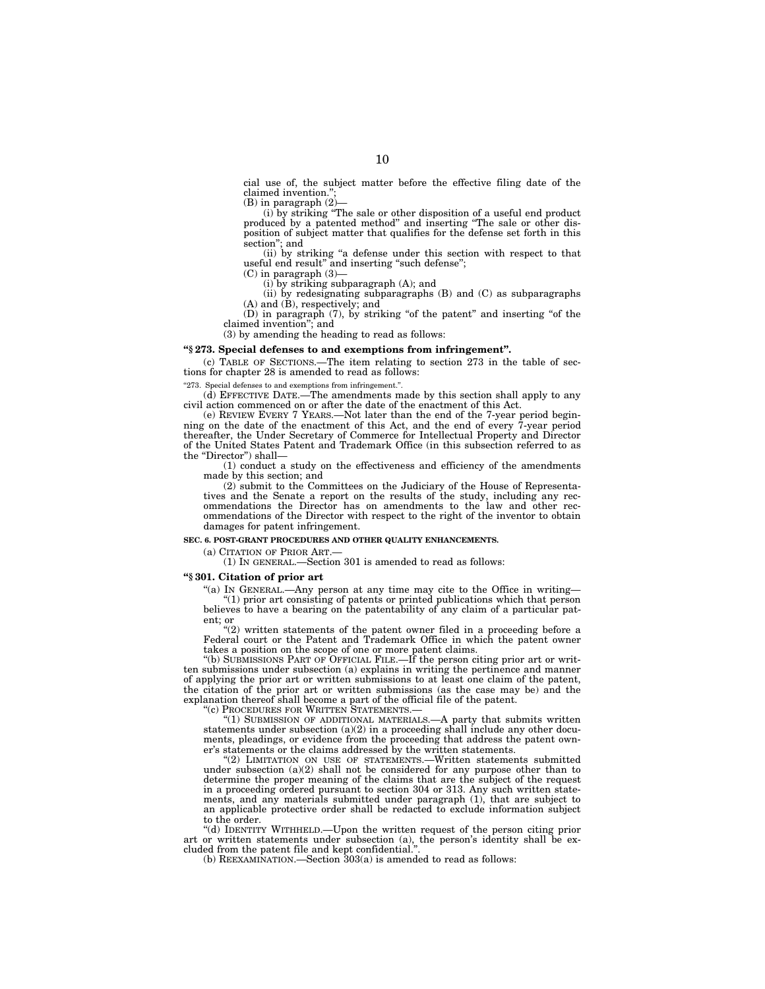cial use of, the subject matter before the effective filing date of the claimed invention.'';

(B) in paragraph (2)— (i) by striking ''The sale or other disposition of a useful end product produced by a patented method'' and inserting ''The sale or other disposition of subject matter that qualifies for the defense set forth in this section''; and

(ii) by striking ''a defense under this section with respect to that useful end result" and inserting "such defense";

(C) in paragraph (3)—

(i) by striking subparagraph (A); and

(ii) by redesignating subparagraphs (B) and (C) as subparagraphs (A) and  $(B)$ , respectively; and

(D) in paragraph (7), by striking ''of the patent'' and inserting ''of the claimed invention''; and

(3) by amending the heading to read as follows:

### **''§ 273. Special defenses to and exemptions from infringement''.**

(c) TABLE OF SECTIONS.—The item relating to section 273 in the table of sections for chapter 28 is amended to read as follows:

''273. Special defenses to and exemptions from infringement.''. (d) EFFECTIVE DATE.—The amendments made by this section shall apply to any civil action commenced on or after the date of the enactment of this Act.

(e) REVIEW EVERY 7 YEARS.—Not later than the end of the 7-year period beginning on the date of the enactment of this Act, and the end of every 7-year period thereafter, the Under Secretary of Commerce for Intellectual Property and Director of the United States Patent and Trademark Office (in this subsection referred to as the "Director") shall-

(1) conduct a study on the effectiveness and efficiency of the amendments made by this section; and

(2) submit to the Committees on the Judiciary of the House of Representatives and the Senate a report on the results of the study, including any recommendations the Director has on amendments to the law and other recommendations of the Director with respect to the right of the inventor to obtain damages for patent infringement.

#### **SEC. 6. POST-GRANT PROCEDURES AND OTHER QUALITY ENHANCEMENTS.**

(a) CITATION OF PRIOR ART.—

(1) IN GENERAL.—Section 301 is amended to read as follows:

#### **''§ 301. Citation of prior art**

"(a) IN GENERAL.—Any person at any time may cite to the Office in writing-" $(1)$  prior art consisting of patents or printed publications which that person believes to have a bearing on the patentability of any claim of a particular pat-

ent; or  $(2)$  written statements of the patent owner filed in a proceeding before a Federal court or the Patent and Trademark Office in which the patent owner takes a position on the scope of one or more patent claims.

''(b) SUBMISSIONS PART OF OFFICIAL FILE.—If the person citing prior art or written submissions under subsection (a) explains in writing the pertinence and manner of applying the prior art or written submissions to at least one claim of the patent, the citation of the prior art or written submissions (as the case may be) and the explanation thereof shall become a part of the official file of the patent.

''(c) PROCEDURES FOR WRITTEN STATEMENTS.—

''(1) SUBMISSION OF ADDITIONAL MATERIALS.—A party that submits written statements under subsection  $(a)(2)$  in a proceeding shall include any other documents, pleadings, or evidence from the proceeding that address the patent owner's statements or the claims addressed by the written statements.

''(2) LIMITATION ON USE OF STATEMENTS.—Written statements submitted under subsection  $(a)(2)$  shall not be considered for any purpose other than to determine the proper meaning of the claims that are the subject of the request in a proceeding ordered pursuant to section 304 or 313. Any such written statements, and any materials submitted under paragraph (1), that are subject to an applicable protective order shall be redacted to exclude information subject to the order.

''(d) IDENTITY WITHHELD.—Upon the written request of the person citing prior art or written statements under subsection (a), the person's identity shall be excluded from the patent file and kept confidential.

(b) REEXAMINATION.—Section 303(a) is amended to read as follows: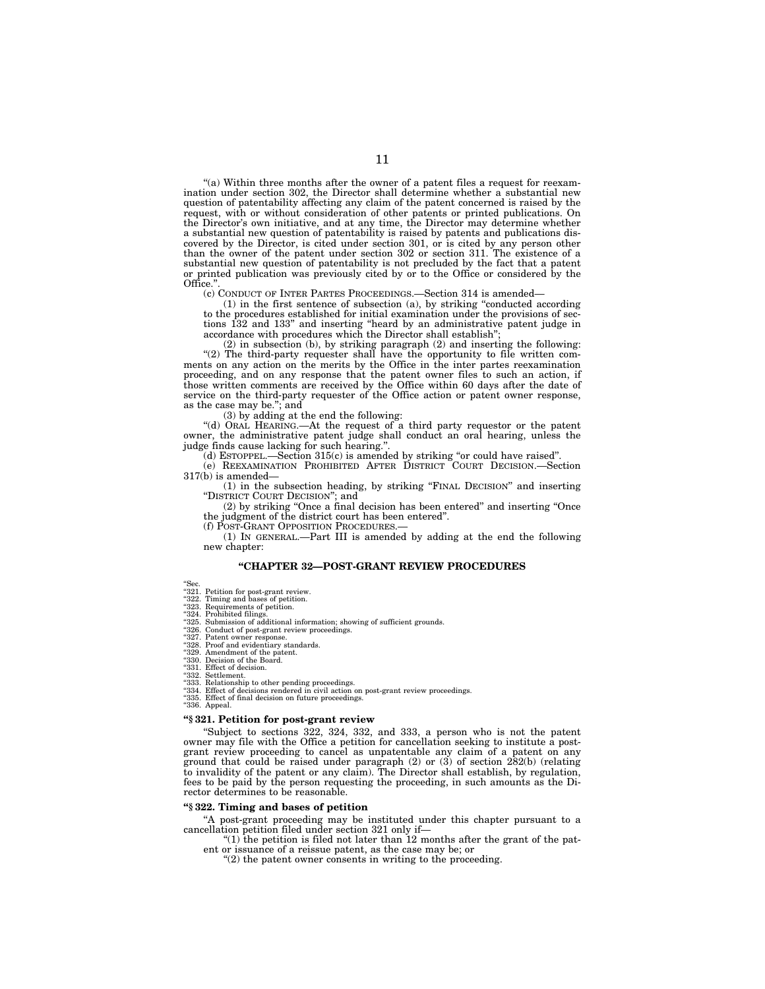"(a) Within three months after the owner of a patent files a request for reexamination under section 302, the Director shall determine whether a substantial new question of patentability affecting any claim of the patent concerned is raised by the request, with or without consideration of other patents or printed publications. On the Director's own initiative, and at any time, the Director may determine whether a substantial new question of patentability is raised by patents and publications discovered by the Director, is cited under section 301, or is cited by any person other than the owner of the patent under section 302 or section 311. The existence of a substantial new question of patentability is not precluded by the fact that a patent or printed publication was previously cited by or to the Office or considered by the Office.'

(c) CONDUCT OF INTER PARTES PROCEEDINGS.—Section 314 is amended—

(1) in the first sentence of subsection (a), by striking ''conducted according to the procedures established for initial examination under the provisions of sections 132 and 133'' and inserting ''heard by an administrative patent judge in accordance with procedures which the Director shall establish'';

(2) in subsection (b), by striking paragraph (2) and inserting the following: ''(2) The third-party requester shall have the opportunity to file written comments on any action on the merits by the Office in the inter partes reexamination proceeding, and on any response that the patent owner files to such an action, if those written comments are received by the Office within 60 days after the date of service on the third-party requester of the Office action or patent owner response, as the case may be.''; and

(3) by adding at the end the following:

''(d) ORAL HEARING.—At the request of a third party requestor or the patent owner, the administrative patent judge shall conduct an oral hearing, unless the judge finds cause lacking for such hearing.''.

(d) ESTOPPEL.—Section 315(c) is amended by striking ''or could have raised''.

(e) REEXAMINATION PROHIBITED AFTER DISTRICT COURT DECISION.—Section 317(b) is amended—

(1) in the subsection heading, by striking ''FINAL DECISION'' and inserting ''DISTRICT COURT DECISION''; and

(2) by striking ''Once a final decision has been entered'' and inserting ''Once the judgment of the district court has been entered''.

(f) POST-GRANT OPPOSITION PROCEDURES

(1) IN GENERAL.—Part III is amended by adding at the end the following new chapter:

#### **''CHAPTER 32—POST-GRANT REVIEW PROCEDURES**

- 
- 
- 
- 
- "Sec.<br>"321. Petition for post-grant review.<br>"322. Timing and bases of petition.<br>"323. Requirements of petition.<br>"324. Prohibited filings.<br>"325. Submission of additional information; showing of sufficient grounds.<br>"325. Sub
- 
- 
- ''329. Amendment of the patent. ''330. Decision of the Board.
- ''331. Effect of decision.
- 
- 
- ''332. Settlement. ''333. Relationship to other pending proceedings. ''334. Effect of decisions rendered in civil action on post-grant review proceedings. ''335. Effect of final decision on future proceedings.
- ''336. Appeal.

## **''§ 321. Petition for post-grant review**

''Subject to sections 322, 324, 332, and 333, a person who is not the patent owner may file with the Office a petition for cancellation seeking to institute a postgrant review proceeding to cancel as unpatentable any claim of a patent on any ground that could be raised under paragraph (2) or (3) of section 282(b) (relating to invalidity of the patent or any claim). The Director shall establish, by regulation, fees to be paid by the person requesting the proceeding, in such amounts as the Director determines to be reasonable.

#### **''§ 322. Timing and bases of petition**

''A post-grant proceeding may be instituted under this chapter pursuant to a cancellation petition filed under section 321 only if—

" $(1)$  the petition is filed not later than 12 months after the grant of the patent or issuance of a reissue patent, as the case may be; or

 $(2)$  the patent owner consents in writing to the proceeding.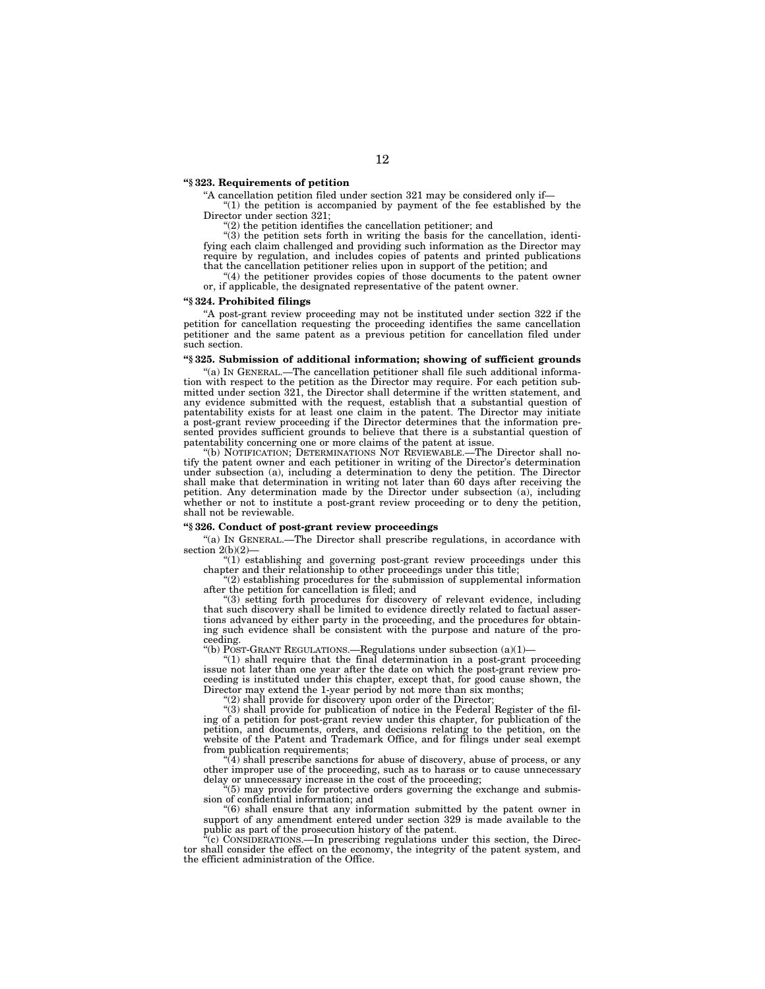### **''§ 323. Requirements of petition**

''A cancellation petition filed under section 321 may be considered only if—

 $(1)$  the petition is accompanied by payment of the fee established by the Director under section 321;

''(2) the petition identifies the cancellation petitioner; and

''(3) the petition sets forth in writing the basis for the cancellation, identifying each claim challenged and providing such information as the Director may require by regulation, and includes copies of patents and printed publications that the cancellation petitioner relies upon in support of the petition; and

''(4) the petitioner provides copies of those documents to the patent owner or, if applicable, the designated representative of the patent owner.

#### **''§ 324. Prohibited filings**

''A post-grant review proceeding may not be instituted under section 322 if the petition for cancellation requesting the proceeding identifies the same cancellation petitioner and the same patent as a previous petition for cancellation filed under such section.

## **''§ 325. Submission of additional information; showing of sufficient grounds**

"(a) IN GENERAL.—The cancellation petitioner shall file such additional information with respect to the petition as the Director may require. For each petition submitted under section 321, the Director shall determine if the written statement, and any evidence submitted with the request, establish that a substantial question of patentability exists for at least one claim in the patent. The Director may initiate a post-grant review proceeding if the Director determines that the information presented provides sufficient grounds to believe that there is a substantial question of patentability concerning one or more claims of the patent at issue.

''(b) NOTIFICATION; DETERMINATIONS NOT REVIEWABLE.—The Director shall notify the patent owner and each petitioner in writing of the Director's determination under subsection (a), including a determination to deny the petition. The Director shall make that determination in writing not later than 60 days after receiving the petition. Any determination made by the Director under subsection (a), including whether or not to institute a post-grant review proceeding or to deny the petition, shall not be reviewable.

## **''§ 326. Conduct of post-grant review proceedings**

''(a) IN GENERAL.—The Director shall prescribe regulations, in accordance with section 2(b)(2)—

''(1) establishing and governing post-grant review proceedings under this chapter and their relationship to other proceedings under this title;

''(2) establishing procedures for the submission of supplemental information after the petition for cancellation is filed; and

''(3) setting forth procedures for discovery of relevant evidence, including that such discovery shall be limited to evidence directly related to factual assertions advanced by either party in the proceeding, and the procedures for obtaining such evidence shall be consistent with the purpose and nature of the proceeding.

"(b) POST-GRANT REGULATIONS.—Regulations under subsection  $(a)(1)$ —

 $''(1)$  shall require that the final determination in a post-grant proceeding issue not later than one year after the date on which the post-grant review proceeding is instituted under this chapter, except that, for good cause shown, the Director may extend the 1-year period by not more than six months;

"(2) shall provide for discovery upon order of the Director;

''(3) shall provide for publication of notice in the Federal Register of the filing of a petition for post-grant review under this chapter, for publication of the petition, and documents, orders, and decisions relating to the petition, on the website of the Patent and Trademark Office, and for filings under seal exempt from publication requirements;

 $(4)$  shall prescribe sanctions for abuse of discovery, abuse of process, or any other improper use of the proceeding, such as to harass or to cause unnecessary delay or unnecessary increase in the cost of the proceeding;

''(5) may provide for protective orders governing the exchange and submission of confidential information; and

"(6) shall ensure that any information submitted by the patent owner in support of any amendment entered under section 329 is made available to the public as part of the prosecution history of the patent.

 $\mathcal{C}(\mathbf{c})$  CONSIDERATIONS.—In prescribing regulations under this section, the Director shall consider the effect on the economy, the integrity of the patent system, and the efficient administration of the Office.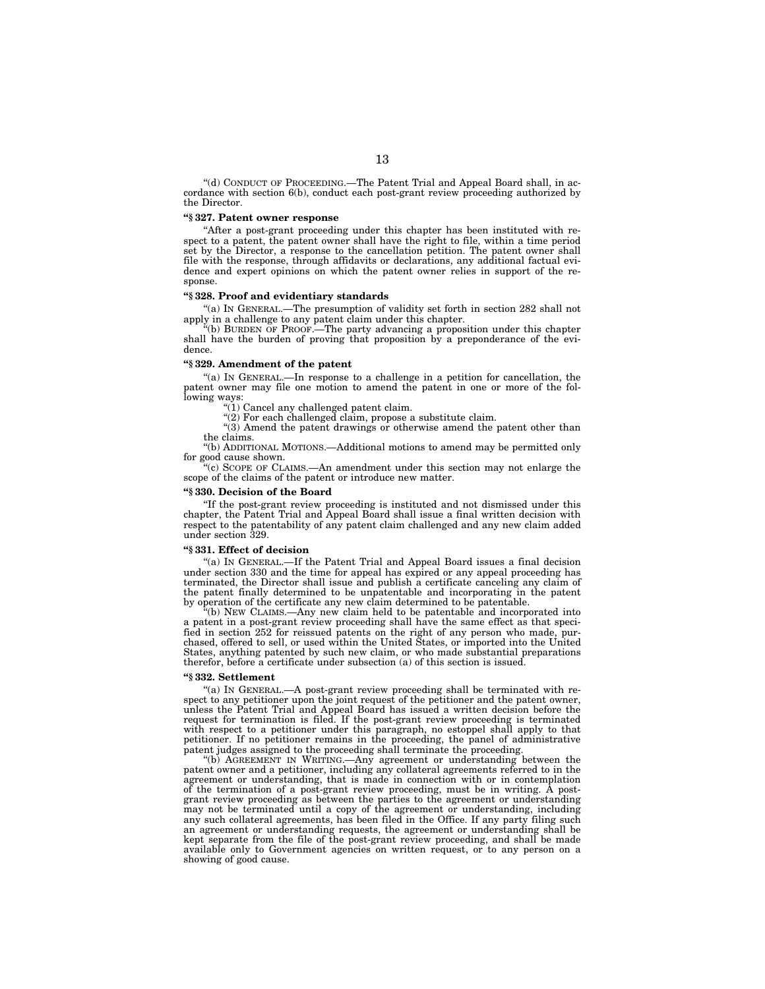"(d) CONDUCT OF PROCEEDING.—The Patent Trial and Appeal Board shall, in accordance with section 6(b), conduct each post-grant review proceeding authorized by the Director.

#### **''§ 327. Patent owner response**

''After a post-grant proceeding under this chapter has been instituted with respect to a patent, the patent owner shall have the right to file, within a time period set by the Director, a response to the cancellation petition. The patent owner shall file with the response, through affidavits or declarations, any additional factual evidence and expert opinions on which the patent owner relies in support of the response.

### **''§ 328. Proof and evidentiary standards**

''(a) IN GENERAL.—The presumption of validity set forth in section 282 shall not apply in a challenge to any patent claim under this chapter.

''(b) BURDEN OF PROOF.—The party advancing a proposition under this chapter shall have the burden of proving that proposition by a preponderance of the evidence.

## **''§ 329. Amendment of the patent**

''(a) IN GENERAL.—In response to a challenge in a petition for cancellation, the patent owner may file one motion to amend the patent in one or more of the following ways:

''(1) Cancel any challenged patent claim.

''(2) For each challenged claim, propose a substitute claim.

''(3) Amend the patent drawings or otherwise amend the patent other than the claims.

''(b) ADDITIONAL MOTIONS.—Additional motions to amend may be permitted only for good cause shown.

''(c) SCOPE OF CLAIMS.—An amendment under this section may not enlarge the scope of the claims of the patent or introduce new matter.

## **''§ 330. Decision of the Board**

''If the post-grant review proceeding is instituted and not dismissed under this chapter, the Patent Trial and Appeal Board shall issue a final written decision with respect to the patentability of any patent claim challenged and any new claim added under section 329.

#### **''§ 331. Effect of decision**

''(a) IN GENERAL.—If the Patent Trial and Appeal Board issues a final decision under section 330 and the time for appeal has expired or any appeal proceeding has terminated, the Director shall issue and publish a certificate canceling any claim of the patent finally determined to be unpatentable and incorporating in the patent by operation of the certificate any new claim determined to be patentable.

''(b) NEW CLAIMS.—Any new claim held to be patentable and incorporated into a patent in a post-grant review proceeding shall have the same effect as that specified in section 252 for reissued patents on the right of any person who made, purchased, offered to sell, or used within the United States, or imported into the United States, anything patented by such new claim, or who made substantial preparations therefor, before a certificate under subsection (a) of this section is issued.

## **''§ 332. Settlement**

"(a) IN GENERAL.—A post-grant review proceeding shall be terminated with respect to any petitioner upon the joint request of the petitioner and the patent owner, unless the Patent Trial and Appeal Board has issued a written decision before the request for termination is filed. If the post-grant review proceeding is terminated with respect to a petitioner under this paragraph, no estoppel shall apply to that petitioner. If no petitioner remains in the proceeding, the panel of administrative patent judges assigned to the proceeding shall terminate the proceeding.

''(b) AGREEMENT IN WRITING.—Any agreement or understanding between the patent owner and a petitioner, including any collateral agreements referred to in the agreement or understanding, that is made in connection with or in contemplation of the termination of a post-grant review proceeding, must be in writing. A postgrant review proceeding as between the parties to the agreement or understanding may not be terminated until a copy of the agreement or understanding, including any such collateral agreements, has been filed in the Office. If any party filing such an agreement or understanding requests, the agreement or understanding shall be kept separate from the file of the post-grant review proceeding, and shall be made available only to Government agencies on written request, or to any person on a showing of good cause.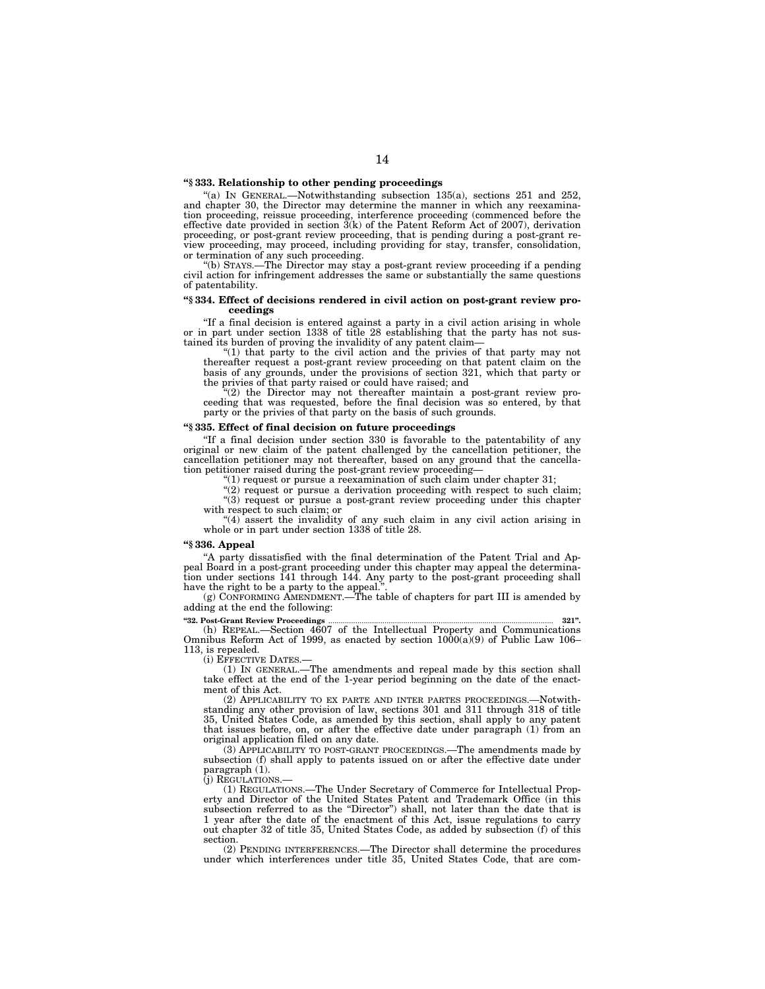## **''§ 333. Relationship to other pending proceedings**

 $\text{``(a)}$  IN GENERAL.—Notwithstanding subsection 135(a), sections 251 and 252, and chapter 30, the Director may determine the manner in which any reexamination proceeding, reissue proceeding, interference proceeding (commenced before the effective date provided in section 3(k) of the Patent Reform Act of 2007), derivation proceeding, or post-grant review proceeding, that is pending during a post-grant review proceeding, may proceed, including providing for stay, transfer, consolidation, or termination of any such proceeding.

''(b) STAYS.—The Director may stay a post-grant review proceeding if a pending civil action for infringement addresses the same or substantially the same questions of patentability.

## **''§ 334. Effect of decisions rendered in civil action on post-grant review proceedings**

''If a final decision is entered against a party in a civil action arising in whole or in part under section 1338 of title 28 establishing that the party has not sustained its burden of proving the invalidity of any patent claim—

"(1) that party to the civil action and the privies of that party may not thereafter request a post-grant review proceeding on that patent claim on the basis of any grounds, under the provisions of section 321, which that party or the privies of that party raised or could have raised; and

''(2) the Director may not thereafter maintain a post-grant review proceeding that was requested, before the final decision was so entered, by that party or the privies of that party on the basis of such grounds.

#### **''§ 335. Effect of final decision on future proceedings**

''If a final decision under section 330 is favorable to the patentability of any original or new claim of the patent challenged by the cancellation petitioner, the cancellation petitioner may not thereafter, based on any ground that the cancellation petitioner raised during the post-grant review proceeding—

 $(1)$  request or pursue a reexamination of such claim under chapter 31;

''(2) request or pursue a derivation proceeding with respect to such claim; ''(3) request or pursue a post-grant review proceeding under this chapter with respect to such claim; or

" $(4)$  assert the invalidity of any such claim in any civil action arising in whole or in part under section 1338 of title 28.

## **''§ 336. Appeal**

''A party dissatisfied with the final determination of the Patent Trial and Appeal Board in a post-grant proceeding under this chapter may appeal the determination under sections 141 through 144. Any party to the post-grant proceeding shall have the right to be a party to the appeal.''.

(g) CONFORMING AMENDMENT.—The table of chapters for part III is amended by adding at the end the following:

**''32. Post-Grant Review Proceedings** ............................................................................................................ **321''.**  (h) REPEAL.—Section 4607 of the Intellectual Property and Communications Omnibus Reform Act of 1999, as enacted by section  $1000(a)(9)$  of Public Law 106– 113, is repealed.

(i) EFFECTIVE DATES.—

(1) IN GENERAL.—The amendments and repeal made by this section shall take effect at the end of the 1-year period beginning on the date of the enactment of this Act.

(2) APPLICABILITY TO EX PARTE AND INTER PARTES PROCEEDINGS.—Notwithstanding any other provision of law, sections 301 and 311 through 318 of title 35, United States Code, as amended by this section, shall apply to any patent that issues before, on, or after the effective date under paragraph (1) from an original application filed on any date.

(3) APPLICABILITY TO POST-GRANT PROCEEDINGS.—The amendments made by subsection (f) shall apply to patents issued on or after the effective date under paragraph (1).

(j) REGULATIONS.—

(1) REGULATIONS.—The Under Secretary of Commerce for Intellectual Property and Director of the United States Patent and Trademark Office (in this subsection referred to as the ''Director'') shall, not later than the date that is 1 year after the date of the enactment of this Act, issue regulations to carry out chapter 32 of title 35, United States Code, as added by subsection (f) of this section.

(2) PENDING INTERFERENCES.—The Director shall determine the procedures under which interferences under title 35, United States Code, that are com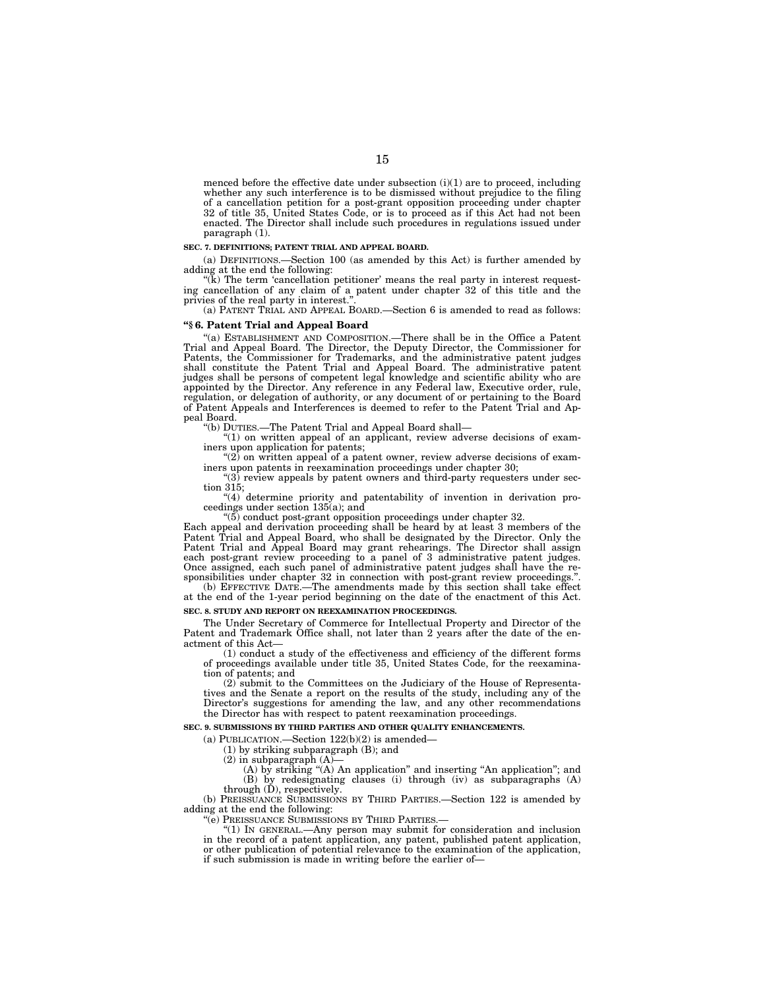menced before the effective date under subsection (i)(1) are to proceed, including whether any such interference is to be dismissed without prejudice to the filing of a cancellation petition for a post-grant opposition proceeding under chapter 32 of title 35, United States Code, or is to proceed as if this Act had not been enacted. The Director shall include such procedures in regulations issued under paragraph (1).

#### **SEC. 7. DEFINITIONS; PATENT TRIAL AND APPEAL BOARD.**

(a) DEFINITIONS.—Section 100 (as amended by this Act) is further amended by adding at the end the following:

" $(k)$  The term 'cancellation petitioner' means the real party in interest requesting cancellation of any claim of a patent under chapter 32 of this title and the privies of the real party in interest.'

(a) PATENT TRIAL AND APPEAL BOARD.—Section 6 is amended to read as follows:

#### **''§ 6. Patent Trial and Appeal Board**

''(a) ESTABLISHMENT AND COMPOSITION.—There shall be in the Office a Patent Trial and Appeal Board. The Director, the Deputy Director, the Commissioner for Patents, the Commissioner for Trademarks, and the administrative patent judges shall constitute the Patent Trial and Appeal Board. The administrative patent judges shall be persons of competent legal knowledge and scientific ability who are appointed by the Director. Any reference in any Federal law, Executive order, rule, regulation, or delegation of authority, or any document of or pertaining to the Board of Patent Appeals and Interferences is deemed to refer to the Patent Trial and Appeal Board.

''(b) DUTIES.—The Patent Trial and Appeal Board shall—

" $(1)$  on written appeal of an applicant, review adverse decisions of examiners upon application for patents;

" $(2)$  on written appeal of a patent owner, review adverse decisions of examiners upon patents in reexamination proceedings under chapter 30;

 $\degree$ (3) review appeals by patent owners and third-party requesters under section 315;

 $''(4)$  determine priority and patentability of invention in derivation proceedings under section 135(a); and

 $\degree$ (5) conduct post-grant opposition proceedings under chapter 32.

Each appeal and derivation proceeding shall be heard by at least 3 members of the Patent Trial and Appeal Board, who shall be designated by the Director. Only the Patent Trial and Appeal Board may grant rehearings. The Director shall assign each post-grant review proceeding to a panel of 3 administrative patent judges. Once assigned, each such panel of administrative patent judges shall have the responsibilities under chapter 32 in connection with post-grant review proceedings.''.

(b) EFFECTIVE DATE.—The amendments made by this section shall take effect at the end of the 1-year period beginning on the date of the enactment of this Act.

#### **SEC. 8. STUDY AND REPORT ON REEXAMINATION PROCEEDINGS.**

The Under Secretary of Commerce for Intellectual Property and Director of the Patent and Trademark Office shall, not later than 2 years after the date of the enactment of this Act—

(1) conduct a study of the effectiveness and efficiency of the different forms of proceedings available under title 35, United States Code, for the reexamination of patents; and

(2) submit to the Committees on the Judiciary of the House of Representatives and the Senate a report on the results of the study, including any of the Director's suggestions for amending the law, and any other recommendations the Director has with respect to patent reexamination proceedings.

## **SEC. 9. SUBMISSIONS BY THIRD PARTIES AND OTHER QUALITY ENHANCEMENTS.**

(a) PUBLICATION.—Section 122(b)(2) is amended—

(1) by striking subparagraph (B); and

(2) in subparagraph (A)—

(A) by striking ''(A) An application'' and inserting ''An application''; and (B) by redesignating clauses (i) through (iv) as subparagraphs (A) through (D), respectively.

(b) PREISSUANCE SUBMISSIONS BY THIRD PARTIES.—Section 122 is amended by adding at the end the following:

''(e) PREISSUANCE SUBMISSIONS BY THIRD PARTIES.— ''(1) IN GENERAL.—Any person may submit for consideration and inclusion in the record of a patent application, any patent, published patent application, or other publication of potential relevance to the examination of the application, if such submission is made in writing before the earlier of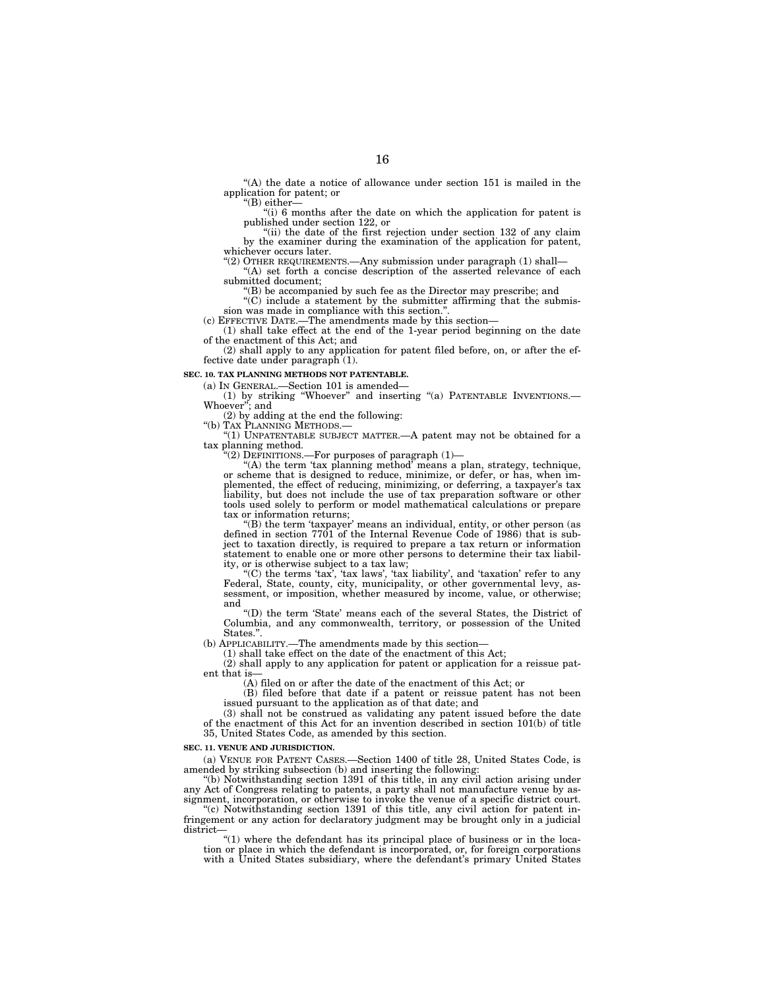$"$ (A) the date a notice of allowance under section 151 is mailed in the application for patent; or

"(B) either—  $\frac{1}{2}$ "(i) 6 months after the date on which the application for patent is published under section 122, or

"(ii) the date of the first rejection under section 132 of any claim by the examiner during the examination of the application for patent, whichever occurs later.

''(2) OTHER REQUIREMENTS.—Any submission under paragraph (1) shall— ''(A) set forth a concise description of the asserted relevance of each

 $\mathrm{``(B)}$  be accompanied by such fee as the Director may prescribe; and

"(C) include a statement by the submitter affirming that the submission was made in compliance with this section.".<br>(c) EFFECTIVE DATE.—The amendments made by this section—

(1) shall take effect at the end of the 1-year period beginning on the date<br>of the enactment of this Act; and

(2) shall apply to any application for patent filed before, on, or after the effective date under paragraph (1).

## **SEC. 10. TAX PLANNING METHODS NOT PATENTABLE.**

(a) IN GENERAL.—Section 101 is amended—<br>
(1) by striking "Whoever" and inserting "(a) PATENTABLE INVENTIONS.—<br>
Whoever''; and inserting "(a) PATENTABLE INVENTIONS.—<br>
(2) by striking "(a) PATENTABLE INVENTIONS.

(2) by adding at the end the following:<br>"(b) TAX PLANNING METHODS.—<br>"(1) UNPATENTABLE SUBJECT MATTER.—A patent may not be obtained for a<br>tax planning method.

 $t^{(2)}$  DEFINITIONS.—For purposes of paragraph (1)—<br>"(A) the term 'tax planning method' means a plan, strategy, technique, or scheme that is designed to reduce, minimize, or defer, or has, when implemented, the effect of reducing, minimizing, or deferring, a taxpayer's tax liability, but does not include the use of tax preparation software or other tools used solely to perform or model mathematical calculations or prepare tax or information returns; or product mathematical calculations or properties (in the term 'taxpayer' means an individual, entity, or other person (as

defined in section 7701 of the Internal Revenue Code of 1986) that is subject to taxation directly, is required to prepare a tax return or information statement to enable one or more other persons to determine their tax liabil-

ity, or is otherwise subject to a tax law;<br>"(C) the terms 'tax', 'tax laws', 'tax liability', and 'taxation' refer to any<br>Federal, State, county, city, municipality, or other governmental levy, assessment, or imposition, whether measured by income, value, or otherwise; and

''(D) the term 'State' means each of the several States, the District of Columbia, and any commonwealth, territory, or possession of the United States."

(b) APPLICABILITY.—The amendments made by this section—

(1) shall take effect on the date of the enactment of this Act;

(2) shall apply to any application for patent or application for a reissue patent that is—

(A) filed on or after the date of the enactment of this Act; or

(B) filed before that date if a patent or reissue patent has not been issued pursuant to the application as of that date; and

(3) shall not be construed as validating any patent issued before the date of the enactment of this Act for an invention described in section 101(b) of title 35, United States Code, as amended by this section.

#### **SEC. 11. VENUE AND JURISDICTION.**

(a) VENUE FOR PATENT CASES.—Section 1400 of title 28, United States Code, is amended by striking subsection (b) and inserting the following:

''(b) Notwithstanding section 1391 of this title, in any civil action arising under any Act of Congress relating to patents, a party shall not manufacture venue by assignment, incorporation, or otherwise to invoke the venue of a specific district court.

"(c) Notwithstanding section 1391 of this title, any civil action for patent infringement or any action for declaratory judgment may be brought only in a judicial district—

''(1) where the defendant has its principal place of business or in the location or place in which the defendant is incorporated, or, for foreign corporations with a United States subsidiary, where the defendant's primary United States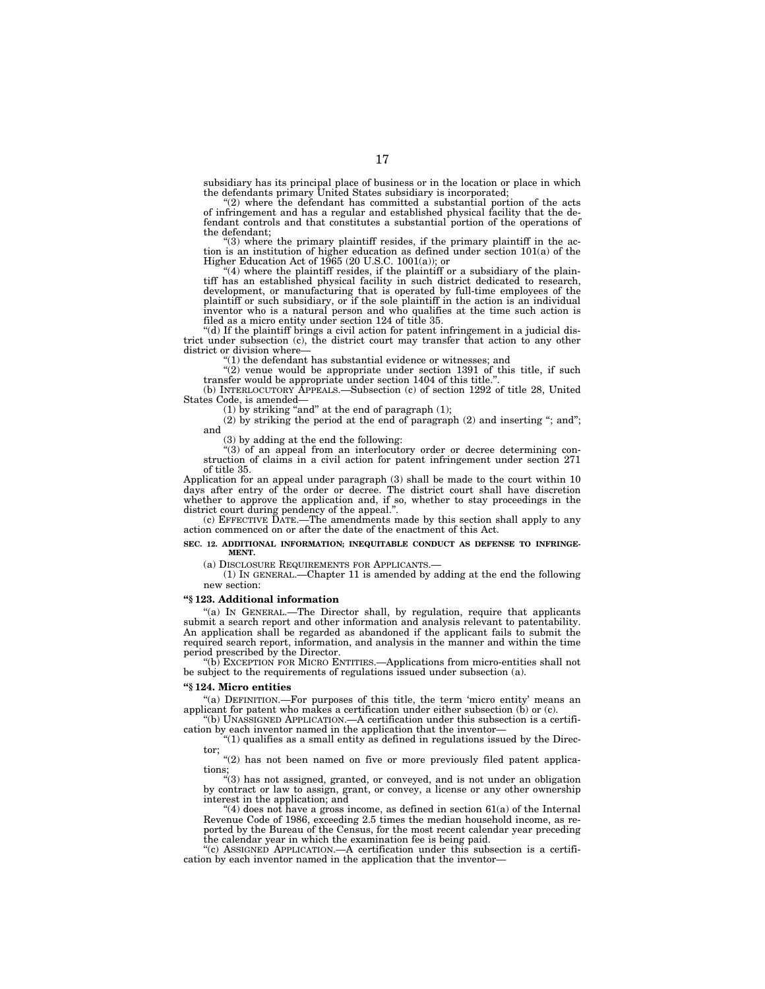subsidiary has its principal place of business or in the location or place in which the defendants primary United States subsidiary is incorporated; ''(2) where the defendant has committed a substantial portion of the acts

of infringement and has a regular and established physical facility that the defendant controls and that constitutes a substantial portion of the operations of

the defendant;<br>
"(3) where the primary plaintiff resides, if the primary plaintiff in the ac-<br>
tion is an institution of higher education as defined under section 101(a) of the

Higher Education Act of 1965 (20 U.S.C. 1001(a)); or ''(4) where the plaintiff resides, if the plaintiff or a subsidiary of the plain-tiff has an established physical facility in such district dedicated to research, development, or manufacturing that is operated by full-time employees of the plaintiff or such subsidiary, or if the sole plaintiff in the action is an individual inventor who is a natural person and who qualifies at the time such action is filed as a micro entity under section 124 of title 35.

''(d) If the plaintiff brings a civil action for patent infringement in a judicial dis-trict under subsection (c), the district court may transfer that action to any other district or division where—<br>"(1) the defendant has substantial evidence or witnesses; and

''(2) venue would be appropriate under section 1391 of this title, if such transfer would be appropriate under section 1404 of this title.''.

(b) INTERLOCUTORY APPEALS.—Subsection (c) of section 1292 of title 28, United States Code, is amended—

(1) by striking ''and'' at the end of paragraph (1);  $(2)$  by striking the period at the end of paragraph  $(2)$  and inserting "; and"; and

(3) by adding at the end the following:

''(3) of an appeal from an interlocutory order or decree determining construction of claims in a civil action for patent infringement under section 271 of title 35.

Application for an appeal under paragraph (3) shall be made to the court within 10 days after entry of the order or decree. The district court shall have discretion whether to approve the application and, if so, whether to stay proceedings in the district court during pendency of the appeal.''.

(c) EFFECTIVE DATE.—The amendments made by this section shall apply to any action commenced on or after the date of the enactment of this Act.

#### **SEC. 12. ADDITIONAL INFORMATION; INEQUITABLE CONDUCT AS DEFENSE TO INFRINGE-MENT.**

(a) DISCLOSURE REQUIREMENTS FOR APPLICANTS.—

(1) IN GENERAL.—Chapter 11 is amended by adding at the end the following new section:

#### **''§ 123. Additional information**

"(a) IN GENERAL.—The Director shall, by regulation, require that applicants submit a search report and other information and analysis relevant to patentability. An application shall be regarded as abandoned if the applicant fails to submit the required search report, information, and analysis in the manner and within the time period prescribed by the Director.

''(b) EXCEPTION FOR MICRO ENTITIES.—Applications from micro-entities shall not be subject to the requirements of regulations issued under subsection (a).

## **''§ 124. Micro entities**

''(a) DEFINITION.—For purposes of this title, the term 'micro entity' means an applicant for patent who makes a certification under either subsection  $(b)$  or  $(c)$ .

''(b) UNASSIGNED APPLICATION.—A certification under this subsection is a certification by each inventor named in the application that the inventor— " $(1)$  qualifies as a small entity as defined in regulations issued by the Direc-

tor;

''(2) has not been named on five or more previously filed patent applications;

''(3) has not assigned, granted, or conveyed, and is not under an obligation by contract or law to assign, grant, or convey, a license or any other ownership interest in the application; and

"(4) does not have a gross income, as defined in section  $61(a)$  of the Internal Revenue Code of 1986, exceeding 2.5 times the median household income, as reported by the Bureau of the Census, for the most recent calendar year preceding the calendar year in which the examination fee is being paid.

''(c) ASSIGNED APPLICATION.—A certification under this subsection is a certification by each inventor named in the application that the inventor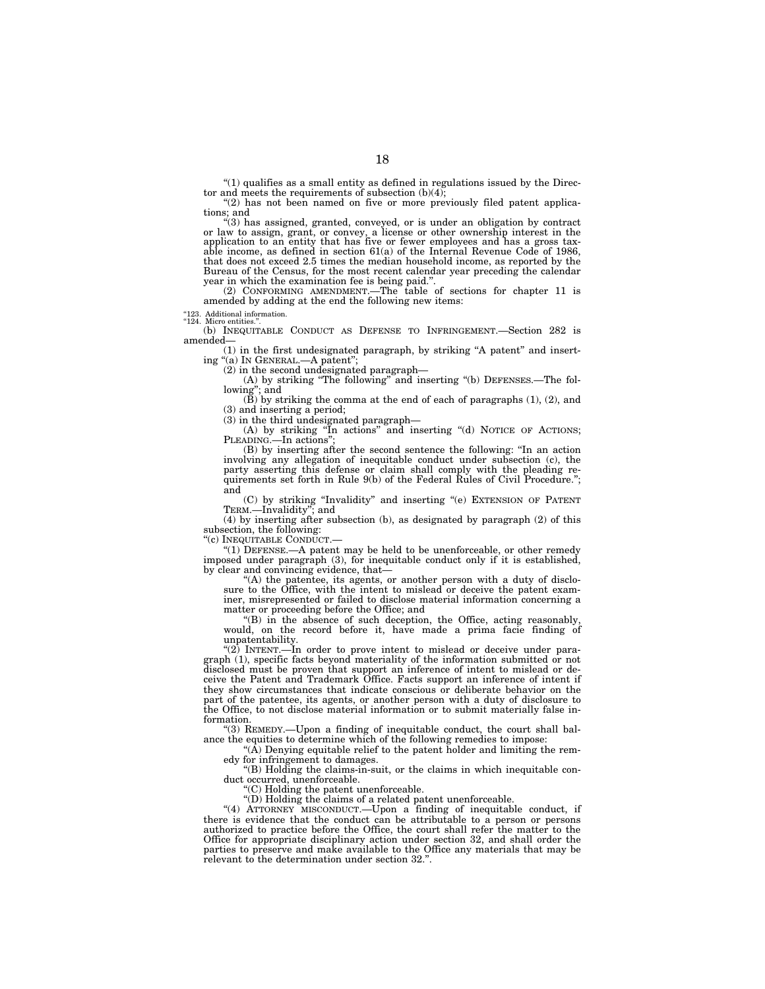$''(1)$  qualifies as a small entity as defined in regulations issued by the Direc-

tor and meets the requirements of subsection  $(b)(4)$ ;  $(2)$  has not been named on five or more previously filed patent applica-

tions; and ''(3) has assigned, granted, conveyed, or is under an obligation by contract or law to assign, grant, or convey, a license or other ownership interest in the or law to assign, grant, or convey, a license or other ownership interest in the application to an entity that has five or fewer employees and has a gross taxable income, as defined in section 61(a) of the Internal Revenue Code of 1986, that does not exceed 2.5 times the median household income, as reported by the Bureau of the Census, for the most recent calendar year preceding the calendar year in which the examination fee is being paid."

year in which the examination fee is being paid.''. (2) CONFORMING AMENDMENT.—The table of sections for chapter 11 is amended by adding at the end the following new items:

''123. Additional information. ''124. Micro entities.''.

(b) INEQUITABLE CONDUCT AS DEFENSE TO INFRINGEMENT.—Section 282 is amended—

(1) in the first undesignated paragraph, by striking ''A patent'' and insert $ing (a)$  In GENERAL.—A patent";

(2) in the second undesignated paragraph—<br>
(3) in the second undesignated paragraph—<br>
(3) by striking "The following" and inserting "(b) DEFENSES.—The following''; and

(B) by striking the comma at the end of each of paragraphs (1), (2), and (3) and inserting a period;

(3) in the third undesignated paragraph—

(A) by striking ''In actions'' and inserting ''(d) NOTICE OF ACTIONS; PLEADING.—In actions'';

(B) by inserting after the second sentence the following: ''In an action involving any allegation of inequitable conduct under subsection (c), the party asserting this defense or claim shall comply with the pleading requirements set forth in Rule 9(b) of the Federal Rules of Civil Procedure.''; and

(C) by striking ''Invalidity'' and inserting ''(e) EXTENSION OF PATENT TERM.—Invalidity''; and

(4) by inserting after subsection (b), as designated by paragraph (2) of this subsection, the following:

"(c) INEQUITABLE CONDUCT.

"(1) DEFENSE.—A patent may be held to be unenforceable, or other remedy imposed under paragraph (3), for inequitable conduct only if it is established, by clear and convincing evidence, that—

''(A) the patentee, its agents, or another person with a duty of disclosure to the Office, with the intent to mislead or deceive the patent examiner, misrepresented or failed to disclose material information concerning a matter or proceeding before the Office; and

 $f(B)$  in the absence of such deception, the Office, acting reasonably, would, on the record before it, have made a prima facie finding of unpatentability.

"(2) INTENT.—In order to prove intent to mislead or deceive under paragraph (1), specific facts beyond materiality of the information submitted or not disclosed must be proven that support an inference of intent to mislead or deceive the Patent and Trademark Office. Facts support an inference of intent if they show circumstances that indicate conscious or deliberate behavior on the part of the patentee, its agents, or another person with a duty of disclosure to the Office, to not disclose material information or to submit materially false information.

''(3) REMEDY.—Upon a finding of inequitable conduct, the court shall bal-ance the equities to determine which of the following remedies to impose:

"( $\vec{A}$ ) Denying equitable relief to the patent holder and limiting the remedy for infringement to damages.

''(B) Holding the claims-in-suit, or the claims in which inequitable conduct occurred, unenforceable.

''(C) Holding the patent unenforceable.

''(D) Holding the claims of a related patent unenforceable.

''(4) ATTORNEY MISCONDUCT.—Upon a finding of inequitable conduct, if there is evidence that the conduct can be attributable to a person or persons authorized to practice before the Office, the court shall refer the matter to the Office for appropriate disciplinary action under section 32, and shall order the parties to preserve and make available to the Office any materials that may be relevant to the determination under section 32.'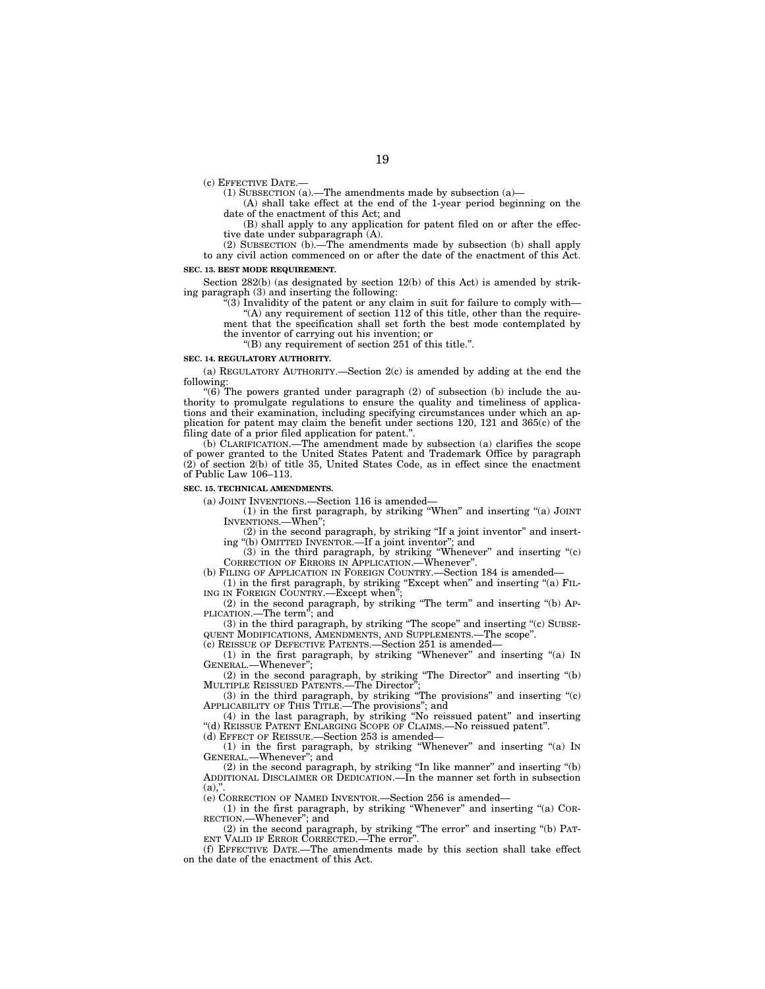(c) EFFECTIVE DATE.—

(1) SUBSECTION (a).—The amendments made by subsection (a)—

(A) shall take effect at the end of the 1-year period beginning on the date of the enactment of this Act; and

(B) shall apply to any application for patent filed on or after the effective date under subparagraph (A).

(2) SUBSECTION (b).—The amendments made by subsection (b) shall apply to any civil action commenced on or after the date of the enactment of this Act.

#### **SEC. 13. BEST MODE REQUIREMENT.**

Section 282(b) (as designated by section 12(b) of this Act) is amended by striking paragraph (3) and inserting the following:

 $\tilde{f}(3)$  Invalidity of the patent or any claim in suit for failure to comply with—  $H(A)$  any requirement of section 112 of this title, other than the require-

ment that the specification shall set forth the best mode contemplated by the inventor of carrying out his invention; or

''(B) any requirement of section 251 of this title.''.

#### **SEC. 14. REGULATORY AUTHORITY.**

(a) REGULATORY AUTHORITY.—Section 2(c) is amended by adding at the end the following:

" $(6)$  The powers granted under paragraph  $(2)$  of subsection  $(b)$  include the authority to promulgate regulations to ensure the quality and timeliness of applications and their examination, including specifying circumstances under which an application for patent may claim the benefit under sections 120, 121 and 365(c) of the filing date of a prior filed application for patent."

(b) CLARIFICATION.—The amendment made by subsection (a) clarifies the scope of power granted to the United States Patent and Trademark Office by paragraph (2) of section 2(b) of title 35, United States Code, as in effect since the enactment of Public Law 106–113.

#### **SEC. 15. TECHNICAL AMENDMENTS.**

(a) JOINT INVENTIONS.—Section 116 is amended—

(1) in the first paragraph, by striking ''When'' and inserting ''(a) JOINT INVENTIONS.—When'

(2) in the second paragraph, by striking ''If a joint inventor'' and inserting ''(b) OMITTED INVENTOR.—If a joint inventor''; and

(3) in the third paragraph, by striking ''Whenever'' and inserting ''(c) CORRECTION OF ERRORS IN APPLICATION.—Whenever''.

(b) FILING OF APPLICATION IN FOREIGN COUNTRY.—Section 184 is amended—

(1) in the first paragraph, by striking "Except when" and inserting "(a) FIL-ING IN FOREIGN COUNTRY.—Except when'';

(2) in the second paragraph, by striking ''The term'' and inserting ''(b) AP-PLICATION.—The term''; and

(3) in the third paragraph, by striking ''The scope'' and inserting ''(c) SUBSE-QUENT MODIFICATIONS, AMENDMENTS, AND SUPPLEMENTS.—The scope''.

(c) REISSUE OF DEFECTIVE PATENTS.—Section 251 is amended—

(1) in the first paragraph, by striking ''Whenever'' and inserting ''(a) IN GENERAL.—Whenever'';

(2) in the second paragraph, by striking ''The Director'' and inserting ''(b) MULTIPLE REISSUED PATENTS.—The Director'';

(3) in the third paragraph, by striking ''The provisions'' and inserting ''(c) APPLICABILITY OF THIS TITLE.—The provisions''; and

(4) in the last paragraph, by striking ''No reissued patent'' and inserting ''(d) REISSUE PATENT ENLARGING SCOPE OF CLAIMS.—No reissued patent''.

(d) EFFECT OF REISSUE.—Section 253 is amended—

(1) in the first paragraph, by striking ''Whenever'' and inserting ''(a) IN GENERAL.—Whenever''; and

(2) in the second paragraph, by striking ''In like manner'' and inserting ''(b) ADDITIONAL DISCLAIMER OR DEDICATION.—In the manner set forth in subsection  $(a)$ ."

(e) CORRECTION OF NAMED INVENTOR.—Section 256 is amended—

(1) in the first paragraph, by striking ''Whenever'' and inserting ''(a) COR-RECTION.—Whenever''; and

(2) in the second paragraph, by striking ''The error'' and inserting ''(b) PAT-ENT VALID IF ERROR CORRECTED.—The error''.

(f) EFFECTIVE DATE.—The amendments made by this section shall take effect on the date of the enactment of this Act.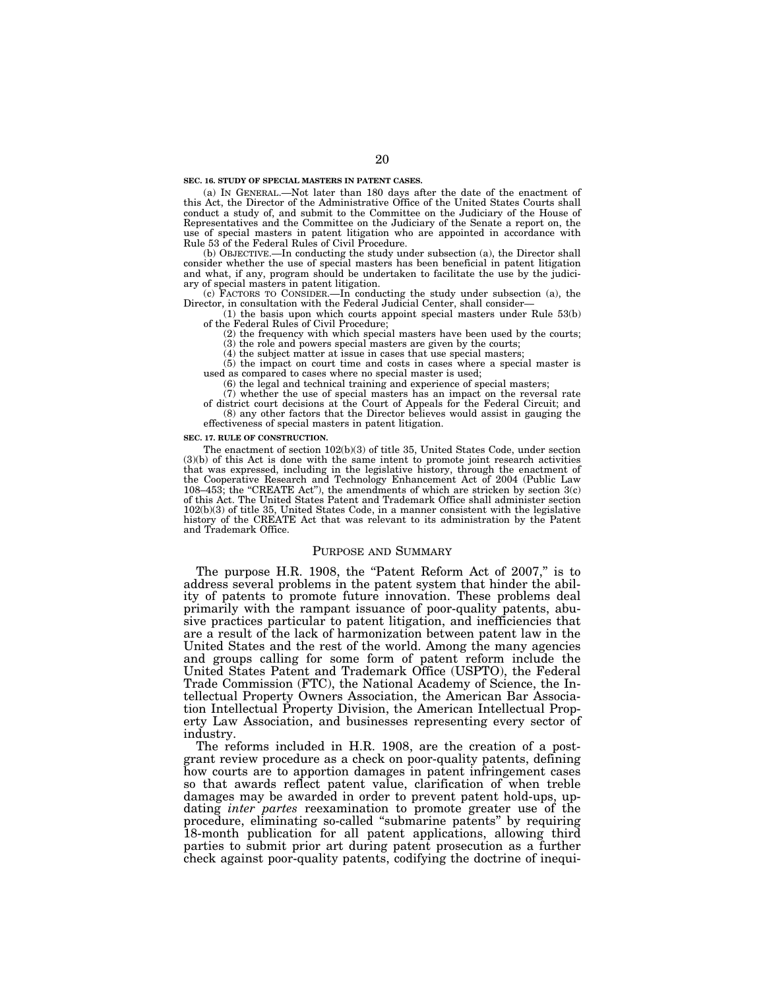**SEC. 16. STUDY OF SPECIAL MASTERS IN PATENT CASES.** 

(a) IN GENERAL.—Not later than 180 days after the date of the enactment of this Act, the Director of the Administrative Office of the United States Courts shall conduct a study of, and submit to the Committee on the Judiciary of the House of Representatives and the Committee on the Judiciary of the Senate a report on, the use of special masters in patent litigation who are appointed in accordance with Rule 53 of the Federal Rules of Civil Procedure.

(b) OBJECTIVE.—In conducting the study under subsection (a), the Director shall consider whether the use of special masters has been beneficial in patent litigation and what, if any, program should be undertaken to facilitate the use by the judiciary of special masters in patent litigation.

(c) FACTORS TO CONSIDER.—In conducting the study under subsection (a), the Director, in consultation with the Federal Judicial Center, shall consider—

(1) the basis upon which courts appoint special masters under Rule 53(b) of the Federal Rules of Civil Procedure;

(2) the frequency with which special masters have been used by the courts; (3) the role and powers special masters are given by the courts;

(4) the subject matter at issue in cases that use special masters;

(5) the impact on court time and costs in cases where a special master is used as compared to cases where no special master is used;

(6) the legal and technical training and experience of special masters;

(7) whether the use of special masters has an impact on the reversal rate of district court decisions at the Court of Appeals for the Federal Circuit; and (8) any other factors that the Director believes would assist in gauging the

effectiveness of special masters in patent litigation.

## **SEC. 17. RULE OF CONSTRUCTION.**

The enactment of section 102(b)(3) of title 35, United States Code, under section (3)(b) of this Act is done with the same intent to promote joint research activities that was expressed, including in the legislative history, through the enactment of the Cooperative Research and Technology Enhancement Act of 2004 (Public Law  $108-453$ ; the "CREATE Act"), the amendments of which are stricken by section  $3(c)$ of this Act. The United States Patent and Trademark Office shall administer section 102(b)(3) of title 35, United States Code, in a manner consistent with the legislative history of the CREATE Act that was relevant to its administration by the Patent and Trademark Office.

## PURPOSE AND SUMMARY

The purpose H.R. 1908, the "Patent Reform Act of 2007," is to address several problems in the patent system that hinder the ability of patents to promote future innovation. These problems deal primarily with the rampant issuance of poor-quality patents, abusive practices particular to patent litigation, and inefficiencies that are a result of the lack of harmonization between patent law in the United States and the rest of the world. Among the many agencies and groups calling for some form of patent reform include the United States Patent and Trademark Office (USPTO), the Federal Trade Commission (FTC), the National Academy of Science, the Intellectual Property Owners Association, the American Bar Association Intellectual Property Division, the American Intellectual Property Law Association, and businesses representing every sector of industry.

The reforms included in H.R. 1908, are the creation of a postgrant review procedure as a check on poor-quality patents, defining how courts are to apportion damages in patent infringement cases so that awards reflect patent value, clarification of when treble damages may be awarded in order to prevent patent hold-ups, updating *inter partes* reexamination to promote greater use of the procedure, eliminating so-called ''submarine patents'' by requiring 18-month publication for all patent applications, allowing third parties to submit prior art during patent prosecution as a further check against poor-quality patents, codifying the doctrine of inequi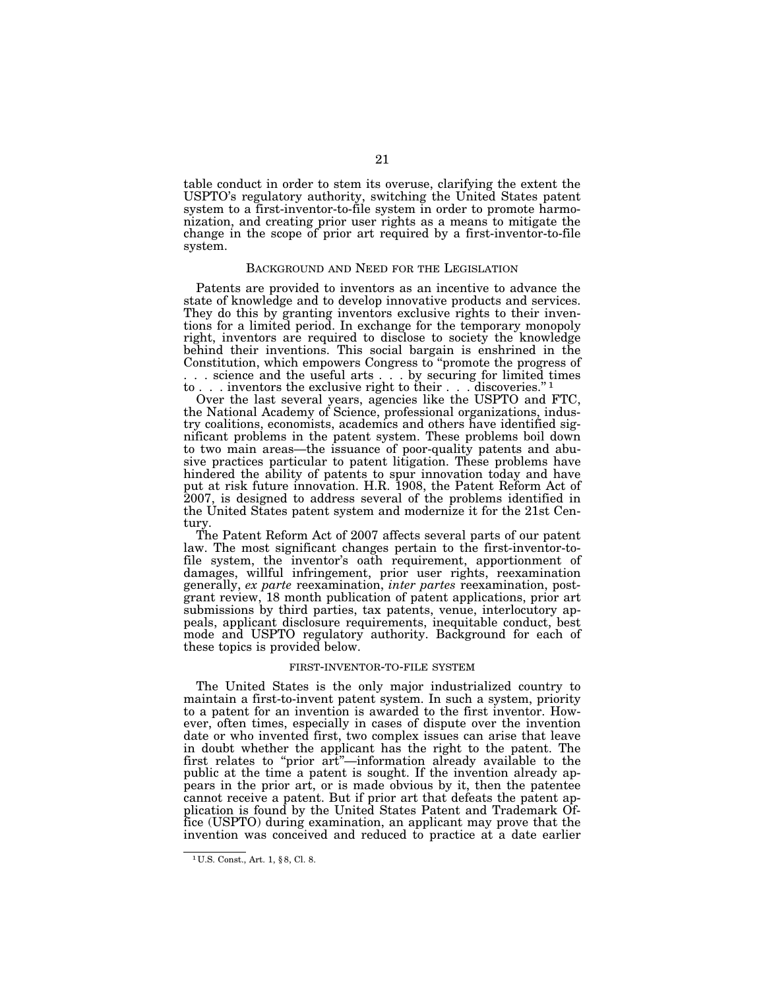table conduct in order to stem its overuse, clarifying the extent the USPTO's regulatory authority, switching the United States patent system to a first-inventor-to-file system in order to promote harmonization, and creating prior user rights as a means to mitigate the change in the scope of prior art required by a first-inventor-to-file system.

## BACKGROUND AND NEED FOR THE LEGISLATION

Patents are provided to inventors as an incentive to advance the state of knowledge and to develop innovative products and services. They do this by granting inventors exclusive rights to their inventions for a limited period. In exchange for the temporary monopoly right, inventors are required to disclose to society the knowledge behind their inventions. This social bargain is enshrined in the Constitution, which empowers Congress to ''promote the progress of . . . science and the useful arts . . . by securing for limited times to . . . inventors the exclusive right to their . . . discoveries."<sup>1</sup>

Over the last several years, agencies like the USPTO and FTC, the National Academy of Science, professional organizations, industry coalitions, economists, academics and others have identified significant problems in the patent system. These problems boil down to two main areas—the issuance of poor-quality patents and abusive practices particular to patent litigation. These problems have hindered the ability of patents to spur innovation today and have put at risk future innovation. H.R. 1908, the Patent Reform Act of 2007, is designed to address several of the problems identified in the United States patent system and modernize it for the 21st Century.

The Patent Reform Act of 2007 affects several parts of our patent law. The most significant changes pertain to the first-inventor-tofile system, the inventor's oath requirement, apportionment of damages, willful infringement, prior user rights, reexamination generally, *ex parte* reexamination, *inter partes* reexamination, postgrant review, 18 month publication of patent applications, prior art submissions by third parties, tax patents, venue, interlocutory appeals, applicant disclosure requirements, inequitable conduct, best mode and USPTO regulatory authority. Background for each of these topics is provided below.

## FIRST-INVENTOR-TO-FILE SYSTEM

The United States is the only major industrialized country to maintain a first-to-invent patent system. In such a system, priority to a patent for an invention is awarded to the first inventor. However, often times, especially in cases of dispute over the invention date or who invented first, two complex issues can arise that leave in doubt whether the applicant has the right to the patent. The first relates to "prior art"—information already available to the public at the time a patent is sought. If the invention already appears in the prior art, or is made obvious by it, then the patentee cannot receive a patent. But if prior art that defeats the patent application is found by the United States Patent and Trademark Office (USPTO) during examination, an applicant may prove that the invention was conceived and reduced to practice at a date earlier

<sup>1</sup> U.S. Const., Art. 1, § 8, Cl. 8.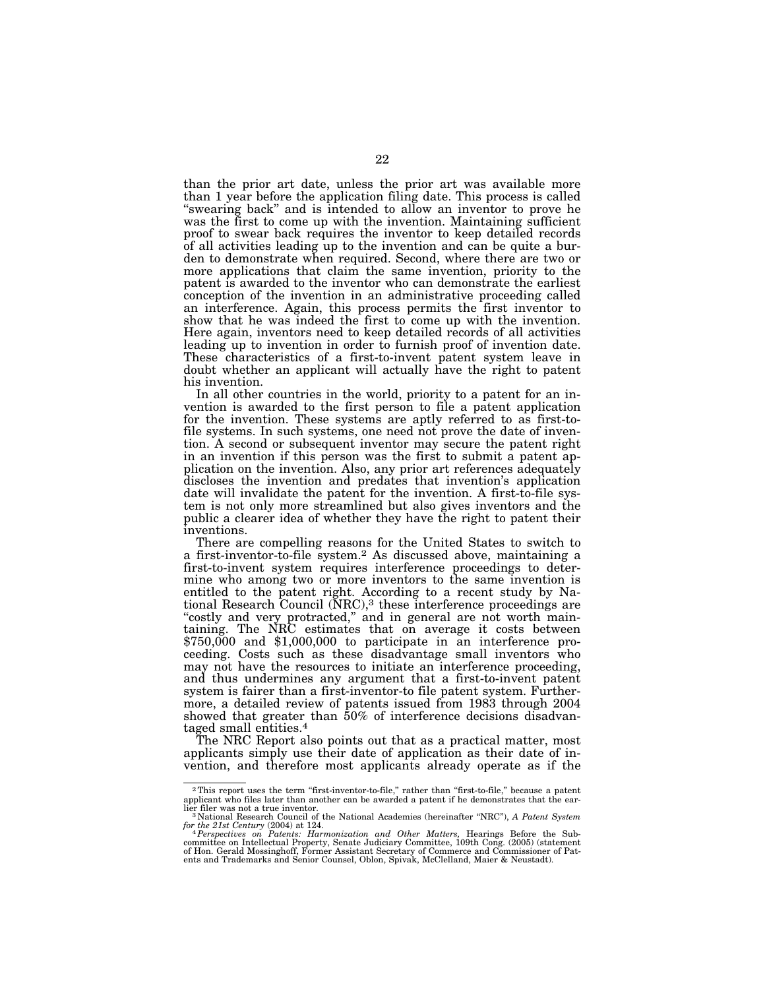than the prior art date, unless the prior art was available more than 1 year before the application filing date. This process is called ''swearing back'' and is intended to allow an inventor to prove he was the first to come up with the invention. Maintaining sufficient proof to swear back requires the inventor to keep detailed records of all activities leading up to the invention and can be quite a burden to demonstrate when required. Second, where there are two or more applications that claim the same invention, priority to the patent is awarded to the inventor who can demonstrate the earliest conception of the invention in an administrative proceeding called an interference. Again, this process permits the first inventor to show that he was indeed the first to come up with the invention. Here again, inventors need to keep detailed records of all activities leading up to invention in order to furnish proof of invention date. These characteristics of a first-to-invent patent system leave in doubt whether an applicant will actually have the right to patent his invention.

In all other countries in the world, priority to a patent for an invention is awarded to the first person to file a patent application for the invention. These systems are aptly referred to as first-tofile systems. In such systems, one need not prove the date of invention. A second or subsequent inventor may secure the patent right in an invention if this person was the first to submit a patent application on the invention. Also, any prior art references adequately discloses the invention and predates that invention's application date will invalidate the patent for the invention. A first-to-file system is not only more streamlined but also gives inventors and the public a clearer idea of whether they have the right to patent their inventions.

There are compelling reasons for the United States to switch to a first-inventor-to-file system.2 As discussed above, maintaining a first-to-invent system requires interference proceedings to determine who among two or more inventors to the same invention is entitled to the patent right. According to a recent study by National Research Council (NRC),<sup>3</sup> these interference proceedings are "costly and very protracted," and in general are not worth maintaining. The NRC estimates that on average it costs between \$750,000 and \$1,000,000 to participate in an interference proceeding. Costs such as these disadvantage small inventors who may not have the resources to initiate an interference proceeding, and thus undermines any argument that a first-to-invent patent system is fairer than a first-inventor-to file patent system. Furthermore, a detailed review of patents issued from 1983 through 2004 showed that greater than  $50\%$  of interference decisions disadvantaged small entities.4

The NRC Report also points out that as a practical matter, most applicants simply use their date of application as their date of invention, and therefore most applicants already operate as if the

<sup>&</sup>lt;sup>2</sup>This report uses the term "first-inventor-to-file," rather than "first-to-file," because a patent applicant who files later than another can be awarded a patent if he demonstrates that the ear-

lier filer was not a true inventor. 3 National Research Council of the National Academies (hereinafter ''NRC''), *A Patent System* 

*for the 21st Century* (2004) at 124. 4*Perspectives on Patents: Harmonization and Other Matters,* Hearings Before the Subcommittee on Intellectual Property, Senate Judiciary Committee, 109th Cong. (2005) (statement<br>of Hon. Gerald Mossinghoff, Former Assistant Secretary of Commerce and Commissioner of Pat-<br>ents and Trademarks and Senior Couns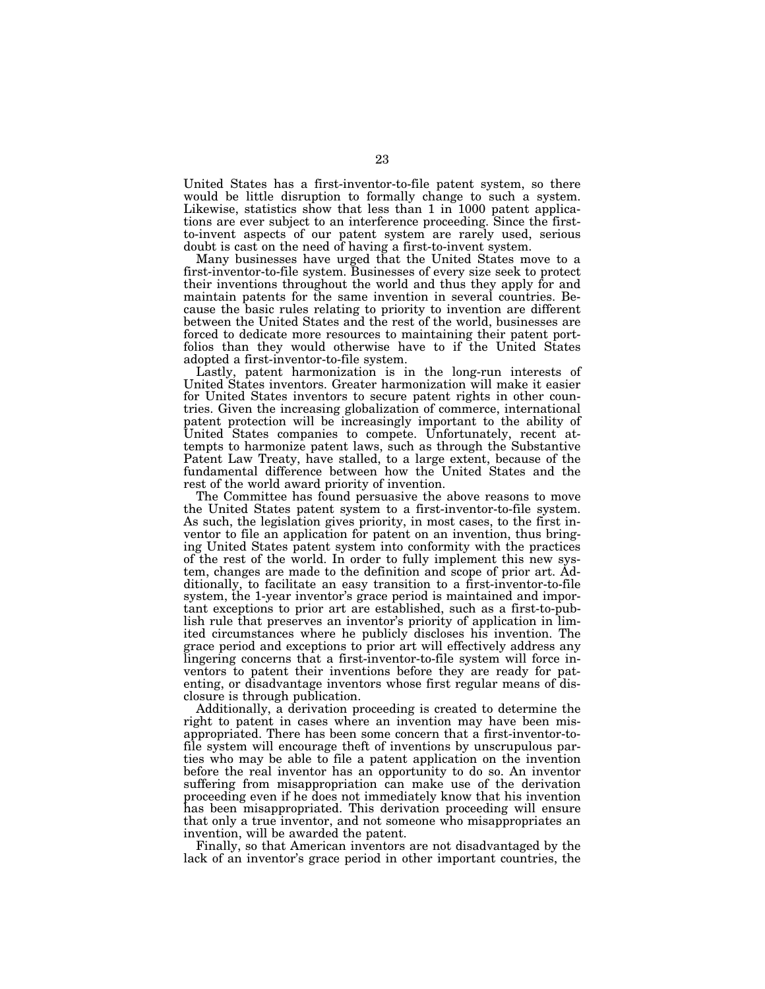United States has a first-inventor-to-file patent system, so there would be little disruption to formally change to such a system. Likewise, statistics show that less than 1 in 1000 patent applications are ever subject to an interference proceeding. Since the firstto-invent aspects of our patent system are rarely used, serious doubt is cast on the need of having a first-to-invent system.

Many businesses have urged that the United States move to a first-inventor-to-file system. Businesses of every size seek to protect their inventions throughout the world and thus they apply for and maintain patents for the same invention in several countries. Because the basic rules relating to priority to invention are different between the United States and the rest of the world, businesses are forced to dedicate more resources to maintaining their patent portfolios than they would otherwise have to if the United States adopted a first-inventor-to-file system.

Lastly, patent harmonization is in the long-run interests of United States inventors. Greater harmonization will make it easier for United States inventors to secure patent rights in other countries. Given the increasing globalization of commerce, international patent protection will be increasingly important to the ability of United States companies to compete. Unfortunately, recent attempts to harmonize patent laws, such as through the Substantive Patent Law Treaty, have stalled, to a large extent, because of the fundamental difference between how the United States and the rest of the world award priority of invention.

The Committee has found persuasive the above reasons to move the United States patent system to a first-inventor-to-file system. As such, the legislation gives priority, in most cases, to the first inventor to file an application for patent on an invention, thus bringing United States patent system into conformity with the practices of the rest of the world. In order to fully implement this new system, changes are made to the definition and scope of prior art. Additionally, to facilitate an easy transition to a first-inventor-to-file system, the 1-year inventor's grace period is maintained and important exceptions to prior art are established, such as a first-to-publish rule that preserves an inventor's priority of application in limited circumstances where he publicly discloses his invention. The grace period and exceptions to prior art will effectively address any lingering concerns that a first-inventor-to-file system will force inventors to patent their inventions before they are ready for patenting, or disadvantage inventors whose first regular means of disclosure is through publication.

Additionally, a derivation proceeding is created to determine the right to patent in cases where an invention may have been misappropriated. There has been some concern that a first-inventor-tofile system will encourage theft of inventions by unscrupulous parties who may be able to file a patent application on the invention before the real inventor has an opportunity to do so. An inventor suffering from misappropriation can make use of the derivation proceeding even if he does not immediately know that his invention has been misappropriated. This derivation proceeding will ensure that only a true inventor, and not someone who misappropriates an invention, will be awarded the patent.

Finally, so that American inventors are not disadvantaged by the lack of an inventor's grace period in other important countries, the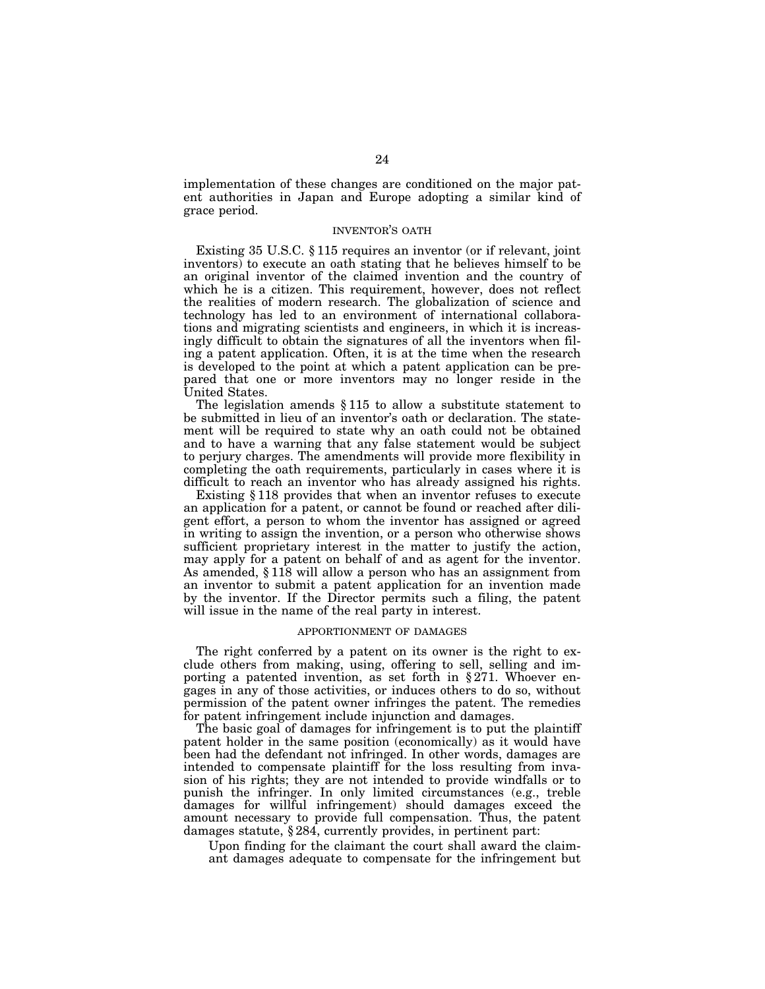implementation of these changes are conditioned on the major patent authorities in Japan and Europe adopting a similar kind of grace period.

## INVENTOR'S OATH

Existing 35 U.S.C. § 115 requires an inventor (or if relevant, joint inventors) to execute an oath stating that he believes himself to be an original inventor of the claimed invention and the country of which he is a citizen. This requirement, however, does not reflect the realities of modern research. The globalization of science and technology has led to an environment of international collaborations and migrating scientists and engineers, in which it is increasingly difficult to obtain the signatures of all the inventors when filing a patent application. Often, it is at the time when the research is developed to the point at which a patent application can be prepared that one or more inventors may no longer reside in the United States.

The legislation amends § 115 to allow a substitute statement to be submitted in lieu of an inventor's oath or declaration. The statement will be required to state why an oath could not be obtained and to have a warning that any false statement would be subject to perjury charges. The amendments will provide more flexibility in completing the oath requirements, particularly in cases where it is difficult to reach an inventor who has already assigned his rights.

Existing § 118 provides that when an inventor refuses to execute an application for a patent, or cannot be found or reached after diligent effort, a person to whom the inventor has assigned or agreed in writing to assign the invention, or a person who otherwise shows sufficient proprietary interest in the matter to justify the action, may apply for a patent on behalf of and as agent for the inventor. As amended, § 118 will allow a person who has an assignment from an inventor to submit a patent application for an invention made by the inventor. If the Director permits such a filing, the patent will issue in the name of the real party in interest.

## APPORTIONMENT OF DAMAGES

The right conferred by a patent on its owner is the right to exclude others from making, using, offering to sell, selling and importing a patented invention, as set forth in § 271. Whoever engages in any of those activities, or induces others to do so, without permission of the patent owner infringes the patent. The remedies for patent infringement include injunction and damages.

The basic goal of damages for infringement is to put the plaintiff patent holder in the same position (economically) as it would have been had the defendant not infringed. In other words, damages are intended to compensate plaintiff for the loss resulting from invasion of his rights; they are not intended to provide windfalls or to punish the infringer. In only limited circumstances (e.g., treble damages for willful infringement) should damages exceed the amount necessary to provide full compensation. Thus, the patent damages statute, § 284, currently provides, in pertinent part:

Upon finding for the claimant the court shall award the claimant damages adequate to compensate for the infringement but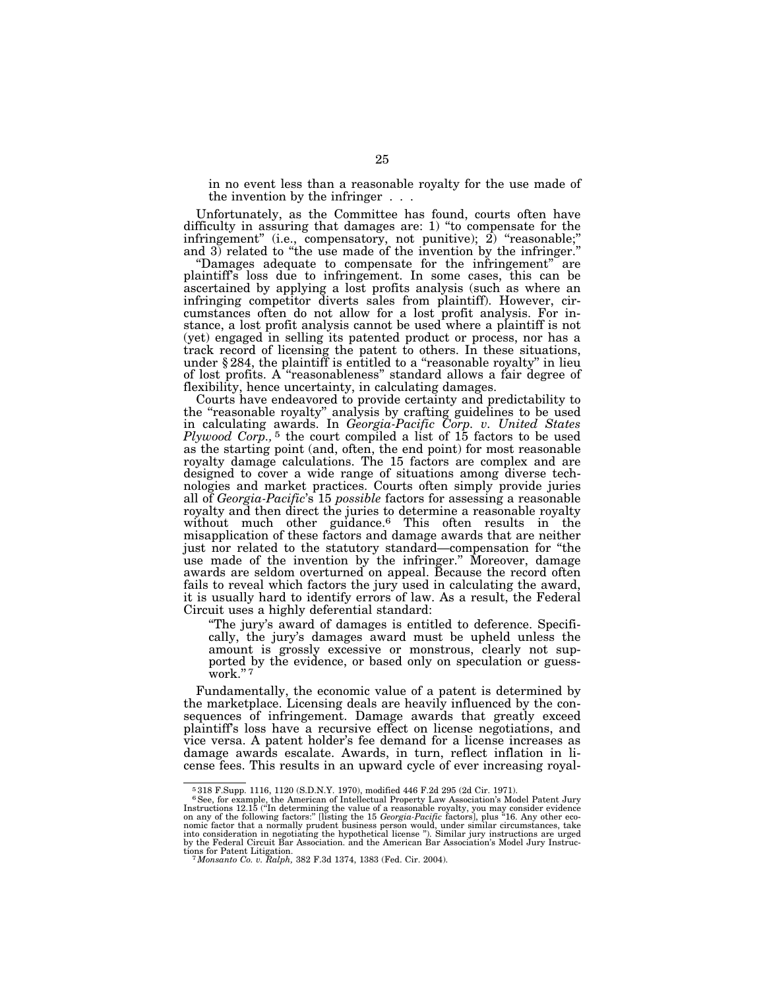in no event less than a reasonable royalty for the use made of the invention by the infringer . . .

Unfortunately, as the Committee has found, courts often have difficulty in assuring that damages are: 1) "to compensate for the infringement" (i.e., compensatory, not punitive); 2) "reasonable;" and  $3$ ) related to "the use made of the invention by the infringer." "Damages adequate to compensate for the infringement" are

plaintiff's loss due to infringement. In some cases, this can be ascertained by applying a lost profits analysis (such as where an infringing competitor diverts sales from plaintiff). However, circumstances often do not allow for a lost profit analysis. For instance, a lost profit analysis cannot be used where a plaintiff is not (yet) engaged in selling its patented product or process, nor has a track record of licensing the patent to others. In these situations, under § 284, the plaintiff is entitled to a ''reasonable royalty'' in lieu of lost profits. A ''reasonableness'' standard allows a fair degree of flexibility, hence uncertainty, in calculating damages.

Courts have endeavored to provide certainty and predictability to the ''reasonable royalty'' analysis by crafting guidelines to be used in calculating awards. In *Georgia-Pacific Corp. v. United States Plywood Corp.,* 5 the court compiled a list of 15 factors to be used as the starting point (and, often, the end point) for most reasonable royalty damage calculations. The 15 factors are complex and are designed to cover a wide range of situations among diverse technologies and market practices. Courts often simply provide juries all of *Georgia-Pacific*'s 15 *possible* factors for assessing a reasonable royalty and then direct the juries to determine a reasonable royalty without much other guidance.<sup>6</sup> This often results in the misapplication of these factors and damage awards that are neither just nor related to the statutory standard—compensation for ''the use made of the invention by the infringer.'' Moreover, damage awards are seldom overturned on appeal. Because the record often fails to reveal which factors the jury used in calculating the award, it is usually hard to identify errors of law. As a result, the Federal Circuit uses a highly deferential standard:

''The jury's award of damages is entitled to deference. Specifically, the jury's damages award must be upheld unless the amount is grossly excessive or monstrous, clearly not supported by the evidence, or based only on speculation or guesswork.'' 7

Fundamentally, the economic value of a patent is determined by the marketplace. Licensing deals are heavily influenced by the consequences of infringement. Damage awards that greatly exceed plaintiff's loss have a recursive effect on license negotiations, and vice versa. A patent holder's fee demand for a license increases as damage awards escalate. Awards, in turn, reflect inflation in license fees. This results in an upward cycle of ever increasing royal-

<sup>&</sup>lt;sup>5</sup> 318 F.Supp. 1116, 1120 (S.D.N.Y. 1970), modified 446 F.2d 295 (2d Cir. 1971).<br><sup>6</sup> See, for example, the American of Intellectual Property Law Association's Model Patent Jury<br>Instructions 12.15 ("In determining the val tions for Patent Litigation. 7*Monsanto Co. v. Ralph,* 382 F.3d 1374, 1383 (Fed. Cir. 2004).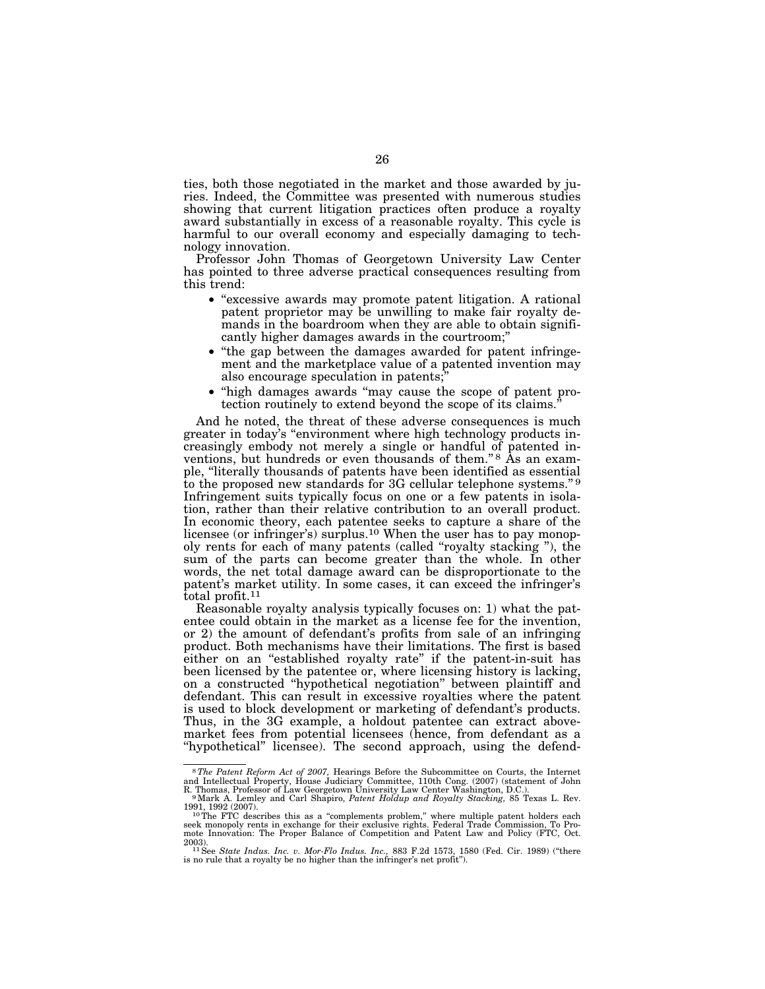ties, both those negotiated in the market and those awarded by juries. Indeed, the Committee was presented with numerous studies showing that current litigation practices often produce a royalty award substantially in excess of a reasonable royalty. This cycle is harmful to our overall economy and especially damaging to technology innovation.

Professor John Thomas of Georgetown University Law Center has pointed to three adverse practical consequences resulting from this trend:

- "excessive awards may promote patent litigation. A rational patent proprietor may be unwilling to make fair royalty demands in the boardroom when they are able to obtain significantly higher damages awards in the courtroom;''
- "the gap between the damages awarded for patent infringement and the marketplace value of a patented invention may also encourage speculation in patents;''
- "high damages awards "may cause the scope of patent protection routinely to extend beyond the scope of its claims.''

And he noted, the threat of these adverse consequences is much greater in today's ''environment where high technology products increasingly embody not merely a single or handful of patented inventions, but hundreds or even thousands of them."<sup>8</sup> As an example, ''literally thousands of patents have been identified as essential to the proposed new standards for 3G cellular telephone systems."<sup>9</sup> Infringement suits typically focus on one or a few patents in isolation, rather than their relative contribution to an overall product. In economic theory, each patentee seeks to capture a share of the licensee (or infringer's) surplus.10 When the user has to pay monopoly rents for each of many patents (called ''royalty stacking ''), the sum of the parts can become greater than the whole. In other words, the net total damage award can be disproportionate to the patent's market utility. In some cases, it can exceed the infringer's total profit.11

Reasonable royalty analysis typically focuses on: 1) what the patentee could obtain in the market as a license fee for the invention, or 2) the amount of defendant's profits from sale of an infringing product. Both mechanisms have their limitations. The first is based either on an "established royalty rate" if the patent-in-suit has been licensed by the patentee or, where licensing history is lacking, on a constructed ''hypothetical negotiation'' between plaintiff and defendant. This can result in excessive royalties where the patent is used to block development or marketing of defendant's products. Thus, in the 3G example, a holdout patentee can extract abovemarket fees from potential licensees (hence, from defendant as a "hypothetical" licensee). The second approach, using the defend-

<sup>&</sup>lt;sup>8</sup>The Patent Reform Act of 2007, Hearings Before the Subcommittee on Courts, the Internet and Intellectual Property, House Judiciary Committee, 110th Cong. (2007) (statement of John

R. Thomas, Professor of Law Georgetown University Law Center Washington, D.C.). 9Mark A. Lemley and Carl Shapiro, *Patent Holdup and Royalty Stacking,* 85 Texas L. Rev.

<sup>1991, 1992 (2007).&</sup>lt;br><sup>10</sup>The FTC describes this as a "complements problem," where multiple patent holders each monopoly rents in exchange for their exclusive rights. Federal Trade Commission, To Proseek monopoly rents in exc

<sup>2003). 11</sup>See *State Indus. Inc. v. Mor-Flo Indus. Inc.,* 883 F.2d 1573, 1580 (Fed. Cir. 1989) (''there is no rule that a royalty be no higher than the infringer's net profit'').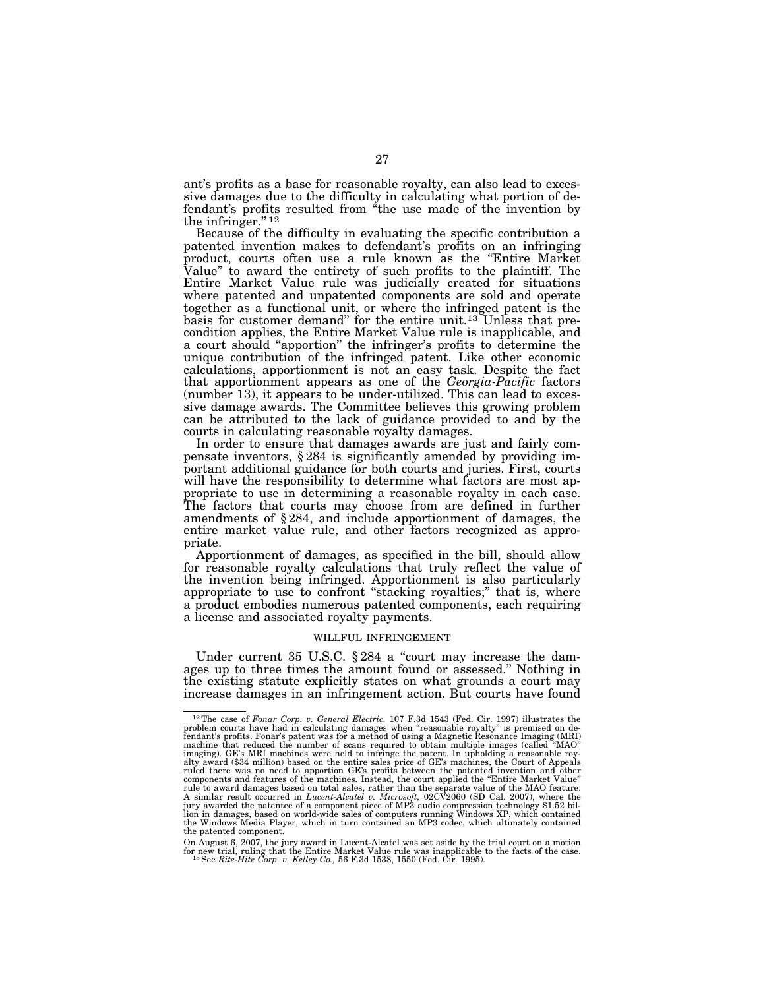ant's profits as a base for reasonable royalty, can also lead to excessive damages due to the difficulty in calculating what portion of defendant's profits resulted from ''the use made of the invention by the infringer.'' 12

Because of the difficulty in evaluating the specific contribution a patented invention makes to defendant's profits on an infringing product, courts often use a rule known as the ''Entire Market Value'' to award the entirety of such profits to the plaintiff. The Entire Market Value rule was judicially created for situations where patented and unpatented components are sold and operate together as a functional unit, or where the infringed patent is the basis for customer demand'' for the entire unit.13 Unless that precondition applies, the Entire Market Value rule is inapplicable, and a court should ''apportion'' the infringer's profits to determine the unique contribution of the infringed patent. Like other economic calculations, apportionment is not an easy task. Despite the fact that apportionment appears as one of the *Georgia-Pacific* factors (number 13), it appears to be under-utilized. This can lead to excessive damage awards. The Committee believes this growing problem can be attributed to the lack of guidance provided to and by the courts in calculating reasonable royalty damages.

In order to ensure that damages awards are just and fairly compensate inventors, § 284 is significantly amended by providing important additional guidance for both courts and juries. First, courts will have the responsibility to determine what factors are most appropriate to use in determining a reasonable royalty in each case. The factors that courts may choose from are defined in further amendments of § 284, and include apportionment of damages, the entire market value rule, and other factors recognized as appropriate.

Apportionment of damages, as specified in the bill, should allow for reasonable royalty calculations that truly reflect the value of the invention being infringed. Apportionment is also particularly appropriate to use to confront ''stacking royalties;'' that is, where a product embodies numerous patented components, each requiring a license and associated royalty payments.

#### WILLFUL INFRINGEMENT

Under current 35 U.S.C. § 284 a "court may increase the damages up to three times the amount found or assessed.'' Nothing in the existing statute explicitly states on what grounds a court may increase damages in an infringement action. But courts have found

<sup>12</sup>The case of *Fonar Corp. v. General Electric,* 107 F.3d 1543 (Fed. Cir. 1997) illustrates the problem courts have had in calculating damages when "reasonable royalty" is premised on defendant's profits. Fonar's patent was for a method of using a Magnetic Resonance Imaging (MRI) machine that reduced the number of scans required to obtain multiple images (called "MAO" imaging). GE's MRI machines were held components and features of the machines. Instead, the court applied the ''Entire Market Value'' rule to award damages based on total sales, rather than the separate value of the MAO feature. A similar result occurred in *Lucent-Alcatel v. Microsoft,* 02CV2060 (SD Cal. 2007), where the<br>jury awarded the patentee of a component piece of MP3 audio compression technology \$1.52 bil-<br>lion in damages, based on world-w the Windows Media Player, which in turn contained an MP3 codec, which ultimately contained the patented component.

On August 6, 2007, the jury award in Lucent-Alcatel was set aside by the trial court on a motion for new trial, ruling that the Entire Market Value rule was inapplicable to the facts of the case.<br><sup>13</sup> See *Rite-Hite Corp.*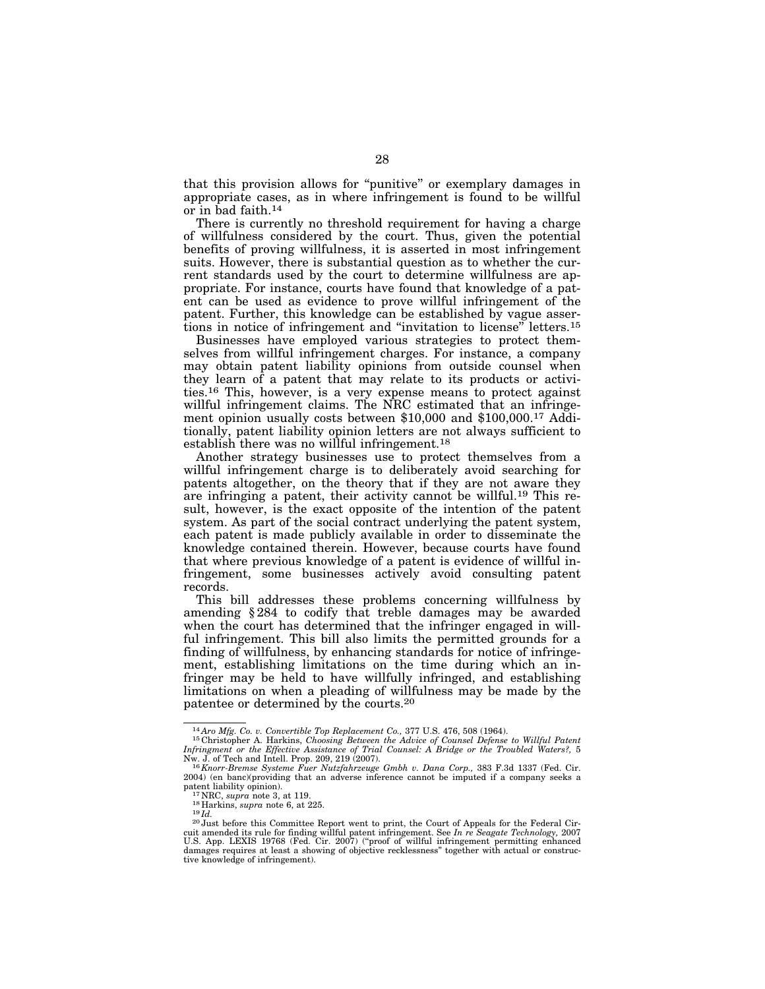that this provision allows for ''punitive'' or exemplary damages in appropriate cases, as in where infringement is found to be willful or in bad faith.14

There is currently no threshold requirement for having a charge of willfulness considered by the court. Thus, given the potential benefits of proving willfulness, it is asserted in most infringement suits. However, there is substantial question as to whether the current standards used by the court to determine willfulness are appropriate. For instance, courts have found that knowledge of a patent can be used as evidence to prove willful infringement of the patent. Further, this knowledge can be established by vague assertions in notice of infringement and "invitation to license" letters.<sup>15</sup>

Businesses have employed various strategies to protect themselves from willful infringement charges. For instance, a company may obtain patent liability opinions from outside counsel when they learn of a patent that may relate to its products or activities.16 This, however, is a very expense means to protect against willful infringement claims. The NRC estimated that an infringement opinion usually costs between \$10,000 and \$100,000.17 Additionally, patent liability opinion letters are not always sufficient to establish there was no willful infringement.18

Another strategy businesses use to protect themselves from a willful infringement charge is to deliberately avoid searching for patents altogether, on the theory that if they are not aware they are infringing a patent, their activity cannot be willful.19 This result, however, is the exact opposite of the intention of the patent system. As part of the social contract underlying the patent system, each patent is made publicly available in order to disseminate the knowledge contained therein. However, because courts have found that where previous knowledge of a patent is evidence of willful infringement, some businesses actively avoid consulting patent records.

This bill addresses these problems concerning willfulness by amending § 284 to codify that treble damages may be awarded when the court has determined that the infringer engaged in willful infringement. This bill also limits the permitted grounds for a finding of willfulness, by enhancing standards for notice of infringement, establishing limitations on the time during which an infringer may be held to have willfully infringed, and establishing limitations on when a pleading of willfulness may be made by the patentee or determined by the courts.20

<sup>14</sup> *Aro Mfg. Co. v. Convertible Top Replacement Co.,* 377 U.S. 476, 508 (1964). 15 Christopher A. Harkins, *Choosing Between the Advice of Counsel Defense to Willful Patent Infringment or the Effective Assistance of Trial Counsel: A Bridge or the Troubled Waters?, 5* Nw. J. of Tech and Intell. Prop. 209, 219 (2007).

Nw. J. of Tech and Intell. Prop. 209, 219 (2007). 16 *Knorr-Bremse Systeme Fuer Nutzfahrzeuge Gmbh v. Dana Corp.,* 383 F.3d 1337 (Fed. Cir. 2004) (en banc)(providing that an adverse inference cannot be imputed if a company seeks a patent liability opinion).<br> $17 \text{ NRC}, \text{supra}$  note 3, at 119.

<sup>&</sup>lt;sup>18</sup> Harkins, *supra* note 6, at 225. <sup>19</sup> *Id.* <sup>20</sup> Just before this Committee Report went to print, the Court of Appeals for the Federal Circuit amended its rule for finding willful patent infringement. See In re Seagate Technology, 2007<br>U.S. App. LEXIS 19768 (Fed. Cir. 2007) ("proof of willful infringement permitting enhanced<br>damages requires at least a showi tive knowledge of infringement).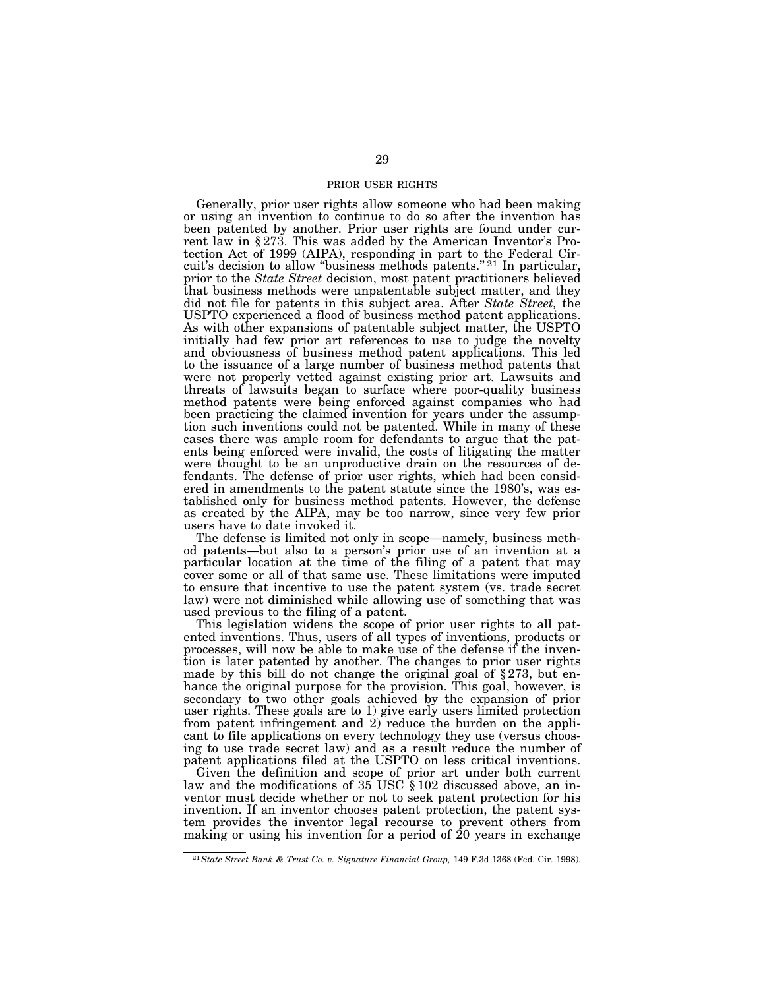## PRIOR USER RIGHTS

Generally, prior user rights allow someone who had been making or using an invention to continue to do so after the invention has been patented by another. Prior user rights are found under current law in § 273. This was added by the American Inventor's Protection Act of 1999 (AIPA), responding in part to the Federal Circuit's decision to allow "business methods patents."<sup>21</sup> In particular, prior to the *State Street* decision, most patent practitioners believed that business methods were unpatentable subject matter, and they did not file for patents in this subject area. After *State Street,* the USPTO experienced a flood of business method patent applications. As with other expansions of patentable subject matter, the USPTO initially had few prior art references to use to judge the novelty and obviousness of business method patent applications. This led to the issuance of a large number of business method patents that were not properly vetted against existing prior art. Lawsuits and threats of lawsuits began to surface where poor-quality business method patents were being enforced against companies who had been practicing the claimed invention for years under the assumption such inventions could not be patented. While in many of these cases there was ample room for defendants to argue that the patents being enforced were invalid, the costs of litigating the matter were thought to be an unproductive drain on the resources of defendants. The defense of prior user rights, which had been considered in amendments to the patent statute since the 1980's, was established only for business method patents. However, the defense as created by the AIPA, may be too narrow, since very few prior users have to date invoked it.

The defense is limited not only in scope—namely, business method patents—but also to a person's prior use of an invention at a particular location at the time of the filing of a patent that may cover some or all of that same use. These limitations were imputed to ensure that incentive to use the patent system (vs. trade secret law) were not diminished while allowing use of something that was used previous to the filing of a patent.

This legislation widens the scope of prior user rights to all patented inventions. Thus, users of all types of inventions, products or processes, will now be able to make use of the defense if the invention is later patented by another. The changes to prior user rights made by this bill do not change the original goal of § 273, but enhance the original purpose for the provision. This goal, however, is secondary to two other goals achieved by the expansion of prior user rights. These goals are to 1) give early users limited protection from patent infringement and 2) reduce the burden on the applicant to file applications on every technology they use (versus choosing to use trade secret law) and as a result reduce the number of patent applications filed at the USPTO on less critical inventions.

Given the definition and scope of prior art under both current law and the modifications of 35 USC § 102 discussed above, an inventor must decide whether or not to seek patent protection for his invention. If an inventor chooses patent protection, the patent system provides the inventor legal recourse to prevent others from making or using his invention for a period of  $20$  years in exchange

<sup>21</sup>*State Street Bank & Trust Co. v. Signature Financial Group,* 149 F.3d 1368 (Fed. Cir. 1998).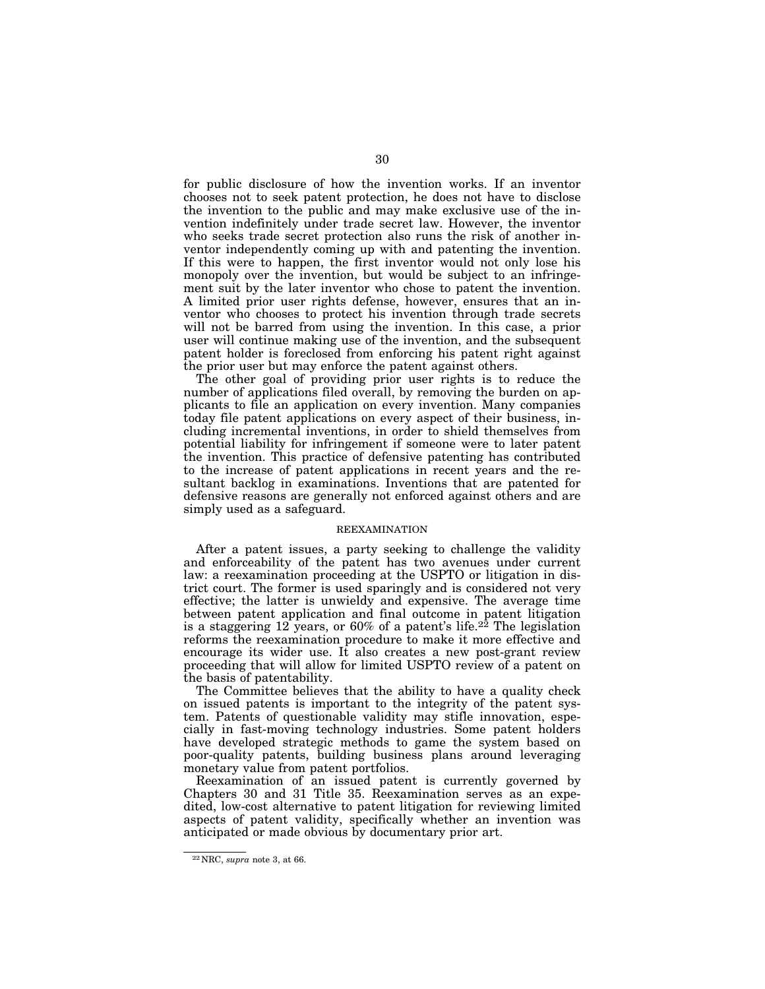for public disclosure of how the invention works. If an inventor chooses not to seek patent protection, he does not have to disclose the invention to the public and may make exclusive use of the invention indefinitely under trade secret law. However, the inventor who seeks trade secret protection also runs the risk of another inventor independently coming up with and patenting the invention. If this were to happen, the first inventor would not only lose his monopoly over the invention, but would be subject to an infringement suit by the later inventor who chose to patent the invention. A limited prior user rights defense, however, ensures that an inventor who chooses to protect his invention through trade secrets will not be barred from using the invention. In this case, a prior user will continue making use of the invention, and the subsequent patent holder is foreclosed from enforcing his patent right against the prior user but may enforce the patent against others.

The other goal of providing prior user rights is to reduce the number of applications filed overall, by removing the burden on applicants to file an application on every invention. Many companies today file patent applications on every aspect of their business, including incremental inventions, in order to shield themselves from potential liability for infringement if someone were to later patent the invention. This practice of defensive patenting has contributed to the increase of patent applications in recent years and the resultant backlog in examinations. Inventions that are patented for defensive reasons are generally not enforced against others and are simply used as a safeguard.

## REEXAMINATION

After a patent issues, a party seeking to challenge the validity and enforceability of the patent has two avenues under current law: a reexamination proceeding at the USPTO or litigation in district court. The former is used sparingly and is considered not very effective; the latter is unwieldy and expensive. The average time between patent application and final outcome in patent litigation is a staggering 12 years, or 60% of a patent's life.<sup>22</sup> The legislation reforms the reexamination procedure to make it more effective and encourage its wider use. It also creates a new post-grant review proceeding that will allow for limited USPTO review of a patent on the basis of patentability.

The Committee believes that the ability to have a quality check on issued patents is important to the integrity of the patent system. Patents of questionable validity may stifle innovation, especially in fast-moving technology industries. Some patent holders have developed strategic methods to game the system based on poor-quality patents, building business plans around leveraging monetary value from patent portfolios.

Reexamination of an issued patent is currently governed by Chapters 30 and 31 Title 35. Reexamination serves as an expedited, low-cost alternative to patent litigation for reviewing limited aspects of patent validity, specifically whether an invention was anticipated or made obvious by documentary prior art.

<sup>22</sup> NRC, *supra* note 3, at 66.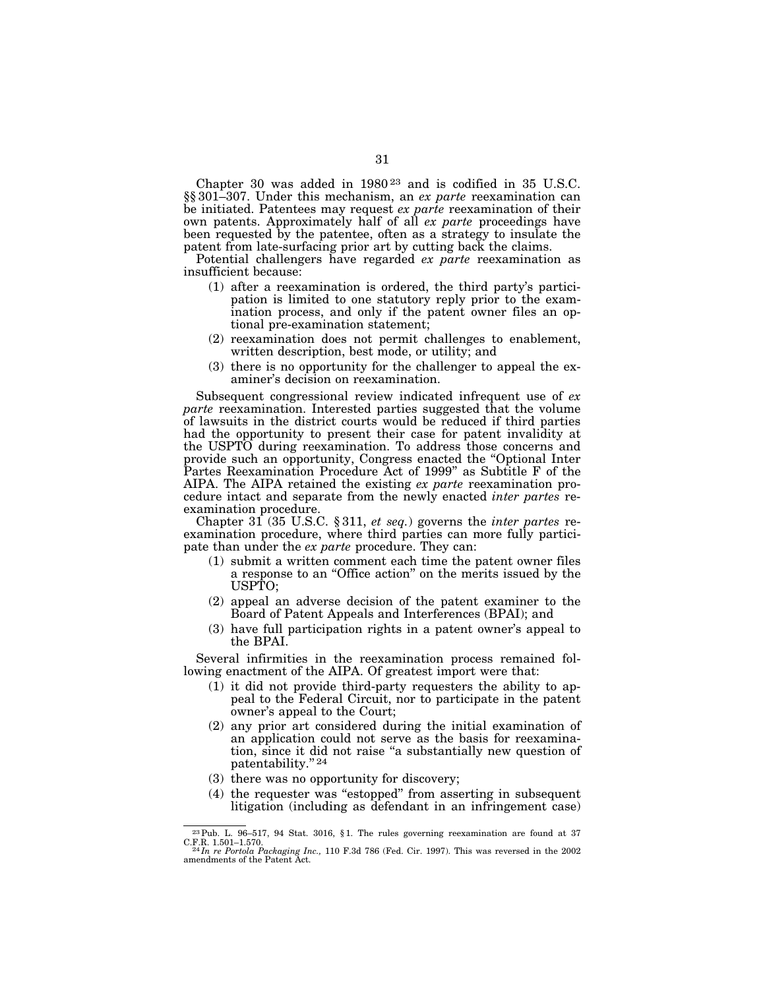Chapter 30 was added in 1980 23 and is codified in 35 U.S.C. §§ 301–307. Under this mechanism, an *ex parte* reexamination can be initiated. Patentees may request *ex parte* reexamination of their own patents. Approximately half of all *ex parte* proceedings have been requested by the patentee, often as a strategy to insulate the patent from late-surfacing prior art by cutting back the claims.

Potential challengers have regarded *ex parte* reexamination as insufficient because:

- (1) after a reexamination is ordered, the third party's participation is limited to one statutory reply prior to the examination process, and only if the patent owner files an optional pre-examination statement;
- (2) reexamination does not permit challenges to enablement, written description, best mode, or utility; and
- (3) there is no opportunity for the challenger to appeal the examiner's decision on reexamination.

Subsequent congressional review indicated infrequent use of *ex parte* reexamination. Interested parties suggested that the volume of lawsuits in the district courts would be reduced if third parties had the opportunity to present their case for patent invalidity at the USPTO during reexamination. To address those concerns and provide such an opportunity, Congress enacted the ''Optional Inter Partes Reexamination Procedure Act of 1999" as Subtitle F of the AIPA. The AIPA retained the existing *ex parte* reexamination procedure intact and separate from the newly enacted *inter partes* reexamination procedure.

Chapter 31 (35 U.S.C. § 311, *et seq.*) governs the *inter partes* reexamination procedure, where third parties can more fully participate than under the *ex parte* procedure. They can:

- (1) submit a written comment each time the patent owner files a response to an ''Office action'' on the merits issued by the USPTO;
- (2) appeal an adverse decision of the patent examiner to the Board of Patent Appeals and Interferences (BPAI); and
- (3) have full participation rights in a patent owner's appeal to the BPAI.

Several infirmities in the reexamination process remained following enactment of the AIPA. Of greatest import were that:

- (1) it did not provide third-party requesters the ability to appeal to the Federal Circuit, nor to participate in the patent owner's appeal to the Court;
- (2) any prior art considered during the initial examination of an application could not serve as the basis for reexamination, since it did not raise ''a substantially new question of patentability."<sup>24</sup>
- (3) there was no opportunity for discovery;
- (4) the requester was ''estopped'' from asserting in subsequent litigation (including as defendant in an infringement case)

<sup>23</sup>Pub. L. 96–517, 94 Stat. 3016, § 1. The rules governing reexamination are found at 37

C.F.R. 1.501–1.570. 24 *In re Portola Packaging Inc.,* 110 F.3d 786 (Fed. Cir. 1997). This was reversed in the 2002 amendments of the Patent Act.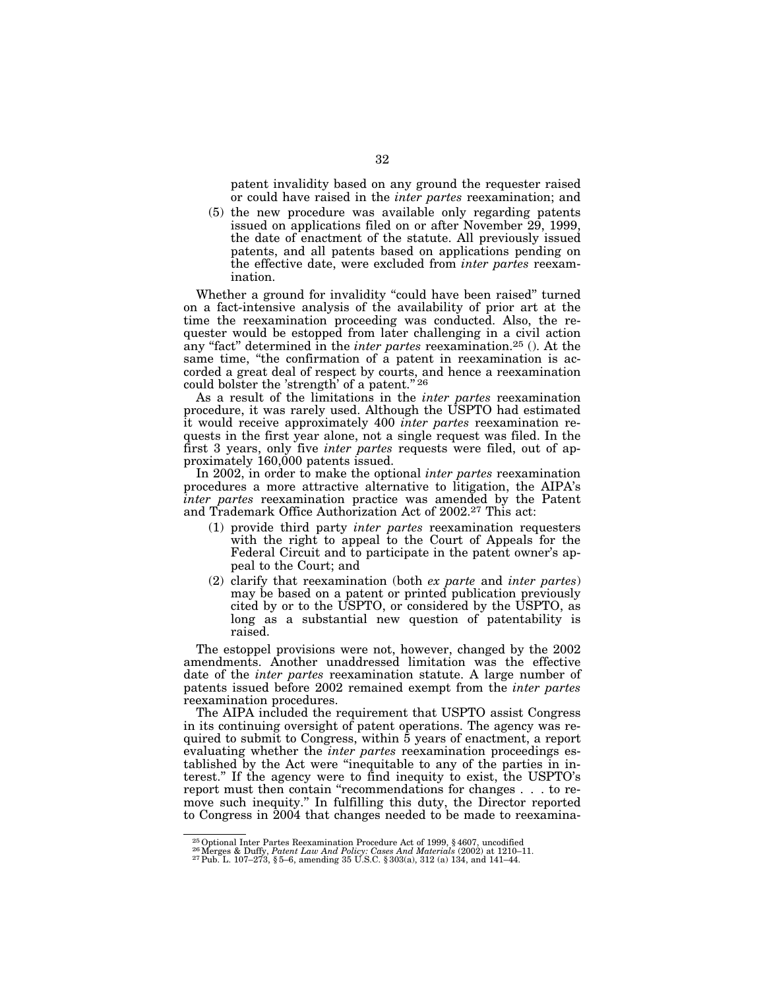patent invalidity based on any ground the requester raised or could have raised in the *inter partes* reexamination; and

(5) the new procedure was available only regarding patents issued on applications filed on or after November 29, 1999, the date of enactment of the statute. All previously issued patents, and all patents based on applications pending on the effective date, were excluded from *inter partes* reexamination.

Whether a ground for invalidity "could have been raised" turned on a fact-intensive analysis of the availability of prior art at the time the reexamination proceeding was conducted. Also, the requester would be estopped from later challenging in a civil action any ''fact'' determined in the *inter partes* reexamination.25 (). At the same time, "the confirmation of a patent in reexamination is accorded a great deal of respect by courts, and hence a reexamination could bolster the 'strength' of a patent."<sup>26</sup>

As a result of the limitations in the *inter partes* reexamination procedure, it was rarely used. Although the USPTO had estimated it would receive approximately 400 *inter partes* reexamination requests in the first year alone, not a single request was filed. In the first 3 years, only five *inter partes* requests were filed, out of approximately 160,000 patents issued.

In 2002, in order to make the optional *inter partes* reexamination procedures a more attractive alternative to litigation, the AIPA's *inter partes* reexamination practice was amended by the Patent and Trademark Office Authorization Act of 2002.27 This act:

- (1) provide third party *inter partes* reexamination requesters with the right to appeal to the Court of Appeals for the Federal Circuit and to participate in the patent owner's appeal to the Court; and
- (2) clarify that reexamination (both *ex parte* and *inter partes*) may be based on a patent or printed publication previously cited by or to the USPTO, or considered by the USPTO, as long as a substantial new question of patentability is raised.

The estoppel provisions were not, however, changed by the 2002 amendments. Another unaddressed limitation was the effective date of the *inter partes* reexamination statute. A large number of patents issued before 2002 remained exempt from the *inter partes*  reexamination procedures.

The AIPA included the requirement that USPTO assist Congress in its continuing oversight of patent operations. The agency was required to submit to Congress, within 5 years of enactment, a report evaluating whether the *inter partes* reexamination proceedings established by the Act were ''inequitable to any of the parties in interest.'' If the agency were to find inequity to exist, the USPTO's report must then contain ''recommendations for changes . . . to remove such inequity.'' In fulfilling this duty, the Director reported to Congress in 2004 that changes needed to be made to reexamina-

 $^{25}$  Optional Inter Partes Reexamination Procedure Act of 1999,  $\S$  4607, uncodified  $^{26}$  Merges & Duffy, Patent Law And Policy: Cases And Materials (2002) at 1210–11.  $^{27}$  Pub. L. 107–273,  $\S$  5–6, amending 35 U.S.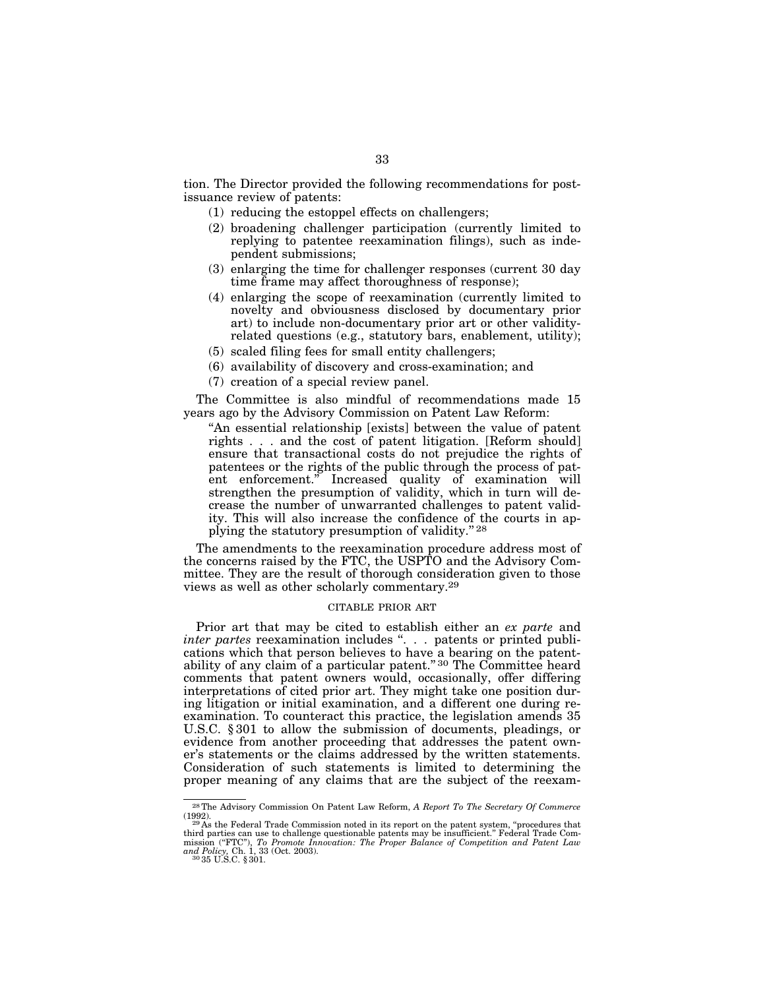tion. The Director provided the following recommendations for postissuance review of patents:

- (1) reducing the estoppel effects on challengers;
- (2) broadening challenger participation (currently limited to replying to patentee reexamination filings), such as independent submissions;
- (3) enlarging the time for challenger responses (current 30 day time frame may affect thoroughness of response);
- (4) enlarging the scope of reexamination (currently limited to novelty and obviousness disclosed by documentary prior art) to include non-documentary prior art or other validityrelated questions (e.g., statutory bars, enablement, utility);
- (5) scaled filing fees for small entity challengers;
- (6) availability of discovery and cross-examination; and
- (7) creation of a special review panel.

The Committee is also mindful of recommendations made 15 years ago by the Advisory Commission on Patent Law Reform:

''An essential relationship [exists] between the value of patent rights . . . and the cost of patent litigation. [Reform should] ensure that transactional costs do not prejudice the rights of patentees or the rights of the public through the process of patent enforcement.'' Increased quality of examination will strengthen the presumption of validity, which in turn will decrease the number of unwarranted challenges to patent validity. This will also increase the confidence of the courts in applying the statutory presumption of validity.'' 28

The amendments to the reexamination procedure address most of the concerns raised by the FTC, the USPTO and the Advisory Committee. They are the result of thorough consideration given to those views as well as other scholarly commentary.29

## CITABLE PRIOR ART

Prior art that may be cited to establish either an *ex parte* and *inter partes* reexamination includes ''. . . patents or printed publications which that person believes to have a bearing on the patentability of any claim of a particular patent."<sup>30</sup> The Committee heard comments that patent owners would, occasionally, offer differing interpretations of cited prior art. They might take one position during litigation or initial examination, and a different one during reexamination. To counteract this practice, the legislation amends 35 U.S.C. § 301 to allow the submission of documents, pleadings, or evidence from another proceeding that addresses the patent owner's statements or the claims addressed by the written statements. Consideration of such statements is limited to determining the proper meaning of any claims that are the subject of the reexam-

<sup>28</sup>The Advisory Commission On Patent Law Reform, *A Report To The Secretary Of Commerce*  (1992). 29 As the Federal Trade Commission noted in its report on the patent system, ''procedures that

third parties can use to challenge questionable patents may be insufficient.'' Federal Trade Commission ("FTC"), *To Promote Innovation: The Proper Balance of Competition and Patent Law 3035 U.S.C. § 301.*<br>*and Policy, Ch. 1, 33 (Oct. 2003).* <sup>30</sup> 35 U.S.C. § 301.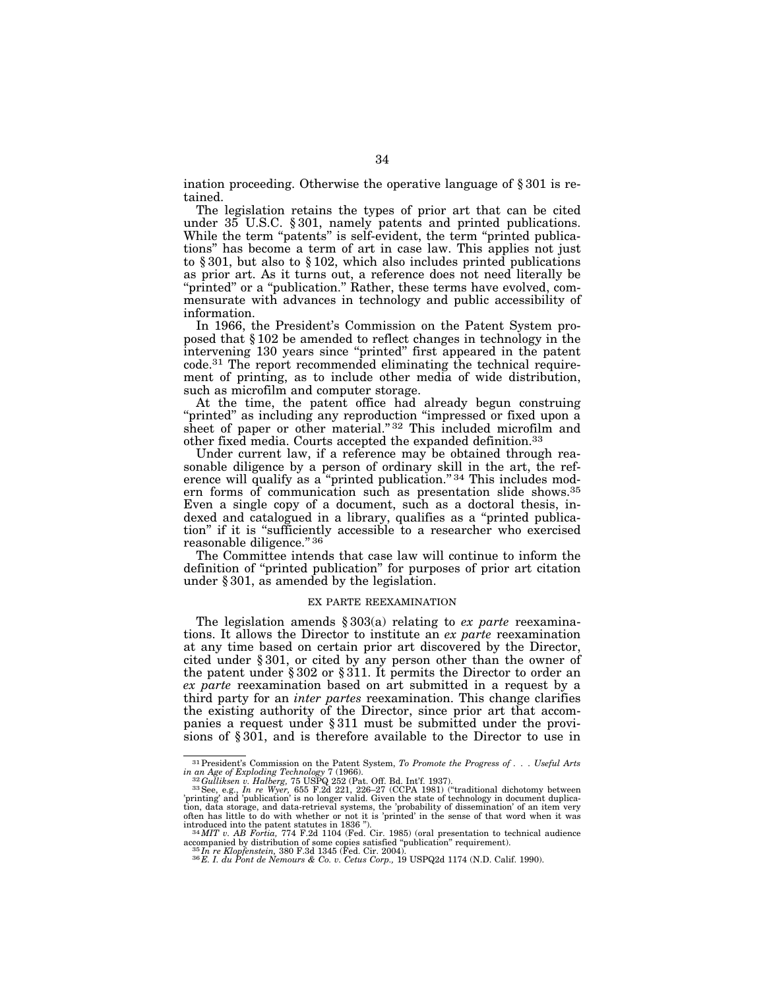ination proceeding. Otherwise the operative language of § 301 is retained.

The legislation retains the types of prior art that can be cited under 35 U.S.C. § 301, namely patents and printed publications. While the term "patents" is self-evident, the term "printed publications'' has become a term of art in case law. This applies not just to § 301, but also to § 102, which also includes printed publications as prior art. As it turns out, a reference does not need literally be "printed" or a "publication." Rather, these terms have evolved, commensurate with advances in technology and public accessibility of information.

In 1966, the President's Commission on the Patent System proposed that § 102 be amended to reflect changes in technology in the intervening 130 years since "printed" first appeared in the patent code.31 The report recommended eliminating the technical requirement of printing, as to include other media of wide distribution, such as microfilm and computer storage.

At the time, the patent office had already begun construing "printed" as including any reproduction "impressed or fixed upon a sheet of paper or other material."<sup>32</sup> This included microfilm and other fixed media. Courts accepted the expanded definition.33

Under current law, if a reference may be obtained through reasonable diligence by a person of ordinary skill in the art, the reference will qualify as a "printed publication." 34 This includes modern forms of communication such as presentation slide shows.35 Even a single copy of a document, such as a doctoral thesis, indexed and catalogued in a library, qualifies as a ''printed publication'' if it is ''sufficiently accessible to a researcher who exercised reasonable diligence.'' 36

The Committee intends that case law will continue to inform the definition of ''printed publication'' for purposes of prior art citation under § 301, as amended by the legislation.

## EX PARTE REEXAMINATION

The legislation amends § 303(a) relating to *ex parte* reexaminations. It allows the Director to institute an *ex parte* reexamination at any time based on certain prior art discovered by the Director, cited under § 301, or cited by any person other than the owner of the patent under § 302 or § 311. It permits the Director to order an *ex parte* reexamination based on art submitted in a request by a third party for an *inter partes* reexamination. This change clarifies the existing authority of the Director, since prior art that accompanies a request under § 311 must be submitted under the provisions of § 301, and is therefore available to the Director to use in

<sup>&</sup>lt;sup>31</sup> President's Commission on the Patent System, *To Promote the Progress of . . . Useful Arts* in an Age of Exploding Technology 7 (1966).<br><sup>32</sup> Gulliksen v. Halberg, 75 USPQ 252 (Pat. Off. Bd. Int'f. 1937).

in an Age of Exploding Technology 7 (1966).<br><sup>32</sup>Gulliksen v. Halberg, 75 USPQ 252 (Pat. Off. Bd. Int'f. 1937).<br><sup>33</sup>See, e.g., In re Wyer, 655 F.2d 221, 226–27 (CCPA 1981) ("traditional dichotomy between<br>'printing' and 'pu

often has little to do with whether or not it is 'printed' in the sense of that word when it was<br>introduced into the patent statutes in 1836 ").<br><sup>34</sup>MIT v. AB Fortia, 774 F.2d 1104 (Fed. Cir. 1985) (oral presentation to t

accompanied by distribution of some copies satisfied "publication" requirement).<br>  $^{35}$ In re Klopfenstein, 380 F.3d 1345 (Fed. Cir. 2004).<br>  $^{36}E$ . I. du Pont de Nemours & Co. v. Cetus Corp., 19 USPQ2d 1174 (N.D. Calif.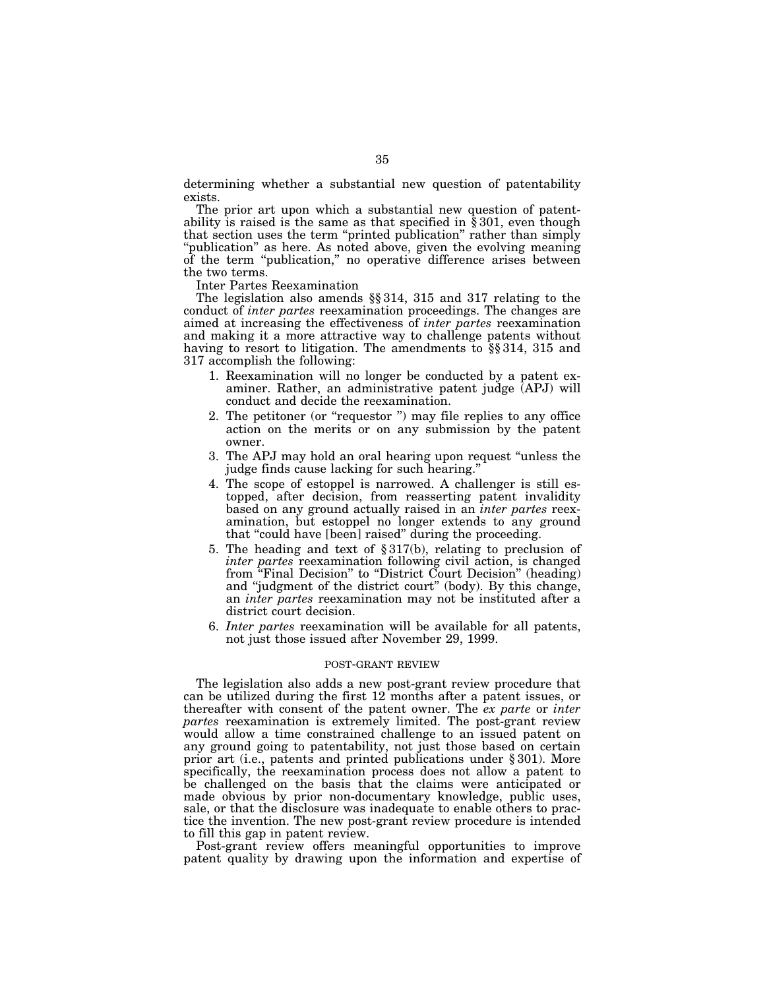determining whether a substantial new question of patentability exists.

The prior art upon which a substantial new question of patentability is raised is the same as that specified in § 301, even though that section uses the term ''printed publication'' rather than simply "publication" as here. As noted above, given the evolving meaning of the term ''publication,'' no operative difference arises between the two terms.

Inter Partes Reexamination

The legislation also amends §§ 314, 315 and 317 relating to the conduct of *inter partes* reexamination proceedings. The changes are aimed at increasing the effectiveness of *inter partes* reexamination and making it a more attractive way to challenge patents without having to resort to litigation. The amendments to §§ 314, 315 and 317 accomplish the following:

- 1. Reexamination will no longer be conducted by a patent examiner. Rather, an administrative patent judge (APJ) will conduct and decide the reexamination.
- 2. The petitoner (or "requestor") may file replies to any office action on the merits or on any submission by the patent owner.
- 3. The APJ may hold an oral hearing upon request ''unless the judge finds cause lacking for such hearing.''
- 4. The scope of estoppel is narrowed. A challenger is still estopped, after decision, from reasserting patent invalidity based on any ground actually raised in an *inter partes* reexamination, but estoppel no longer extends to any ground that "could have [been] raised" during the proceeding.
- 5. The heading and text of § 317(b), relating to preclusion of *inter partes* reexamination following civil action, is changed from "Final Decision" to "District Court Decision" (heading) and "judgment of the district court" (body). By this change, an *inter partes* reexamination may not be instituted after a district court decision.
- 6. *Inter partes* reexamination will be available for all patents, not just those issued after November 29, 1999.

## POST-GRANT REVIEW

The legislation also adds a new post-grant review procedure that can be utilized during the first 12 months after a patent issues, or thereafter with consent of the patent owner. The *ex parte* or *inter partes* reexamination is extremely limited. The post-grant review would allow a time constrained challenge to an issued patent on any ground going to patentability, not just those based on certain prior art (i.e., patents and printed publications under § 301). More specifically, the reexamination process does not allow a patent to be challenged on the basis that the claims were anticipated or made obvious by prior non-documentary knowledge, public uses, sale, or that the disclosure was inadequate to enable others to practice the invention. The new post-grant review procedure is intended to fill this gap in patent review.

Post-grant review offers meaningful opportunities to improve patent quality by drawing upon the information and expertise of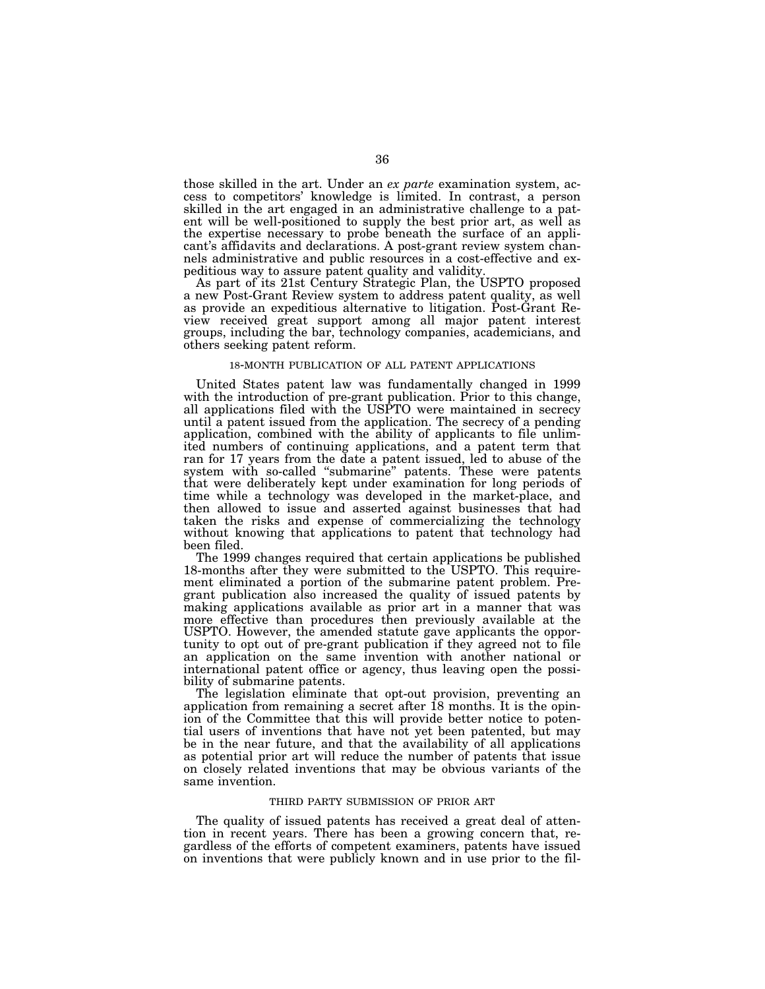those skilled in the art. Under an *ex parte* examination system, access to competitors' knowledge is limited. In contrast, a person skilled in the art engaged in an administrative challenge to a patent will be well-positioned to supply the best prior art, as well as the expertise necessary to probe beneath the surface of an applicant's affidavits and declarations. A post-grant review system channels administrative and public resources in a cost-effective and expeditious way to assure patent quality and validity.

As part of its 21st Century Strategic Plan, the USPTO proposed a new Post-Grant Review system to address patent quality, as well as provide an expeditious alternative to litigation. Post-Grant Review received great support among all major patent interest groups, including the bar, technology companies, academicians, and others seeking patent reform.

### 18-MONTH PUBLICATION OF ALL PATENT APPLICATIONS

United States patent law was fundamentally changed in 1999 with the introduction of pre-grant publication. Prior to this change, all applications filed with the USPTO were maintained in secrecy until a patent issued from the application. The secrecy of a pending application, combined with the ability of applicants to file unlimited numbers of continuing applications, and a patent term that ran for 17 years from the date a patent issued, led to abuse of the system with so-called ''submarine'' patents. These were patents that were deliberately kept under examination for long periods of time while a technology was developed in the market-place, and then allowed to issue and asserted against businesses that had taken the risks and expense of commercializing the technology without knowing that applications to patent that technology had been filed.

The 1999 changes required that certain applications be published 18-months after they were submitted to the USPTO. This requirement eliminated a portion of the submarine patent problem. Pregrant publication also increased the quality of issued patents by making applications available as prior art in a manner that was more effective than procedures then previously available at the USPTO. However, the amended statute gave applicants the opportunity to opt out of pre-grant publication if they agreed not to file an application on the same invention with another national or international patent office or agency, thus leaving open the possibility of submarine patents.

The legislation eliminate that opt-out provision, preventing an application from remaining a secret after 18 months. It is the opinion of the Committee that this will provide better notice to potential users of inventions that have not yet been patented, but may be in the near future, and that the availability of all applications as potential prior art will reduce the number of patents that issue on closely related inventions that may be obvious variants of the same invention.

## THIRD PARTY SUBMISSION OF PRIOR ART

The quality of issued patents has received a great deal of attention in recent years. There has been a growing concern that, regardless of the efforts of competent examiners, patents have issued on inventions that were publicly known and in use prior to the fil-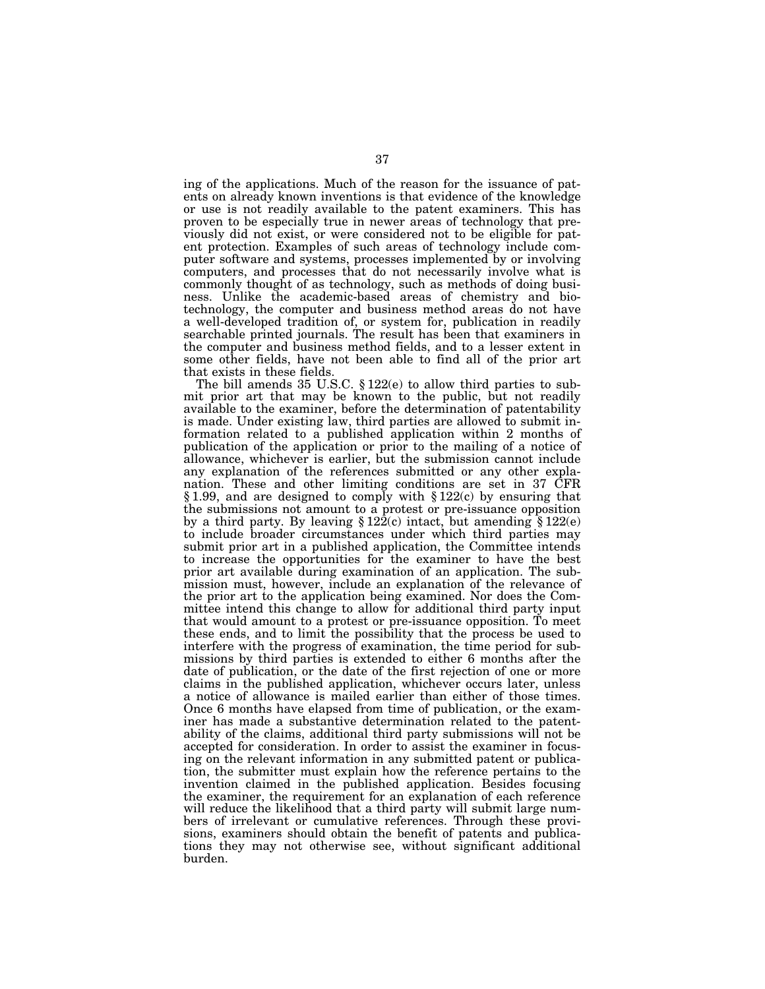ing of the applications. Much of the reason for the issuance of patents on already known inventions is that evidence of the knowledge or use is not readily available to the patent examiners. This has proven to be especially true in newer areas of technology that previously did not exist, or were considered not to be eligible for patent protection. Examples of such areas of technology include computer software and systems, processes implemented by or involving computers, and processes that do not necessarily involve what is commonly thought of as technology, such as methods of doing business. Unlike the academic-based areas of chemistry and biotechnology, the computer and business method areas do not have a well-developed tradition of, or system for, publication in readily searchable printed journals. The result has been that examiners in the computer and business method fields, and to a lesser extent in some other fields, have not been able to find all of the prior art that exists in these fields.

The bill amends 35 U.S.C. § 122(e) to allow third parties to submit prior art that may be known to the public, but not readily available to the examiner, before the determination of patentability is made. Under existing law, third parties are allowed to submit information related to a published application within 2 months of publication of the application or prior to the mailing of a notice of allowance, whichever is earlier, but the submission cannot include any explanation of the references submitted or any other explanation. These and other limiting conditions are set in 37 CFR § 1.99, and are designed to comply with § 122 $(c)$  by ensuring that the submissions not amount to a protest or pre-issuance opposition by a third party. By leaving  $\S 12\overline{2}(c)$  intact, but amending  $\S 122(e)$ to include broader circumstances under which third parties may submit prior art in a published application, the Committee intends to increase the opportunities for the examiner to have the best prior art available during examination of an application. The submission must, however, include an explanation of the relevance of the prior art to the application being examined. Nor does the Committee intend this change to allow for additional third party input that would amount to a protest or pre-issuance opposition. To meet these ends, and to limit the possibility that the process be used to interfere with the progress of examination, the time period for submissions by third parties is extended to either 6 months after the date of publication, or the date of the first rejection of one or more claims in the published application, whichever occurs later, unless a notice of allowance is mailed earlier than either of those times. Once 6 months have elapsed from time of publication, or the examiner has made a substantive determination related to the patentability of the claims, additional third party submissions will not be accepted for consideration. In order to assist the examiner in focusing on the relevant information in any submitted patent or publication, the submitter must explain how the reference pertains to the invention claimed in the published application. Besides focusing the examiner, the requirement for an explanation of each reference will reduce the likelihood that a third party will submit large numbers of irrelevant or cumulative references. Through these provisions, examiners should obtain the benefit of patents and publications they may not otherwise see, without significant additional burden.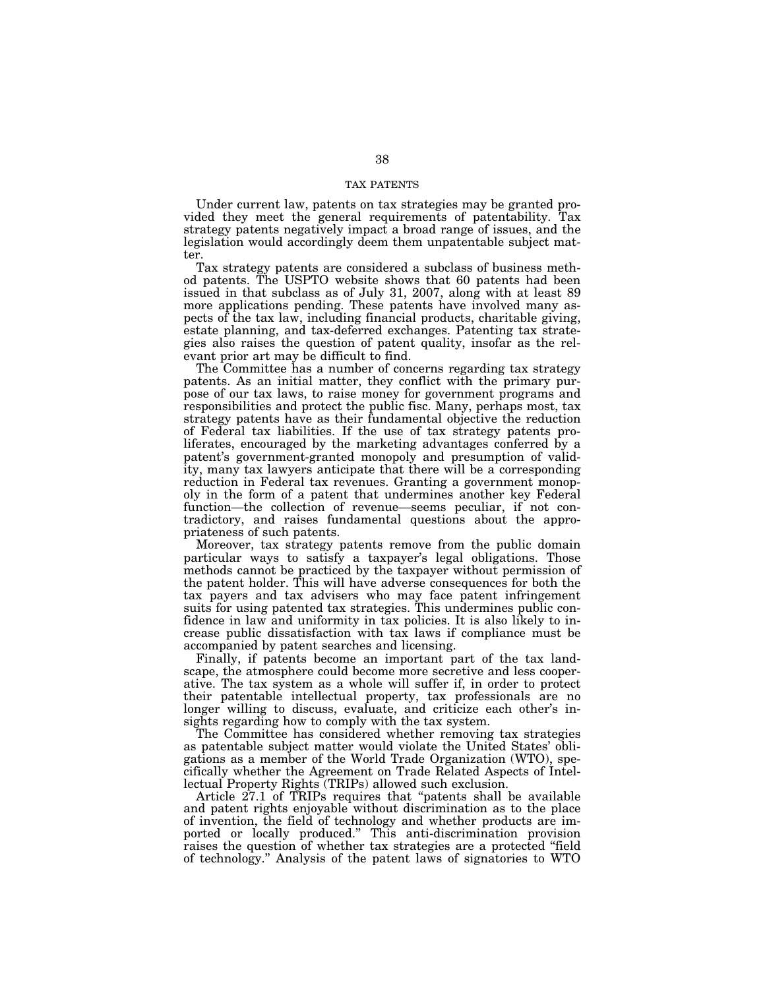# TAX PATENTS

Under current law, patents on tax strategies may be granted provided they meet the general requirements of patentability. Tax strategy patents negatively impact a broad range of issues, and the legislation would accordingly deem them unpatentable subject matter.

Tax strategy patents are considered a subclass of business method patents. The USPTO website shows that 60 patents had been issued in that subclass as of July 31, 2007, along with at least 89 more applications pending. These patents have involved many aspects of the tax law, including financial products, charitable giving, estate planning, and tax-deferred exchanges. Patenting tax strategies also raises the question of patent quality, insofar as the relevant prior art may be difficult to find.

The Committee has a number of concerns regarding tax strategy patents. As an initial matter, they conflict with the primary purpose of our tax laws, to raise money for government programs and responsibilities and protect the public fisc. Many, perhaps most, tax strategy patents have as their fundamental objective the reduction of Federal tax liabilities. If the use of tax strategy patents proliferates, encouraged by the marketing advantages conferred by a patent's government-granted monopoly and presumption of validity, many tax lawyers anticipate that there will be a corresponding reduction in Federal tax revenues. Granting a government monopoly in the form of a patent that undermines another key Federal function—the collection of revenue—seems peculiar, if not contradictory, and raises fundamental questions about the appropriateness of such patents.

Moreover, tax strategy patents remove from the public domain particular ways to satisfy a taxpayer's legal obligations. Those methods cannot be practiced by the taxpayer without permission of the patent holder. This will have adverse consequences for both the tax payers and tax advisers who may face patent infringement suits for using patented tax strategies. This undermines public confidence in law and uniformity in tax policies. It is also likely to increase public dissatisfaction with tax laws if compliance must be accompanied by patent searches and licensing.

Finally, if patents become an important part of the tax landscape, the atmosphere could become more secretive and less cooperative. The tax system as a whole will suffer if, in order to protect their patentable intellectual property, tax professionals are no longer willing to discuss, evaluate, and criticize each other's insights regarding how to comply with the tax system.

The Committee has considered whether removing tax strategies as patentable subject matter would violate the United States' obligations as a member of the World Trade Organization (WTO), specifically whether the Agreement on Trade Related Aspects of Intellectual Property Rights (TRIPs) allowed such exclusion.

Article 27.1 of TRIPs requires that ''patents shall be available and patent rights enjoyable without discrimination as to the place of invention, the field of technology and whether products are imported or locally produced.'' This anti-discrimination provision raises the question of whether tax strategies are a protected ''field of technology.'' Analysis of the patent laws of signatories to WTO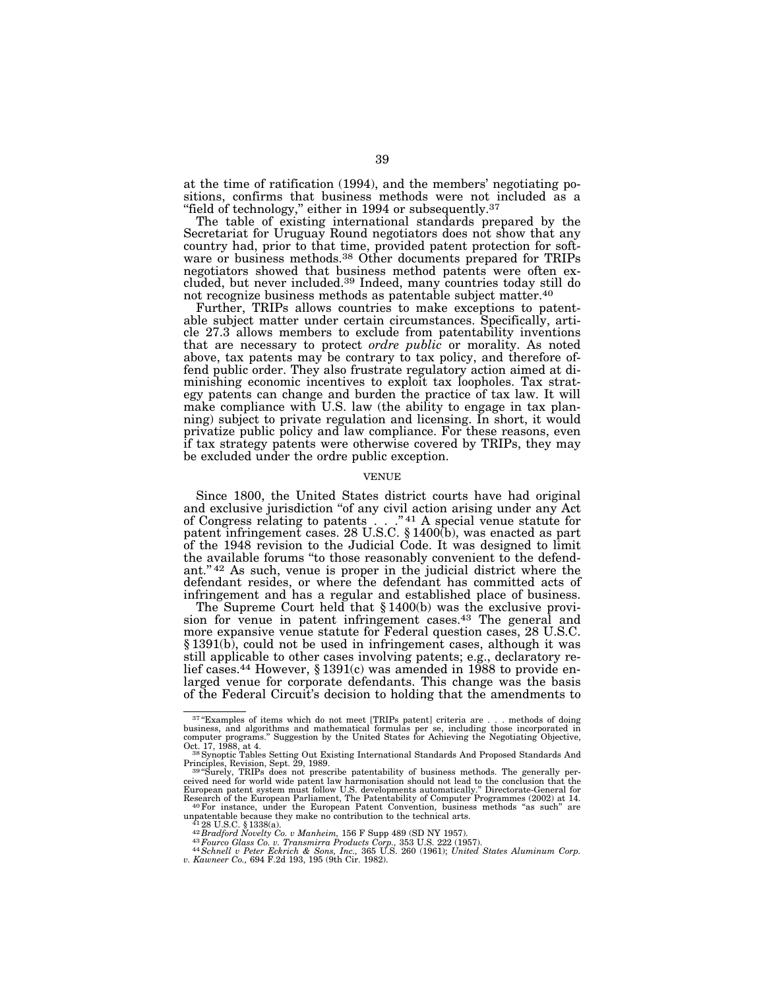at the time of ratification (1994), and the members' negotiating positions, confirms that business methods were not included as a "field of technology," either in 1994 or subsequently.<sup>37</sup>

The table of existing international standards prepared by the Secretariat for Uruguay Round negotiators does not show that any country had, prior to that time, provided patent protection for software or business methods.38 Other documents prepared for TRIPs negotiators showed that business method patents were often excluded, but never included.39 Indeed, many countries today still do not recognize business methods as patentable subject matter.<sup>40</sup>

Further, TRIPs allows countries to make exceptions to patentable subject matter under certain circumstances. Specifically, article 27.3 allows members to exclude from patentability inventions that are necessary to protect *ordre public* or morality. As noted above, tax patents may be contrary to tax policy, and therefore offend public order. They also frustrate regulatory action aimed at diminishing economic incentives to exploit tax loopholes. Tax strategy patents can change and burden the practice of tax law. It will make compliance with U.S. law (the ability to engage in tax planning) subject to private regulation and licensing. In short, it would privatize public policy and law compliance. For these reasons, even if tax strategy patents were otherwise covered by TRIPs, they may be excluded under the ordre public exception.

#### VENUE

Since 1800, the United States district courts have had original and exclusive jurisdiction "of any civil action arising under any Act of Congress relating to patents . . . "41 A special venue statute for patent infringement cases. 28 U.S.C. § 1400(b), was enacted as part of the 1948 revision to the Judicial Code. It was designed to limit the available forums "to those reasonably convenient to the defendant."<sup>42</sup> As such, venue is proper in the judicial district where the defendant resides, or where the defendant has committed acts of infringement and has a regular and established place of business.

The Supreme Court held that § 1400(b) was the exclusive provision for venue in patent infringement cases.43 The general and more expansive venue statute for Federal question cases, 28 U.S.C. § 1391(b), could not be used in infringement cases, although it was still applicable to other cases involving patents; e.g., declaratory relief cases.<sup>44</sup> However,  $\S 1391(c)$  was amended in 1988 to provide enlarged venue for corporate defendants. This change was the basis of the Federal Circuit's decision to holding that the amendments to

<sup>&</sup>lt;sup>37</sup> 'Examples of items which do not meet [TRIPs patent] criteria are . . . methods of doing business, and algorithms and mathematical formulas per se, including those incorporated in computer programs." Suggestion by the United States for Achieving the Negotiating Objective,<br>Oct. 17, 1988, at 4.<br><sup>38</sup> Synoptic Tables Setting Out Existing International Standards And Proposed Standards And

Principles, Revision, Sept. 29, 1989.<br><sup>339</sup> "Surely, TRIPs does not prescribe patentability of business methods. The generally per-<br>ceived need for world wide patent law harmonisation should not lead to the conclusion that

unpatentable because they make no contribution to the technical arts.<br>
<sup>41</sup>28 U.S.C. § 1338(a).<br>
<sup>42</sup>*Bradford Novelty Co. v Manheim.* 156 F Supp 489 (SD NY 1957).

*v. Kawneer Co., C. C. C. Transmirra Products Corp.*, 353 U.S. 222 (1957).<br><sup>44</sup> Schnell v Peter Eckrich & Sons, Inc., 365 U.S. 260 (1961); United States Aluminum Corp.<br>*v. Kawneer Co.*, 694 F.2d 193, 195 (9th Cir. 1982).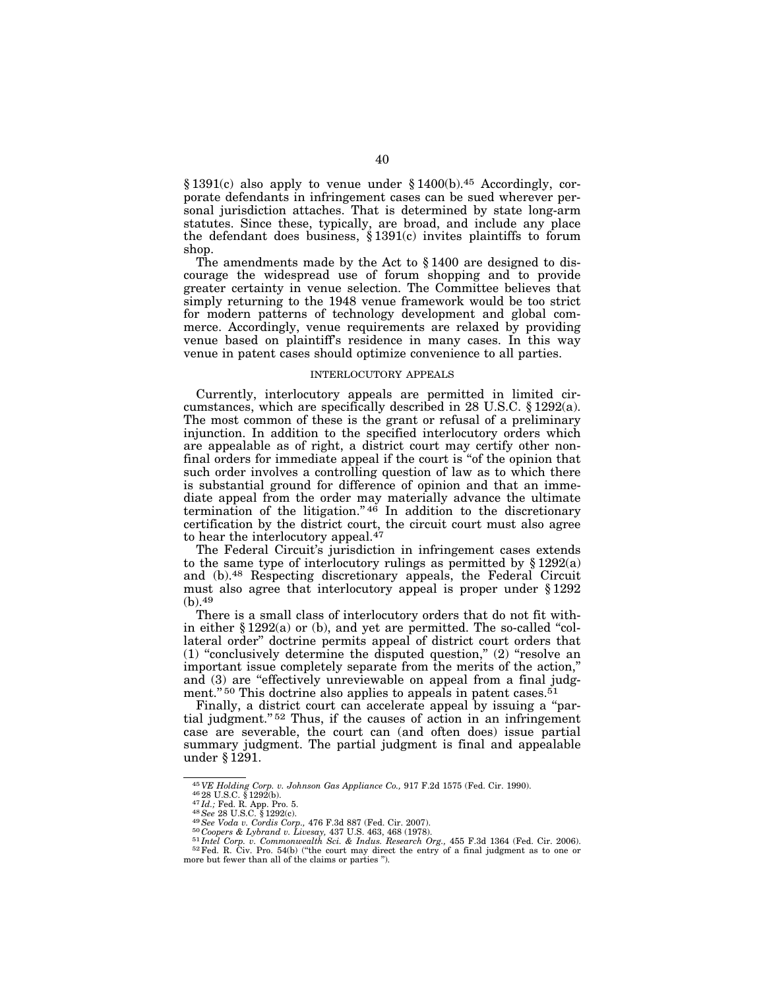$§ 1391(c)$  also apply to venue under  $§ 1400(b).45$  Accordingly, corporate defendants in infringement cases can be sued wherever personal jurisdiction attaches. That is determined by state long-arm statutes. Since these, typically, are broad, and include any place the defendant does business, § 1391(c) invites plaintiffs to forum shop.

The amendments made by the Act to § 1400 are designed to discourage the widespread use of forum shopping and to provide greater certainty in venue selection. The Committee believes that simply returning to the 1948 venue framework would be too strict for modern patterns of technology development and global commerce. Accordingly, venue requirements are relaxed by providing venue based on plaintiff's residence in many cases. In this way venue in patent cases should optimize convenience to all parties.

# INTERLOCUTORY APPEALS

Currently, interlocutory appeals are permitted in limited circumstances, which are specifically described in 28 U.S.C. § 1292(a). The most common of these is the grant or refusal of a preliminary injunction. In addition to the specified interlocutory orders which are appealable as of right, a district court may certify other nonfinal orders for immediate appeal if the court is ''of the opinion that such order involves a controlling question of law as to which there is substantial ground for difference of opinion and that an immediate appeal from the order may materially advance the ultimate termination of the litigation."  $46$  In addition to the discretionary certification by the district court, the circuit court must also agree to hear the interlocutory appeal.47

The Federal Circuit's jurisdiction in infringement cases extends to the same type of interlocutory rulings as permitted by  $\S 1292(a)$ and (b).48 Respecting discretionary appeals, the Federal Circuit must also agree that interlocutory appeal is proper under § 1292  $(b).49$ 

There is a small class of interlocutory orders that do not fit within either  $\S 1292(a)$  or (b), and yet are permitted. The so-called "collateral order'' doctrine permits appeal of district court orders that  $(1)$  "conclusively determine the disputed question,"  $(2)$  "resolve an important issue completely separate from the merits of the action,'' and (3) are "effectively unreviewable on appeal from a final judgment."<sup>50</sup> This doctrine also applies to appeals in patent cases.<sup>51</sup>

Finally, a district court can accelerate appeal by issuing a "partial judgment."<sup>52</sup> Thus, if the causes of action in an infringement case are severable, the court can (and often does) issue partial summary judgment. The partial judgment is final and appealable under § 1291.

<sup>&</sup>lt;sup>45</sup> VE Holding Corp. v. Johnson Gas Appliance Co., 917 F.2d 1575 (Fed. Cir. 1990).<br><sup>46</sup> 28 U.S.C. § 1292(b).<br><sup>47</sup> Id.; Fed. R. App. Pro. 5.<br><sup>48</sup> See 28 U.S.C. § 1292(c).<br><sup>48</sup> See 28 U.S.C. § 1292(c).<br><sup>49</sup> See Voda v. Cor more but fewer than all of the claims or parties '').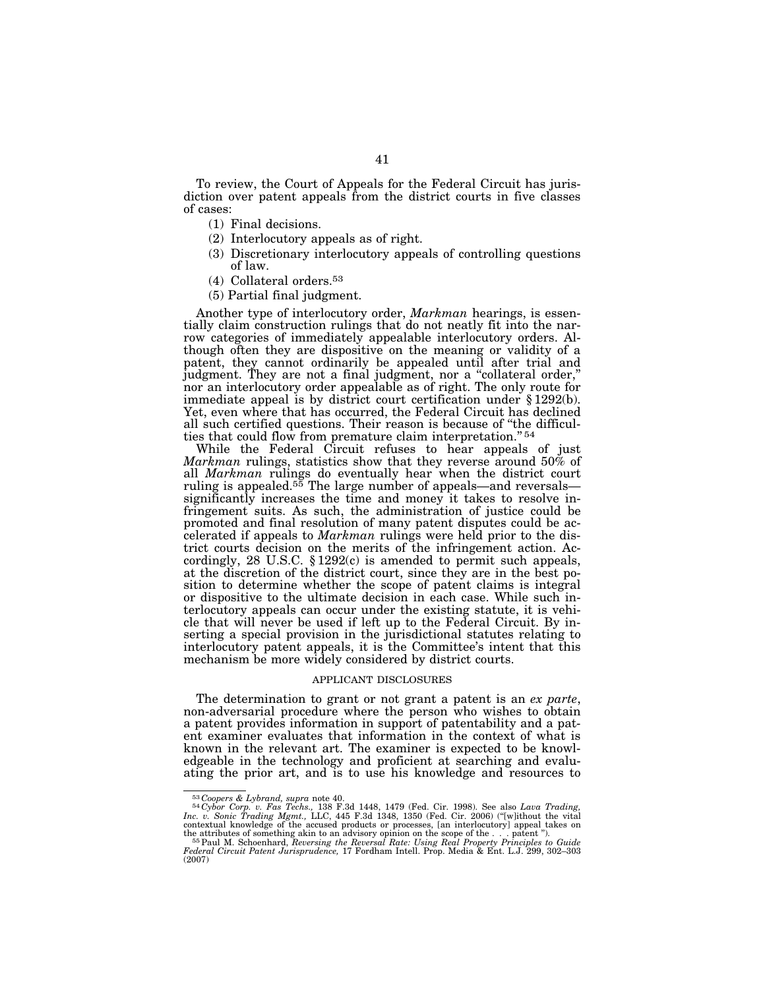To review, the Court of Appeals for the Federal Circuit has jurisdiction over patent appeals from the district courts in five classes of cases:

- (1) Final decisions.
- (2) Interlocutory appeals as of right.
- (3) Discretionary interlocutory appeals of controlling questions of law.
- (4) Collateral orders.53
- (5) Partial final judgment.

Another type of interlocutory order, *Markman* hearings, is essentially claim construction rulings that do not neatly fit into the narrow categories of immediately appealable interlocutory orders. Although often they are dispositive on the meaning or validity of a patent, they cannot ordinarily be appealed until after trial and judgment. They are not a final judgment, nor a ''collateral order,'' nor an interlocutory order appealable as of right. The only route for immediate appeal is by district court certification under § 1292(b). Yet, even where that has occurred, the Federal Circuit has declined all such certified questions. Their reason is because of ''the difficulties that could flow from premature claim interpretation.'' 54

While the Federal Circuit refuses to hear appeals of just *Markman* rulings, statistics show that they reverse around 50% of all *Markman* rulings do eventually hear when the district court ruling is appealed.<sup>55</sup> The large number of appeals—and reversals— significantly increases the time and money it takes to resolve infringement suits. As such, the administration of justice could be promoted and final resolution of many patent disputes could be accelerated if appeals to *Markman* rulings were held prior to the district courts decision on the merits of the infringement action. Accordingly, 28 U.S.C. § 1292(c) is amended to permit such appeals, at the discretion of the district court, since they are in the best position to determine whether the scope of patent claims is integral or dispositive to the ultimate decision in each case. While such interlocutory appeals can occur under the existing statute, it is vehicle that will never be used if left up to the Federal Circuit. By inserting a special provision in the jurisdictional statutes relating to interlocutory patent appeals, it is the Committee's intent that this mechanism be more widely considered by district courts.

# APPLICANT DISCLOSURES

The determination to grant or not grant a patent is an *ex parte*, non-adversarial procedure where the person who wishes to obtain a patent provides information in support of patentability and a patent examiner evaluates that information in the context of what is known in the relevant art. The examiner is expected to be knowledgeable in the technology and proficient at searching and evaluating the prior art, and is to use his knowledge and resources to

<sup>&</sup>lt;sup>53</sup>Coopers & Lybrand, supra note 40.<br>
<sup>54</sup>Cybor Corp. v. Fas Techs., 138 F.3d 1448, 1479 (Fed. Cir. 1998). See also Lava Trading,<br>
Inc. v. Sonic Trading Mgmt., LLC, 445 F.3d 1348, 1350 (Fed. Cir. 2006) ("[w]ithout the vi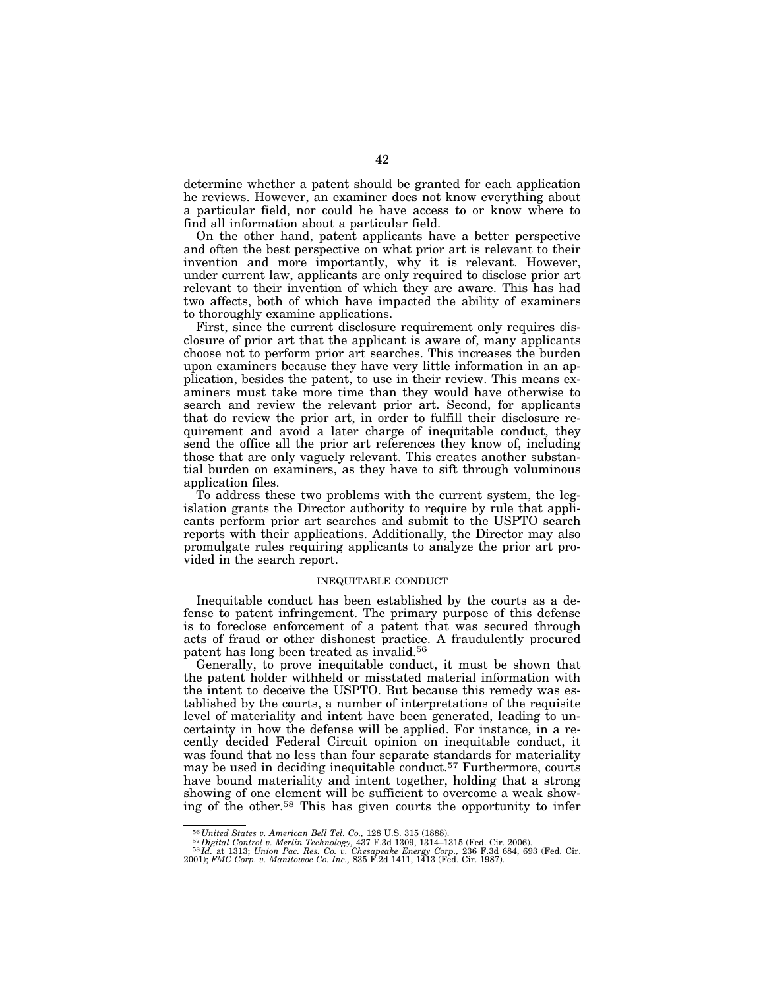determine whether a patent should be granted for each application he reviews. However, an examiner does not know everything about a particular field, nor could he have access to or know where to find all information about a particular field.

On the other hand, patent applicants have a better perspective and often the best perspective on what prior art is relevant to their invention and more importantly, why it is relevant. However, under current law, applicants are only required to disclose prior art relevant to their invention of which they are aware. This has had two affects, both of which have impacted the ability of examiners to thoroughly examine applications.

First, since the current disclosure requirement only requires disclosure of prior art that the applicant is aware of, many applicants choose not to perform prior art searches. This increases the burden upon examiners because they have very little information in an application, besides the patent, to use in their review. This means examiners must take more time than they would have otherwise to search and review the relevant prior art. Second, for applicants that do review the prior art, in order to fulfill their disclosure requirement and avoid a later charge of inequitable conduct, they send the office all the prior art references they know of, including those that are only vaguely relevant. This creates another substantial burden on examiners, as they have to sift through voluminous application files.

To address these two problems with the current system, the legislation grants the Director authority to require by rule that applicants perform prior art searches and submit to the USPTO search reports with their applications. Additionally, the Director may also promulgate rules requiring applicants to analyze the prior art provided in the search report.

# INEQUITABLE CONDUCT

Inequitable conduct has been established by the courts as a defense to patent infringement. The primary purpose of this defense is to foreclose enforcement of a patent that was secured through acts of fraud or other dishonest practice. A fraudulently procured patent has long been treated as invalid.56

Generally, to prove inequitable conduct, it must be shown that the patent holder withheld or misstated material information with the intent to deceive the USPTO. But because this remedy was established by the courts, a number of interpretations of the requisite level of materiality and intent have been generated, leading to uncertainty in how the defense will be applied. For instance, in a recently decided Federal Circuit opinion on inequitable conduct, it was found that no less than four separate standards for materiality may be used in deciding inequitable conduct.57 Furthermore, courts have bound materiality and intent together, holding that a strong showing of one element will be sufficient to overcome a weak showing of the other.58 This has given courts the opportunity to infer

<sup>&</sup>lt;sup>56</sup> United States v. American Bell Tel. Co., 128 U.S. 315 (1888).<br><sup>57</sup> Digital Control v. Merlin Technology, 437 F.3d 1309, 1314–1315 (Fed. Cir. 2006).<br><sup>58</sup> Id. at 1313; Union Pac. Res. Co. v. Chesapeake Energy Corp., 23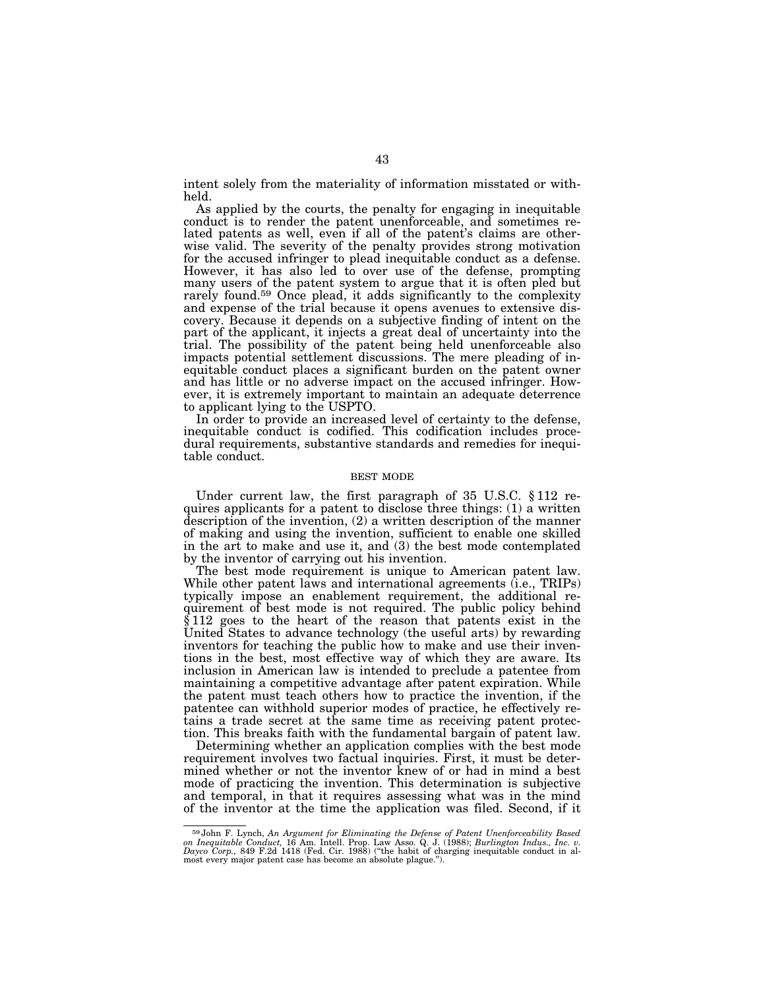intent solely from the materiality of information misstated or withheld.

As applied by the courts, the penalty for engaging in inequitable conduct is to render the patent unenforceable, and sometimes related patents as well, even if all of the patent's claims are otherwise valid. The severity of the penalty provides strong motivation for the accused infringer to plead inequitable conduct as a defense. However, it has also led to over use of the defense, prompting many users of the patent system to argue that it is often pled but rarely found.59 Once plead, it adds significantly to the complexity and expense of the trial because it opens avenues to extensive discovery. Because it depends on a subjective finding of intent on the part of the applicant, it injects a great deal of uncertainty into the trial. The possibility of the patent being held unenforceable also impacts potential settlement discussions. The mere pleading of inequitable conduct places a significant burden on the patent owner and has little or no adverse impact on the accused infringer. However, it is extremely important to maintain an adequate deterrence to applicant lying to the USPTO.

In order to provide an increased level of certainty to the defense, inequitable conduct is codified. This codification includes procedural requirements, substantive standards and remedies for inequitable conduct.

#### BEST MODE

Under current law, the first paragraph of 35 U.S.C. § 112 requires applicants for a patent to disclose three things: (1) a written description of the invention, (2) a written description of the manner of making and using the invention, sufficient to enable one skilled in the art to make and use it, and (3) the best mode contemplated by the inventor of carrying out his invention.

The best mode requirement is unique to American patent law. While other patent laws and international agreements (i.e., TRIPs) typically impose an enablement requirement, the additional requirement of best mode is not required. The public policy behind § 112 goes to the heart of the reason that patents exist in the United States to advance technology (the useful arts) by rewarding inventors for teaching the public how to make and use their inventions in the best, most effective way of which they are aware. Its inclusion in American law is intended to preclude a patentee from maintaining a competitive advantage after patent expiration. While the patent must teach others how to practice the invention, if the patentee can withhold superior modes of practice, he effectively retains a trade secret at the same time as receiving patent protection. This breaks faith with the fundamental bargain of patent law.

Determining whether an application complies with the best mode requirement involves two factual inquiries. First, it must be determined whether or not the inventor knew of or had in mind a best mode of practicing the invention. This determination is subjective and temporal, in that it requires assessing what was in the mind of the inventor at the time the application was filed. Second, if it

<sup>59</sup> John F. Lynch, *An Argument for Eliminating the Defense of Patent Unenforceability Based*  on Inequitable Conduct, 16 Am. Intell. Prop. Law Asso. Q. J. (1988); *Burlington Indus., Inc. v.*<br>Dayco Corp., 849 F.2d 1418 (Fed. Cir. 1988) ("the habit of charging inequitable conduct in al-<br>most every major patent case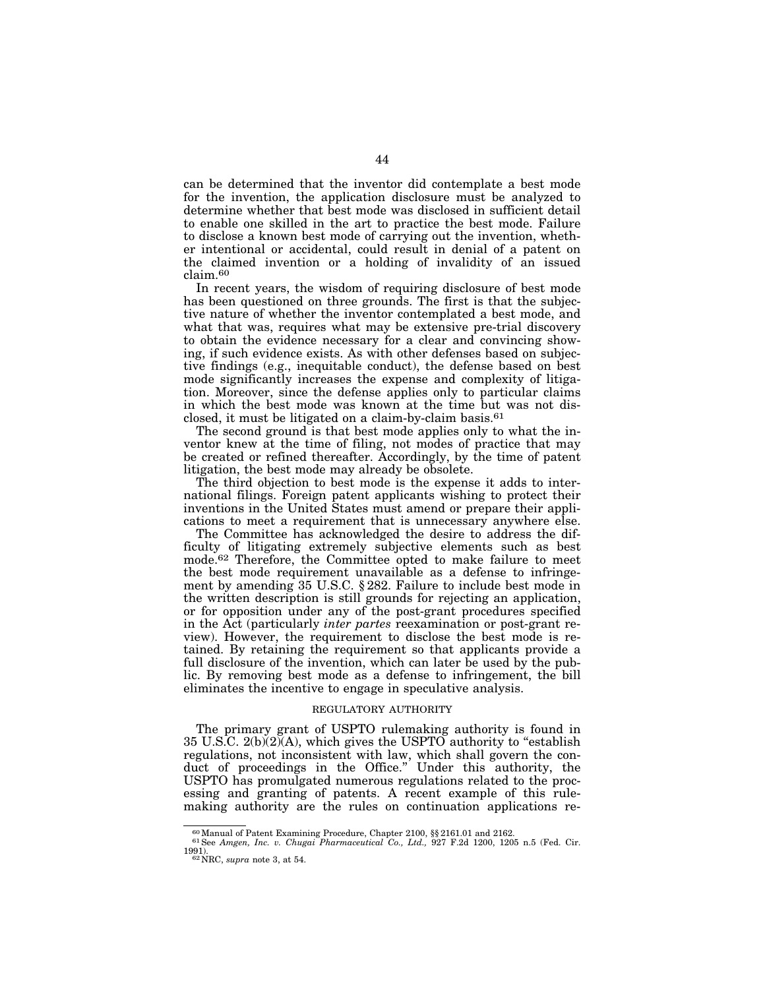can be determined that the inventor did contemplate a best mode for the invention, the application disclosure must be analyzed to determine whether that best mode was disclosed in sufficient detail to enable one skilled in the art to practice the best mode. Failure to disclose a known best mode of carrying out the invention, whether intentional or accidental, could result in denial of a patent on the claimed invention or a holding of invalidity of an issued claim.60

In recent years, the wisdom of requiring disclosure of best mode has been questioned on three grounds. The first is that the subjective nature of whether the inventor contemplated a best mode, and what that was, requires what may be extensive pre-trial discovery to obtain the evidence necessary for a clear and convincing showing, if such evidence exists. As with other defenses based on subjective findings (e.g., inequitable conduct), the defense based on best mode significantly increases the expense and complexity of litigation. Moreover, since the defense applies only to particular claims in which the best mode was known at the time but was not disclosed, it must be litigated on a claim-by-claim basis.61

The second ground is that best mode applies only to what the inventor knew at the time of filing, not modes of practice that may be created or refined thereafter. Accordingly, by the time of patent litigation, the best mode may already be obsolete.

The third objection to best mode is the expense it adds to international filings. Foreign patent applicants wishing to protect their inventions in the United States must amend or prepare their applications to meet a requirement that is unnecessary anywhere else.

The Committee has acknowledged the desire to address the difficulty of litigating extremely subjective elements such as best mode.62 Therefore, the Committee opted to make failure to meet the best mode requirement unavailable as a defense to infringement by amending 35 U.S.C. § 282. Failure to include best mode in the written description is still grounds for rejecting an application, or for opposition under any of the post-grant procedures specified in the Act (particularly *inter partes* reexamination or post-grant review). However, the requirement to disclose the best mode is retained. By retaining the requirement so that applicants provide a full disclosure of the invention, which can later be used by the public. By removing best mode as a defense to infringement, the bill eliminates the incentive to engage in speculative analysis.

#### REGULATORY AUTHORITY

The primary grant of USPTO rulemaking authority is found in  $35 \text{ U.S.C. } 2(b)(2)(A)$ , which gives the USPTO authority to "establish regulations, not inconsistent with law, which shall govern the conduct of proceedings in the Office." Under this authority, the USPTO has promulgated numerous regulations related to the processing and granting of patents. A recent example of this rulemaking authority are the rules on continuation applications re-

<sup>60</sup>Manual of Patent Examining Procedure, Chapter 2100, §§ 2161.01 and 2162. 61See *Amgen, Inc. v. Chugai Pharmaceutical Co., Ltd.,* 927 F.2d 1200, 1205 n.5 (Fed. Cir.

 $62$ <sub>NRC</sub>, *supra* note 3, at 54.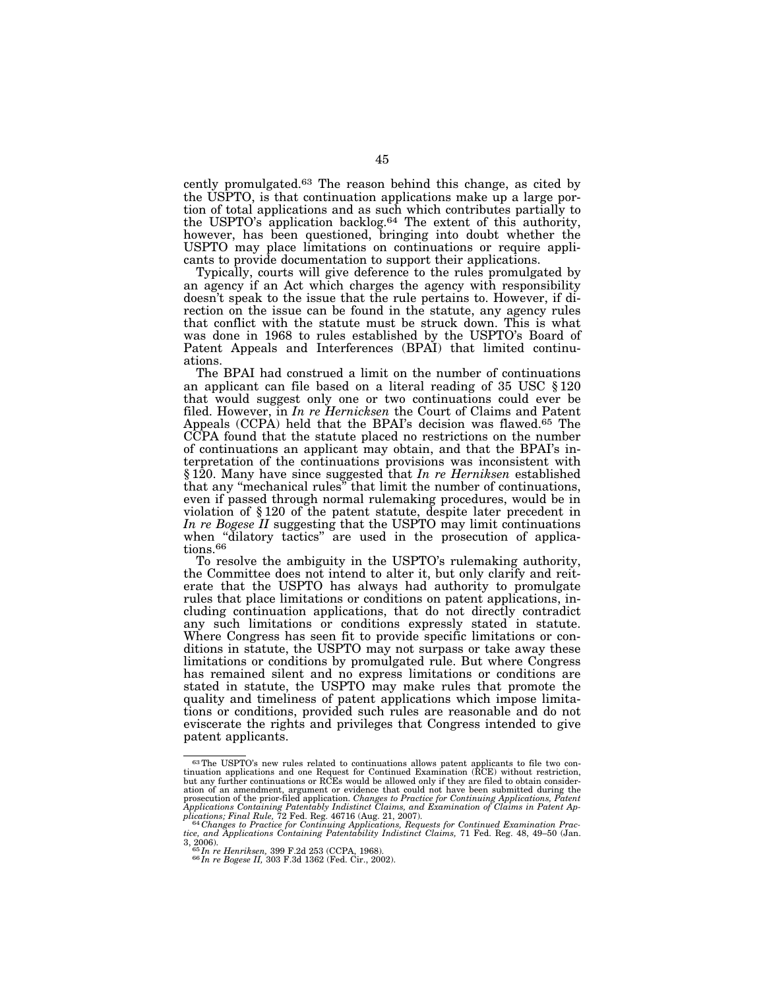cently promulgated.63 The reason behind this change, as cited by the USPTO, is that continuation applications make up a large portion of total applications and as such which contributes partially to the USPTO's application backlog.<sup>64</sup> The extent of this authority, however, has been questioned, bringing into doubt whether the USPTO may place limitations on continuations or require applicants to provide documentation to support their applications.

Typically, courts will give deference to the rules promulgated by an agency if an Act which charges the agency with responsibility doesn't speak to the issue that the rule pertains to. However, if direction on the issue can be found in the statute, any agency rules that conflict with the statute must be struck down. This is what was done in 1968 to rules established by the USPTO's Board of Patent Appeals and Interferences (BPAI) that limited continuations.

The BPAI had construed a limit on the number of continuations an applicant can file based on a literal reading of 35 USC § 120 that would suggest only one or two continuations could ever be filed. However, in *In re Hernicksen* the Court of Claims and Patent Appeals (CCPA) held that the BPAI's decision was flawed.65 The CCPA found that the statute placed no restrictions on the number of continuations an applicant may obtain, and that the BPAI's interpretation of the continuations provisions was inconsistent with § 120. Many have since suggested that *In re Herniksen* established that any ''mechanical rules'' that limit the number of continuations, even if passed through normal rulemaking procedures, would be in violation of § 120 of the patent statute, despite later precedent in *In re Bogese II* suggesting that the USPTO may limit continuations when "dilatory tactics" are used in the prosecution of applications.66

To resolve the ambiguity in the USPTO's rulemaking authority, the Committee does not intend to alter it, but only clarify and reiterate that the USPTO has always had authority to promulgate rules that place limitations or conditions on patent applications, including continuation applications, that do not directly contradict any such limitations or conditions expressly stated in statute. Where Congress has seen fit to provide specific limitations or conditions in statute, the USPTO may not surpass or take away these limitations or conditions by promulgated rule. But where Congress has remained silent and no express limitations or conditions are stated in statute, the USPTO may make rules that promote the quality and timeliness of patent applications which impose limitations or conditions, provided such rules are reasonable and do not eviscerate the rights and privileges that Congress intended to give patent applicants.

 $63$  The USPTO's new rules related to continuations allows patent applicants to file two continuation applications and one Request for Continued Examination (RCE) without restriction, but any further continuations or RCEs ation of an amendment, argument or evidence that could not have been submitted during the prosecution of the prior-filed application. Changes to Practice for Continuing Applications, Patent Applications, The Applications,

<sup>3, 2006). 65</sup> *In re Henriksen,* 399 F.2d 253 (CCPA, 1968). 66 *In re Bogese II,* 303 F.3d 1362 (Fed. Cir., 2002).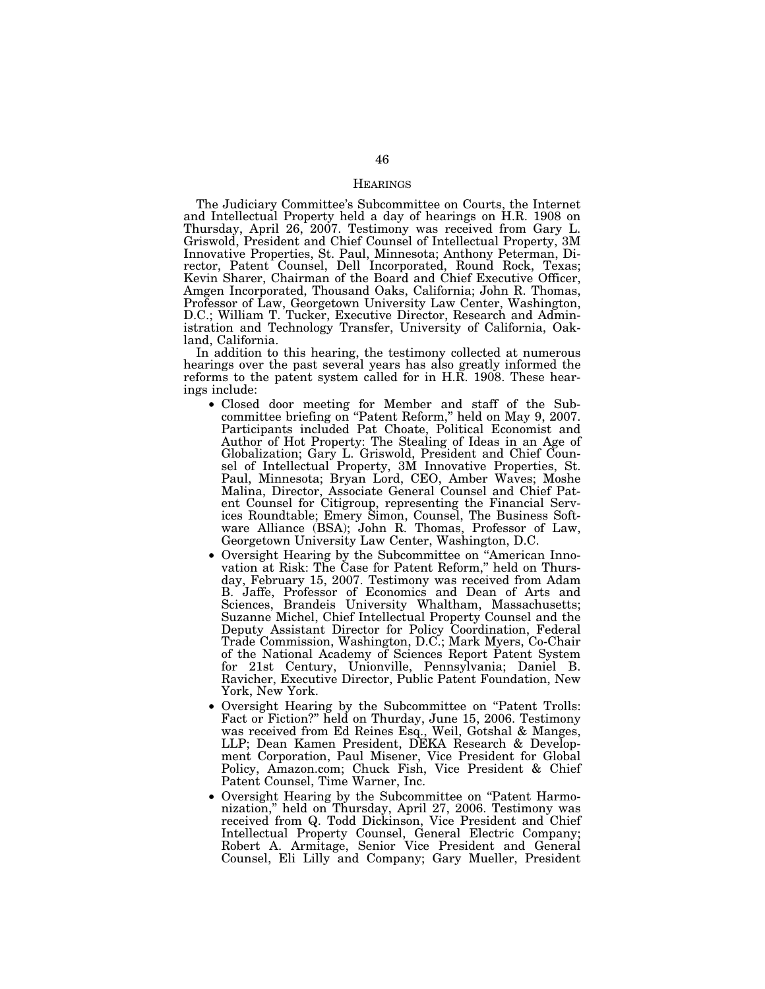## **HEARINGS**

The Judiciary Committee's Subcommittee on Courts, the Internet and Intellectual Property held a day of hearings on H.R. 1908 on Thursday, April 26, 2007. Testimony was received from Gary L. Griswold, President and Chief Counsel of Intellectual Property, 3M Innovative Properties, St. Paul, Minnesota; Anthony Peterman, Director, Patent Counsel, Dell Incorporated, Round Rock, Texas; Kevin Sharer, Chairman of the Board and Chief Executive Officer, Amgen Incorporated, Thousand Oaks, California; John R. Thomas, Professor of Law, Georgetown University Law Center, Washington, D.C.; William T. Tucker, Executive Director, Research and Administration and Technology Transfer, University of California, Oakland, California.

In addition to this hearing, the testimony collected at numerous hearings over the past several years has also greatly informed the reforms to the patent system called for in H.R. 1908. These hearings include:

- Closed door meeting for Member and staff of the Subcommittee briefing on ''Patent Reform,'' held on May 9, 2007. Participants included Pat Choate, Political Economist and Author of Hot Property: The Stealing of Ideas in an Age of Globalization; Gary L. Griswold, President and Chief Counsel of Intellectual Property, 3M Innovative Properties, St. Paul, Minnesota; Bryan Lord, CEO, Amber Waves; Moshe Malina, Director, Associate General Counsel and Chief Patent Counsel for Citigroup, representing the Financial Services Roundtable; Emery Simon, Counsel, The Business Software Alliance (BSA); John R. Thomas, Professor of Law, Georgetown University Law Center, Washington, D.C.
- Oversight Hearing by the Subcommittee on ''American Innovation at Risk: The Case for Patent Reform,'' held on Thursday, February 15, 2007. Testimony was received from Adam B. Jaffe, Professor of Economics and Dean of Arts and Sciences, Brandeis University Whaltham, Massachusetts; Suzanne Michel, Chief Intellectual Property Counsel and the Deputy Assistant Director for Policy Coordination, Federal Trade Commission, Washington, D.C.; Mark Myers, Co-Chair of the National Academy of Sciences Report Patent System for 21st Century, Unionville, Pennsylvania; Daniel B. Ravicher, Executive Director, Public Patent Foundation, New York, New York.
- Oversight Hearing by the Subcommittee on ''Patent Trolls: Fact or Fiction?'' held on Thurday, June 15, 2006. Testimony was received from Ed Reines Esq., Weil, Gotshal & Manges, LLP; Dean Kamen President, DEKA Research & Development Corporation, Paul Misener, Vice President for Global Policy, Amazon.com; Chuck Fish, Vice President & Chief Patent Counsel, Time Warner, Inc.
- Oversight Hearing by the Subcommittee on ''Patent Harmonization,'' held on Thursday, April 27, 2006. Testimony was received from Q. Todd Dickinson, Vice President and Chief Intellectual Property Counsel, General Electric Company; Robert A. Armitage, Senior Vice President and General Counsel, Eli Lilly and Company; Gary Mueller, President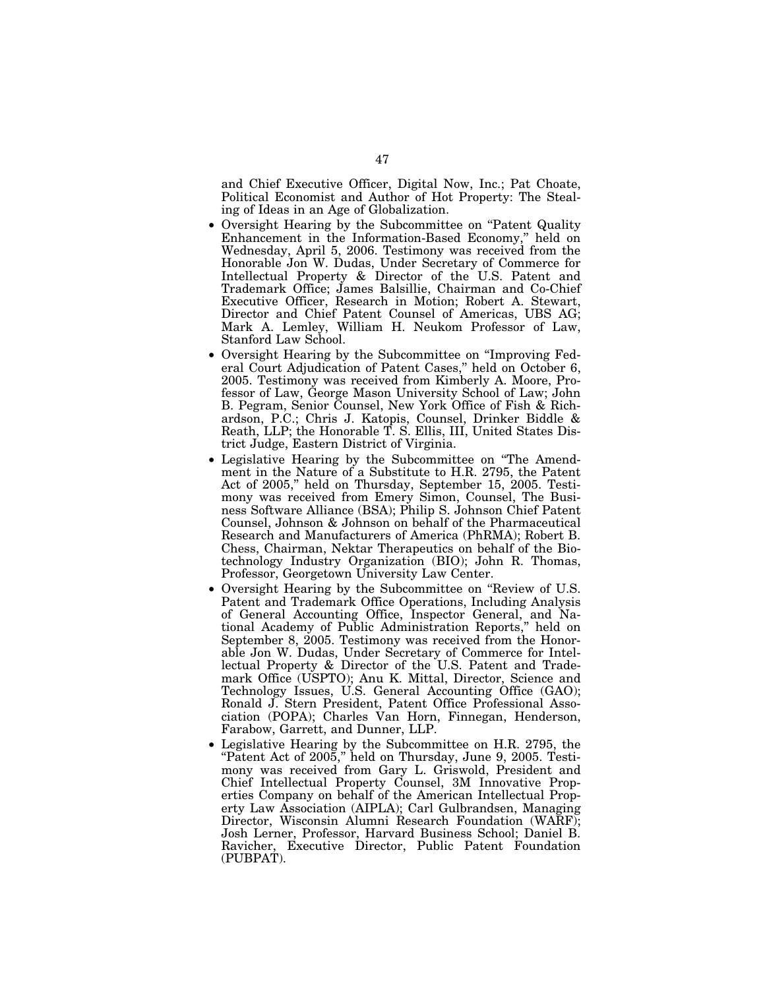and Chief Executive Officer, Digital Now, Inc.; Pat Choate, Political Economist and Author of Hot Property: The Stealing of Ideas in an Age of Globalization.

- Oversight Hearing by the Subcommittee on ''Patent Quality Enhancement in the Information-Based Economy,'' held on Wednesday, April 5, 2006. Testimony was received from the Honorable Jon W. Dudas, Under Secretary of Commerce for Intellectual Property & Director of the U.S. Patent and Trademark Office; James Balsillie, Chairman and Co-Chief Executive Officer, Research in Motion; Robert A. Stewart, Director and Chief Patent Counsel of Americas, UBS AG; Mark A. Lemley, William H. Neukom Professor of Law, Stanford Law School.
- Oversight Hearing by the Subcommittee on ''Improving Federal Court Adjudication of Patent Cases,'' held on October 6, 2005. Testimony was received from Kimberly A. Moore, Professor of Law, George Mason University School of Law; John B. Pegram, Senior Counsel, New York Office of Fish & Richardson, P.C.; Chris J. Katopis, Counsel, Drinker Biddle & Reath, LLP; the Honorable T. S. Ellis, III, United States District Judge, Eastern District of Virginia.
- Legislative Hearing by the Subcommittee on ''The Amendment in the Nature of a Substitute to H.R. 2795, the Patent Act of 2005,'' held on Thursday, September 15, 2005. Testimony was received from Emery Simon, Counsel, The Business Software Alliance (BSA); Philip S. Johnson Chief Patent Counsel, Johnson & Johnson on behalf of the Pharmaceutical Research and Manufacturers of America (PhRMA); Robert B. Chess, Chairman, Nektar Therapeutics on behalf of the Biotechnology Industry Organization (BIO); John R. Thomas, Professor, Georgetown University Law Center.
- Oversight Hearing by the Subcommittee on ''Review of U.S. Patent and Trademark Office Operations, Including Analysis of General Accounting Office, Inspector General, and National Academy of Public Administration Reports,'' held on September 8, 2005. Testimony was received from the Honorable Jon W. Dudas, Under Secretary of Commerce for Intellectual Property & Director of the U.S. Patent and Trademark Office (USPTO); Anu K. Mittal, Director, Science and Technology Issues, U.S. General Accounting Office (GAO); Ronald J. Stern President, Patent Office Professional Association (POPA); Charles Van Horn, Finnegan, Henderson, Farabow, Garrett, and Dunner, LLP.
- Legislative Hearing by the Subcommittee on H.R. 2795, the ''Patent Act of 2005,'' held on Thursday, June 9, 2005. Testimony was received from Gary L. Griswold, President and Chief Intellectual Property Counsel, 3M Innovative Properties Company on behalf of the American Intellectual Property Law Association (AIPLA); Carl Gulbrandsen, Managing Director, Wisconsin Alumni Research Foundation (WARF); Josh Lerner, Professor, Harvard Business School; Daniel B. Ravicher, Executive Director, Public Patent Foundation (PUBPAT).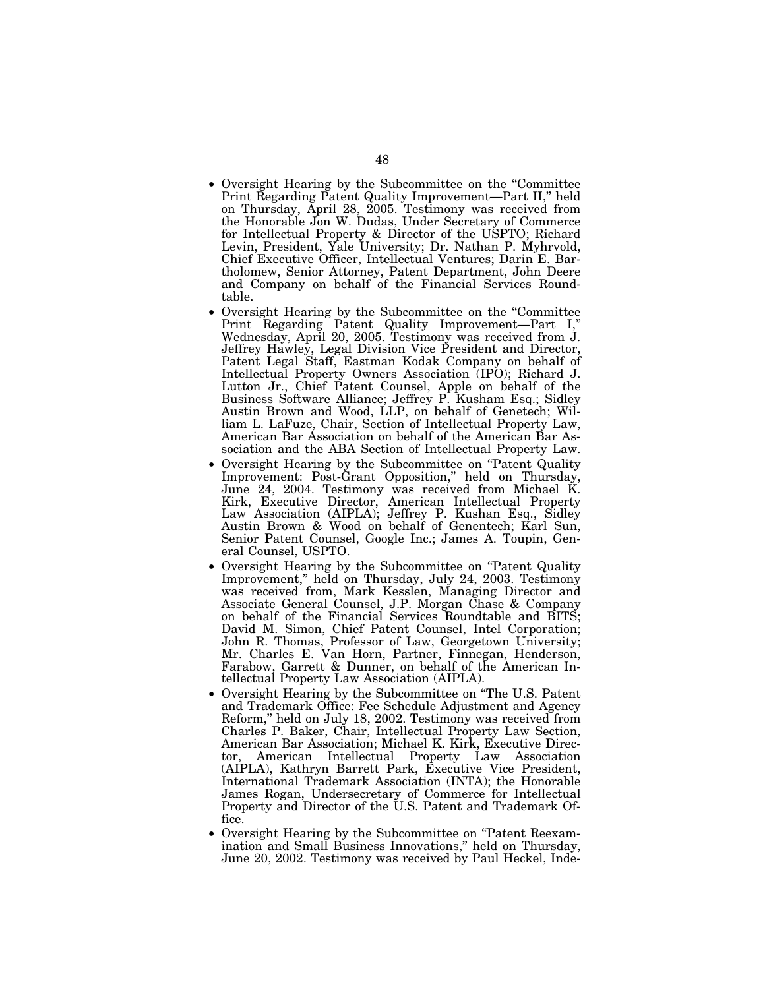- Oversight Hearing by the Subcommittee on the "Committee" Print Regarding Patent Quality Improvement—Part II,'' held on Thursday, April 28, 2005. Testimony was received from the Honorable Jon W. Dudas, Under Secretary of Commerce for Intellectual Property & Director of the USPTO; Richard Levin, President, Yale University; Dr. Nathan P. Myhrvold, Chief Executive Officer, Intellectual Ventures; Darin E. Bartholomew, Senior Attorney, Patent Department, John Deere and Company on behalf of the Financial Services Roundtable.
- Oversight Hearing by the Subcommittee on the ''Committee Print Regarding Patent Quality Improvement—Part I,'' Wednesday, April 20, 2005. Testimony was received from J. Jeffrey Hawley, Legal Division Vice President and Director, Patent Legal Staff, Eastman Kodak Company on behalf of Intellectual Property Owners Association (IPO); Richard J. Lutton Jr., Chief Patent Counsel, Apple on behalf of the Business Software Alliance; Jeffrey P. Kusham Esq.; Sidley Austin Brown and Wood, LLP, on behalf of Genetech; William L. LaFuze, Chair, Section of Intellectual Property Law, American Bar Association on behalf of the American Bar Association and the ABA Section of Intellectual Property Law.
- Oversight Hearing by the Subcommittee on ''Patent Quality Improvement: Post-Grant Opposition,'' held on Thursday, June 24, 2004. Testimony was received from Michael K. Kirk, Executive Director, American Intellectual Property Law Association (AIPLA); Jeffrey P. Kushan Esq., Sidley Austin Brown & Wood on behalf of Genentech; Karl Sun, Senior Patent Counsel, Google Inc.; James A. Toupin, General Counsel, USPTO.
- Oversight Hearing by the Subcommittee on ''Patent Quality Improvement,'' held on Thursday, July 24, 2003. Testimony was received from, Mark Kesslen, Managing Director and Associate General Counsel, J.P. Morgan Chase & Company on behalf of the Financial Services Roundtable and BITS; David M. Simon, Chief Patent Counsel, Intel Corporation; John R. Thomas, Professor of Law, Georgetown University; Mr. Charles E. Van Horn, Partner, Finnegan, Henderson, Farabow, Garrett & Dunner, on behalf of the American Intellectual Property Law Association (AIPLA).
- Oversight Hearing by the Subcommittee on ''The U.S. Patent and Trademark Office: Fee Schedule Adjustment and Agency Reform,'' held on July 18, 2002. Testimony was received from Charles P. Baker, Chair, Intellectual Property Law Section, American Bar Association; Michael K. Kirk, Executive Director, American Intellectual Property Law Association (AIPLA), Kathryn Barrett Park, Executive Vice President, International Trademark Association (INTA); the Honorable James Rogan, Undersecretary of Commerce for Intellectual Property and Director of the U.S. Patent and Trademark Office.
- Oversight Hearing by the Subcommittee on "Patent Reexamination and Small Business Innovations,'' held on Thursday, June 20, 2002. Testimony was received by Paul Heckel, Inde-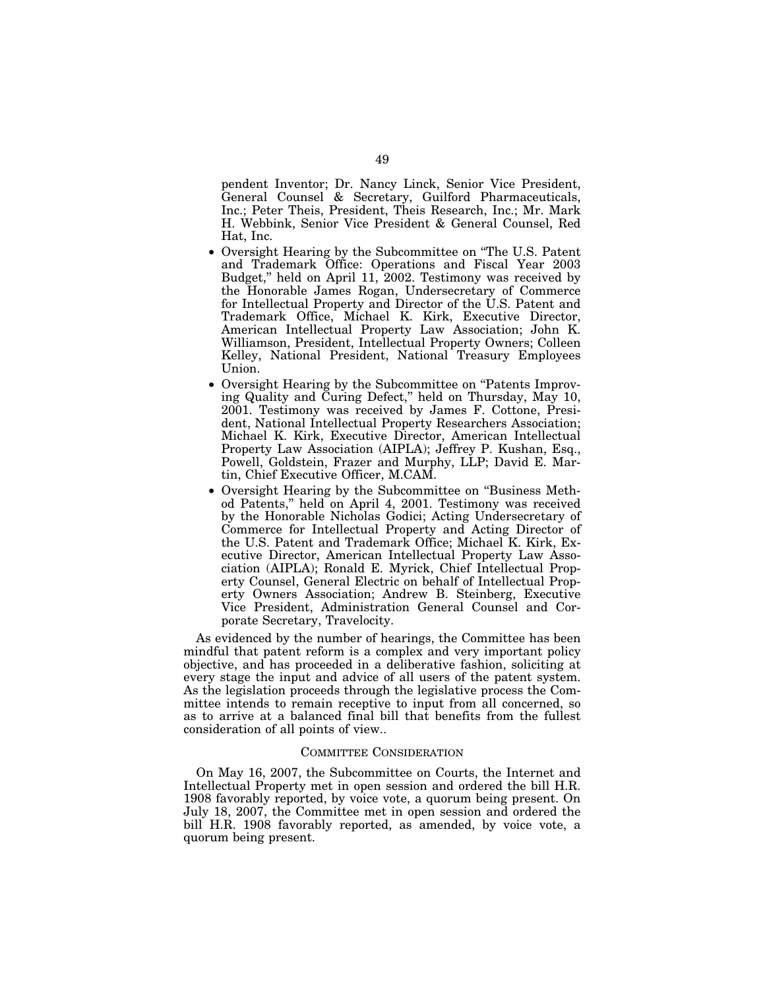pendent Inventor; Dr. Nancy Linck, Senior Vice President, General Counsel & Secretary, Guilford Pharmaceuticals, Inc.; Peter Theis, President, Theis Research, Inc.; Mr. Mark H. Webbink, Senior Vice President & General Counsel, Red Hat, Inc.

- Oversight Hearing by the Subcommittee on ''The U.S. Patent and Trademark Office: Operations and Fiscal Year 2003 Budget," held on April 11, 2002. Testimony was received by the Honorable James Rogan, Undersecretary of Commerce for Intellectual Property and Director of the U.S. Patent and Trademark Office, Michael K. Kirk, Executive Director, American Intellectual Property Law Association; John K. Williamson, President, Intellectual Property Owners; Colleen Kelley, National President, National Treasury Employees Union.
- Oversight Hearing by the Subcommittee on "Patents Improving Quality and Curing Defect,'' held on Thursday, May 10, 2001. Testimony was received by James F. Cottone, President, National Intellectual Property Researchers Association; Michael K. Kirk, Executive Director, American Intellectual Property Law Association (AIPLA); Jeffrey P. Kushan, Esq., Powell, Goldstein, Frazer and Murphy, LLP; David E. Martin, Chief Executive Officer, M.CAM.
- Oversight Hearing by the Subcommittee on ''Business Method Patents,'' held on April 4, 2001. Testimony was received by the Honorable Nicholas Godici; Acting Undersecretary of Commerce for Intellectual Property and Acting Director of the U.S. Patent and Trademark Office; Michael K. Kirk, Executive Director, American Intellectual Property Law Association (AIPLA); Ronald E. Myrick, Chief Intellectual Property Counsel, General Electric on behalf of Intellectual Property Owners Association; Andrew B. Steinberg, Executive Vice President, Administration General Counsel and Corporate Secretary, Travelocity.

As evidenced by the number of hearings, the Committee has been mindful that patent reform is a complex and very important policy objective, and has proceeded in a deliberative fashion, soliciting at every stage the input and advice of all users of the patent system. As the legislation proceeds through the legislative process the Committee intends to remain receptive to input from all concerned, so as to arrive at a balanced final bill that benefits from the fullest consideration of all points of view..

# COMMITTEE CONSIDERATION

On May 16, 2007, the Subcommittee on Courts, the Internet and Intellectual Property met in open session and ordered the bill H.R. 1908 favorably reported, by voice vote, a quorum being present. On July 18, 2007, the Committee met in open session and ordered the bill H.R. 1908 favorably reported, as amended, by voice vote, a quorum being present.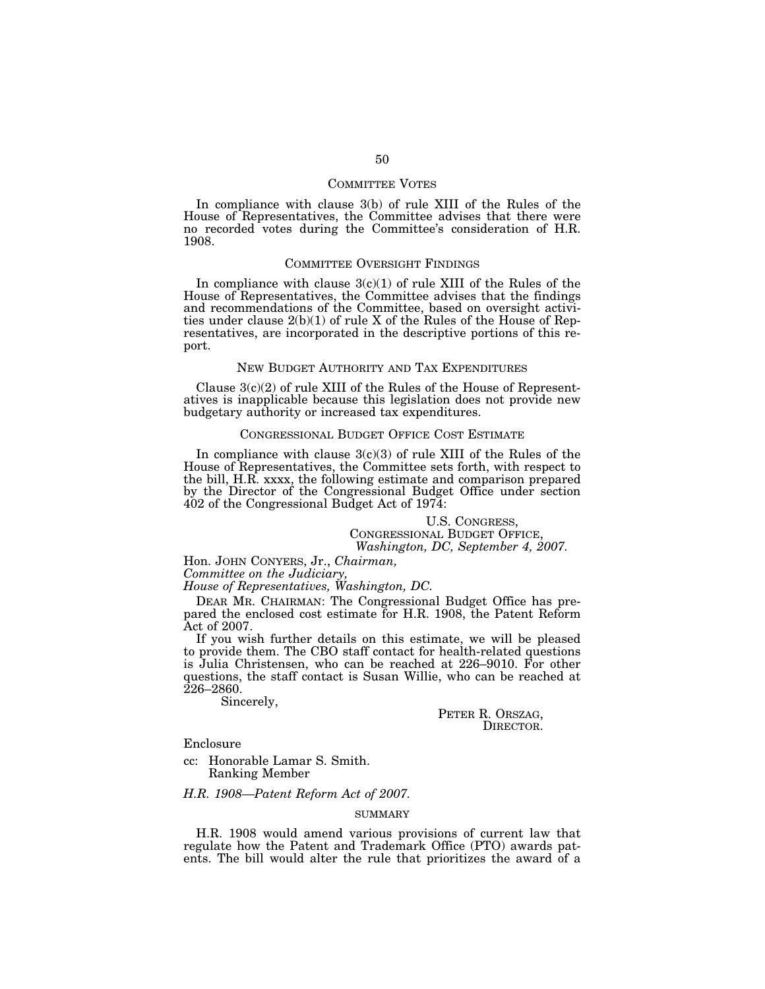# COMMITTEE VOTES

In compliance with clause 3(b) of rule XIII of the Rules of the House of Representatives, the Committee advises that there were no recorded votes during the Committee's consideration of H.R. 1908.

# COMMITTEE OVERSIGHT FINDINGS

In compliance with clause  $3(c)(1)$  of rule XIII of the Rules of the House of Representatives, the Committee advises that the findings and recommendations of the Committee, based on oversight activities under clause 2(b)(1) of rule X of the Rules of the House of Representatives, are incorporated in the descriptive portions of this report.

# NEW BUDGET AUTHORITY AND TAX EXPENDITURES

Clause  $3(c)(2)$  of rule XIII of the Rules of the House of Representatives is inapplicable because this legislation does not provide new budgetary authority or increased tax expenditures.

## CONGRESSIONAL BUDGET OFFICE COST ESTIMATE

In compliance with clause  $3(c)(3)$  of rule XIII of the Rules of the House of Representatives, the Committee sets forth, with respect to the bill, H.R. xxxx, the following estimate and comparison prepared by the Director of the Congressional Budget Office under section 402 of the Congressional Budget Act of 1974:

# U.S. CONGRESS, CONGRESSIONAL BUDGET OFFICE, *Washington, DC, September 4, 2007.*

Hon. JOHN CONYERS, Jr., *Chairman,* 

*Committee on the Judiciary,* 

*House of Representatives, Washington, DC.* 

DEAR MR. CHAIRMAN: The Congressional Budget Office has prepared the enclosed cost estimate for H.R. 1908, the Patent Reform Act of 2007.

If you wish further details on this estimate, we will be pleased to provide them. The CBO staff contact for health-related questions is Julia Christensen, who can be reached at 226–9010. For other questions, the staff contact is Susan Willie, who can be reached at 226–2860.

Sincerely,

PETER R. ORSZAG, DIRECTOR.

Enclosure

cc: Honorable Lamar S. Smith. Ranking Member

*H.R. 1908—Patent Reform Act of 2007.* 

## SUMMARY

H.R. 1908 would amend various provisions of current law that regulate how the Patent and Trademark Office (PTO) awards patents. The bill would alter the rule that prioritizes the award of a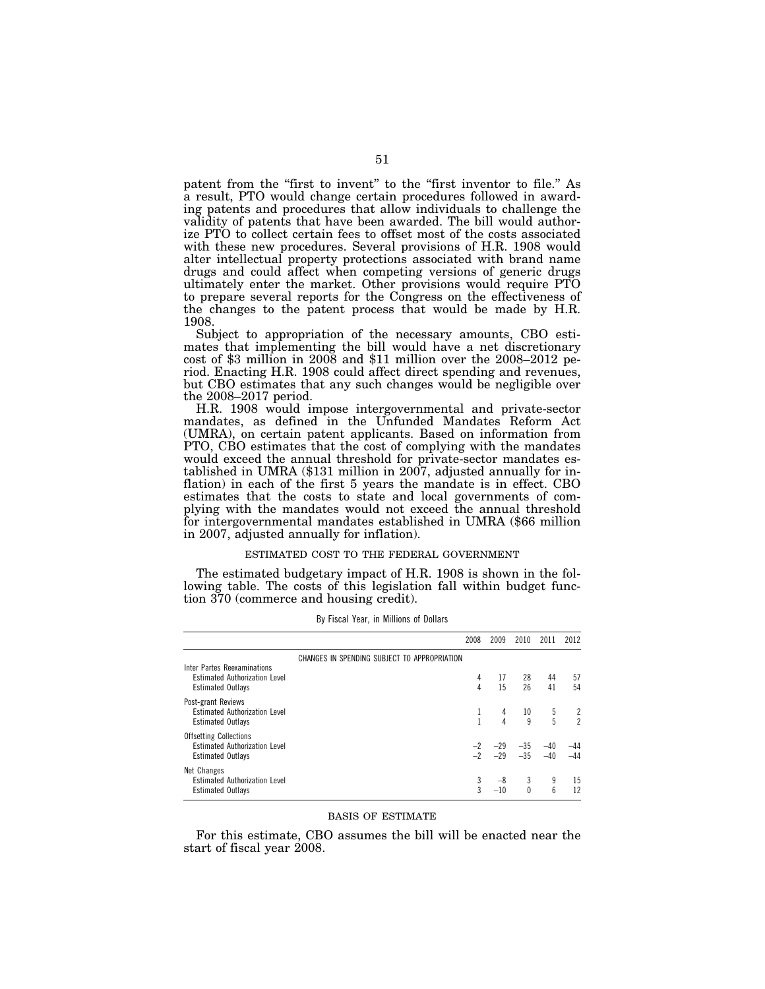patent from the "first to invent" to the "first inventor to file." As a result, PTO would change certain procedures followed in awarding patents and procedures that allow individuals to challenge the validity of patents that have been awarded. The bill would authorize PTO to collect certain fees to offset most of the costs associated with these new procedures. Several provisions of H.R. 1908 would alter intellectual property protections associated with brand name drugs and could affect when competing versions of generic drugs ultimately enter the market. Other provisions would require PTO to prepare several reports for the Congress on the effectiveness of the changes to the patent process that would be made by H.R. 1908.

Subject to appropriation of the necessary amounts, CBO estimates that implementing the bill would have a net discretionary cost of \$3 million in 2008 and \$11 million over the 2008–2012 period. Enacting H.R. 1908 could affect direct spending and revenues, but CBO estimates that any such changes would be negligible over the 2008–2017 period.

H.R. 1908 would impose intergovernmental and private-sector mandates, as defined in the Unfunded Mandates Reform Act (UMRA), on certain patent applicants. Based on information from PTO, CBO estimates that the cost of complying with the mandates would exceed the annual threshold for private-sector mandates established in UMRA (\$131 million in 2007, adjusted annually for inflation) in each of the first 5 years the mandate is in effect. CBO estimates that the costs to state and local governments of complying with the mandates would not exceed the annual threshold for intergovernmental mandates established in UMRA (\$66 million in 2007, adjusted annually for inflation).

## ESTIMATED COST TO THE FEDERAL GOVERNMENT

The estimated budgetary impact of H.R. 1908 is shown in the following table. The costs of this legislation fall within budget function 370 (commerce and housing credit).

|                                                                                            |                                              | 2008   | 2009                      | 2010              | 2011                 | 2012                |
|--------------------------------------------------------------------------------------------|----------------------------------------------|--------|---------------------------|-------------------|----------------------|---------------------|
|                                                                                            | CHANGES IN SPENDING SUBJECT TO APPROPRIATION |        |                           |                   |                      |                     |
| Inter Partes Reexaminations<br>Estimated Authorization Level<br><b>Estimated Outlays</b>   |                                              | 4<br>4 | 17<br>15                  | 28<br>26          | 44<br>41             | 57<br>54            |
| Post-grant Reviews<br>Estimated Authorization Level<br><b>Estimated Outlays</b>            |                                              | 1      | 4<br>$\overline{4}$       | 10<br>9           | $\frac{5}{5}$        | 2<br>$\mathfrak{p}$ |
| <b>Offsetting Collections</b><br>Estimated Authorization Level<br><b>Estimated Outlays</b> |                                              | $-2$   | $-2$ $-29$ $-35$<br>$-29$ | $-35$             | $-40$<br>$-40$       | $-44$<br>$-44$      |
| Net Changes<br>Estimated Authorization Level<br><b>Estimated Outlays</b>                   |                                              | 3<br>3 | -8<br>$-10$               | 3<br>$\mathbf{0}$ | 9<br>$6\overline{6}$ | 15<br>12            |

By Fiscal Year, in Millions of Dollars

## BASIS OF ESTIMATE

For this estimate, CBO assumes the bill will be enacted near the start of fiscal year 2008.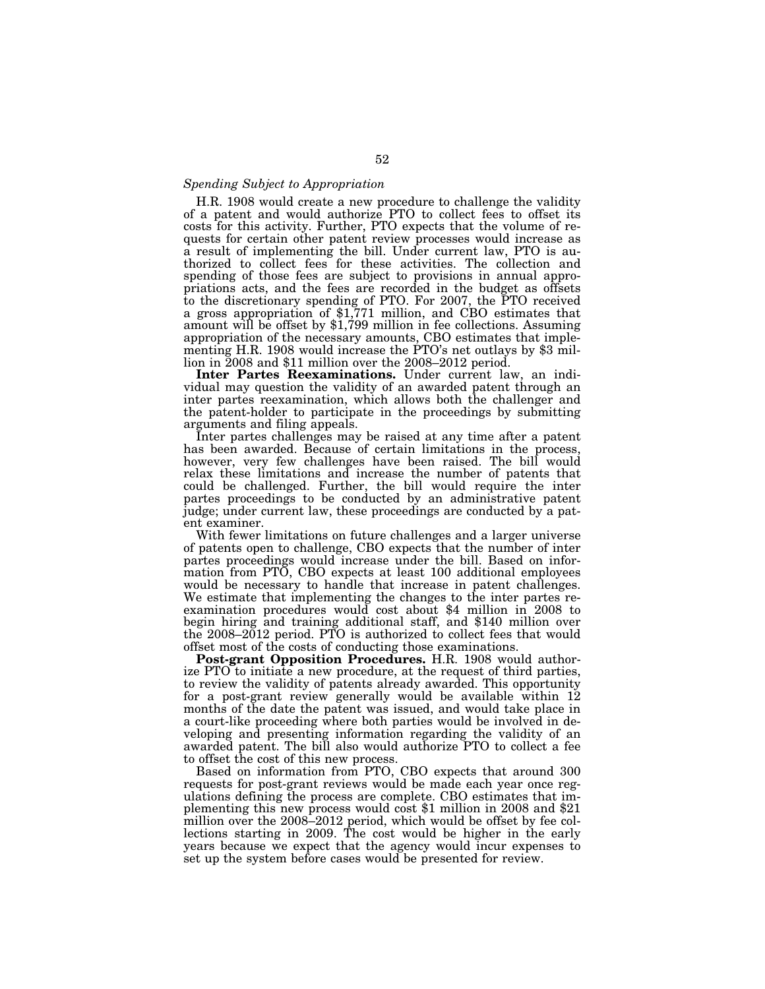# *Spending Subject to Appropriation*

H.R. 1908 would create a new procedure to challenge the validity of a patent and would authorize PTO to collect fees to offset its costs for this activity. Further, PTO expects that the volume of requests for certain other patent review processes would increase as a result of implementing the bill. Under current law, PTO is authorized to collect fees for these activities. The collection and spending of those fees are subject to provisions in annual appropriations acts, and the fees are recorded in the budget as offsets to the discretionary spending of PTO. For 2007, the PTO received a gross appropriation of \$1,771 million, and CBO estimates that amount will be offset by \$1,799 million in fee collections. Assuming appropriation of the necessary amounts, CBO estimates that implementing H.R. 1908 would increase the PTO's net outlays by \$3 million in 2008 and \$11 million over the 2008–2012 period.

**Inter Partes Reexaminations.** Under current law, an individual may question the validity of an awarded patent through an inter partes reexamination, which allows both the challenger and the patent-holder to participate in the proceedings by submitting arguments and filing appeals.

Inter partes challenges may be raised at any time after a patent has been awarded. Because of certain limitations in the process, however, very few challenges have been raised. The bill would relax these limitations and increase the number of patents that could be challenged. Further, the bill would require the inter partes proceedings to be conducted by an administrative patent judge; under current law, these proceedings are conducted by a patent examiner.

With fewer limitations on future challenges and a larger universe of patents open to challenge, CBO expects that the number of inter partes proceedings would increase under the bill. Based on information from PTO, CBO expects at least 100 additional employees would be necessary to handle that increase in patent challenges. We estimate that implementing the changes to the inter partes reexamination procedures would cost about \$4 million in 2008 to begin hiring and training additional staff, and \$140 million over the 2008–2012 period. PTO is authorized to collect fees that would offset most of the costs of conducting those examinations.

**Post-grant Opposition Procedures.** H.R. 1908 would authorize PTO to initiate a new procedure, at the request of third parties, to review the validity of patents already awarded. This opportunity for a post-grant review generally would be available within 12 months of the date the patent was issued, and would take place in a court-like proceeding where both parties would be involved in developing and presenting information regarding the validity of an awarded patent. The bill also would authorize PTO to collect a fee to offset the cost of this new process.

Based on information from PTO, CBO expects that around 300 requests for post-grant reviews would be made each year once regulations defining the process are complete. CBO estimates that implementing this new process would cost \$1 million in 2008 and \$21 million over the 2008–2012 period, which would be offset by fee collections starting in 2009. The cost would be higher in the early years because we expect that the agency would incur expenses to set up the system before cases would be presented for review.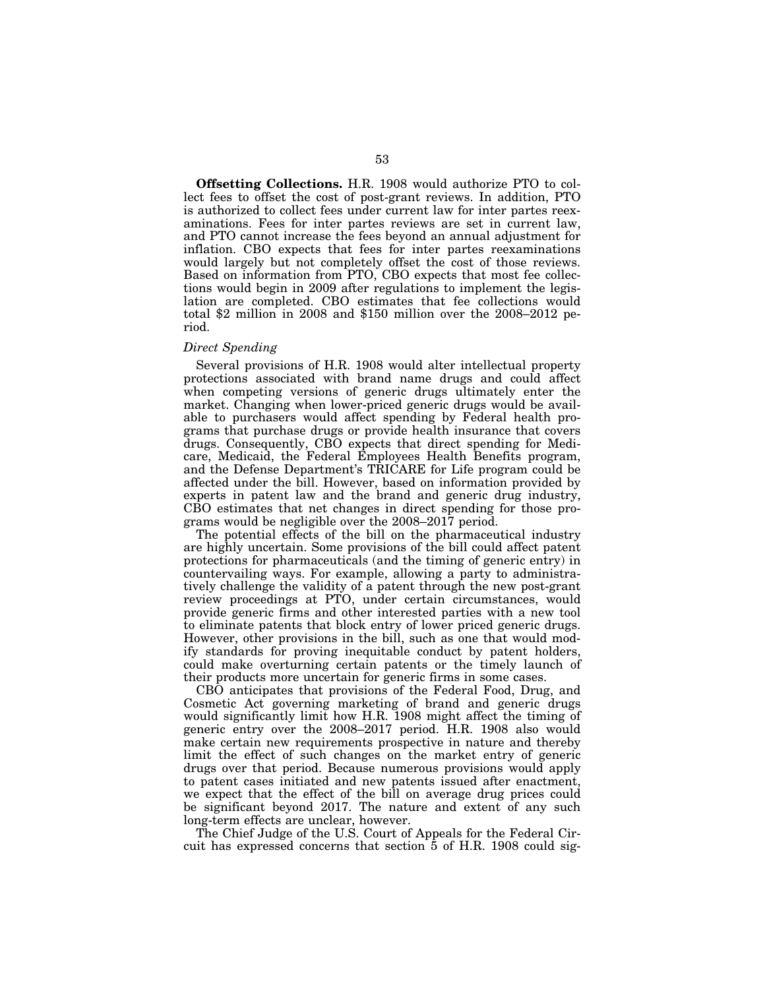**Offsetting Collections.** H.R. 1908 would authorize PTO to collect fees to offset the cost of post-grant reviews. In addition, PTO is authorized to collect fees under current law for inter partes reexaminations. Fees for inter partes reviews are set in current law, and PTO cannot increase the fees beyond an annual adjustment for inflation. CBO expects that fees for inter partes reexaminations would largely but not completely offset the cost of those reviews. Based on information from PTO, CBO expects that most fee collections would begin in 2009 after regulations to implement the legislation are completed. CBO estimates that fee collections would total \$2 million in 2008 and \$150 million over the 2008–2012 period.

# *Direct Spending*

Several provisions of H.R. 1908 would alter intellectual property protections associated with brand name drugs and could affect when competing versions of generic drugs ultimately enter the market. Changing when lower-priced generic drugs would be available to purchasers would affect spending by Federal health programs that purchase drugs or provide health insurance that covers drugs. Consequently, CBO expects that direct spending for Medicare, Medicaid, the Federal Employees Health Benefits program, and the Defense Department's TRICARE for Life program could be affected under the bill. However, based on information provided by experts in patent law and the brand and generic drug industry, CBO estimates that net changes in direct spending for those programs would be negligible over the 2008–2017 period.

The potential effects of the bill on the pharmaceutical industry are highly uncertain. Some provisions of the bill could affect patent protections for pharmaceuticals (and the timing of generic entry) in countervailing ways. For example, allowing a party to administratively challenge the validity of a patent through the new post-grant review proceedings at PTO, under certain circumstances, would provide generic firms and other interested parties with a new tool to eliminate patents that block entry of lower priced generic drugs. However, other provisions in the bill, such as one that would modify standards for proving inequitable conduct by patent holders, could make overturning certain patents or the timely launch of their products more uncertain for generic firms in some cases.

CBO anticipates that provisions of the Federal Food, Drug, and Cosmetic Act governing marketing of brand and generic drugs would significantly limit how H.R. 1908 might affect the timing of generic entry over the 2008–2017 period. H.R. 1908 also would make certain new requirements prospective in nature and thereby limit the effect of such changes on the market entry of generic drugs over that period. Because numerous provisions would apply to patent cases initiated and new patents issued after enactment, we expect that the effect of the bill on average drug prices could be significant beyond 2017. The nature and extent of any such long-term effects are unclear, however.

The Chief Judge of the U.S. Court of Appeals for the Federal Circuit has expressed concerns that section 5 of H.R. 1908 could sig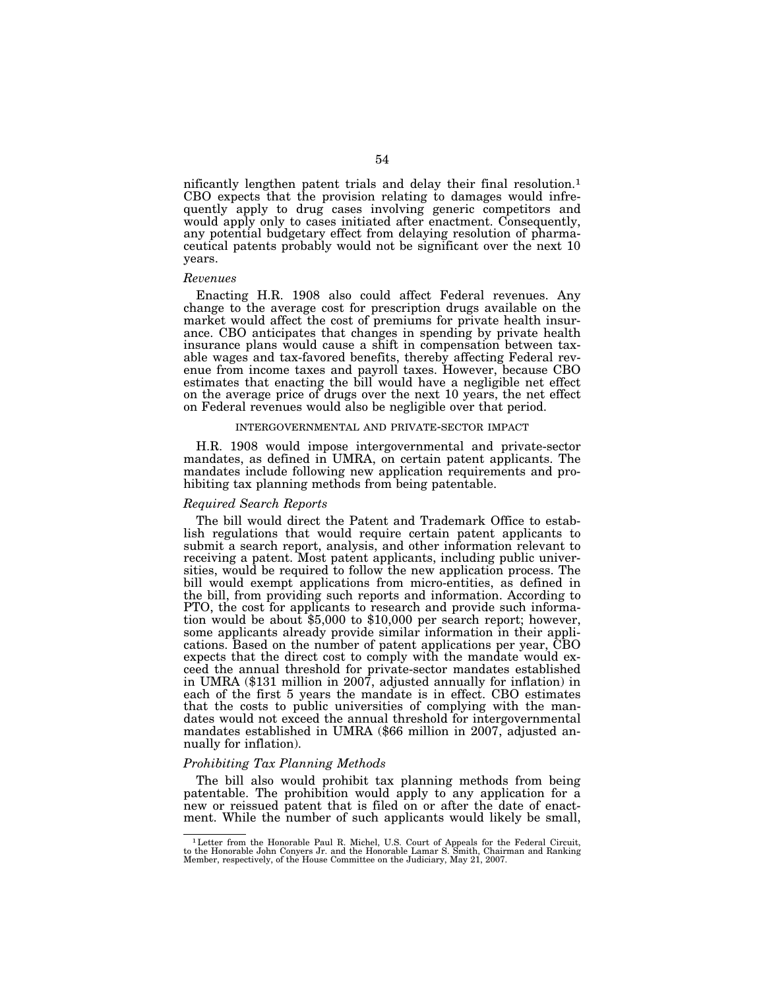nificantly lengthen patent trials and delay their final resolution.1 CBO expects that the provision relating to damages would infrequently apply to drug cases involving generic competitors and would apply only to cases initiated after enactment. Consequently, any potential budgetary effect from delaying resolution of pharmaceutical patents probably would not be significant over the next 10 years.

# *Revenues*

Enacting H.R. 1908 also could affect Federal revenues. Any change to the average cost for prescription drugs available on the market would affect the cost of premiums for private health insurance. CBO anticipates that changes in spending by private health insurance plans would cause a shift in compensation between taxable wages and tax-favored benefits, thereby affecting Federal revenue from income taxes and payroll taxes. However, because CBO estimates that enacting the bill would have a negligible net effect on the average price of drugs over the next 10 years, the net effect on Federal revenues would also be negligible over that period.

#### INTERGOVERNMENTAL AND PRIVATE-SECTOR IMPACT

H.R. 1908 would impose intergovernmental and private-sector mandates, as defined in UMRA, on certain patent applicants. The mandates include following new application requirements and prohibiting tax planning methods from being patentable.

#### *Required Search Reports*

The bill would direct the Patent and Trademark Office to establish regulations that would require certain patent applicants to submit a search report, analysis, and other information relevant to receiving a patent. Most patent applicants, including public universities, would be required to follow the new application process. The bill would exempt applications from micro-entities, as defined in the bill, from providing such reports and information. According to PTO, the cost for applicants to research and provide such information would be about \$5,000 to \$10,000 per search report; however, some applicants already provide similar information in their applications. Based on the number of patent applications per year, CBO expects that the direct cost to comply with the mandate would exceed the annual threshold for private-sector mandates established in UMRA (\$131 million in 2007, adjusted annually for inflation) in each of the first 5 years the mandate is in effect. CBO estimates that the costs to public universities of complying with the mandates would not exceed the annual threshold for intergovernmental mandates established in UMRA (\$66 million in 2007, adjusted annually for inflation).

#### *Prohibiting Tax Planning Methods*

The bill also would prohibit tax planning methods from being patentable. The prohibition would apply to any application for a new or reissued patent that is filed on or after the date of enactment. While the number of such applicants would likely be small,

<sup>&</sup>lt;sup>1</sup> Letter from the Honorable Paul R. Michel, U.S. Court of Appeals for the Federal Circuit, to the Honorable John Conyers Jr. and the Honorable Lamar S. Smith, Chairman and Ranking Member, respectively, of the House Comm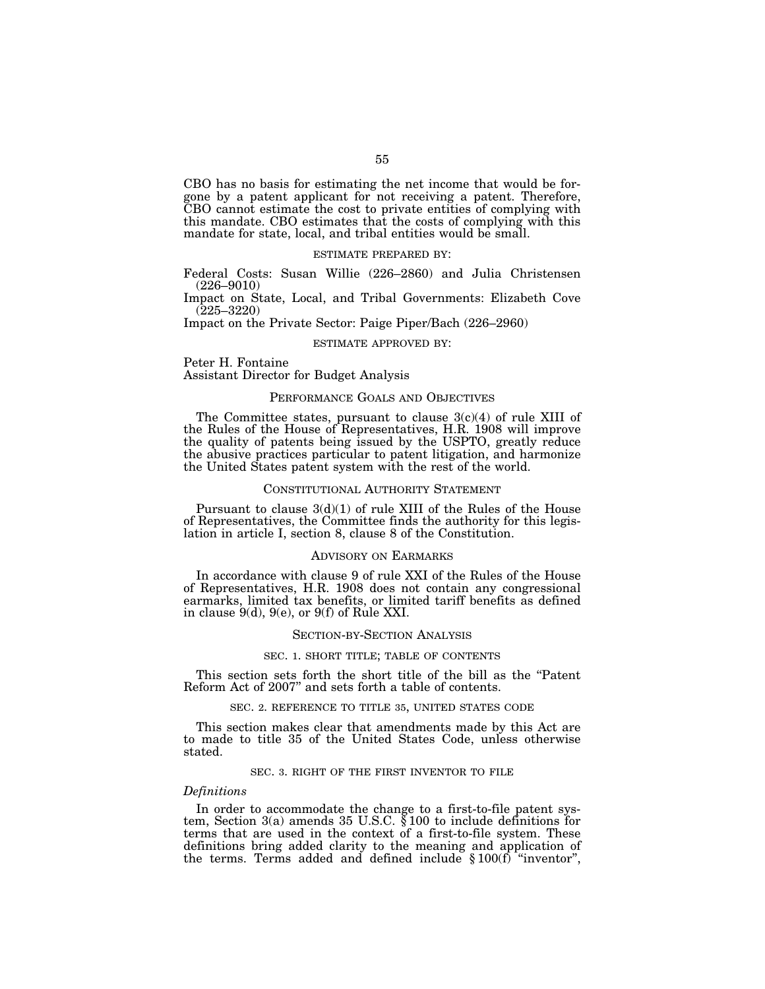CBO has no basis for estimating the net income that would be forgone by a patent applicant for not receiving a patent. Therefore, CBO cannot estimate the cost to private entities of complying with this mandate. CBO estimates that the costs of complying with this mandate for state, local, and tribal entities would be small.

# ESTIMATE PREPARED BY:

Federal Costs: Susan Willie (226–2860) and Julia Christensen (226–9010)

Impact on State, Local, and Tribal Governments: Elizabeth Cove (225–3220)

Impact on the Private Sector: Paige Piper/Bach (226–2960)

## ESTIMATE APPROVED BY:

Peter H. Fontaine Assistant Director for Budget Analysis

## PERFORMANCE GOALS AND OBJECTIVES

The Committee states, pursuant to clause 3(c)(4) of rule XIII of the Rules of the House of Representatives, H.R. 1908 will improve the quality of patents being issued by the USPTO, greatly reduce the abusive practices particular to patent litigation, and harmonize the United States patent system with the rest of the world.

#### CONSTITUTIONAL AUTHORITY STATEMENT

Pursuant to clause 3(d)(1) of rule XIII of the Rules of the House of Representatives, the Committee finds the authority for this legislation in article I, section 8, clause 8 of the Constitution.

#### ADVISORY ON EARMARKS

In accordance with clause 9 of rule XXI of the Rules of the House of Representatives, H.R. 1908 does not contain any congressional earmarks, limited tax benefits, or limited tariff benefits as defined in clause 9(d), 9(e), or 9(f) of Rule XXI.

#### SECTION-BY-SECTION ANALYSIS

#### SEC. 1. SHORT TITLE; TABLE OF CONTENTS

This section sets forth the short title of the bill as the ''Patent Reform Act of 2007'' and sets forth a table of contents.

#### SEC. 2. REFERENCE TO TITLE 35, UNITED STATES CODE

This section makes clear that amendments made by this Act are to made to title 35 of the United States Code, unless otherwise stated.

SEC. 3. RIGHT OF THE FIRST INVENTOR TO FILE

#### *Definitions*

In order to accommodate the change to a first-to-file patent system, Section 3(a) amends 35 U.S.C.  $\S 100$  to include definitions for terms that are used in the context of a first-to-file system. These definitions bring added clarity to the meaning and application of the terms. Terms added and defined include  $\S 100(f)$  "inventor",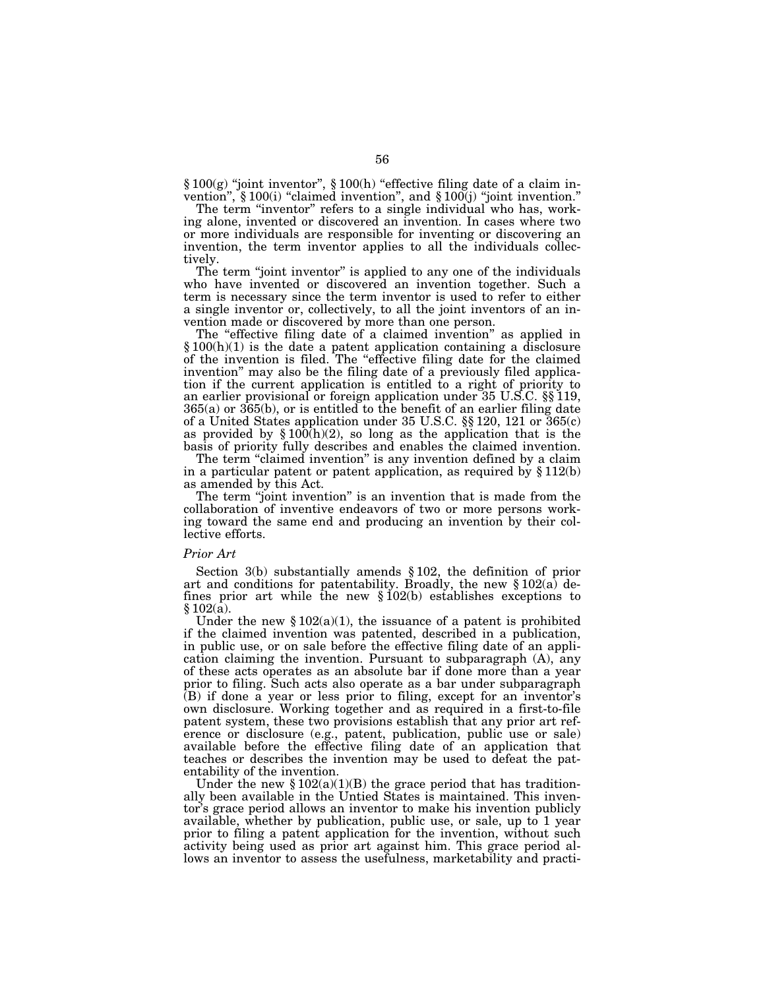$\S 100(g)$  "joint inventor",  $\S 100(h)$  "effective filing date of a claim in-

vention", § 100(i) "claimed invention", and § 100(j) "joint invention."<br>The term "inventor" refers to a single individual who has, working alone, invented or discovered an invention. In cases where two or more individuals are responsible for inventing or discovering an invention, the term inventor applies to all the individuals collectively.

The term "joint inventor" is applied to any one of the individuals who have invented or discovered an invention together. Such a term is necessary since the term inventor is used to refer to either a single inventor or, collectively, to all the joint inventors of an invention made or discovered by more than one person.

The "effective filing date of a claimed invention" as applied in  $§100(h)(1)$  is the date a patent application containing a disclosure of the invention is filed. The ''effective filing date for the claimed invention'' may also be the filing date of a previously filed application if the current application is entitled to a right of priority to an earlier provisional or foreign application under 35 U.S.C. §§ 119, 365(a) or 365(b), or is entitled to the benefit of an earlier filing date of a United States application under 35 U.S.C. §§ 120, 121 or 365(c) as provided by  $\S 100(h)(2)$ , so long as the application that is the basis of priority fully describes and enables the claimed invention.

The term "claimed invention" is any invention defined by a claim in a particular patent or patent application, as required by  $§112(b)$ as amended by this Act.

The term "joint invention" is an invention that is made from the collaboration of inventive endeavors of two or more persons working toward the same end and producing an invention by their collective efforts.

#### *Prior Art*

Section 3(b) substantially amends § 102, the definition of prior art and conditions for patentability. Broadly, the new  $\S 102(a)$  defines prior art while the new  $\S 102(b)$  establishes exceptions to  $§ 102(a).$ 

Under the new  $\S 102(a)(1)$ , the issuance of a patent is prohibited if the claimed invention was patented, described in a publication, in public use, or on sale before the effective filing date of an application claiming the invention. Pursuant to subparagraph (A), any of these acts operates as an absolute bar if done more than a year prior to filing. Such acts also operate as a bar under subparagraph (B) if done a year or less prior to filing, except for an inventor's own disclosure. Working together and as required in a first-to-file patent system, these two provisions establish that any prior art reference or disclosure (e.g., patent, publication, public use or sale) available before the effective filing date of an application that teaches or describes the invention may be used to defeat the patentability of the invention.

Under the new  $\S 102(a)(1)(B)$  the grace period that has traditionally been available in the Untied States is maintained. This inventor's grace period allows an inventor to make his invention publicly available, whether by publication, public use, or sale, up to 1 year prior to filing a patent application for the invention, without such activity being used as prior art against him. This grace period allows an inventor to assess the usefulness, marketability and practi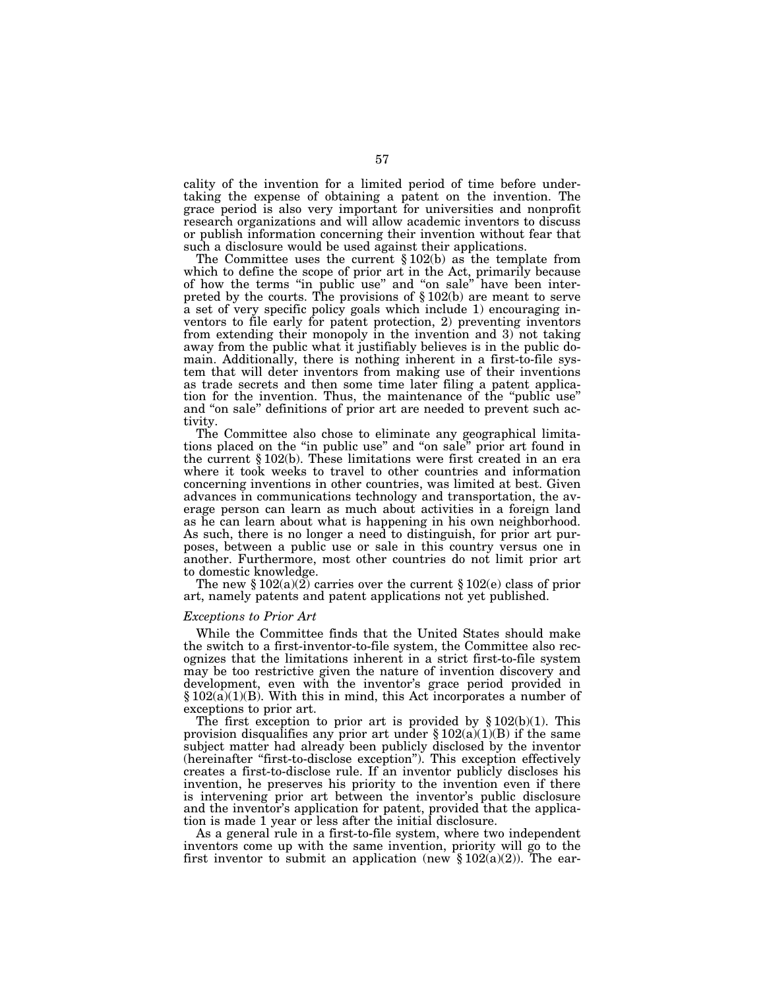cality of the invention for a limited period of time before undertaking the expense of obtaining a patent on the invention. The grace period is also very important for universities and nonprofit research organizations and will allow academic inventors to discuss or publish information concerning their invention without fear that such a disclosure would be used against their applications.

The Committee uses the current  $§ 102(b)$  as the template from which to define the scope of prior art in the Act, primarily because of how the terms ''in public use'' and ''on sale'' have been interpreted by the courts. The provisions of § 102(b) are meant to serve a set of very specific policy goals which include 1) encouraging inventors to file early for patent protection, 2) preventing inventors from extending their monopoly in the invention and 3) not taking away from the public what it justifiably believes is in the public domain. Additionally, there is nothing inherent in a first-to-file system that will deter inventors from making use of their inventions as trade secrets and then some time later filing a patent application for the invention. Thus, the maintenance of the "public use" and "on sale" definitions of prior art are needed to prevent such activity.

The Committee also chose to eliminate any geographical limitations placed on the ''in public use'' and ''on sale'' prior art found in the current § 102(b). These limitations were first created in an era where it took weeks to travel to other countries and information concerning inventions in other countries, was limited at best. Given advances in communications technology and transportation, the average person can learn as much about activities in a foreign land as he can learn about what is happening in his own neighborhood. As such, there is no longer a need to distinguish, for prior art purposes, between a public use or sale in this country versus one in another. Furthermore, most other countries do not limit prior art to domestic knowledge.

The new  $\S 102(a)(2)$  carries over the current  $\S 102(e)$  class of prior art, namely patents and patent applications not yet published.

#### *Exceptions to Prior Art*

While the Committee finds that the United States should make the switch to a first-inventor-to-file system, the Committee also recognizes that the limitations inherent in a strict first-to-file system may be too restrictive given the nature of invention discovery and development, even with the inventor's grace period provided in  $§ 102(\hat{a})(1)(B)$ . With this in mind, this Act incorporates a number of exceptions to prior art.

The first exception to prior art is provided by  $$102(b)(1)$ . This provision disqualifies any prior art under  $\S 102(a)(1)(B)$  if the same subject matter had already been publicly disclosed by the inventor (hereinafter ''first-to-disclose exception''). This exception effectively creates a first-to-disclose rule. If an inventor publicly discloses his invention, he preserves his priority to the invention even if there is intervening prior art between the inventor's public disclosure and the inventor's application for patent, provided that the application is made 1 year or less after the initial disclosure.

As a general rule in a first-to-file system, where two independent inventors come up with the same invention, priority will go to the first inventor to submit an application (new  $\S 102(a)(2)$ ). The ear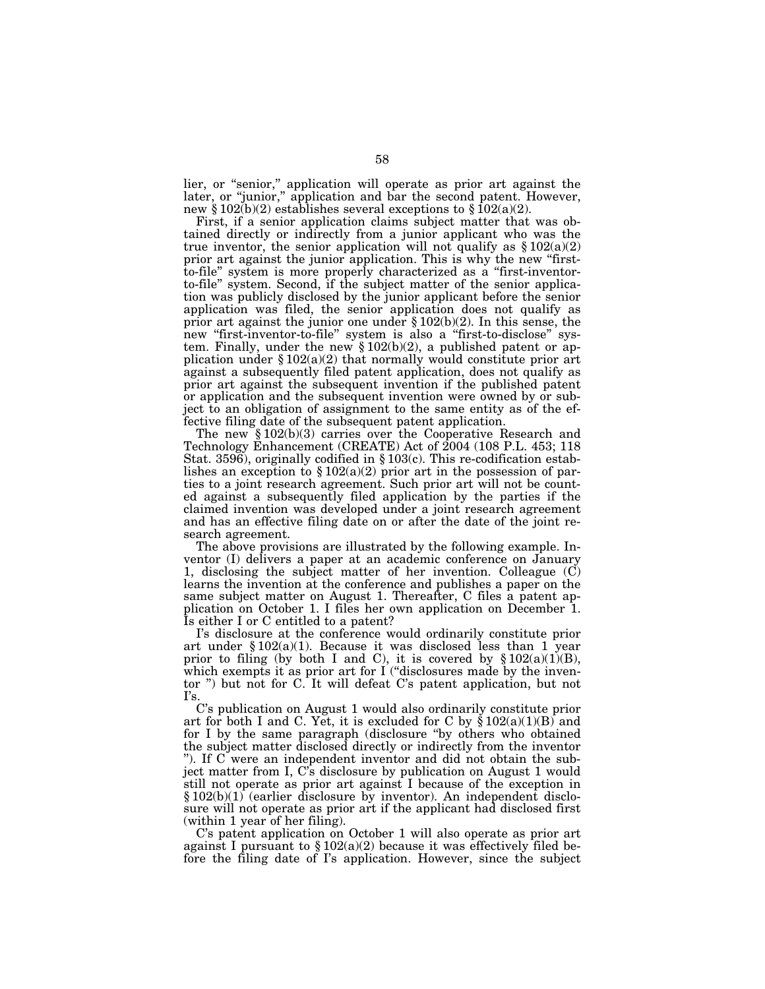lier, or "senior," application will operate as prior art against the later, or "junior," application and bar the second patent. However, new  $\S 102(b)(2)$  establishes several exceptions to  $\S 102(a)(2)$ .

First, if a senior application claims subject matter that was obtained directly or indirectly from a junior applicant who was the true inventor, the senior application will not qualify as  $\S 102(a)(2)$ prior art against the junior application. This is why the new ''firstto-file'' system is more properly characterized as a ''first-inventorto-file'' system. Second, if the subject matter of the senior application was publicly disclosed by the junior applicant before the senior application was filed, the senior application does not qualify as prior art against the junior one under § 102(b)(2). In this sense, the new "first-inventor-to-file" system is also a "first-to-disclose" system. Finally, under the new  $\S 102(b)(2)$ , a published patent or application under  $\S 102(a)(2)$  that normally would constitute prior art against a subsequently filed patent application, does not qualify as prior art against the subsequent invention if the published patent or application and the subsequent invention were owned by or subject to an obligation of assignment to the same entity as of the effective filing date of the subsequent patent application.

The new § 102(b)(3) carries over the Cooperative Research and Technology Enhancement (CREATE) Act of 2004 (108 P.L. 453; 118 Stat. 3596), originally codified in  $\S 103(c)$ . This re-codification establishes an exception to  $\S 102(a)(2)$  prior art in the possession of parties to a joint research agreement. Such prior art will not be counted against a subsequently filed application by the parties if the claimed invention was developed under a joint research agreement and has an effective filing date on or after the date of the joint research agreement.

The above provisions are illustrated by the following example. Inventor (I) delivers a paper at an academic conference on January 1, disclosing the subject matter of her invention. Colleague  $(C)$ learns the invention at the conference and publishes a paper on the same subject matter on August 1. Thereafter, C files a patent application on October 1. I files her own application on December 1. Is either I or C entitled to a patent?

I's disclosure at the conference would ordinarily constitute prior art under § 102(a)(1). Because it was disclosed less than 1 year prior to filing (by both I and C), it is covered by  $$102(a)(1)(B)$ , which exempts it as prior art for I ("disclosures made by the inventor ") but not for C. It will defeat C's patent application, but not I's.

C's publication on August 1 would also ordinarily constitute prior art for both I and C. Yet, it is excluded for C by  $\S 102(a)(1)(B)$  and for I by the same paragraph (disclosure ''by others who obtained the subject matter disclosed directly or indirectly from the inventor ''). If C were an independent inventor and did not obtain the subject matter from I, C's disclosure by publication on August 1 would still not operate as prior art against I because of the exception in  $§102(b)(1)$  (earlier disclosure by inventor). An independent disclosure will not operate as prior art if the applicant had disclosed first (within 1 year of her filing).

C's patent application on October 1 will also operate as prior art against I pursuant to  $\S 102(a)(2)$  because it was effectively filed before the filing date of I's application. However, since the subject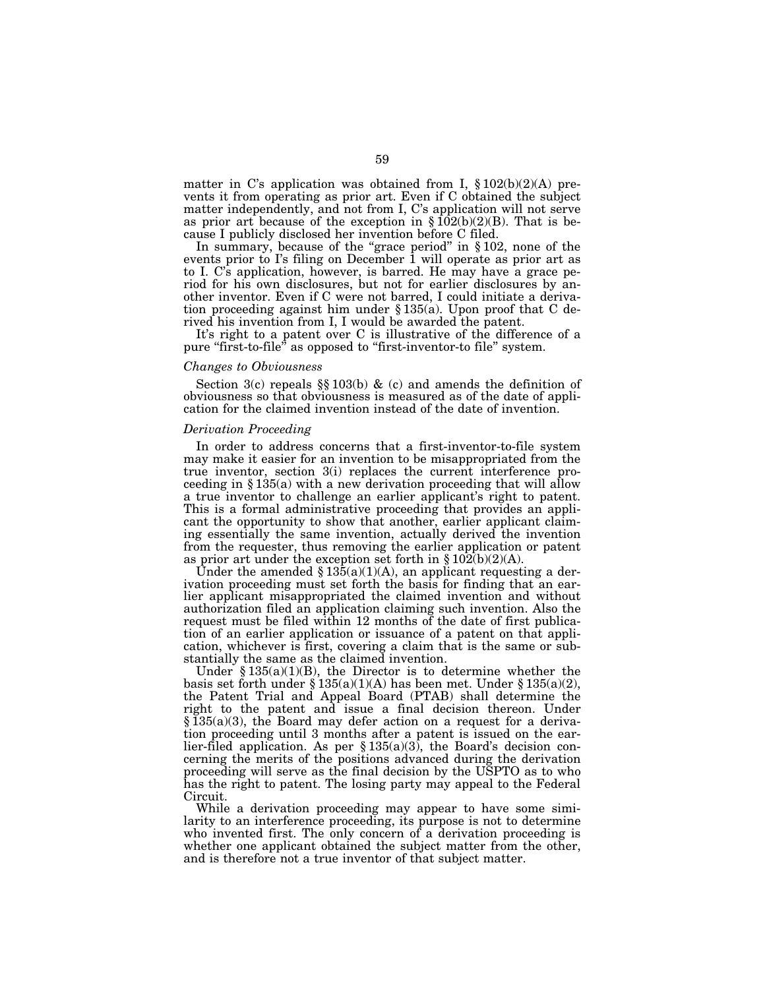matter in C's application was obtained from I,  $\S 102(b)(2)(A)$  prevents it from operating as prior art. Even if C obtained the subject matter independently, and not from I, C's application will not serve as prior art because of the exception in  $\S 102(b)(2)(B)$ . That is because I publicly disclosed her invention before C filed.

In summary, because of the "grace period" in  $\S 102$ , none of the events prior to I's filing on December 1 will operate as prior art as to I. C's application, however, is barred. He may have a grace period for his own disclosures, but not for earlier disclosures by another inventor. Even if C were not barred, I could initiate a derivation proceeding against him under § 135(a). Upon proof that C derived his invention from I, I would be awarded the patent.

It's right to a patent over C is illustrative of the difference of a pure "first-to-file" as opposed to "first-inventor-to file" system.

### *Changes to Obviousness*

Section 3(c) repeals  $\S$  103(b) & (c) and amends the definition of obviousness so that obviousness is measured as of the date of application for the claimed invention instead of the date of invention.

#### *Derivation Proceeding*

In order to address concerns that a first-inventor-to-file system may make it easier for an invention to be misappropriated from the true inventor, section 3(i) replaces the current interference proceeding in § 135(a) with a new derivation proceeding that will allow a true inventor to challenge an earlier applicant's right to patent. This is a formal administrative proceeding that provides an applicant the opportunity to show that another, earlier applicant claiming essentially the same invention, actually derived the invention from the requester, thus removing the earlier application or patent as prior art under the exception set forth in  $\S 102(b)(2)(A)$ .

Under the amended  $\S 13\overline{5}(a)(1)(A)$ , an applicant requesting a derivation proceeding must set forth the basis for finding that an earlier applicant misappropriated the claimed invention and without authorization filed an application claiming such invention. Also the request must be filed within 12 months of the date of first publication of an earlier application or issuance of a patent on that application, whichever is first, covering a claim that is the same or substantially the same as the claimed invention.

Under  $§ 135(a)(1)(B)$ , the Director is to determine whether the basis set forth under  $\S 135(a)(1)(A)$  has been met. Under  $\S 135(a)(2)$ , the Patent Trial and Appeal Board (PTAB) shall determine the right to the patent and issue a final decision thereon. Under  $§$  135(a)(3), the Board may defer action on a request for a derivation proceeding until 3 months after a patent is issued on the earlier-filed application. As per  $\S 135(a)(3)$ , the Board's decision concerning the merits of the positions advanced during the derivation proceeding will serve as the final decision by the USPTO as to who has the right to patent. The losing party may appeal to the Federal Circuit.

While a derivation proceeding may appear to have some similarity to an interference proceeding, its purpose is not to determine who invented first. The only concern of a derivation proceeding is whether one applicant obtained the subject matter from the other, and is therefore not a true inventor of that subject matter.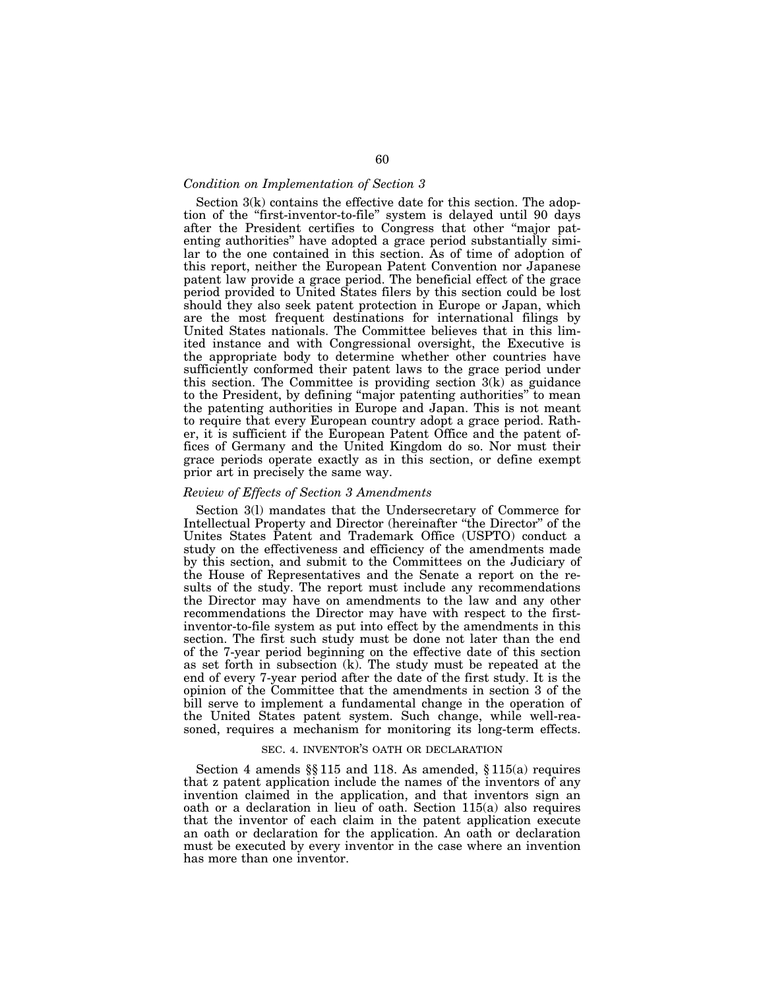# *Condition on Implementation of Section 3*

Section 3(k) contains the effective date for this section. The adoption of the "first-inventor-to-file" system is delayed until 90 days after the President certifies to Congress that other ''major patenting authorities'' have adopted a grace period substantially similar to the one contained in this section. As of time of adoption of this report, neither the European Patent Convention nor Japanese patent law provide a grace period. The beneficial effect of the grace period provided to United States filers by this section could be lost should they also seek patent protection in Europe or Japan, which are the most frequent destinations for international filings by United States nationals. The Committee believes that in this limited instance and with Congressional oversight, the Executive is the appropriate body to determine whether other countries have sufficiently conformed their patent laws to the grace period under this section. The Committee is providing section 3(k) as guidance to the President, by defining "major patenting authorities" to mean the patenting authorities in Europe and Japan. This is not meant to require that every European country adopt a grace period. Rather, it is sufficient if the European Patent Office and the patent offices of Germany and the United Kingdom do so. Nor must their grace periods operate exactly as in this section, or define exempt prior art in precisely the same way.

# *Review of Effects of Section 3 Amendments*

Section 3(l) mandates that the Undersecretary of Commerce for Intellectual Property and Director (hereinafter ''the Director'' of the Unites States Patent and Trademark Office (USPTO) conduct a study on the effectiveness and efficiency of the amendments made by this section, and submit to the Committees on the Judiciary of the House of Representatives and the Senate a report on the results of the study. The report must include any recommendations the Director may have on amendments to the law and any other recommendations the Director may have with respect to the firstinventor-to-file system as put into effect by the amendments in this section. The first such study must be done not later than the end of the 7-year period beginning on the effective date of this section as set forth in subsection (k). The study must be repeated at the end of every 7-year period after the date of the first study. It is the opinion of the Committee that the amendments in section 3 of the bill serve to implement a fundamental change in the operation of the United States patent system. Such change, while well-reasoned, requires a mechanism for monitoring its long-term effects.

# SEC. 4. INVENTOR'S OATH OR DECLARATION

Section 4 amends §§ 115 and 118. As amended, § 115(a) requires that z patent application include the names of the inventors of any invention claimed in the application, and that inventors sign an oath or a declaration in lieu of oath. Section 115(a) also requires that the inventor of each claim in the patent application execute an oath or declaration for the application. An oath or declaration must be executed by every inventor in the case where an invention has more than one inventor.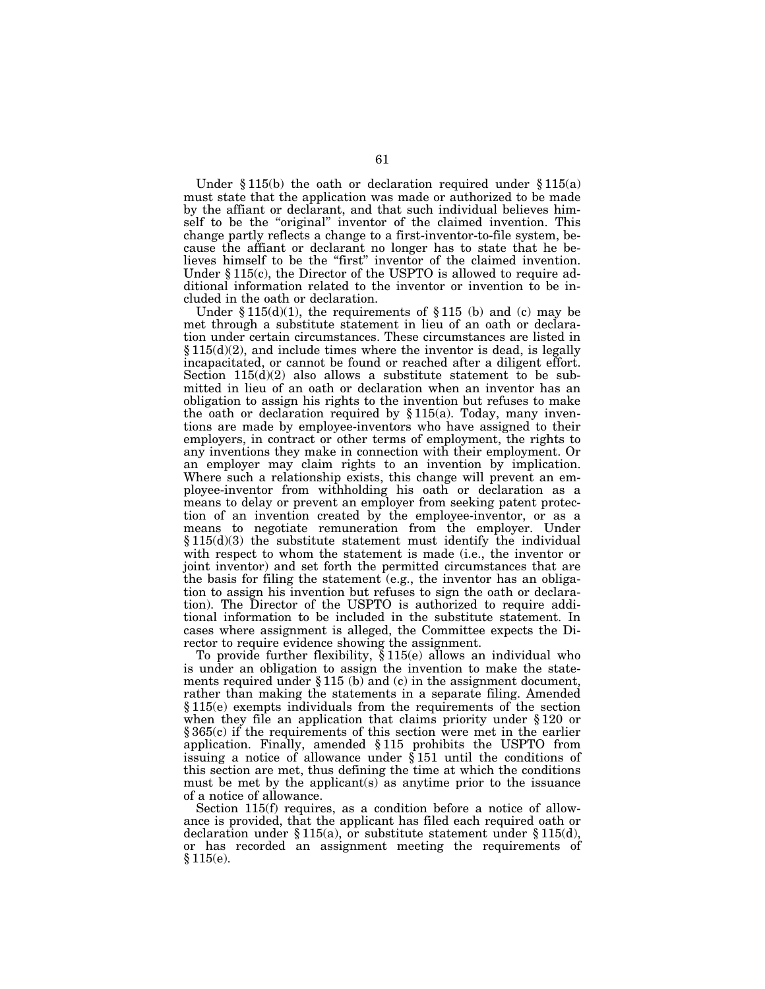Under  $§ 115(b)$  the oath or declaration required under  $§ 115(a)$ must state that the application was made or authorized to be made by the affiant or declarant, and that such individual believes himself to be the "original" inventor of the claimed invention. This change partly reflects a change to a first-inventor-to-file system, because the affiant or declarant no longer has to state that he believes himself to be the ''first'' inventor of the claimed invention. Under  $§ 115(c)$ , the Director of the USPTO is allowed to require additional information related to the inventor or invention to be included in the oath or declaration.

Under  $§ 115(d)(1)$ , the requirements of  $§ 115(b)$  and (c) may be met through a substitute statement in lieu of an oath or declaration under certain circumstances. These circumstances are listed in  $§ 115(d)(2)$ , and include times where the inventor is dead, is legally incapacitated, or cannot be found or reached after a diligent effort. Section  $115(d)(2)$  also allows a substitute statement to be submitted in lieu of an oath or declaration when an inventor has an obligation to assign his rights to the invention but refuses to make the oath or declaration required by  $§ 115(a)$ . Today, many inventions are made by employee-inventors who have assigned to their employers, in contract or other terms of employment, the rights to any inventions they make in connection with their employment. Or an employer may claim rights to an invention by implication. Where such a relationship exists, this change will prevent an employee-inventor from withholding his oath or declaration as a means to delay or prevent an employer from seeking patent protection of an invention created by the employee-inventor, or as a means to negotiate remuneration from the employer. Under  $§ 115(d)(3)$  the substitute statement must identify the individual with respect to whom the statement is made (i.e., the inventor or joint inventor) and set forth the permitted circumstances that are the basis for filing the statement (e.g., the inventor has an obligation to assign his invention but refuses to sign the oath or declaration). The Director of the USPTO is authorized to require additional information to be included in the substitute statement. In cases where assignment is alleged, the Committee expects the Director to require evidence showing the assignment.

To provide further flexibility, § 115(e) allows an individual who is under an obligation to assign the invention to make the statements required under  $\S 115$  (b) and (c) in the assignment document, rather than making the statements in a separate filing. Amended § 115(e) exempts individuals from the requirements of the section when they file an application that claims priority under § 120 or § 365(c) if the requirements of this section were met in the earlier application. Finally, amended § 115 prohibits the USPTO from issuing a notice of allowance under § 151 until the conditions of this section are met, thus defining the time at which the conditions must be met by the applicant(s) as anytime prior to the issuance of a notice of allowance.

Section 115(f) requires, as a condition before a notice of allowance is provided, that the applicant has filed each required oath or declaration under  $\S 115(a)$ , or substitute statement under  $\S 115(d)$ , or has recorded an assignment meeting the requirements of  $§ 115(e).$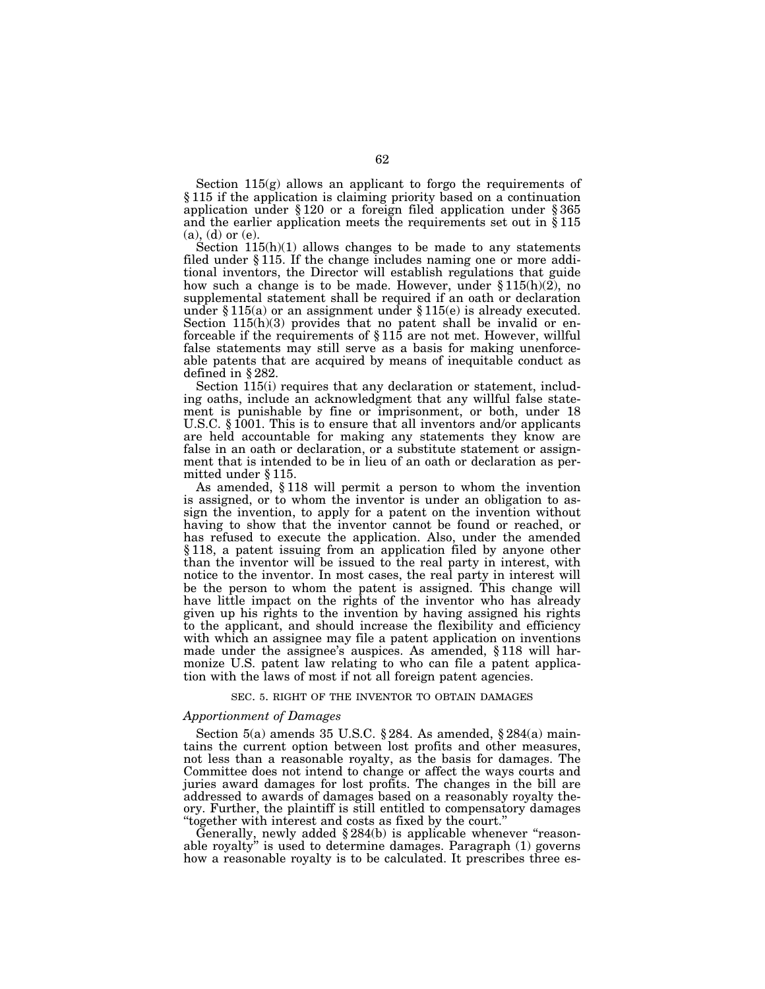Section  $115(g)$  allows an applicant to forgo the requirements of § 115 if the application is claiming priority based on a continuation application under § 120 or a foreign filed application under § 365 and the earlier application meets the requirements set out in § 115 (a), (d) or (e).

Section  $115(h)(1)$  allows changes to be made to any statements filed under § 115. If the change includes naming one or more additional inventors, the Director will establish regulations that guide how such a change is to be made. However, under § 115(h)(2), no supplemental statement shall be required if an oath or declaration under  $§ 115(a)$  or an assignment under  $§ 115(e)$  is already executed. Section  $115(h)(3)$  provides that no patent shall be invalid or enforceable if the requirements of § 115 are not met. However, willful false statements may still serve as a basis for making unenforceable patents that are acquired by means of inequitable conduct as defined in § 282.

Section 115(i) requires that any declaration or statement, including oaths, include an acknowledgment that any willful false statement is punishable by fine or imprisonment, or both, under 18 U.S.C. § 1001. This is to ensure that all inventors and/or applicants are held accountable for making any statements they know are false in an oath or declaration, or a substitute statement or assignment that is intended to be in lieu of an oath or declaration as permitted under § 115.

As amended, § 118 will permit a person to whom the invention is assigned, or to whom the inventor is under an obligation to assign the invention, to apply for a patent on the invention without having to show that the inventor cannot be found or reached, or has refused to execute the application. Also, under the amended § 118, a patent issuing from an application filed by anyone other than the inventor will be issued to the real party in interest, with notice to the inventor. In most cases, the real party in interest will be the person to whom the patent is assigned. This change will have little impact on the rights of the inventor who has already given up his rights to the invention by having assigned his rights to the applicant, and should increase the flexibility and efficiency with which an assignee may file a patent application on inventions made under the assignee's auspices. As amended, § 118 will harmonize U.S. patent law relating to who can file a patent application with the laws of most if not all foreign patent agencies.

## SEC. 5. RIGHT OF THE INVENTOR TO OBTAIN DAMAGES

## *Apportionment of Damages*

Section 5(a) amends 35 U.S.C. § 284. As amended, § 284(a) maintains the current option between lost profits and other measures, not less than a reasonable royalty, as the basis for damages. The Committee does not intend to change or affect the ways courts and juries award damages for lost profits. The changes in the bill are addressed to awards of damages based on a reasonably royalty theory. Further, the plaintiff is still entitled to compensatory damages "together with interest and costs as fixed by the court."

Generally, newly added  $\S 284(b)$  is applicable whenever "reasonable royalty'' is used to determine damages. Paragraph (1) governs how a reasonable royalty is to be calculated. It prescribes three es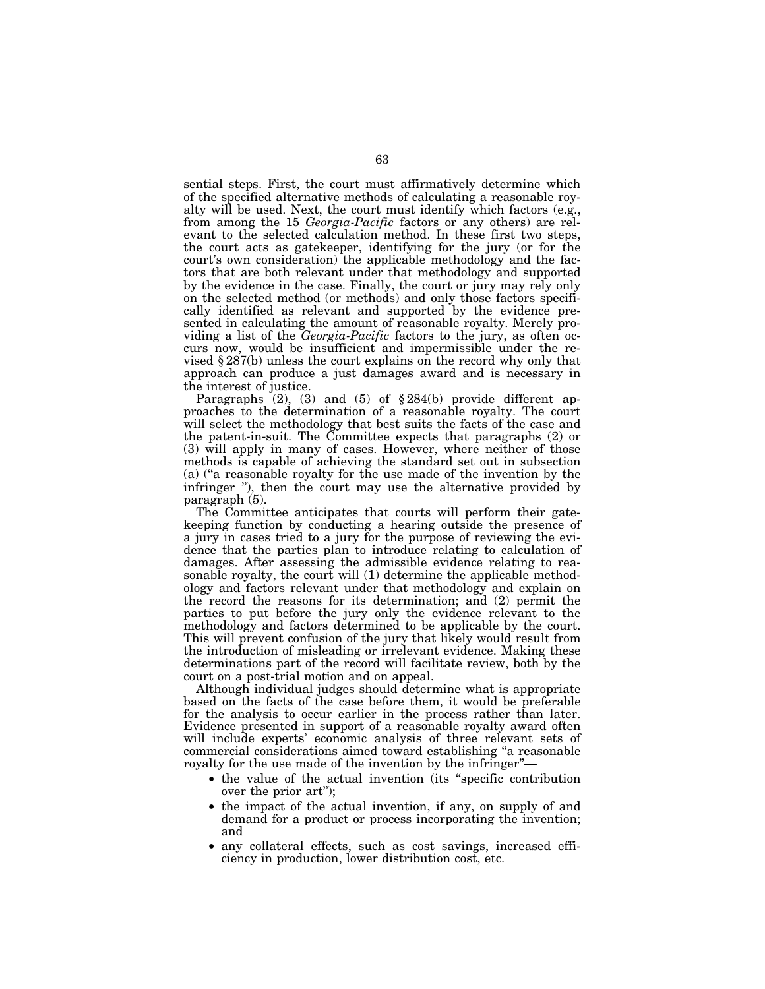sential steps. First, the court must affirmatively determine which of the specified alternative methods of calculating a reasonable royalty will be used. Next, the court must identify which factors (e.g., from among the 15 *Georgia-Pacific* factors or any others) are relevant to the selected calculation method. In these first two steps, the court acts as gatekeeper, identifying for the jury (or for the court's own consideration) the applicable methodology and the factors that are both relevant under that methodology and supported by the evidence in the case. Finally, the court or jury may rely only on the selected method (or methods) and only those factors specifically identified as relevant and supported by the evidence presented in calculating the amount of reasonable royalty. Merely providing a list of the *Georgia-Pacific* factors to the jury, as often occurs now, would be insufficient and impermissible under the revised § 287(b) unless the court explains on the record why only that approach can produce a just damages award and is necessary in the interest of justice.

Paragraphs  $(2)$ ,  $(3)$  and  $(5)$  of  $\S 284(b)$  provide different approaches to the determination of a reasonable royalty. The court will select the methodology that best suits the facts of the case and the patent-in-suit. The Committee expects that paragraphs (2) or (3) will apply in many of cases. However, where neither of those methods is capable of achieving the standard set out in subsection (a) (''a reasonable royalty for the use made of the invention by the infringer ''), then the court may use the alternative provided by paragraph (5).

The Committee anticipates that courts will perform their gatekeeping function by conducting a hearing outside the presence of a jury in cases tried to a jury for the purpose of reviewing the evidence that the parties plan to introduce relating to calculation of damages. After assessing the admissible evidence relating to reasonable royalty, the court will (1) determine the applicable methodology and factors relevant under that methodology and explain on the record the reasons for its determination; and (2) permit the parties to put before the jury only the evidence relevant to the methodology and factors determined to be applicable by the court. This will prevent confusion of the jury that likely would result from the introduction of misleading or irrelevant evidence. Making these determinations part of the record will facilitate review, both by the court on a post-trial motion and on appeal.

Although individual judges should determine what is appropriate based on the facts of the case before them, it would be preferable for the analysis to occur earlier in the process rather than later. Evidence presented in support of a reasonable royalty award often will include experts' economic analysis of three relevant sets of commercial considerations aimed toward establishing ''a reasonable royalty for the use made of the invention by the infringer''—

- the value of the actual invention (its "specific contribution over the prior art'');
- the impact of the actual invention, if any, on supply of and demand for a product or process incorporating the invention; and
- any collateral effects, such as cost savings, increased efficiency in production, lower distribution cost, etc.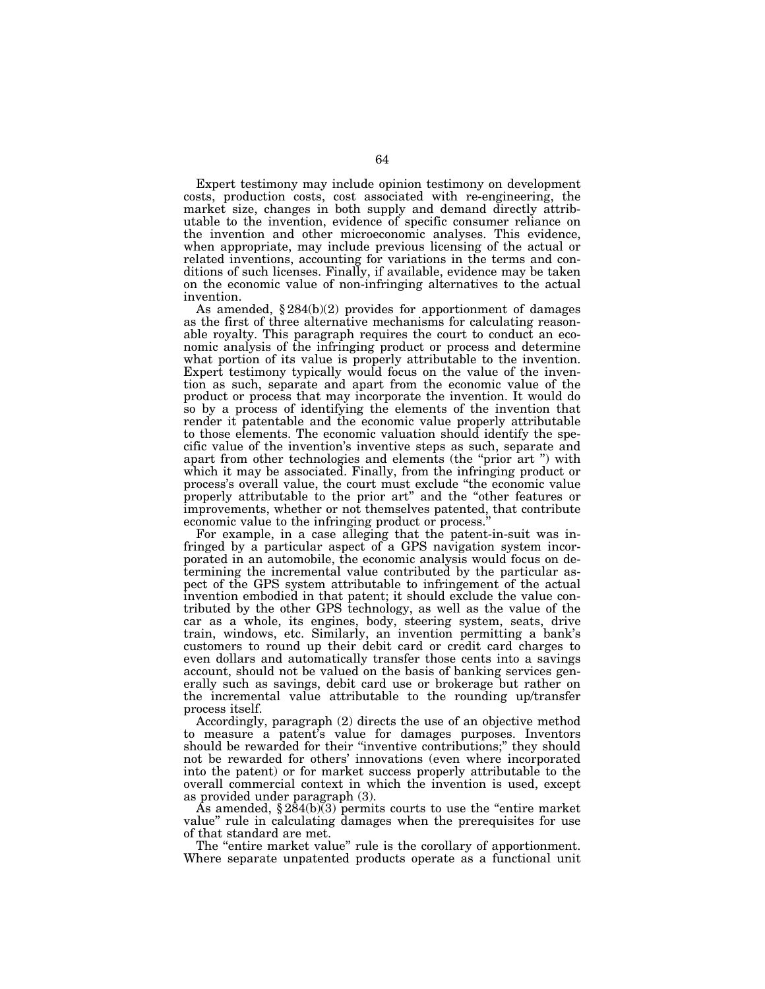Expert testimony may include opinion testimony on development costs, production costs, cost associated with re-engineering, the market size, changes in both supply and demand directly attributable to the invention, evidence of specific consumer reliance on the invention and other microeconomic analyses. This evidence, when appropriate, may include previous licensing of the actual or related inventions, accounting for variations in the terms and conditions of such licenses. Finally, if available, evidence may be taken on the economic value of non-infringing alternatives to the actual invention.

As amended, § 284(b)(2) provides for apportionment of damages as the first of three alternative mechanisms for calculating reasonable royalty. This paragraph requires the court to conduct an economic analysis of the infringing product or process and determine what portion of its value is properly attributable to the invention. Expert testimony typically would focus on the value of the invention as such, separate and apart from the economic value of the product or process that may incorporate the invention. It would do so by a process of identifying the elements of the invention that render it patentable and the economic value properly attributable to those elements. The economic valuation should identify the specific value of the invention's inventive steps as such, separate and apart from other technologies and elements (the "prior art ") with which it may be associated. Finally, from the infringing product or process's overall value, the court must exclude ''the economic value properly attributable to the prior art'' and the ''other features or improvements, whether or not themselves patented, that contribute

economic value to the infringing product or process.'' For example, in a case alleging that the patent-in-suit was infringed by a particular aspect of a GPS navigation system incorporated in an automobile, the economic analysis would focus on determining the incremental value contributed by the particular aspect of the GPS system attributable to infringement of the actual invention embodied in that patent; it should exclude the value contributed by the other GPS technology, as well as the value of the car as a whole, its engines, body, steering system, seats, drive train, windows, etc. Similarly, an invention permitting a bank's customers to round up their debit card or credit card charges to even dollars and automatically transfer those cents into a savings account, should not be valued on the basis of banking services generally such as savings, debit card use or brokerage but rather on the incremental value attributable to the rounding up/transfer process itself.

Accordingly, paragraph (2) directs the use of an objective method to measure a patent's value for damages purposes. Inventors should be rewarded for their ''inventive contributions;'' they should not be rewarded for others' innovations (even where incorporated into the patent) or for market success properly attributable to the overall commercial context in which the invention is used, except as provided under paragraph (3).

As amended,  $\S 2\dot{8}4(b)\dot{8}$  permits courts to use the "entire market" value'' rule in calculating damages when the prerequisites for use of that standard are met.

The "entire market value" rule is the corollary of apportionment. Where separate unpatented products operate as a functional unit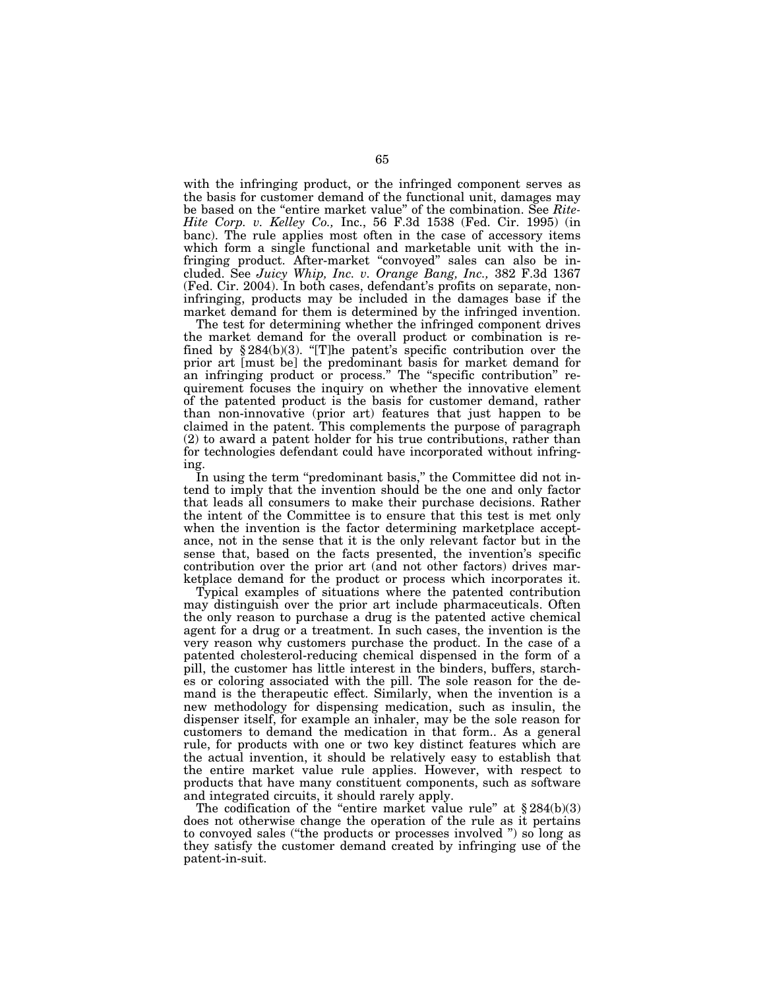with the infringing product, or the infringed component serves as the basis for customer demand of the functional unit, damages may be based on the ''entire market value'' of the combination. See *Rite-Hite Corp. v. Kelley Co.,* Inc., 56 F.3d 1538 (Fed. Cir. 1995) (in banc). The rule applies most often in the case of accessory items which form a single functional and marketable unit with the infringing product. After-market "convoyed" sales can also be included. See *Juicy Whip, Inc. v. Orange Bang, Inc.,* 382 F.3d 1367 (Fed. Cir. 2004). In both cases, defendant's profits on separate, noninfringing, products may be included in the damages base if the market demand for them is determined by the infringed invention.

The test for determining whether the infringed component drives the market demand for the overall product or combination is refined by  $§284(b)(3)$ . "[T]he patent's specific contribution over the prior art [must be] the predominant basis for market demand for an infringing product or process.'' The ''specific contribution'' requirement focuses the inquiry on whether the innovative element of the patented product is the basis for customer demand, rather than non-innovative (prior art) features that just happen to be claimed in the patent. This complements the purpose of paragraph (2) to award a patent holder for his true contributions, rather than for technologies defendant could have incorporated without infringing.

In using the term "predominant basis," the Committee did not intend to imply that the invention should be the one and only factor that leads all consumers to make their purchase decisions. Rather the intent of the Committee is to ensure that this test is met only when the invention is the factor determining marketplace acceptance, not in the sense that it is the only relevant factor but in the sense that, based on the facts presented, the invention's specific contribution over the prior art (and not other factors) drives marketplace demand for the product or process which incorporates it.

Typical examples of situations where the patented contribution may distinguish over the prior art include pharmaceuticals. Often the only reason to purchase a drug is the patented active chemical agent for a drug or a treatment. In such cases, the invention is the very reason why customers purchase the product. In the case of a patented cholesterol-reducing chemical dispensed in the form of a pill, the customer has little interest in the binders, buffers, starches or coloring associated with the pill. The sole reason for the demand is the therapeutic effect. Similarly, when the invention is a new methodology for dispensing medication, such as insulin, the dispenser itself, for example an inhaler, may be the sole reason for customers to demand the medication in that form.. As a general rule, for products with one or two key distinct features which are the actual invention, it should be relatively easy to establish that the entire market value rule applies. However, with respect to products that have many constituent components, such as software and integrated circuits, it should rarely apply.

The codification of the "entire market value rule" at  $\S 284(b)(3)$ does not otherwise change the operation of the rule as it pertains to convoyed sales (''the products or processes involved '') so long as they satisfy the customer demand created by infringing use of the patent-in-suit.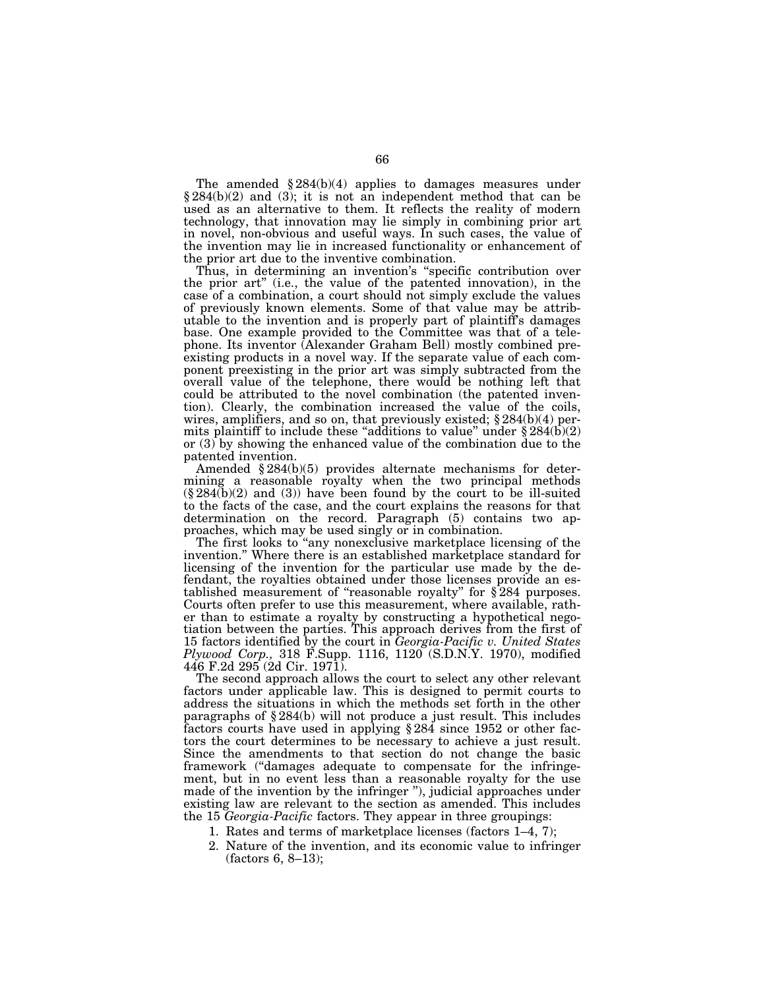The amended  $§ 284(b)(4)$  applies to damages measures under  $§ 284(b)(2)$  and (3); it is not an independent method that can be used as an alternative to them. It reflects the reality of modern technology, that innovation may lie simply in combining prior art in novel, non-obvious and useful ways. In such cases, the value of the invention may lie in increased functionality or enhancement of the prior art due to the inventive combination.

Thus, in determining an invention's ''specific contribution over the prior art'' (i.e., the value of the patented innovation), in the case of a combination, a court should not simply exclude the values of previously known elements. Some of that value may be attributable to the invention and is properly part of plaintiff's damages base. One example provided to the Committee was that of a telephone. Its inventor (Alexander Graham Bell) mostly combined preexisting products in a novel way. If the separate value of each component preexisting in the prior art was simply subtracted from the overall value of the telephone, there would be nothing left that could be attributed to the novel combination (the patented invention). Clearly, the combination increased the value of the coils, wires, amplifiers, and so on, that previously existed; § 284(b)(4) permits plaintiff to include these "additions to value" under  $\S 284(b)(2)$ or (3) by showing the enhanced value of the combination due to the patented invention.

Amended § 284(b)(5) provides alternate mechanisms for determining a reasonable royalty when the two principal methods  $(\S 284(b)(2)$  and (3)) have been found by the court to be ill-suited to the facts of the case, and the court explains the reasons for that determination on the record. Paragraph (5) contains two approaches, which may be used singly or in combination.

The first looks to "any nonexclusive marketplace licensing of the invention.'' Where there is an established marketplace standard for licensing of the invention for the particular use made by the defendant, the royalties obtained under those licenses provide an established measurement of ''reasonable royalty'' for § 284 purposes. Courts often prefer to use this measurement, where available, rather than to estimate a royalty by constructing a hypothetical negotiation between the parties. This approach derives from the first of 15 factors identified by the court in *Georgia-Pacific v. United States Plywood Corp.,* 318 F.Supp. 1116, 1120 (S.D.N.Y. 1970), modified 446 F.2d 295 (2d Cir. 1971).

The second approach allows the court to select any other relevant factors under applicable law. This is designed to permit courts to address the situations in which the methods set forth in the other paragraphs of § 284(b) will not produce a just result. This includes factors courts have used in applying § 284 since 1952 or other factors the court determines to be necessary to achieve a just result. Since the amendments to that section do not change the basic framework (''damages adequate to compensate for the infringement, but in no event less than a reasonable royalty for the use made of the invention by the infringer ''), judicial approaches under existing law are relevant to the section as amended. This includes the 15 *Georgia-Pacific* factors. They appear in three groupings:

- 1. Rates and terms of marketplace licenses (factors 1–4, 7);
- 2. Nature of the invention, and its economic value to infringer (factors 6, 8–13);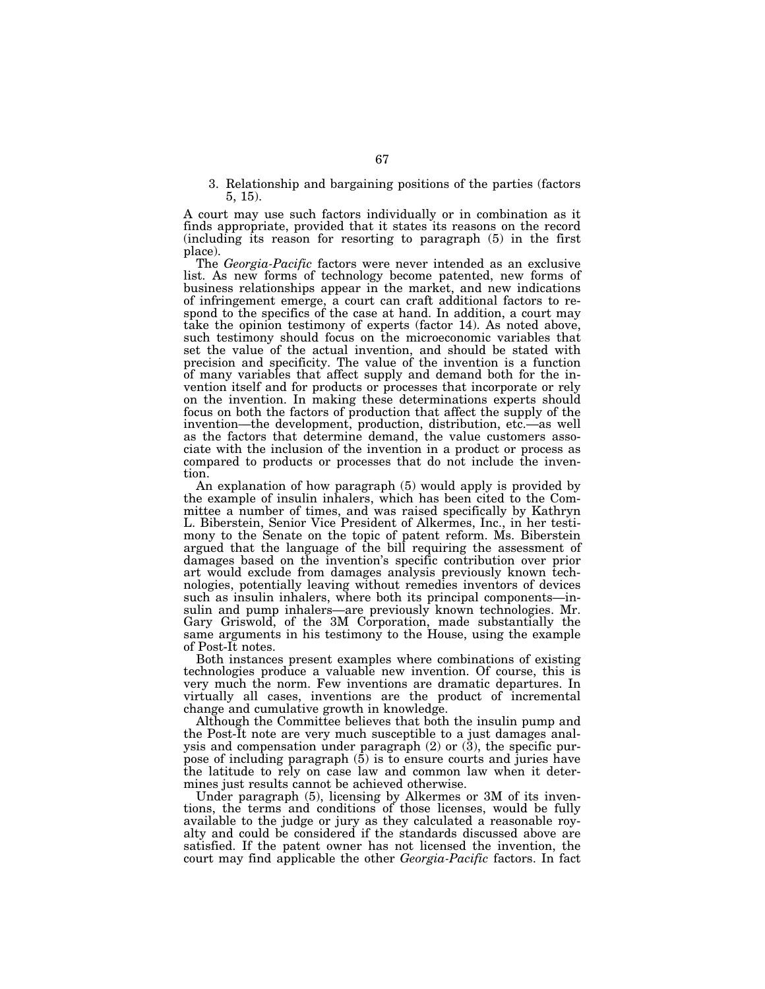3. Relationship and bargaining positions of the parties (factors 5, 15).

A court may use such factors individually or in combination as it finds appropriate, provided that it states its reasons on the record (including its reason for resorting to paragraph (5) in the first place).

The *Georgia-Pacific* factors were never intended as an exclusive list. As new forms of technology become patented, new forms of business relationships appear in the market, and new indications of infringement emerge, a court can craft additional factors to respond to the specifics of the case at hand. In addition, a court may take the opinion testimony of experts (factor 14). As noted above, such testimony should focus on the microeconomic variables that set the value of the actual invention, and should be stated with precision and specificity. The value of the invention is a function of many variables that affect supply and demand both for the invention itself and for products or processes that incorporate or rely on the invention. In making these determinations experts should focus on both the factors of production that affect the supply of the invention—the development, production, distribution, etc.—as well as the factors that determine demand, the value customers associate with the inclusion of the invention in a product or process as compared to products or processes that do not include the invention.

An explanation of how paragraph (5) would apply is provided by the example of insulin inhalers, which has been cited to the Committee a number of times, and was raised specifically by Kathryn L. Biberstein, Senior Vice President of Alkermes, Inc., in her testimony to the Senate on the topic of patent reform. Ms. Biberstein argued that the language of the bill requiring the assessment of damages based on the invention's specific contribution over prior art would exclude from damages analysis previously known technologies, potentially leaving without remedies inventors of devices such as insulin inhalers, where both its principal components—insulin and pump inhalers—are previously known technologies. Mr. Gary Griswold, of the 3M Corporation, made substantially the same arguments in his testimony to the House, using the example of Post-It notes.

Both instances present examples where combinations of existing technologies produce a valuable new invention. Of course, this is very much the norm. Few inventions are dramatic departures. In virtually all cases, inventions are the product of incremental change and cumulative growth in knowledge.

Although the Committee believes that both the insulin pump and the Post-It note are very much susceptible to a just damages analysis and compensation under paragraph (2) or (3), the specific purpose of including paragraph (5) is to ensure courts and juries have the latitude to rely on case law and common law when it determines just results cannot be achieved otherwise.

Under paragraph (5), licensing by Alkermes or 3M of its inventions, the terms and conditions of those licenses, would be fully available to the judge or jury as they calculated a reasonable royalty and could be considered if the standards discussed above are satisfied. If the patent owner has not licensed the invention, the court may find applicable the other *Georgia-Pacific* factors. In fact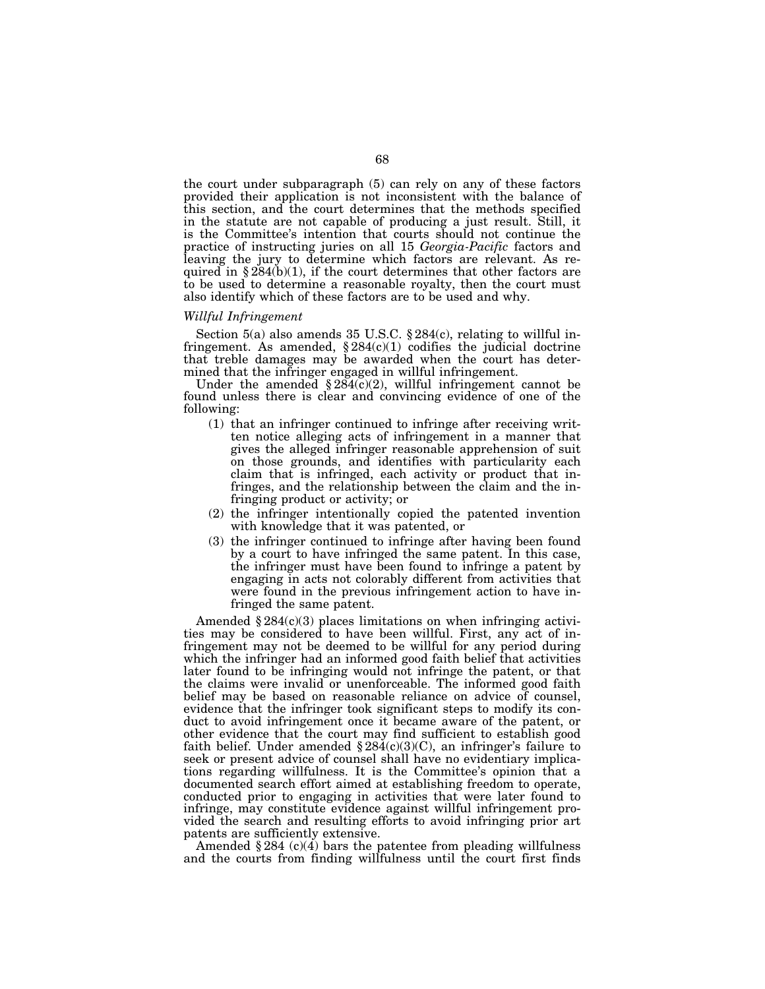the court under subparagraph (5) can rely on any of these factors provided their application is not inconsistent with the balance of this section, and the court determines that the methods specified in the statute are not capable of producing a just result. Still, it is the Committee's intention that courts should not continue the practice of instructing juries on all 15 *Georgia-Pacific* factors and leaving the jury to determine which factors are relevant. As required in  $\S 284(b)(1)$ , if the court determines that other factors are to be used to determine a reasonable royalty, then the court must also identify which of these factors are to be used and why.

# *Willful Infringement*

Section 5(a) also amends 35 U.S.C.  $\S 284(c)$ , relating to willful infringement. As amended,  $§ 284(c)(1)$  codifies the judicial doctrine that treble damages may be awarded when the court has determined that the infringer engaged in willful infringement.

Under the amended  $\S 284(c)(2)$ , willful infringement cannot be found unless there is clear and convincing evidence of one of the following:

- (1) that an infringer continued to infringe after receiving written notice alleging acts of infringement in a manner that gives the alleged infringer reasonable apprehension of suit on those grounds, and identifies with particularity each claim that is infringed, each activity or product that infringes, and the relationship between the claim and the infringing product or activity; or
- (2) the infringer intentionally copied the patented invention with knowledge that it was patented, or
- (3) the infringer continued to infringe after having been found by a court to have infringed the same patent. In this case, the infringer must have been found to infringe a patent by engaging in acts not colorably different from activities that were found in the previous infringement action to have infringed the same patent.

Amended  $\S 284(c)(3)$  places limitations on when infringing activities may be considered to have been willful. First, any act of infringement may not be deemed to be willful for any period during which the infringer had an informed good faith belief that activities later found to be infringing would not infringe the patent, or that the claims were invalid or unenforceable. The informed good faith belief may be based on reasonable reliance on advice of counsel, evidence that the infringer took significant steps to modify its conduct to avoid infringement once it became aware of the patent, or other evidence that the court may find sufficient to establish good faith belief. Under amended  $\S 284(c)(3)(C)$ , an infringer's failure to seek or present advice of counsel shall have no evidentiary implications regarding willfulness. It is the Committee's opinion that a documented search effort aimed at establishing freedom to operate, conducted prior to engaging in activities that were later found to infringe, may constitute evidence against willful infringement provided the search and resulting efforts to avoid infringing prior art patents are sufficiently extensive.

Amended  $\S 284$  (c)(4) bars the patentee from pleading willfulness and the courts from finding willfulness until the court first finds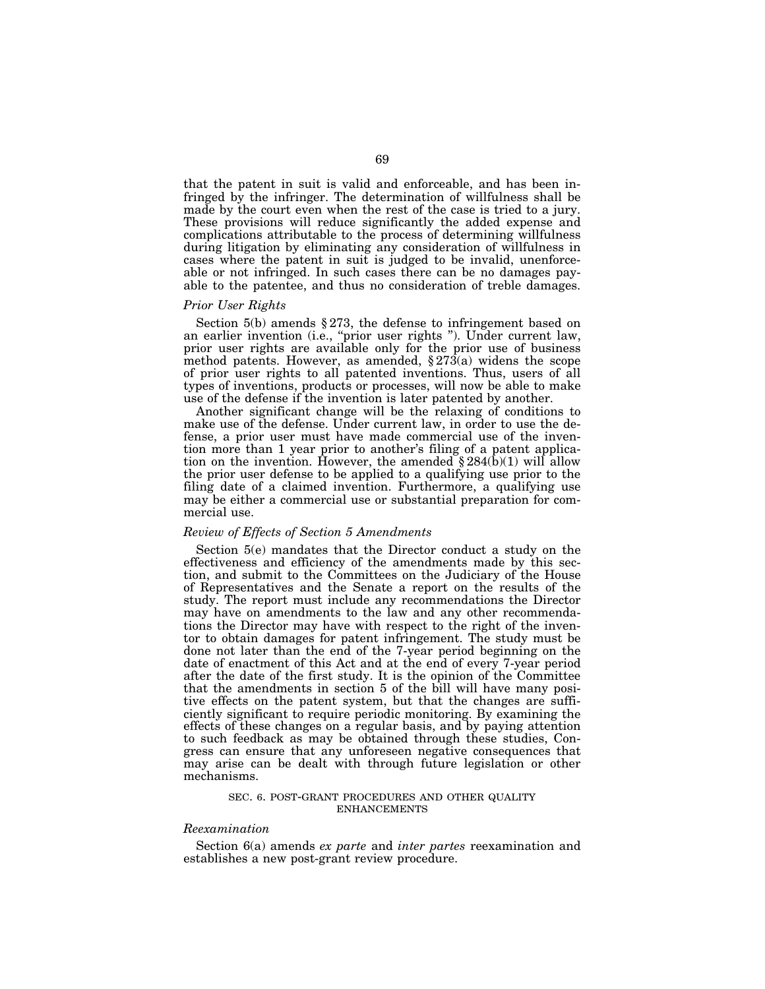that the patent in suit is valid and enforceable, and has been infringed by the infringer. The determination of willfulness shall be made by the court even when the rest of the case is tried to a jury. These provisions will reduce significantly the added expense and complications attributable to the process of determining willfulness during litigation by eliminating any consideration of willfulness in cases where the patent in suit is judged to be invalid, unenforceable or not infringed. In such cases there can be no damages payable to the patentee, and thus no consideration of treble damages.

#### *Prior User Rights*

Section 5(b) amends  $\S 273$ , the defense to infringement based on an earlier invention (i.e., ''prior user rights ''). Under current law, prior user rights are available only for the prior use of business method patents. However, as amended,  $\S 273(a)$  widens the scope of prior user rights to all patented inventions. Thus, users of all types of inventions, products or processes, will now be able to make use of the defense if the invention is later patented by another.

Another significant change will be the relaxing of conditions to make use of the defense. Under current law, in order to use the defense, a prior user must have made commercial use of the invention more than 1 year prior to another's filing of a patent application on the invention. However, the amended  $\S 284(b)(1)$  will allow the prior user defense to be applied to a qualifying use prior to the filing date of a claimed invention. Furthermore, a qualifying use may be either a commercial use or substantial preparation for commercial use.

## *Review of Effects of Section 5 Amendments*

Section 5(e) mandates that the Director conduct a study on the effectiveness and efficiency of the amendments made by this section, and submit to the Committees on the Judiciary of the House of Representatives and the Senate a report on the results of the study. The report must include any recommendations the Director may have on amendments to the law and any other recommendations the Director may have with respect to the right of the inventor to obtain damages for patent infringement. The study must be done not later than the end of the 7-year period beginning on the date of enactment of this Act and at the end of every 7-year period after the date of the first study. It is the opinion of the Committee that the amendments in section 5 of the bill will have many positive effects on the patent system, but that the changes are sufficiently significant to require periodic monitoring. By examining the effects of these changes on a regular basis, and by paying attention to such feedback as may be obtained through these studies, Congress can ensure that any unforeseen negative consequences that may arise can be dealt with through future legislation or other mechanisms.

## SEC. 6. POST-GRANT PROCEDURES AND OTHER QUALITY ENHANCEMENTS

# *Reexamination*

Section 6(a) amends *ex parte* and *inter partes* reexamination and establishes a new post-grant review procedure.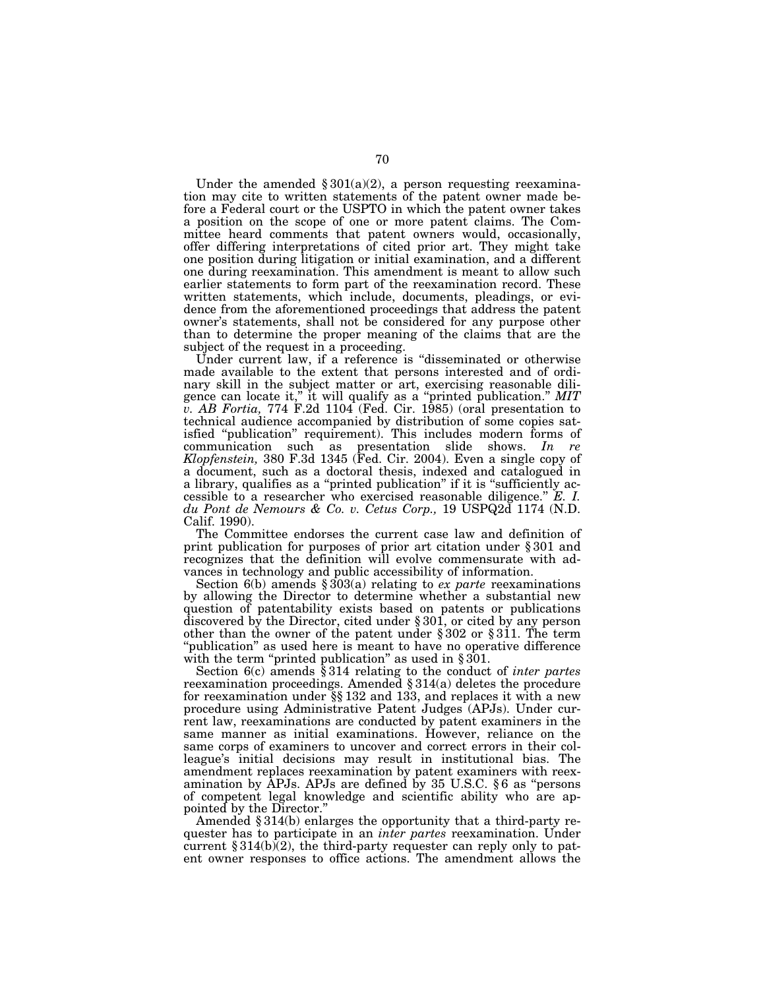Under the amended  $\S 301(a)(2)$ , a person requesting reexamination may cite to written statements of the patent owner made before a Federal court or the USPTO in which the patent owner takes a position on the scope of one or more patent claims. The Committee heard comments that patent owners would, occasionally, offer differing interpretations of cited prior art. They might take one position during litigation or initial examination, and a different one during reexamination. This amendment is meant to allow such earlier statements to form part of the reexamination record. These written statements, which include, documents, pleadings, or evidence from the aforementioned proceedings that address the patent owner's statements, shall not be considered for any purpose other than to determine the proper meaning of the claims that are the subject of the request in a proceeding.

Under current law, if a reference is "disseminated or otherwise made available to the extent that persons interested and of ordinary skill in the subject matter or art, exercising reasonable diligence can locate it,'' it will qualify as a ''printed publication.'' *MIT v. AB Fortia,* 774 F.2d 1104 (Fed. Cir. 1985) (oral presentation to technical audience accompanied by distribution of some copies satisfied ''publication'' requirement). This includes modern forms of communication such as presentation slide shows. *In re Klopfenstein,* 380 F.3d 1345 (Fed. Cir. 2004). Even a single copy of a document, such as a doctoral thesis, indexed and catalogued in a library, qualifies as a ''printed publication'' if it is ''sufficiently accessible to a researcher who exercised reasonable diligence.'' *E. I. du Pont de Nemours & Co. v. Cetus Corp.,* 19 USPQ2d 1174 (N.D. Calif. 1990).

The Committee endorses the current case law and definition of print publication for purposes of prior art citation under § 301 and recognizes that the definition will evolve commensurate with advances in technology and public accessibility of information.

Section 6(b) amends § 303(a) relating to *ex parte* reexaminations by allowing the Director to determine whether a substantial new question of patentability exists based on patents or publications discovered by the Director, cited under § 301, or cited by any person other than the owner of the patent under § 302 or § 311. The term ''publication'' as used here is meant to have no operative difference with the term "printed publication" as used in  $\S 301$ .

Section 6(c) amends § 314 relating to the conduct of *inter partes*  reexamination proceedings. Amended § 314(a) deletes the procedure for reexamination under §§ 132 and 133, and replaces it with a new procedure using Administrative Patent Judges (APJs). Under current law, reexaminations are conducted by patent examiners in the same manner as initial examinations. However, reliance on the same corps of examiners to uncover and correct errors in their colleague's initial decisions may result in institutional bias. The amendment replaces reexamination by patent examiners with reexamination by APJs. APJs are defined by 35 U.S.C. § 6 as ''persons of competent legal knowledge and scientific ability who are appointed by the Director.''

Amended § 314(b) enlarges the opportunity that a third-party requester has to participate in an *inter partes* reexamination. Under current  $\S 314(b)(2)$ , the third-party requester can reply only to patent owner responses to office actions. The amendment allows the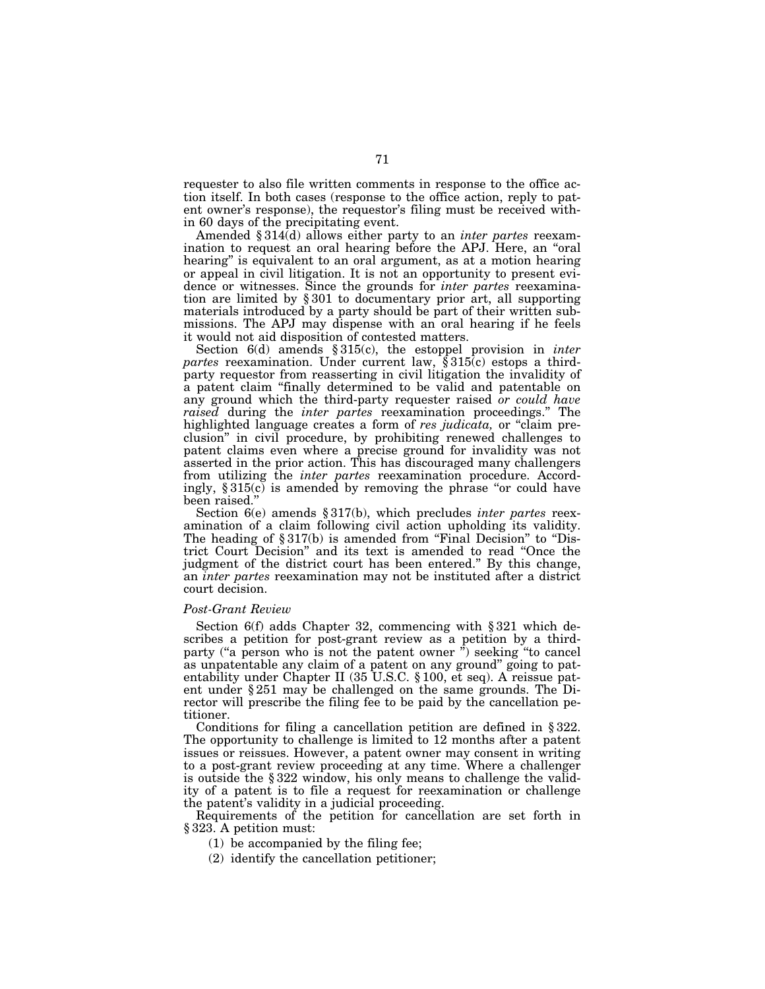requester to also file written comments in response to the office action itself. In both cases (response to the office action, reply to patent owner's response), the requestor's filing must be received within 60 days of the precipitating event.

Amended § 314(d) allows either party to an *inter partes* reexamination to request an oral hearing before the APJ. Here, an "oral hearing'' is equivalent to an oral argument, as at a motion hearing or appeal in civil litigation. It is not an opportunity to present evidence or witnesses. Since the grounds for *inter partes* reexamination are limited by § 301 to documentary prior art, all supporting materials introduced by a party should be part of their written submissions. The APJ may dispense with an oral hearing if he feels it would not aid disposition of contested matters.

Section 6(d) amends § 315(c), the estoppel provision in *inter partes* reexamination. Under current law, § 315(c) estops a thirdparty requestor from reasserting in civil litigation the invalidity of a patent claim ''finally determined to be valid and patentable on any ground which the third-party requester raised *or could have raised* during the *inter partes* reexamination proceedings.'' The highlighted language creates a form of *res judicata,* or ''claim preclusion'' in civil procedure, by prohibiting renewed challenges to patent claims even where a precise ground for invalidity was not asserted in the prior action. This has discouraged many challengers from utilizing the *inter partes* reexamination procedure. Accordingly,  $\S 315(c)$  is amended by removing the phrase "or could have been raised.''

Section 6(e) amends § 317(b), which precludes *inter partes* reexamination of a claim following civil action upholding its validity. The heading of  $\S 317(b)$  is amended from "Final Decision" to "District Court Decision'' and its text is amended to read ''Once the judgment of the district court has been entered.'' By this change, an *inter partes* reexamination may not be instituted after a district court decision.

# *Post-Grant Review*

Section 6(f) adds Chapter 32, commencing with § 321 which describes a petition for post-grant review as a petition by a thirdparty (''a person who is not the patent owner '') seeking ''to cancel as unpatentable any claim of a patent on any ground'' going to patentability under Chapter II (35 U.S.C. § 100, et seq). A reissue patent under § 251 may be challenged on the same grounds. The Director will prescribe the filing fee to be paid by the cancellation petitioner.

Conditions for filing a cancellation petition are defined in § 322. The opportunity to challenge is limited to 12 months after a patent issues or reissues. However, a patent owner may consent in writing to a post-grant review proceeding at any time. Where a challenger is outside the § 322 window, his only means to challenge the validity of a patent is to file a request for reexamination or challenge the patent's validity in a judicial proceeding.

Requirements of the petition for cancellation are set forth in § 323. A petition must:

- (1) be accompanied by the filing fee;
- (2) identify the cancellation petitioner;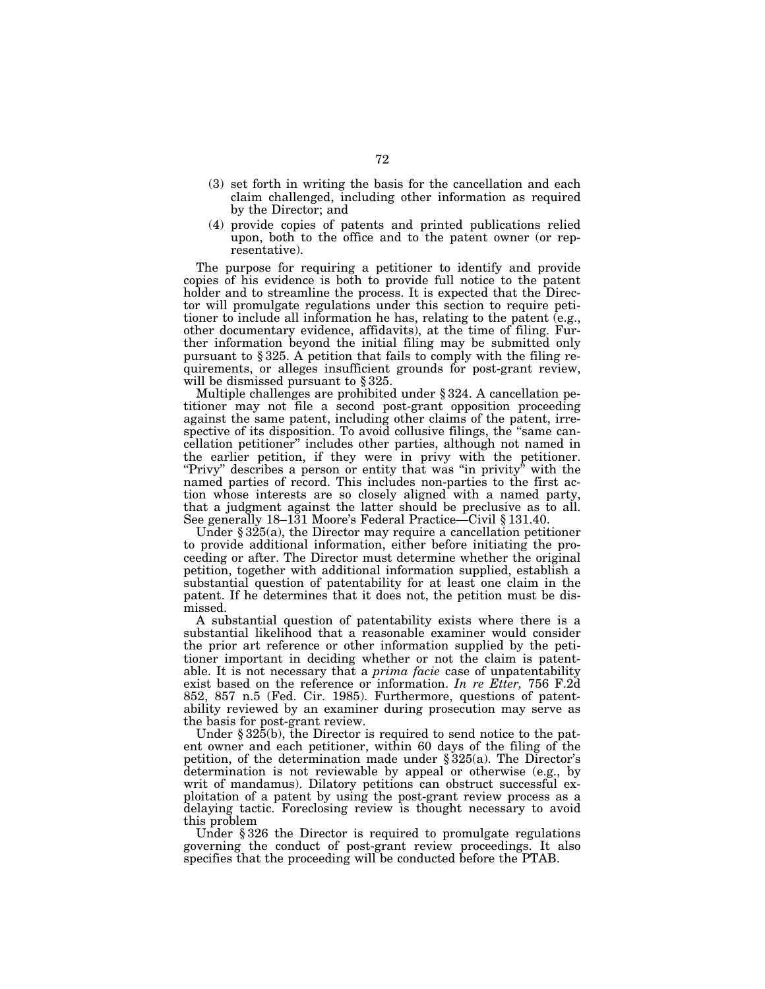- (3) set forth in writing the basis for the cancellation and each claim challenged, including other information as required by the Director; and
- (4) provide copies of patents and printed publications relied upon, both to the office and to the patent owner (or representative).

The purpose for requiring a petitioner to identify and provide copies of his evidence is both to provide full notice to the patent holder and to streamline the process. It is expected that the Director will promulgate regulations under this section to require petitioner to include all information he has, relating to the patent (e.g., other documentary evidence, affidavits), at the time of filing. Further information beyond the initial filing may be submitted only pursuant to § 325. A petition that fails to comply with the filing requirements, or alleges insufficient grounds for post-grant review, will be dismissed pursuant to §325.

Multiple challenges are prohibited under § 324. A cancellation petitioner may not file a second post-grant opposition proceeding against the same patent, including other claims of the patent, irrespective of its disposition. To avoid collusive filings, the "same cancellation petitioner'' includes other parties, although not named in the earlier petition, if they were in privy with the petitioner. "Privy" describes a person or entity that was "in privity" with the named parties of record. This includes non-parties to the first action whose interests are so closely aligned with a named party, that a judgment against the latter should be preclusive as to all. See generally 18–131 Moore's Federal Practice—Civil § 131.40.

Under § 325(a), the Director may require a cancellation petitioner to provide additional information, either before initiating the proceeding or after. The Director must determine whether the original petition, together with additional information supplied, establish a substantial question of patentability for at least one claim in the patent. If he determines that it does not, the petition must be dismissed.

A substantial question of patentability exists where there is a substantial likelihood that a reasonable examiner would consider the prior art reference or other information supplied by the petitioner important in deciding whether or not the claim is patentable. It is not necessary that a *prima facie* case of unpatentability exist based on the reference or information. *In re Etter,* 756 F.2d 852, 857 n.5 (Fed. Cir. 1985). Furthermore, questions of patentability reviewed by an examiner during prosecution may serve as the basis for post-grant review.

Under § 325(b), the Director is required to send notice to the patent owner and each petitioner, within 60 days of the filing of the petition, of the determination made under § 325(a). The Director's determination is not reviewable by appeal or otherwise (e.g., by writ of mandamus). Dilatory petitions can obstruct successful exploitation of a patent by using the post-grant review process as a delaying tactic. Foreclosing review is thought necessary to avoid this problem

Under § 326 the Director is required to promulgate regulations governing the conduct of post-grant review proceedings. It also specifies that the proceeding will be conducted before the PTAB.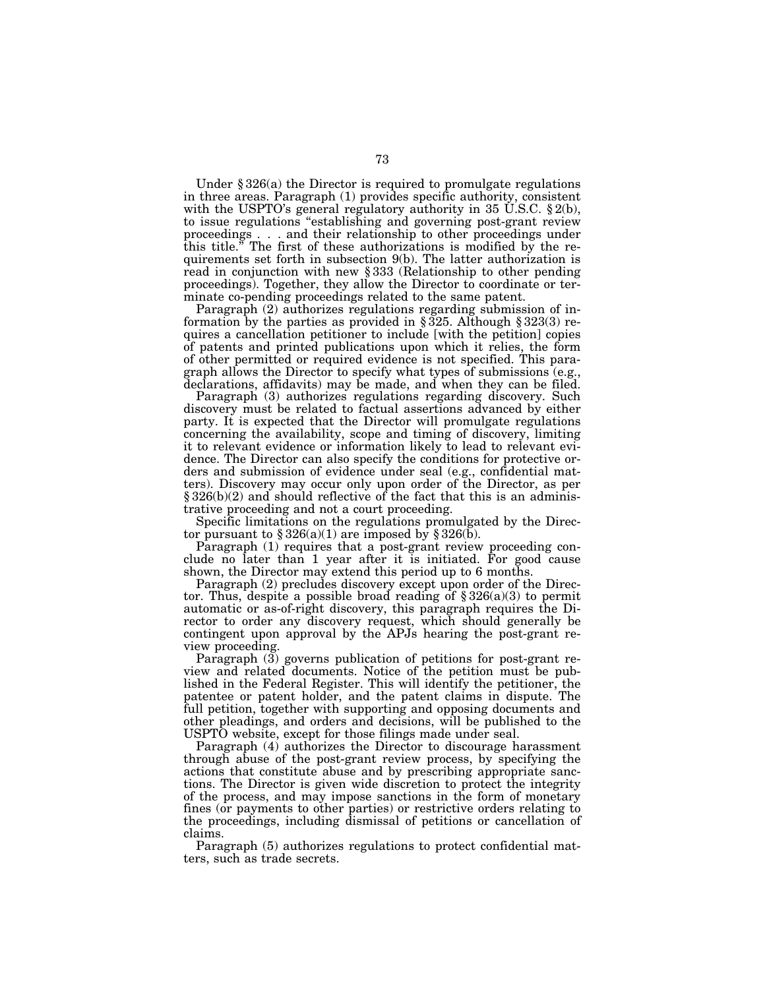Under  $§ 326(a)$  the Director is required to promulgate regulations in three areas. Paragraph (1) provides specific authority, consistent with the USPTO's general regulatory authority in 35 U.S.C. § 2(b), to issue regulations ''establishing and governing post-grant review proceedings . . . and their relationship to other proceedings under this title.<sup> $\bar{r}$ </sup> The first of these authorizations is modified by the requirements set forth in subsection 9(b). The latter authorization is read in conjunction with new § 333 (Relationship to other pending proceedings). Together, they allow the Director to coordinate or terminate co-pending proceedings related to the same patent.

Paragraph (2) authorizes regulations regarding submission of information by the parties as provided in  $\S 325$ . Although  $\S 323(3)$  requires a cancellation petitioner to include [with the petition] copies of patents and printed publications upon which it relies, the form of other permitted or required evidence is not specified. This paragraph allows the Director to specify what types of submissions (e.g., declarations, affidavits) may be made, and when they can be filed.

Paragraph (3) authorizes regulations regarding discovery. Such discovery must be related to factual assertions advanced by either party. It is expected that the Director will promulgate regulations concerning the availability, scope and timing of discovery, limiting it to relevant evidence or information likely to lead to relevant evidence. The Director can also specify the conditions for protective orders and submission of evidence under seal (e.g., confidential matters). Discovery may occur only upon order of the Director, as per § 326(b)(2) and should reflective of the fact that this is an administrative proceeding and not a court proceeding.

Specific limitations on the regulations promulgated by the Director pursuant to  $\S 326(a)(1)$  are imposed by  $\S 326(b)$ .

Paragraph (1) requires that a post-grant review proceeding conclude no later than 1 year after it is initiated. For good cause shown, the Director may extend this period up to 6 months.

Paragraph (2) precludes discovery except upon order of the Director. Thus, despite a possible broad reading of  $\S 326(a)(3)$  to permit automatic or as-of-right discovery, this paragraph requires the Director to order any discovery request, which should generally be contingent upon approval by the APJs hearing the post-grant review proceeding.

Paragraph (3) governs publication of petitions for post-grant review and related documents. Notice of the petition must be published in the Federal Register. This will identify the petitioner, the patentee or patent holder, and the patent claims in dispute. The full petition, together with supporting and opposing documents and other pleadings, and orders and decisions, will be published to the USPTO website, except for those filings made under seal.

Paragraph (4) authorizes the Director to discourage harassment through abuse of the post-grant review process, by specifying the actions that constitute abuse and by prescribing appropriate sanctions. The Director is given wide discretion to protect the integrity of the process, and may impose sanctions in the form of monetary fines (or payments to other parties) or restrictive orders relating to the proceedings, including dismissal of petitions or cancellation of claims.

Paragraph (5) authorizes regulations to protect confidential matters, such as trade secrets.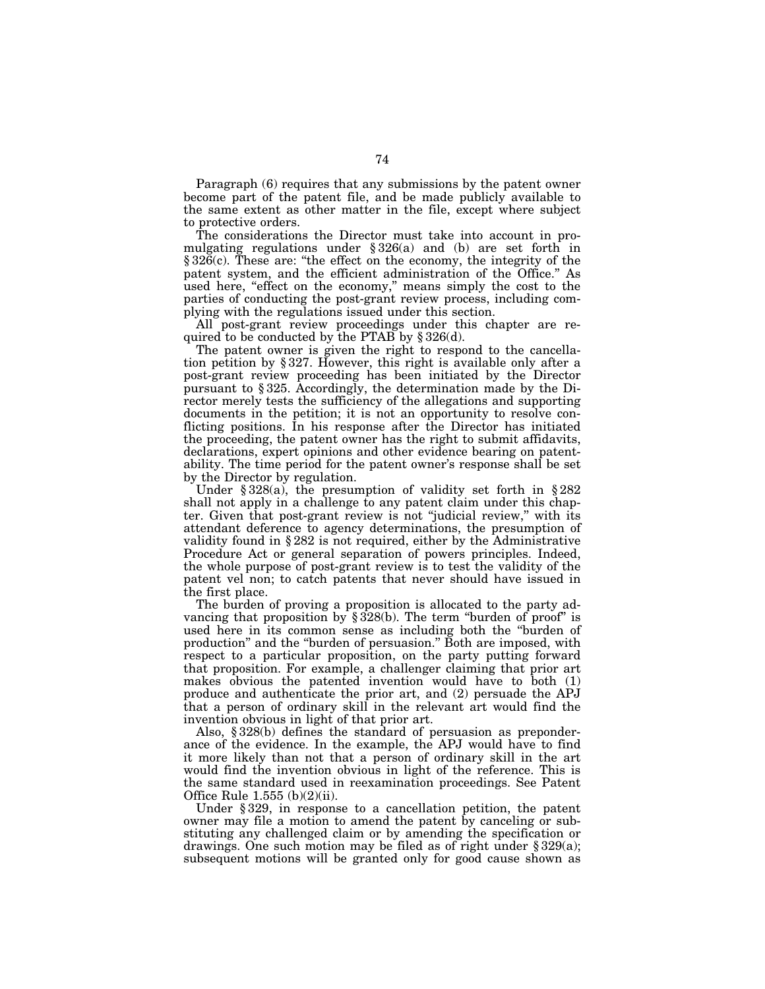Paragraph (6) requires that any submissions by the patent owner become part of the patent file, and be made publicly available to the same extent as other matter in the file, except where subject to protective orders.

The considerations the Director must take into account in promulgating regulations under § 326(a) and (b) are set forth in  $\S 326(c)$ . These are: "the effect on the economy, the integrity of the patent system, and the efficient administration of the Office.'' As used here, "effect on the economy," means simply the cost to the parties of conducting the post-grant review process, including complying with the regulations issued under this section.

All post-grant review proceedings under this chapter are required to be conducted by the PTAB by  $§ 326(d)$ .

The patent owner is given the right to respond to the cancellation petition by § 327. However, this right is available only after a post-grant review proceeding has been initiated by the Director pursuant to § 325. Accordingly, the determination made by the Director merely tests the sufficiency of the allegations and supporting documents in the petition; it is not an opportunity to resolve conflicting positions. In his response after the Director has initiated the proceeding, the patent owner has the right to submit affidavits, declarations, expert opinions and other evidence bearing on patentability. The time period for the patent owner's response shall be set by the Director by regulation.

Under  $\S 328(a)$ , the presumption of validity set forth in  $\S 282$ shall not apply in a challenge to any patent claim under this chapter. Given that post-grant review is not ''judicial review,'' with its attendant deference to agency determinations, the presumption of validity found in § 282 is not required, either by the Administrative Procedure Act or general separation of powers principles. Indeed, the whole purpose of post-grant review is to test the validity of the patent vel non; to catch patents that never should have issued in the first place.

The burden of proving a proposition is allocated to the party advancing that proposition by  $\S 328(b)$ . The term "burden of proof" is used here in its common sense as including both the ''burden of production'' and the ''burden of persuasion.'' Both are imposed, with respect to a particular proposition, on the party putting forward that proposition. For example, a challenger claiming that prior art makes obvious the patented invention would have to both (1) produce and authenticate the prior art, and (2) persuade the APJ that a person of ordinary skill in the relevant art would find the invention obvious in light of that prior art.

Also, § 328(b) defines the standard of persuasion as preponderance of the evidence. In the example, the APJ would have to find it more likely than not that a person of ordinary skill in the art would find the invention obvious in light of the reference. This is the same standard used in reexamination proceedings. See Patent Office Rule 1.555 (b)(2)(ii).

Under § 329, in response to a cancellation petition, the patent owner may file a motion to amend the patent by canceling or substituting any challenged claim or by amending the specification or drawings. One such motion may be filed as of right under  $\S 329(a)$ ; subsequent motions will be granted only for good cause shown as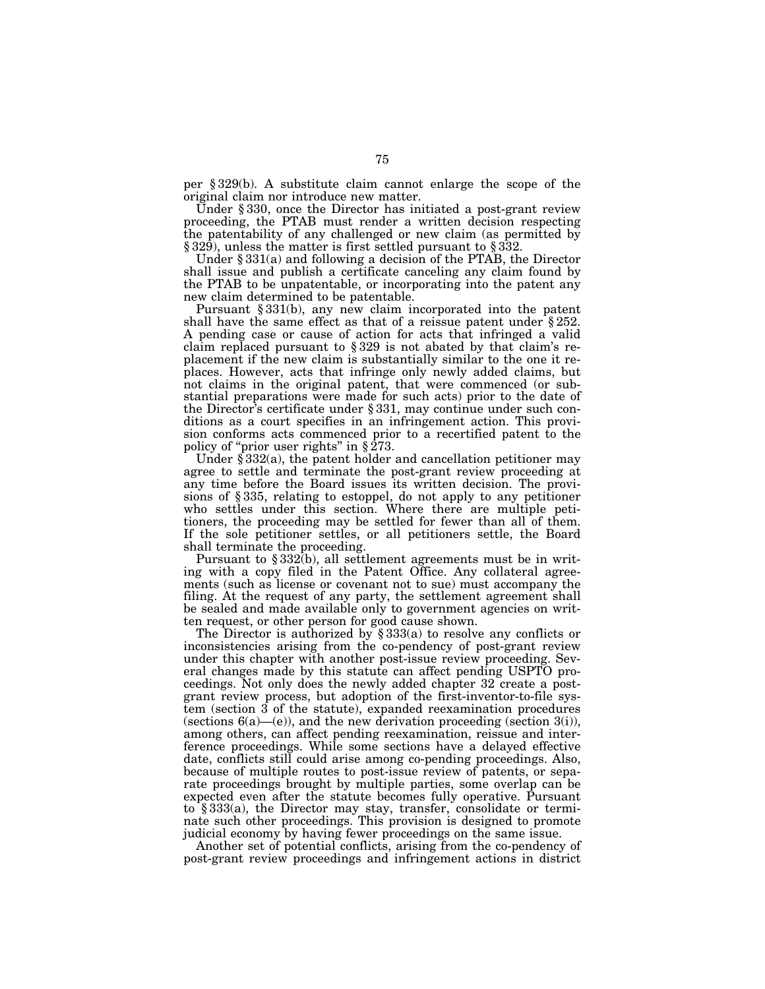per § 329(b). A substitute claim cannot enlarge the scope of the original claim nor introduce new matter.

Under § 330, once the Director has initiated a post-grant review proceeding, the PTAB must render a written decision respecting the patentability of any challenged or new claim (as permitted by § 329), unless the matter is first settled pursuant to § 332.

Under § 331(a) and following a decision of the PTAB, the Director shall issue and publish a certificate canceling any claim found by the PTAB to be unpatentable, or incorporating into the patent any new claim determined to be patentable.

Pursuant § 331(b), any new claim incorporated into the patent shall have the same effect as that of a reissue patent under § 252. A pending case or cause of action for acts that infringed a valid claim replaced pursuant to § 329 is not abated by that claim's replacement if the new claim is substantially similar to the one it replaces. However, acts that infringe only newly added claims, but not claims in the original patent, that were commenced (or substantial preparations were made for such acts) prior to the date of the Director's certificate under § 331, may continue under such conditions as a court specifies in an infringement action. This provision conforms acts commenced prior to a recertified patent to the policy of "prior user rights" in §273.

Under  $\S 332(a)$ , the patent holder and cancellation petitioner may agree to settle and terminate the post-grant review proceeding at any time before the Board issues its written decision. The provisions of § 335, relating to estoppel, do not apply to any petitioner who settles under this section. Where there are multiple petitioners, the proceeding may be settled for fewer than all of them. If the sole petitioner settles, or all petitioners settle, the Board shall terminate the proceeding.

Pursuant to § 332(b), all settlement agreements must be in writing with a copy filed in the Patent Office. Any collateral agreements (such as license or covenant not to sue) must accompany the filing. At the request of any party, the settlement agreement shall be sealed and made available only to government agencies on written request, or other person for good cause shown.

The Director is authorized by  $\S 333(a)$  to resolve any conflicts or inconsistencies arising from the co-pendency of post-grant review under this chapter with another post-issue review proceeding. Several changes made by this statute can affect pending USPTO proceedings. Not only does the newly added chapter 32 create a postgrant review process, but adoption of the first-inventor-to-file system (section 3 of the statute), expanded reexamination procedures (sections  $6(a)$ —(e)), and the new derivation proceeding (section 3(i)), among others, can affect pending reexamination, reissue and interference proceedings. While some sections have a delayed effective date, conflicts still could arise among co-pending proceedings. Also, because of multiple routes to post-issue review of patents, or separate proceedings brought by multiple parties, some overlap can be expected even after the statute becomes fully operative. Pursuant to § 333(a), the Director may stay, transfer, consolidate or terminate such other proceedings. This provision is designed to promote judicial economy by having fewer proceedings on the same issue.

Another set of potential conflicts, arising from the co-pendency of post-grant review proceedings and infringement actions in district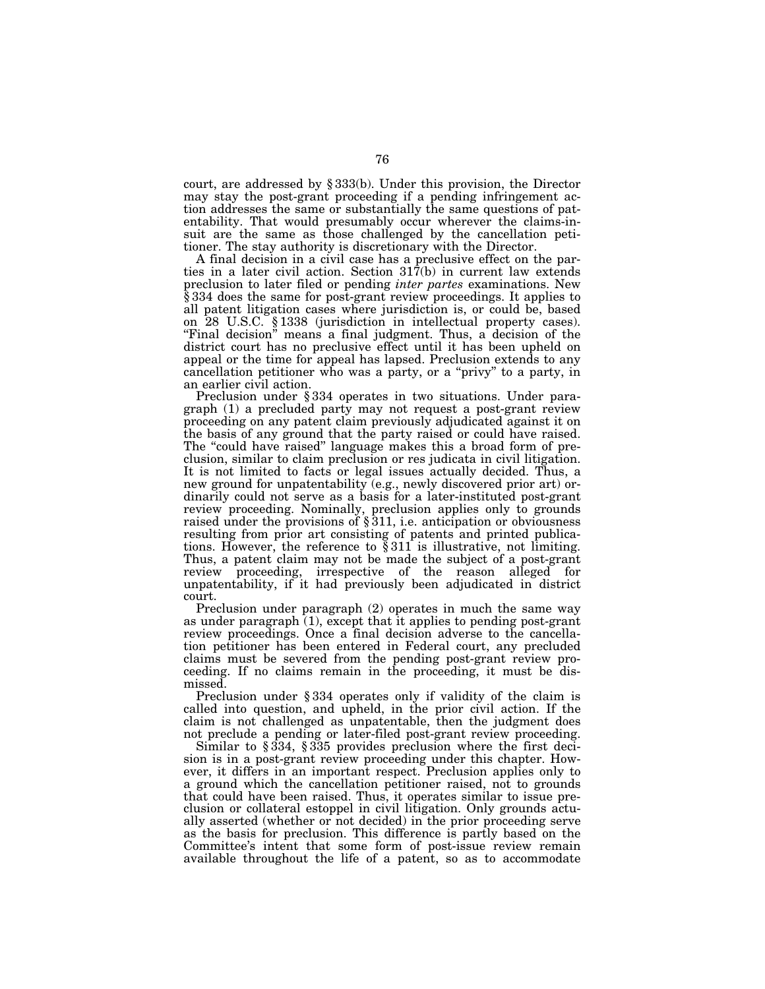court, are addressed by § 333(b). Under this provision, the Director may stay the post-grant proceeding if a pending infringement action addresses the same or substantially the same questions of patentability. That would presumably occur wherever the claims-insuit are the same as those challenged by the cancellation petitioner. The stay authority is discretionary with the Director.

A final decision in a civil case has a preclusive effect on the parties in a later civil action. Section 317(b) in current law extends preclusion to later filed or pending *inter partes* examinations. New § 334 does the same for post-grant review proceedings. It applies to all patent litigation cases where jurisdiction is, or could be, based on 28 U.S.C. § 1338 (jurisdiction in intellectual property cases). ''Final decision'' means a final judgment. Thus, a decision of the district court has no preclusive effect until it has been upheld on appeal or the time for appeal has lapsed. Preclusion extends to any cancellation petitioner who was a party, or a ''privy'' to a party, in an earlier civil action.

Preclusion under § 334 operates in two situations. Under paragraph (1) a precluded party may not request a post-grant review proceeding on any patent claim previously adjudicated against it on the basis of any ground that the party raised or could have raised. The ''could have raised'' language makes this a broad form of preclusion, similar to claim preclusion or res judicata in civil litigation. It is not limited to facts or legal issues actually decided. Thus, a new ground for unpatentability (e.g., newly discovered prior art) ordinarily could not serve as a basis for a later-instituted post-grant review proceeding. Nominally, preclusion applies only to grounds raised under the provisions of § 311, i.e. anticipation or obviousness resulting from prior art consisting of patents and printed publications. However, the reference to § 311 is illustrative, not limiting. Thus, a patent claim may not be made the subject of a post-grant review proceeding, irrespective of the reason alleged for unpatentability, if it had previously been adjudicated in district court.

Preclusion under paragraph (2) operates in much the same way as under paragraph (1), except that it applies to pending post-grant review proceedings. Once a final decision adverse to the cancellation petitioner has been entered in Federal court, any precluded claims must be severed from the pending post-grant review proceeding. If no claims remain in the proceeding, it must be dismissed.

Preclusion under § 334 operates only if validity of the claim is called into question, and upheld, in the prior civil action. If the claim is not challenged as unpatentable, then the judgment does not preclude a pending or later-filed post-grant review proceeding.

Similar to § 334, § 335 provides preclusion where the first decision is in a post-grant review proceeding under this chapter. However, it differs in an important respect. Preclusion applies only to a ground which the cancellation petitioner raised, not to grounds that could have been raised. Thus, it operates similar to issue preclusion or collateral estoppel in civil litigation. Only grounds actually asserted (whether or not decided) in the prior proceeding serve as the basis for preclusion. This difference is partly based on the Committee's intent that some form of post-issue review remain available throughout the life of a patent, so as to accommodate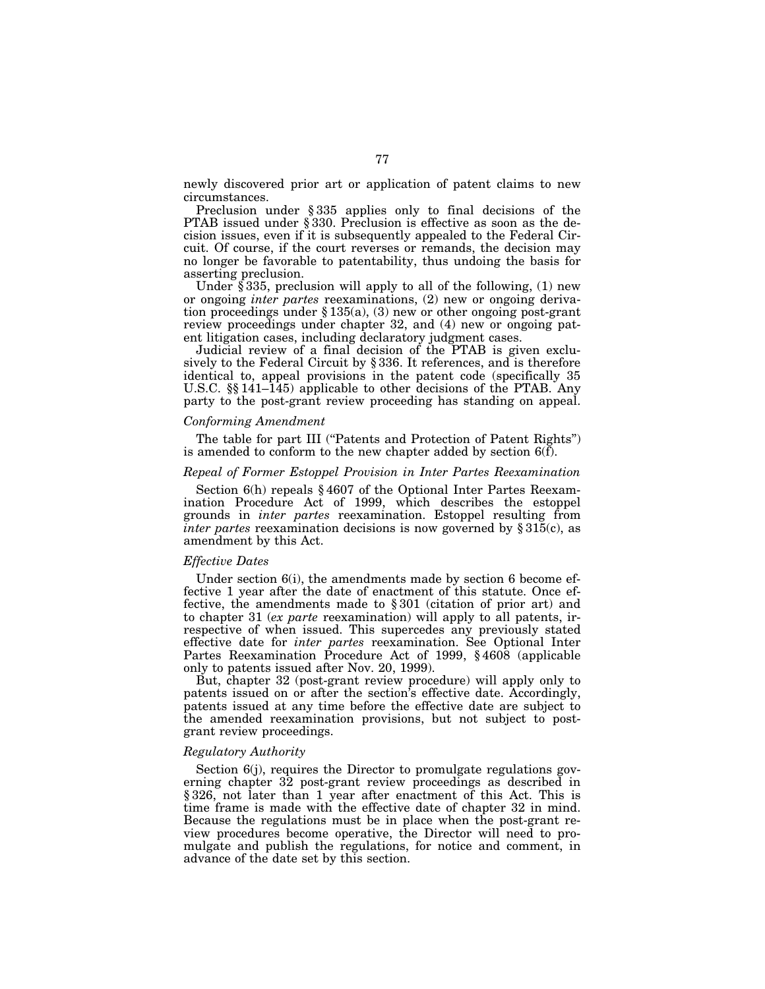newly discovered prior art or application of patent claims to new circumstances.

Preclusion under § 335 applies only to final decisions of the PTAB issued under § 330. Preclusion is effective as soon as the decision issues, even if it is subsequently appealed to the Federal Circuit. Of course, if the court reverses or remands, the decision may no longer be favorable to patentability, thus undoing the basis for asserting preclusion.

Under  $\S 335$ , preclusion will apply to all of the following, (1) new or ongoing *inter partes* reexaminations, (2) new or ongoing derivation proceedings under  $\S 135(a)$ , (3) new or other ongoing post-grant review proceedings under chapter 32, and (4) new or ongoing patent litigation cases, including declaratory judgment cases.

Judicial review of a final decision of the PTAB is given exclusively to the Federal Circuit by § 336. It references, and is therefore identical to, appeal provisions in the patent code (specifically 35 U.S.C. §§ 141–145) applicable to other decisions of the PTAB. Any party to the post-grant review proceeding has standing on appeal.

#### *Conforming Amendment*

The table for part III ("Patents and Protection of Patent Rights") is amended to conform to the new chapter added by section  $6(\tilde{f})$ .

# *Repeal of Former Estoppel Provision in Inter Partes Reexamination*

Section 6(h) repeals § 4607 of the Optional Inter Partes Reexamination Procedure Act of 1999, which describes the estoppel grounds in *inter partes* reexamination. Estoppel resulting from *inter partes reexamination decisions is now governed by*  $\S 31\overline{5}$ *(c), as* amendment by this Act.

#### *Effective Dates*

Under section 6(i), the amendments made by section 6 become effective 1 year after the date of enactment of this statute. Once effective, the amendments made to § 301 (citation of prior art) and to chapter 31 (*ex parte* reexamination) will apply to all patents, irrespective of when issued. This supercedes any previously stated effective date for *inter partes* reexamination. See Optional Inter Partes Reexamination Procedure Act of 1999, § 4608 (applicable only to patents issued after Nov. 20, 1999).

But, chapter 32 (post-grant review procedure) will apply only to patents issued on or after the section's effective date. Accordingly, patents issued at any time before the effective date are subject to the amended reexamination provisions, but not subject to postgrant review proceedings.

### *Regulatory Authority*

Section 6(j), requires the Director to promulgate regulations governing chapter 32 post-grant review proceedings as described in § 326, not later than 1 year after enactment of this Act. This is time frame is made with the effective date of chapter 32 in mind. Because the regulations must be in place when the post-grant review procedures become operative, the Director will need to promulgate and publish the regulations, for notice and comment, in advance of the date set by this section.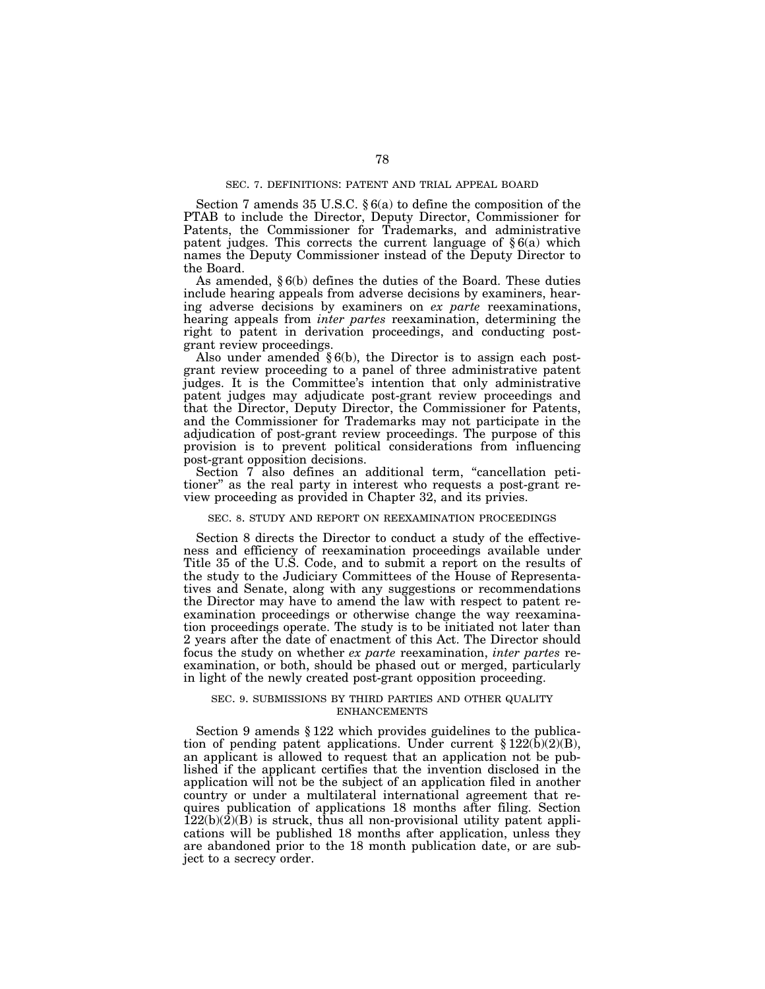Section 7 amends 35 U.S.C. § 6(a) to define the composition of the PTAB to include the Director, Deputy Director, Commissioner for Patents, the Commissioner for Trademarks, and administrative patent judges. This corrects the current language of  $\S 6(a)$  which names the Deputy Commissioner instead of the Deputy Director to the Board.

As amended, § 6(b) defines the duties of the Board. These duties include hearing appeals from adverse decisions by examiners, hearing adverse decisions by examiners on *ex parte* reexaminations, hearing appeals from *inter partes* reexamination, determining the right to patent in derivation proceedings, and conducting postgrant review proceedings.

Also under amended  $\S 6(b)$ , the Director is to assign each postgrant review proceeding to a panel of three administrative patent judges. It is the Committee's intention that only administrative patent judges may adjudicate post-grant review proceedings and that the Director, Deputy Director, the Commissioner for Patents, and the Commissioner for Trademarks may not participate in the adjudication of post-grant review proceedings. The purpose of this provision is to prevent political considerations from influencing post-grant opposition decisions.

Section 7 also defines an additional term, "cancellation petitioner'' as the real party in interest who requests a post-grant review proceeding as provided in Chapter 32, and its privies.

#### SEC. 8. STUDY AND REPORT ON REEXAMINATION PROCEEDINGS

Section 8 directs the Director to conduct a study of the effectiveness and efficiency of reexamination proceedings available under Title 35 of the U.S. Code, and to submit a report on the results of the study to the Judiciary Committees of the House of Representatives and Senate, along with any suggestions or recommendations the Director may have to amend the law with respect to patent reexamination proceedings or otherwise change the way reexamination proceedings operate. The study is to be initiated not later than 2 years after the date of enactment of this Act. The Director should focus the study on whether *ex parte* reexamination, *inter partes* reexamination, or both, should be phased out or merged, particularly in light of the newly created post-grant opposition proceeding.

### SEC. 9. SUBMISSIONS BY THIRD PARTIES AND OTHER QUALITY ENHANCEMENTS

Section 9 amends § 122 which provides guidelines to the publication of pending patent applications. Under current  $\S 122(b)(2)(B)$ , an applicant is allowed to request that an application not be published if the applicant certifies that the invention disclosed in the application will not be the subject of an application filed in another country or under a multilateral international agreement that requires publication of applications 18 months after filing. Section  $122(b)(2)(B)$  is struck, thus all non-provisional utility patent applications will be published 18 months after application, unless they are abandoned prior to the 18 month publication date, or are subject to a secrecy order.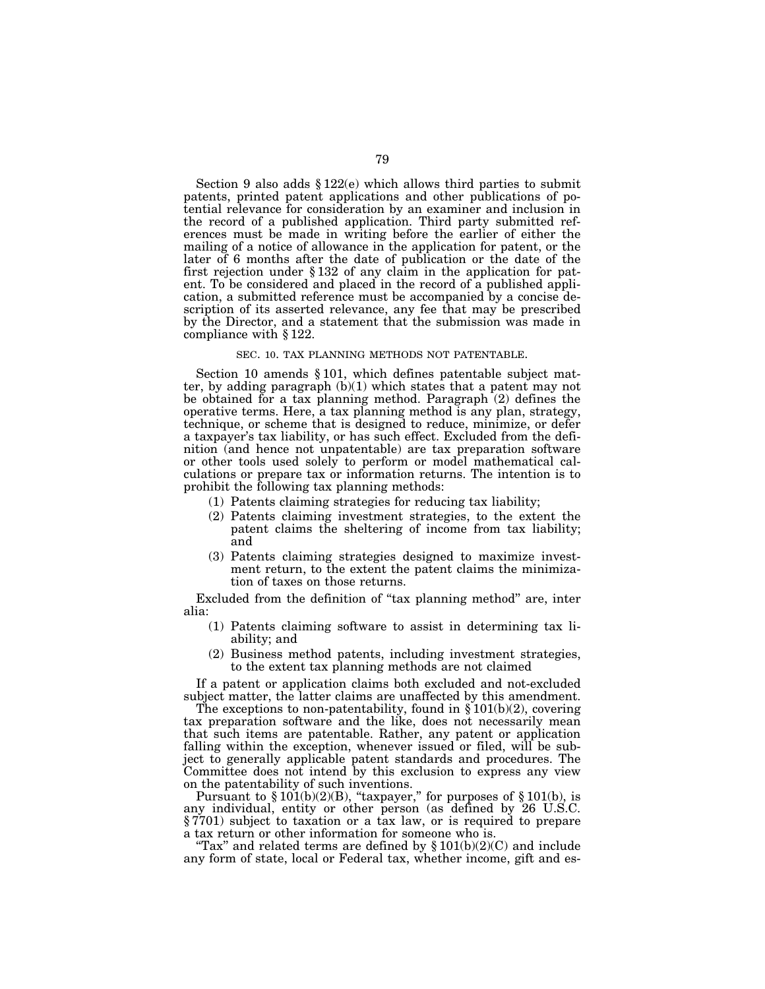Section 9 also adds § 122(e) which allows third parties to submit patents, printed patent applications and other publications of potential relevance for consideration by an examiner and inclusion in the record of a published application. Third party submitted references must be made in writing before the earlier of either the mailing of a notice of allowance in the application for patent, or the later of 6 months after the date of publication or the date of the first rejection under § 132 of any claim in the application for patent. To be considered and placed in the record of a published application, a submitted reference must be accompanied by a concise description of its asserted relevance, any fee that may be prescribed by the Director, and a statement that the submission was made in compliance with § 122.

#### SEC. 10. TAX PLANNING METHODS NOT PATENTABLE.

Section 10 amends § 101, which defines patentable subject matter, by adding paragraph  $(b)(1)$  which states that a patent may not be obtained for a tax planning method. Paragraph (2) defines the operative terms. Here, a tax planning method is any plan, strategy, technique, or scheme that is designed to reduce, minimize, or defer a taxpayer's tax liability, or has such effect. Excluded from the definition (and hence not unpatentable) are tax preparation software or other tools used solely to perform or model mathematical calculations or prepare tax or information returns. The intention is to prohibit the following tax planning methods:

- (1) Patents claiming strategies for reducing tax liability;
- (2) Patents claiming investment strategies, to the extent the patent claims the sheltering of income from tax liability; and
- (3) Patents claiming strategies designed to maximize investment return, to the extent the patent claims the minimization of taxes on those returns.

Excluded from the definition of "tax planning method" are, inter alia:

- (1) Patents claiming software to assist in determining tax liability; and
- (2) Business method patents, including investment strategies, to the extent tax planning methods are not claimed

If a patent or application claims both excluded and not-excluded subject matter, the latter claims are unaffected by this amendment.

The exceptions to non-patentability, found in  $\S 101(b)(2)$ , covering tax preparation software and the like, does not necessarily mean that such items are patentable. Rather, any patent or application falling within the exception, whenever issued or filed, will be subject to generally applicable patent standards and procedures. The Committee does not intend by this exclusion to express any view on the patentability of such inventions.

Pursuant to  $\S 101(b)(2)(B)$ , "taxpayer," for purposes of  $\S 101(b)$ , is any individual, entity or other person (as defined by 26 U.S.C. § 7701) subject to taxation or a tax law, or is required to prepare a tax return or other information for someone who is.

"Tax" and related terms are defined by  $\S 101(b)(2)(C)$  and include any form of state, local or Federal tax, whether income, gift and es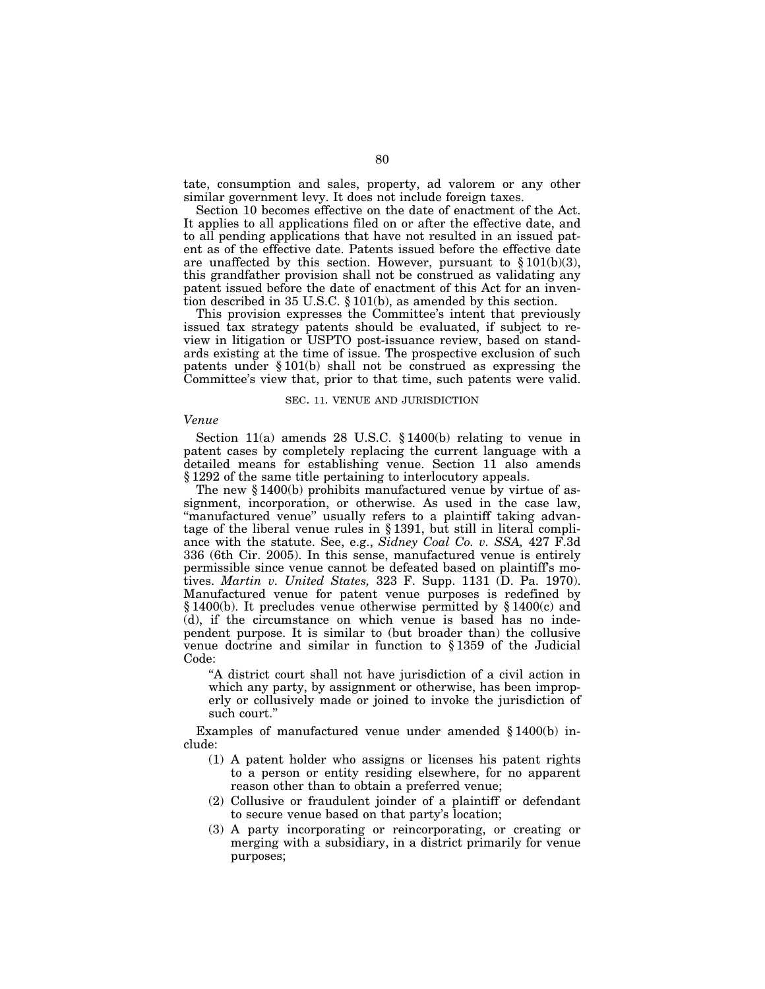tate, consumption and sales, property, ad valorem or any other similar government levy. It does not include foreign taxes.

Section 10 becomes effective on the date of enactment of the Act. It applies to all applications filed on or after the effective date, and to all pending applications that have not resulted in an issued patent as of the effective date. Patents issued before the effective date are unaffected by this section. However, pursuant to  $\S 101(b)(3)$ , this grandfather provision shall not be construed as validating any patent issued before the date of enactment of this Act for an invention described in 35 U.S.C. § 101(b), as amended by this section.

This provision expresses the Committee's intent that previously issued tax strategy patents should be evaluated, if subject to review in litigation or USPTO post-issuance review, based on standards existing at the time of issue. The prospective exclusion of such patents under § 101(b) shall not be construed as expressing the Committee's view that, prior to that time, such patents were valid.

#### SEC. 11. VENUE AND JURISDICTION

#### *Venue*

Section 11(a) amends 28 U.S.C. § 1400(b) relating to venue in patent cases by completely replacing the current language with a detailed means for establishing venue. Section 11 also amends § 1292 of the same title pertaining to interlocutory appeals.

The new § 1400(b) prohibits manufactured venue by virtue of assignment, incorporation, or otherwise. As used in the case law, ''manufactured venue'' usually refers to a plaintiff taking advantage of the liberal venue rules in § 1391, but still in literal compliance with the statute. See, e.g., *Sidney Coal Co. v. SSA,* 427 F.3d 336 (6th Cir. 2005). In this sense, manufactured venue is entirely permissible since venue cannot be defeated based on plaintiff's motives. *Martin v. United States,* 323 F. Supp. 1131 (D. Pa. 1970). Manufactured venue for patent venue purposes is redefined by § 1400(b). It precludes venue otherwise permitted by § 1400(c) and (d), if the circumstance on which venue is based has no independent purpose. It is similar to (but broader than) the collusive venue doctrine and similar in function to § 1359 of the Judicial Code:

''A district court shall not have jurisdiction of a civil action in which any party, by assignment or otherwise, has been improperly or collusively made or joined to invoke the jurisdiction of such court.''

Examples of manufactured venue under amended § 1400(b) include:

- (1) A patent holder who assigns or licenses his patent rights to a person or entity residing elsewhere, for no apparent reason other than to obtain a preferred venue;
- (2) Collusive or fraudulent joinder of a plaintiff or defendant to secure venue based on that party's location;
- (3) A party incorporating or reincorporating, or creating or merging with a subsidiary, in a district primarily for venue purposes;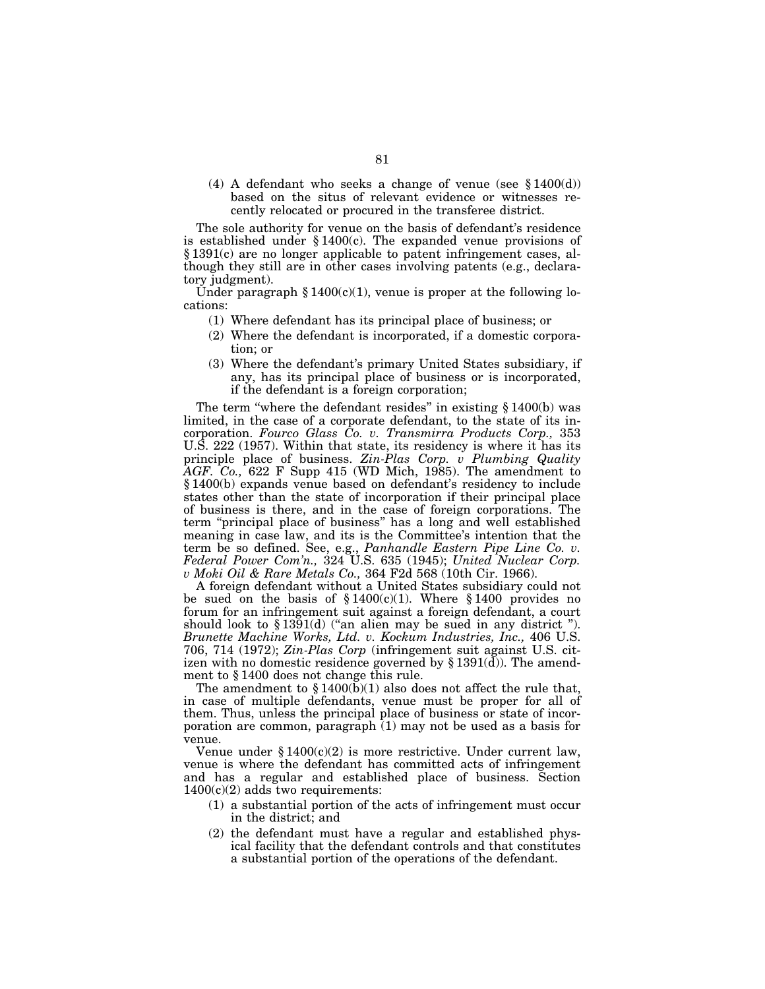(4) A defendant who seeks a change of venue (see  $$1400(d)$ ) based on the situs of relevant evidence or witnesses recently relocated or procured in the transferee district.

The sole authority for venue on the basis of defendant's residence is established under  $§ 1400(c)$ . The expanded venue provisions of § 1391(c) are no longer applicable to patent infringement cases, although they still are in other cases involving patents (e.g., declaratory judgment).

Under paragraph  $\S 1400(c)(1)$ , venue is proper at the following locations:

- (1) Where defendant has its principal place of business; or
- (2) Where the defendant is incorporated, if a domestic corporation; or
- (3) Where the defendant's primary United States subsidiary, if any, has its principal place of business or is incorporated, if the defendant is a foreign corporation;

The term "where the defendant resides" in existing  $§ 1400(b)$  was limited, in the case of a corporate defendant, to the state of its incorporation. *Fourco Glass Co. v. Transmirra Products Corp.,* 353 U.S. 222 (1957). Within that state, its residency is where it has its principle place of business. *Zin-Plas Corp. v Plumbing Quality AGF. Co.,* 622 F Supp 415 (WD Mich, 1985). The amendment to § 1400(b) expands venue based on defendant's residency to include states other than the state of incorporation if their principal place of business is there, and in the case of foreign corporations. The term ''principal place of business'' has a long and well established meaning in case law, and its is the Committee's intention that the term be so defined. See, e.g., *Panhandle Eastern Pipe Line Co. v. Federal Power Com'n.,* 324 U.S. 635 (1945); *United Nuclear Corp. v Moki Oil & Rare Metals Co.,* 364 F2d 568 (10th Cir. 1966).

A foreign defendant without a United States subsidiary could not be sued on the basis of  $$1400(c)(1)$ . Where  $$1400$  provides no forum for an infringement suit against a foreign defendant, a court should look to  $§ 1391(d)$  ("an alien may be sued in any district"). *Brunette Machine Works, Ltd. v. Kockum Industries, Inc.,* 406 U.S. 706, 714 (1972); *Zin-Plas Corp* (infringement suit against U.S. citizen with no domestic residence governed by  $\S 1391(\tilde{d})$ ). The amendment to § 1400 does not change this rule.

The amendment to  $\S 1400(b)(1)$  also does not affect the rule that, in case of multiple defendants, venue must be proper for all of them. Thus, unless the principal place of business or state of incorporation are common, paragraph  $(1)$  may not be used as a basis for venue.

Venue under  $$1400(c)(2)$  is more restrictive. Under current law, venue is where the defendant has committed acts of infringement and has a regular and established place of business. Section  $1400(c)(2)$  adds two requirements:

- (1) a substantial portion of the acts of infringement must occur in the district; and
- (2) the defendant must have a regular and established physical facility that the defendant controls and that constitutes a substantial portion of the operations of the defendant.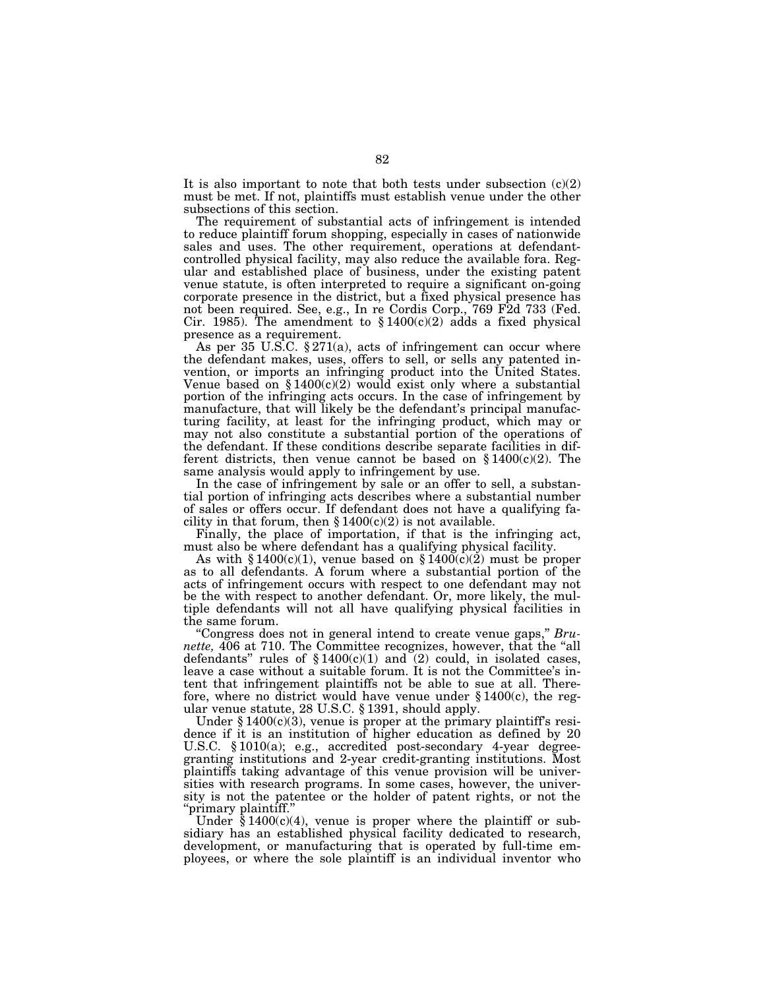It is also important to note that both tests under subsection  $(c)(2)$ must be met. If not, plaintiffs must establish venue under the other subsections of this section.

The requirement of substantial acts of infringement is intended to reduce plaintiff forum shopping, especially in cases of nationwide sales and uses. The other requirement, operations at defendantcontrolled physical facility, may also reduce the available fora. Regular and established place of business, under the existing patent venue statute, is often interpreted to require a significant on-going corporate presence in the district, but a fixed physical presence has not been required. See, e.g., In re Cordis Corp., 769 F2d 733 (Fed. Cir. 1985). The amendment to  $\S 1400(c)(2)$  adds a fixed physical presence as a requirement.

As per 35 U.S.C. § 271(a), acts of infringement can occur where the defendant makes, uses, offers to sell, or sells any patented invention, or imports an infringing product into the United States. Venue based on  $$1400(c)(2)$  would exist only where a substantial portion of the infringing acts occurs. In the case of infringement by manufacture, that will likely be the defendant's principal manufacturing facility, at least for the infringing product, which may or may not also constitute a substantial portion of the operations of the defendant. If these conditions describe separate facilities in different districts, then venue cannot be based on  $$1400(c)(2)$ . The same analysis would apply to infringement by use.

In the case of infringement by sale or an offer to sell, a substantial portion of infringing acts describes where a substantial number of sales or offers occur. If defendant does not have a qualifying facility in that forum, then  $$1400(c)(2)$  is not available.

Finally, the place of importation, if that is the infringing act, must also be where defendant has a qualifying physical facility.

As with  $§ 1400(c)(1)$ , venue based on  $§ 1400(c)(2)$  must be proper as to all defendants. A forum where a substantial portion of the acts of infringement occurs with respect to one defendant may not be the with respect to another defendant. Or, more likely, the multiple defendants will not all have qualifying physical facilities in the same forum.

''Congress does not in general intend to create venue gaps,'' *Brunette,* 406 at 710. The Committee recognizes, however, that the ''all defendants" rules of  $$1400(c)(1)$  and (2) could, in isolated cases, leave a case without a suitable forum. It is not the Committee's intent that infringement plaintiffs not be able to sue at all. Therefore, where no district would have venue under  $§ 1400(c)$ , the regular venue statute, 28 U.S.C. § 1391, should apply.

Under  $§ 1400(c)(3)$ , venue is proper at the primary plaintiff's residence if it is an institution of higher education as defined by 20 U.S.C. § 1010(a); e.g., accredited post-secondary 4-year degreegranting institutions and 2-year credit-granting institutions. Most plaintiffs taking advantage of this venue provision will be universities with research programs. In some cases, however, the university is not the patentee or the holder of patent rights, or not the 'primary plaintiff."

Under  $\S 1400(c)(4)$ , venue is proper where the plaintiff or subsidiary has an established physical facility dedicated to research, development, or manufacturing that is operated by full-time employees, or where the sole plaintiff is an individual inventor who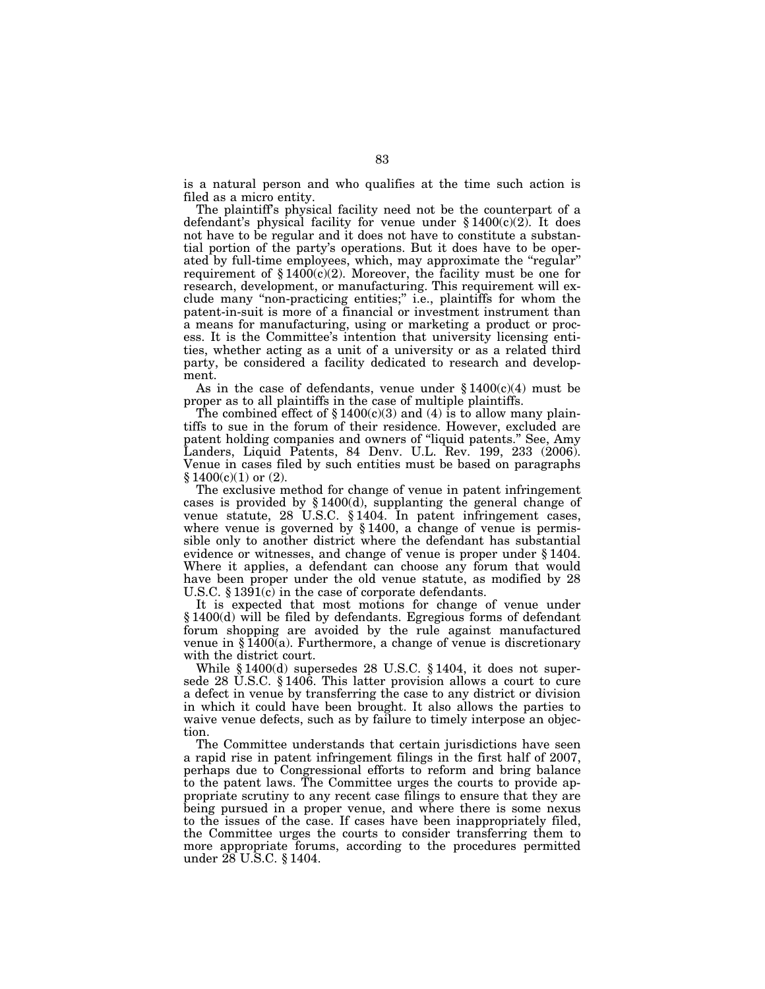is a natural person and who qualifies at the time such action is filed as a micro entity.

The plaintiff's physical facility need not be the counterpart of a defendant's physical facility for venue under  $§ 1400(c)(2)$ . It does not have to be regular and it does not have to constitute a substantial portion of the party's operations. But it does have to be operated by full-time employees, which, may approximate the "regular" requirement of  $$1400(c)(2)$ . Moreover, the facility must be one for research, development, or manufacturing. This requirement will exclude many ''non-practicing entities;'' i.e., plaintiffs for whom the patent-in-suit is more of a financial or investment instrument than a means for manufacturing, using or marketing a product or process. It is the Committee's intention that university licensing entities, whether acting as a unit of a university or as a related third party, be considered a facility dedicated to research and development.

As in the case of defendants, venue under  $\S 1400(c)(4)$  must be proper as to all plaintiffs in the case of multiple plaintiffs.

The combined effect of  $\S 1400(c)(3)$  and (4) is to allow many plaintiffs to sue in the forum of their residence. However, excluded are patent holding companies and owners of ''liquid patents.'' See, Amy Landers, Liquid Patents, 84 Denv. U.L. Rev. 199, 233 (2006). Venue in cases filed by such entities must be based on paragraphs  $§ 1400(c)(1)$  or  $(2)$ .

The exclusive method for change of venue in patent infringement cases is provided by  $§ 1400(d)$ , supplanting the general change of venue statute, 28 U.S.C. § 1404. In patent infringement cases, where venue is governed by § 1400, a change of venue is permissible only to another district where the defendant has substantial evidence or witnesses, and change of venue is proper under § 1404. Where it applies, a defendant can choose any forum that would have been proper under the old venue statute, as modified by 28 U.S.C. § 1391(c) in the case of corporate defendants.

It is expected that most motions for change of venue under § 1400(d) will be filed by defendants. Egregious forms of defendant forum shopping are avoided by the rule against manufactured venue in § 1400(a). Furthermore, a change of venue is discretionary with the district court.

While § 1400(d) supersedes 28 U.S.C. § 1404, it does not supersede 28 U.S.C. § 1406. This latter provision allows a court to cure a defect in venue by transferring the case to any district or division in which it could have been brought. It also allows the parties to waive venue defects, such as by failure to timely interpose an objection.

The Committee understands that certain jurisdictions have seen a rapid rise in patent infringement filings in the first half of 2007, perhaps due to Congressional efforts to reform and bring balance to the patent laws. The Committee urges the courts to provide appropriate scrutiny to any recent case filings to ensure that they are being pursued in a proper venue, and where there is some nexus to the issues of the case. If cases have been inappropriately filed, the Committee urges the courts to consider transferring them to more appropriate forums, according to the procedures permitted under 28 U.S.C. § 1404.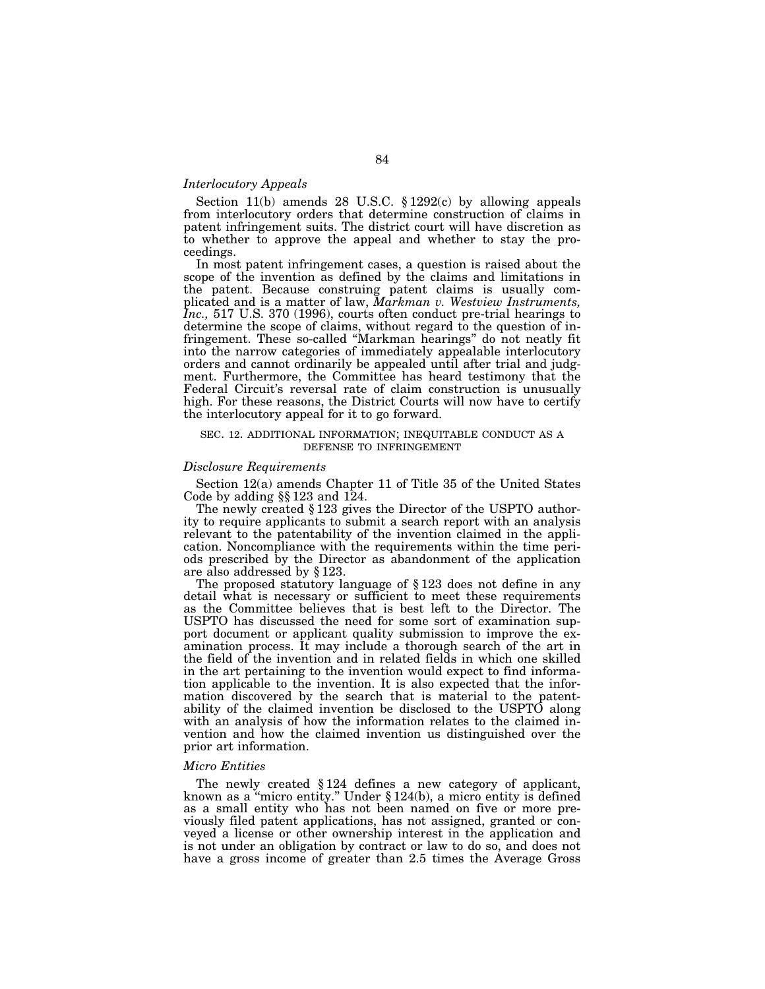### *Interlocutory Appeals*

Section 11(b) amends 28 U.S.C. § 1292(c) by allowing appeals from interlocutory orders that determine construction of claims in patent infringement suits. The district court will have discretion as to whether to approve the appeal and whether to stay the proceedings.

In most patent infringement cases, a question is raised about the scope of the invention as defined by the claims and limitations in the patent. Because construing patent claims is usually complicated and is a matter of law, *Markman v. Westview Instruments, Inc.,* 517 U.S. 370 (1996), courts often conduct pre-trial hearings to determine the scope of claims, without regard to the question of infringement. These so-called ''Markman hearings'' do not neatly fit into the narrow categories of immediately appealable interlocutory orders and cannot ordinarily be appealed until after trial and judgment. Furthermore, the Committee has heard testimony that the Federal Circuit's reversal rate of claim construction is unusually high. For these reasons, the District Courts will now have to certify the interlocutory appeal for it to go forward.

#### SEC. 12. ADDITIONAL INFORMATION; INEQUITABLE CONDUCT AS A DEFENSE TO INFRINGEMENT

#### *Disclosure Requirements*

Section 12(a) amends Chapter 11 of Title 35 of the United States Code by adding  $\S$  123 and 124.

The newly created § 123 gives the Director of the USPTO authority to require applicants to submit a search report with an analysis relevant to the patentability of the invention claimed in the application. Noncompliance with the requirements within the time periods prescribed by the Director as abandonment of the application are also addressed by § 123.

The proposed statutory language of § 123 does not define in any detail what is necessary or sufficient to meet these requirements as the Committee believes that is best left to the Director. The USPTO has discussed the need for some sort of examination support document or applicant quality submission to improve the examination process. It may include a thorough search of the art in the field of the invention and in related fields in which one skilled in the art pertaining to the invention would expect to find information applicable to the invention. It is also expected that the information discovered by the search that is material to the patentability of the claimed invention be disclosed to the USPTO along with an analysis of how the information relates to the claimed invention and how the claimed invention us distinguished over the prior art information.

#### *Micro Entities*

The newly created § 124 defines a new category of applicant, known as a "micro entity." Under § 124(b), a micro entity is defined as a small entity who has not been named on five or more previously filed patent applications, has not assigned, granted or conveyed a license or other ownership interest in the application and is not under an obligation by contract or law to do so, and does not have a gross income of greater than 2.5 times the Average Gross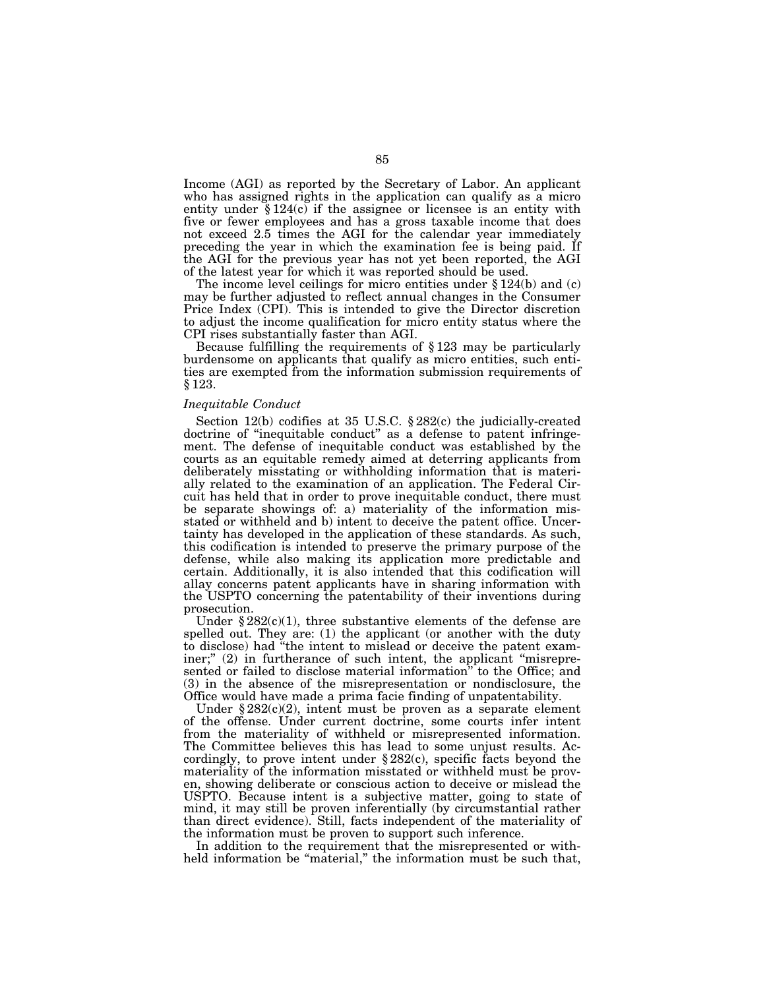Income (AGI) as reported by the Secretary of Labor. An applicant who has assigned rights in the application can qualify as a micro entity under  $\S 124(c)$  if the assignee or licensee is an entity with five or fewer employees and has a gross taxable income that does not exceed 2.5 times the AGI for the calendar year immediately preceding the year in which the examination fee is being paid. If the AGI for the previous year has not yet been reported, the AGI of the latest year for which it was reported should be used.

The income level ceilings for micro entities under § 124(b) and (c) may be further adjusted to reflect annual changes in the Consumer Price Index (CPI). This is intended to give the Director discretion to adjust the income qualification for micro entity status where the CPI rises substantially faster than AGI.

Because fulfilling the requirements of § 123 may be particularly burdensome on applicants that qualify as micro entities, such entities are exempted from the information submission requirements of § 123.

### *Inequitable Conduct*

Section 12(b) codifies at 35 U.S.C. § 282(c) the judicially-created doctrine of ''inequitable conduct'' as a defense to patent infringement. The defense of inequitable conduct was established by the courts as an equitable remedy aimed at deterring applicants from deliberately misstating or withholding information that is materially related to the examination of an application. The Federal Circuit has held that in order to prove inequitable conduct, there must be separate showings of: a) materiality of the information misstated or withheld and b) intent to deceive the patent office. Uncertainty has developed in the application of these standards. As such, this codification is intended to preserve the primary purpose of the defense, while also making its application more predictable and certain. Additionally, it is also intended that this codification will allay concerns patent applicants have in sharing information with the USPTO concerning the patentability of their inventions during prosecution.

Under § 282(c)(1), three substantive elements of the defense are spelled out. They are: (1) the applicant (or another with the duty to disclose) had ''the intent to mislead or deceive the patent examiner;" (2) in furtherance of such intent, the applicant "misrepresented or failed to disclose material information'' to the Office; and (3) in the absence of the misrepresentation or nondisclosure, the Office would have made a prima facie finding of unpatentability.

Under  $§ 282(c)(2)$ , intent must be proven as a separate element of the offense. Under current doctrine, some courts infer intent from the materiality of withheld or misrepresented information. The Committee believes this has lead to some unjust results. Accordingly, to prove intent under  $\S 282(c)$ , specific facts beyond the materiality of the information misstated or withheld must be proven, showing deliberate or conscious action to deceive or mislead the USPTO. Because intent is a subjective matter, going to state of mind, it may still be proven inferentially (by circumstantial rather than direct evidence). Still, facts independent of the materiality of the information must be proven to support such inference.

In addition to the requirement that the misrepresented or withheld information be "material," the information must be such that,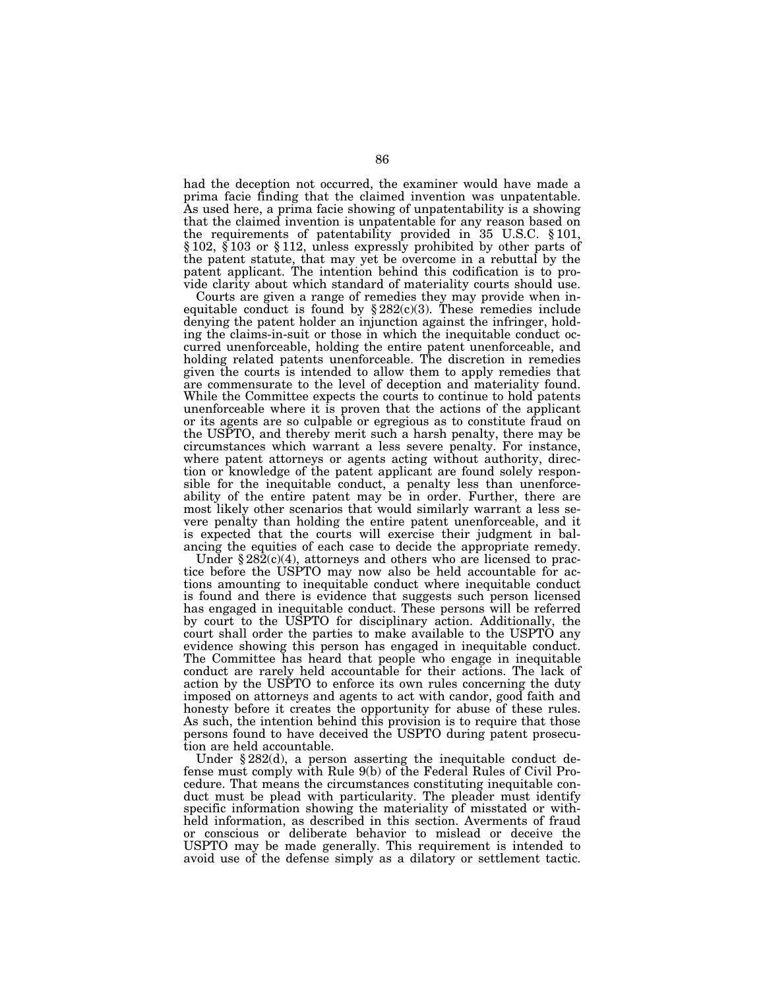had the deception not occurred, the examiner would have made a prima facie finding that the claimed invention was unpatentable. As used here, a prima facie showing of unpatentability is a showing that the claimed invention is unpatentable for any reason based on the requirements of patentability provided in 35 U.S.C. § 101, § 102, § 103 or § 112, unless expressly prohibited by other parts of the patent statute, that may yet be overcome in a rebuttal by the patent applicant. The intention behind this codification is to provide clarity about which standard of materiality courts should use.

Courts are given a range of remedies they may provide when inequitable conduct is found by  $§282(c)(3)$ . These remedies include denying the patent holder an injunction against the infringer, holding the claims-in-suit or those in which the inequitable conduct occurred unenforceable, holding the entire patent unenforceable, and holding related patents unenforceable. The discretion in remedies given the courts is intended to allow them to apply remedies that are commensurate to the level of deception and materiality found. While the Committee expects the courts to continue to hold patents unenforceable where it is proven that the actions of the applicant or its agents are so culpable or egregious as to constitute fraud on the USPTO, and thereby merit such a harsh penalty, there may be circumstances which warrant a less severe penalty. For instance, where patent attorneys or agents acting without authority, direction or knowledge of the patent applicant are found solely responsible for the inequitable conduct, a penalty less than unenforceability of the entire patent may be in order. Further, there are most likely other scenarios that would similarly warrant a less severe penalty than holding the entire patent unenforceable, and it is expected that the courts will exercise their judgment in balancing the equities of each case to decide the appropriate remedy.

Under  $\S 282(c)(4)$ , attorneys and others who are licensed to practice before the USPTO may now also be held accountable for actions amounting to inequitable conduct where inequitable conduct is found and there is evidence that suggests such person licensed has engaged in inequitable conduct. These persons will be referred by court to the USPTO for disciplinary action. Additionally, the court shall order the parties to make available to the USPTO any evidence showing this person has engaged in inequitable conduct. The Committee has heard that people who engage in inequitable conduct are rarely held accountable for their actions. The lack of action by the USPTO to enforce its own rules concerning the duty imposed on attorneys and agents to act with candor, good faith and honesty before it creates the opportunity for abuse of these rules. As such, the intention behind this provision is to require that those persons found to have deceived the USPTO during patent prosecution are held accountable.

Under §282(d), a person asserting the inequitable conduct defense must comply with Rule 9(b) of the Federal Rules of Civil Procedure. That means the circumstances constituting inequitable conduct must be plead with particularity. The pleader must identify specific information showing the materiality of misstated or withheld information, as described in this section. Averments of fraud or conscious or deliberate behavior to mislead or deceive the USPTO may be made generally. This requirement is intended to avoid use of the defense simply as a dilatory or settlement tactic.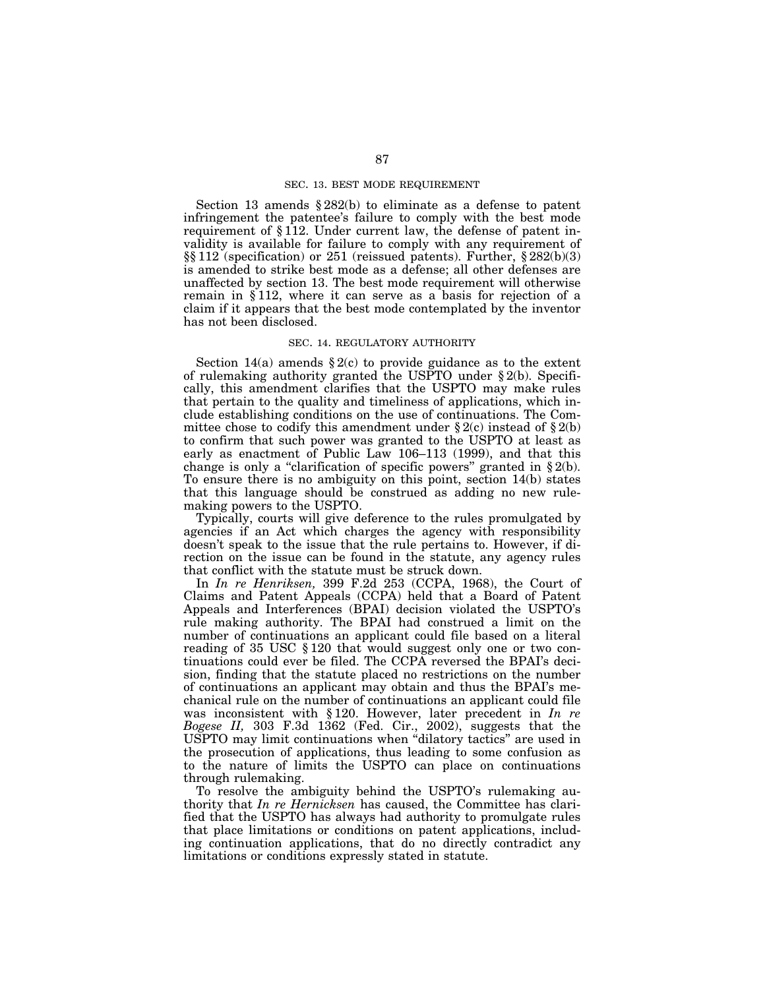#### SEC. 13. BEST MODE REQUIREMENT

Section 13 amends § 282(b) to eliminate as a defense to patent infringement the patentee's failure to comply with the best mode requirement of § 112. Under current law, the defense of patent invalidity is available for failure to comply with any requirement of §§ 112 (specification) or 251 (reissued patents). Further, § 282(b)(3) is amended to strike best mode as a defense; all other defenses are unaffected by section 13. The best mode requirement will otherwise remain in § 112, where it can serve as a basis for rejection of a claim if it appears that the best mode contemplated by the inventor has not been disclosed.

#### SEC. 14. REGULATORY AUTHORITY

Section 14(a) amends  $\S 2(c)$  to provide guidance as to the extent of rulemaking authority granted the USPTO under § 2(b). Specifically, this amendment clarifies that the USPTO may make rules that pertain to the quality and timeliness of applications, which include establishing conditions on the use of continuations. The Committee chose to codify this amendment under  $\S 2(c)$  instead of  $\S 2(b)$ to confirm that such power was granted to the USPTO at least as early as enactment of Public Law 106–113 (1999), and that this change is only a "clarification of specific powers" granted in  $\S 2(b)$ . To ensure there is no ambiguity on this point, section 14(b) states that this language should be construed as adding no new rulemaking powers to the USPTO.

Typically, courts will give deference to the rules promulgated by agencies if an Act which charges the agency with responsibility doesn't speak to the issue that the rule pertains to. However, if direction on the issue can be found in the statute, any agency rules that conflict with the statute must be struck down.

In *In re Henriksen,* 399 F.2d 253 (CCPA, 1968), the Court of Claims and Patent Appeals (CCPA) held that a Board of Patent Appeals and Interferences (BPAI) decision violated the USPTO's rule making authority. The BPAI had construed a limit on the number of continuations an applicant could file based on a literal reading of 35 USC § 120 that would suggest only one or two continuations could ever be filed. The CCPA reversed the BPAI's decision, finding that the statute placed no restrictions on the number of continuations an applicant may obtain and thus the BPAI's mechanical rule on the number of continuations an applicant could file was inconsistent with § 120. However, later precedent in *In re Bogese II,* 303 F.3d 1362 (Fed. Cir., 2002), suggests that the USPTO may limit continuations when ''dilatory tactics'' are used in the prosecution of applications, thus leading to some confusion as to the nature of limits the USPTO can place on continuations through rulemaking.

To resolve the ambiguity behind the USPTO's rulemaking authority that *In re Hernicksen* has caused, the Committee has clarified that the USPTO has always had authority to promulgate rules that place limitations or conditions on patent applications, including continuation applications, that do no directly contradict any limitations or conditions expressly stated in statute.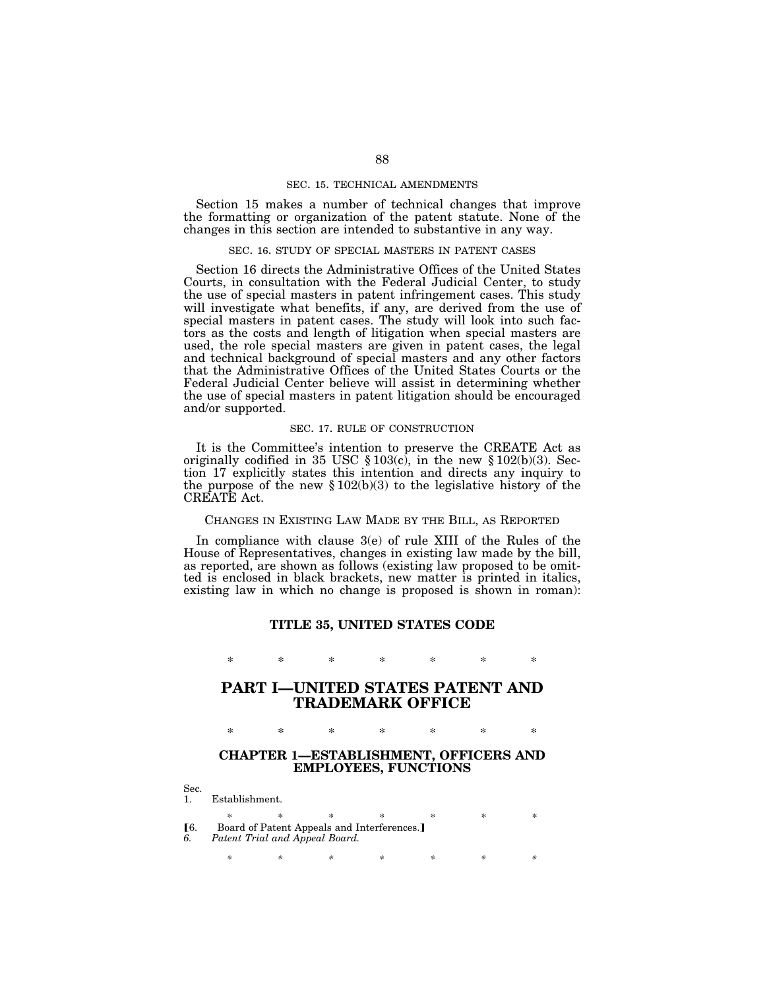#### SEC. 15. TECHNICAL AMENDMENTS

Section 15 makes a number of technical changes that improve the formatting or organization of the patent statute. None of the changes in this section are intended to substantive in any way.

#### SEC. 16. STUDY OF SPECIAL MASTERS IN PATENT CASES

Section 16 directs the Administrative Offices of the United States Courts, in consultation with the Federal Judicial Center, to study the use of special masters in patent infringement cases. This study will investigate what benefits, if any, are derived from the use of special masters in patent cases. The study will look into such factors as the costs and length of litigation when special masters are used, the role special masters are given in patent cases, the legal and technical background of special masters and any other factors that the Administrative Offices of the United States Courts or the Federal Judicial Center believe will assist in determining whether the use of special masters in patent litigation should be encouraged and/or supported.

#### SEC. 17. RULE OF CONSTRUCTION

It is the Committee's intention to preserve the CREATE Act as originally codified in 35 USC  $\S 103(c)$ , in the new  $\S 102(b)(3)$ . Section 17 explicitly states this intention and directs any inquiry to the purpose of the new  $\S 102(b)(3)$  to the legislative history of the CREATE Act.

#### CHANGES IN EXISTING LAW MADE BY THE BILL, AS REPORTED

In compliance with clause 3(e) of rule XIII of the Rules of the House of Representatives, changes in existing law made by the bill, as reported, are shown as follows (existing law proposed to be omitted is enclosed in black brackets, new matter is printed in italics, existing law in which no change is proposed is shown in roman):

# **TITLE 35, UNITED STATES CODE**

# **PART I—UNITED STATES PATENT AND TRADEMARK OFFICE**

\* \* \* \* \* \* \*

# \* \* \* \* \* \* \* **CHAPTER 1—ESTABLISHMENT, OFFICERS AND EMPLOYEES, FUNCTIONS**

Sec.<br>1.

Establishment.

| [6.<br>6. |  | Board of Patent Appeals and Interferences.<br>Patent Trial and Appeal Board. |  |  |
|-----------|--|------------------------------------------------------------------------------|--|--|

*\* \* \* \* \* \* \**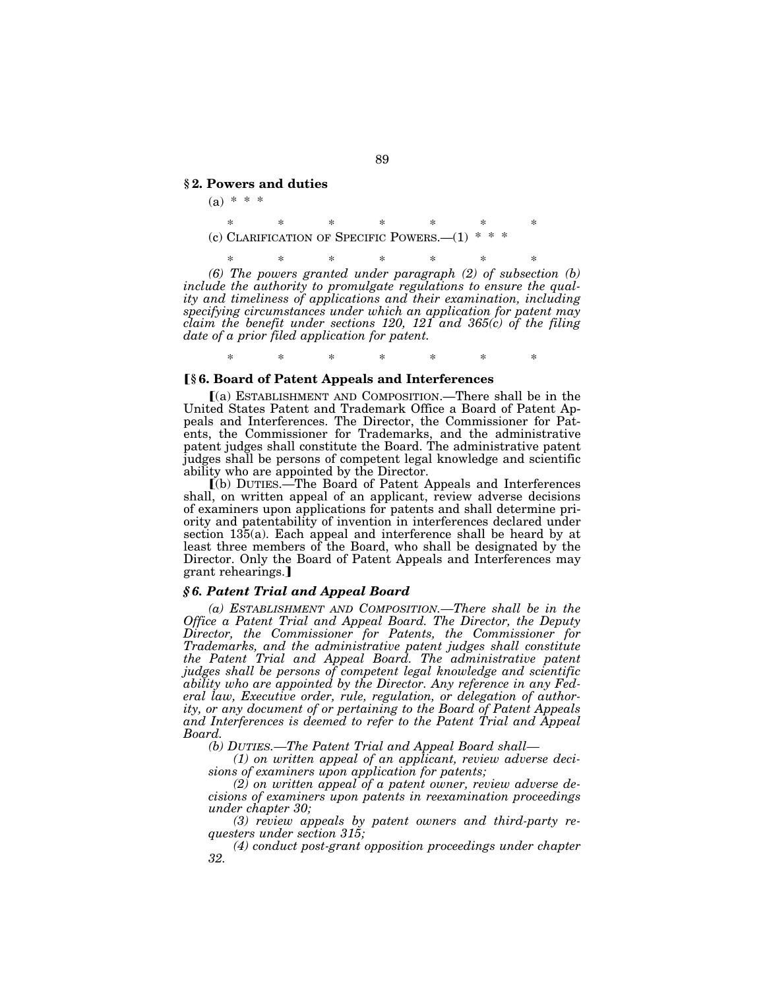**§ 2. Powers and duties** 

 $(a) * * * *$ 

\* \* \* \* \* \* \*  $(c)$  CLARIFICATION OF SPECIFIC POWERS. $-$ (1)

\* \* \* \* \* \* \*

*(6) The powers granted under paragraph (2) of subsection (b) include the authority to promulgate regulations to ensure the quality and timeliness of applications and their examination, including specifying circumstances under which an application for patent may claim the benefit under sections 120, 121 and 365(c) of the filing date of a prior filed application for patent.* 

\* \* \* \* \* \* \*

# ø**§ 6. Board of Patent Appeals and Interferences**

ø(a) ESTABLISHMENT AND COMPOSITION.—There shall be in the United States Patent and Trademark Office a Board of Patent Appeals and Interferences. The Director, the Commissioner for Patents, the Commissioner for Trademarks, and the administrative patent judges shall constitute the Board. The administrative patent judges shall be persons of competent legal knowledge and scientific ability who are appointed by the Director.

ø(b) DUTIES.—The Board of Patent Appeals and Interferences shall, on written appeal of an applicant, review adverse decisions of examiners upon applications for patents and shall determine priority and patentability of invention in interferences declared under section 135(a). Each appeal and interference shall be heard by at least three members of the Board, who shall be designated by the Director. Only the Board of Patent Appeals and Interferences may grant rehearings.

#### *§ 6. Patent Trial and Appeal Board*

*(a) ESTABLISHMENT AND COMPOSITION.—There shall be in the Office a Patent Trial and Appeal Board. The Director, the Deputy Director, the Commissioner for Patents, the Commissioner for Trademarks, and the administrative patent judges shall constitute the Patent Trial and Appeal Board. The administrative patent judges shall be persons of competent legal knowledge and scientific ability who are appointed by the Director. Any reference in any Federal law, Executive order, rule, regulation, or delegation of authority, or any document of or pertaining to the Board of Patent Appeals and Interferences is deemed to refer to the Patent Trial and Appeal Board.* 

*(b) DUTIES.—The Patent Trial and Appeal Board shall—*

*(1) on written appeal of an applicant, review adverse decisions of examiners upon application for patents;* 

*(2) on written appeal of a patent owner, review adverse decisions of examiners upon patents in reexamination proceedings under chapter 30;* 

*(3) review appeals by patent owners and third-party requesters under section 315;* 

*(4) conduct post-grant opposition proceedings under chapter 32.*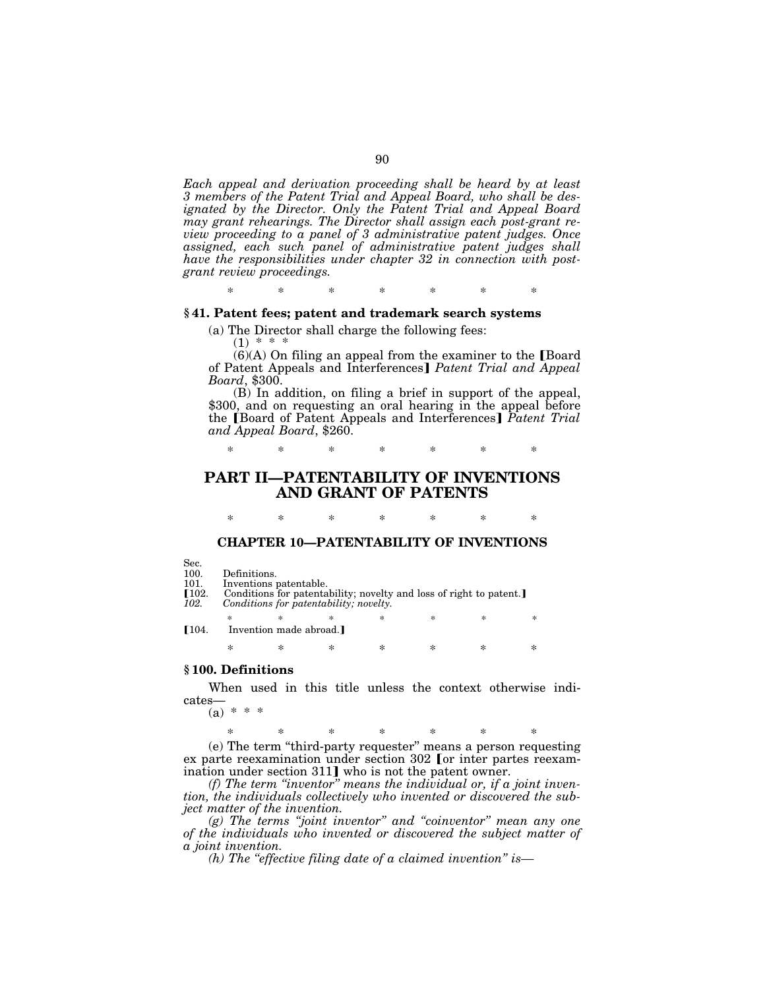*Each appeal and derivation proceeding shall be heard by at least 3 members of the Patent Trial and Appeal Board, who shall be designated by the Director. Only the Patent Trial and Appeal Board may grant rehearings. The Director shall assign each post-grant review proceeding to a panel of 3 administrative patent judges. Once assigned, each such panel of administrative patent judges shall have the responsibilities under chapter 32 in connection with postgrant review proceedings.* 

\* \* \* \* \* \* \*

#### **§ 41. Patent fees; patent and trademark search systems**

(a) The Director shall charge the following fees:

 $(1) * * *$ 

 $(6)(A)$  On filing an appeal from the examiner to the [Board] of Patent Appeals and Interferences¿ *Patent Trial and Appeal Board*, \$300.

(B) In addition, on filing a brief in support of the appeal, \$300, and on requesting an oral hearing in the appeal before the [Board of Patent Appeals and Interferences] *Patent Trial and Appeal Board*, \$260.

\* \* \* \* \* \* \*

# **PART II—PATENTABILITY OF INVENTIONS AND GRANT OF PATENTS**

# \* \* \* \* \* \* \*

# **CHAPTER 10—PATENTABILITY OF INVENTIONS**

| Sec.                 |                                                                                                              |                        |    |        |        |   |        |  |  |
|----------------------|--------------------------------------------------------------------------------------------------------------|------------------------|----|--------|--------|---|--------|--|--|
| 100.                 | Definitions.                                                                                                 |                        |    |        |        |   |        |  |  |
| 101.                 |                                                                                                              | Inventions patentable. |    |        |        |   |        |  |  |
| <b>[102.</b><br>102. | Conditions for patentability; novelty and loss of right to patent.<br>Conditions for patentability; novelty. |                        |    |        |        |   |        |  |  |
|                      | ×                                                                                                            |                        | ×. | ∗      | *      | ∗ | 字      |  |  |
| <b>104.</b>          | Invention made abroad.                                                                                       |                        |    |        |        |   |        |  |  |
|                      | $\ast$                                                                                                       | $\ast$                 | ∗  | $\ast$ | $\ast$ | ∗ | $\ast$ |  |  |
|                      |                                                                                                              |                        |    |        |        |   |        |  |  |

# **§ 100. Definitions**

When used in this title unless the context otherwise indicates—

 $(a) * * *$ 

\* \* \* \* \* \* \*

(e) The term ''third-party requester'' means a person requesting ex parte reexamination under section 302 [or inter partes reexamination under section 311] who is not the patent owner.

*(f) The term ''inventor'' means the individual or, if a joint invention, the individuals collectively who invented or discovered the subject matter of the invention.* 

*(g) The terms ''joint inventor'' and ''coinventor'' mean any one of the individuals who invented or discovered the subject matter of a joint invention.* 

*(h) The ''effective filing date of a claimed invention'' is—*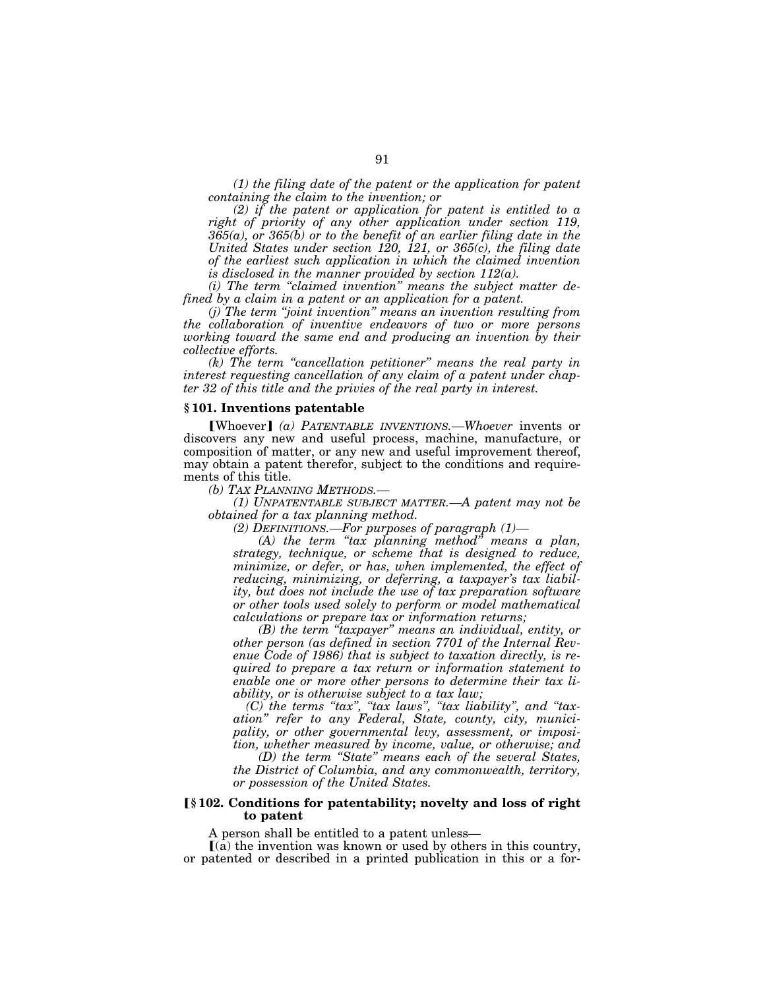*(1) the filing date of the patent or the application for patent containing the claim to the invention; or* 

*(2) if the patent or application for patent is entitled to a right of priority of any other application under section 119, 365(a), or 365(b) or to the benefit of an earlier filing date in the United States under section 120, 121, or 365(c), the filing date of the earliest such application in which the claimed invention is disclosed in the manner provided by section 112(a).* 

*(i) The term ''claimed invention'' means the subject matter defined by a claim in a patent or an application for a patent.* 

*(j) The term ''joint invention'' means an invention resulting from the collaboration of inventive endeavors of two or more persons working toward the same end and producing an invention by their collective efforts.* 

*(k) The term ''cancellation petitioner'' means the real party in interest requesting cancellation of any claim of a patent under chapter 32 of this title and the privies of the real party in interest.* 

## **§ 101. Inventions patentable**

[Whoever] (a) PATENTABLE INVENTIONS.—Whoever invents or discovers any new and useful process, machine, manufacture, or composition of matter, or any new and useful improvement thereof, may obtain a patent therefor, subject to the conditions and requirements of this title.

*(b) TAX PLANNING METHODS.—*

*(1) UNPATENTABLE SUBJECT MATTER.—A patent may not be obtained for a tax planning method.* 

*(2) DEFINITIONS.—For purposes of paragraph (1)—*

*(A) the term ''tax planning method'' means a plan, strategy, technique, or scheme that is designed to reduce, minimize, or defer, or has, when implemented, the effect of reducing, minimizing, or deferring, a taxpayer's tax liability, but does not include the use of tax preparation software or other tools used solely to perform or model mathematical calculations or prepare tax or information returns;* 

*(B) the term ''taxpayer'' means an individual, entity, or other person (as defined in section 7701 of the Internal Revenue Code of 1986) that is subject to taxation directly, is required to prepare a tax return or information statement to enable one or more other persons to determine their tax liability, or is otherwise subject to a tax law;* 

*(C) the terms ''tax'', ''tax laws'', ''tax liability'', and ''taxation'' refer to any Federal, State, county, city, municipality, or other governmental levy, assessment, or imposition, whether measured by income, value, or otherwise; and* 

*(D) the term ''State'' means each of the several States, the District of Columbia, and any commonwealth, territory, or possession of the United States.* 

# ø**§ 102. Conditions for patentability; novelty and loss of right to patent**

A person shall be entitled to a patent unless—

 $(a)$  the invention was known or used by others in this country, or patented or described in a printed publication in this or a for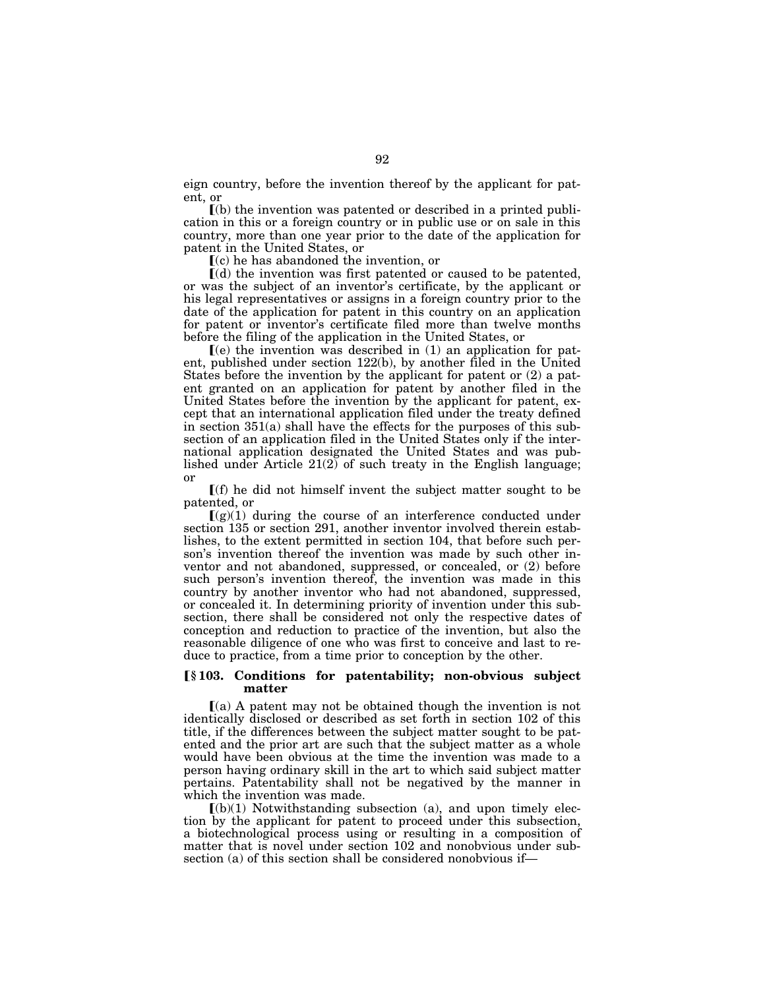eign country, before the invention thereof by the applicant for patent, or

ø(b) the invention was patented or described in a printed publication in this or a foreign country or in public use or on sale in this country, more than one year prior to the date of the application for patent in the United States, or

 $(c)$  he has abandoned the invention, or

 $(d)$  the invention was first patented or caused to be patented, or was the subject of an inventor's certificate, by the applicant or his legal representatives or assigns in a foreign country prior to the date of the application for patent in this country on an application for patent or inventor's certificate filed more than twelve months before the filing of the application in the United States, or

 $(e)$  the invention was described in  $(1)$  an application for patent, published under section 122(b), by another filed in the United States before the invention by the applicant for patent or (2) a patent granted on an application for patent by another filed in the United States before the invention by the applicant for patent, except that an international application filed under the treaty defined in section 351(a) shall have the effects for the purposes of this subsection of an application filed in the United States only if the international application designated the United States and was published under Article 21(2) of such treaty in the English language; or

 $(f)$  he did not himself invent the subject matter sought to be patented, or

 $(q)(1)$  during the course of an interference conducted under section 135 or section 291, another inventor involved therein establishes, to the extent permitted in section 104, that before such person's invention thereof the invention was made by such other inventor and not abandoned, suppressed, or concealed, or (2) before such person's invention thereof, the invention was made in this country by another inventor who had not abandoned, suppressed, or concealed it. In determining priority of invention under this subsection, there shall be considered not only the respective dates of conception and reduction to practice of the invention, but also the reasonable diligence of one who was first to conceive and last to reduce to practice, from a time prior to conception by the other.

# ø**§ 103. Conditions for patentability; non-obvious subject matter**

 $(a)$  A patent may not be obtained though the invention is not identically disclosed or described as set forth in section 102 of this title, if the differences between the subject matter sought to be patented and the prior art are such that the subject matter as a whole would have been obvious at the time the invention was made to a person having ordinary skill in the art to which said subject matter pertains. Patentability shall not be negatived by the manner in which the invention was made.

 $(b)(1)$  Notwithstanding subsection (a), and upon timely election by the applicant for patent to proceed under this subsection, a biotechnological process using or resulting in a composition of matter that is novel under section 102 and nonobvious under subsection (a) of this section shall be considered nonobvious if—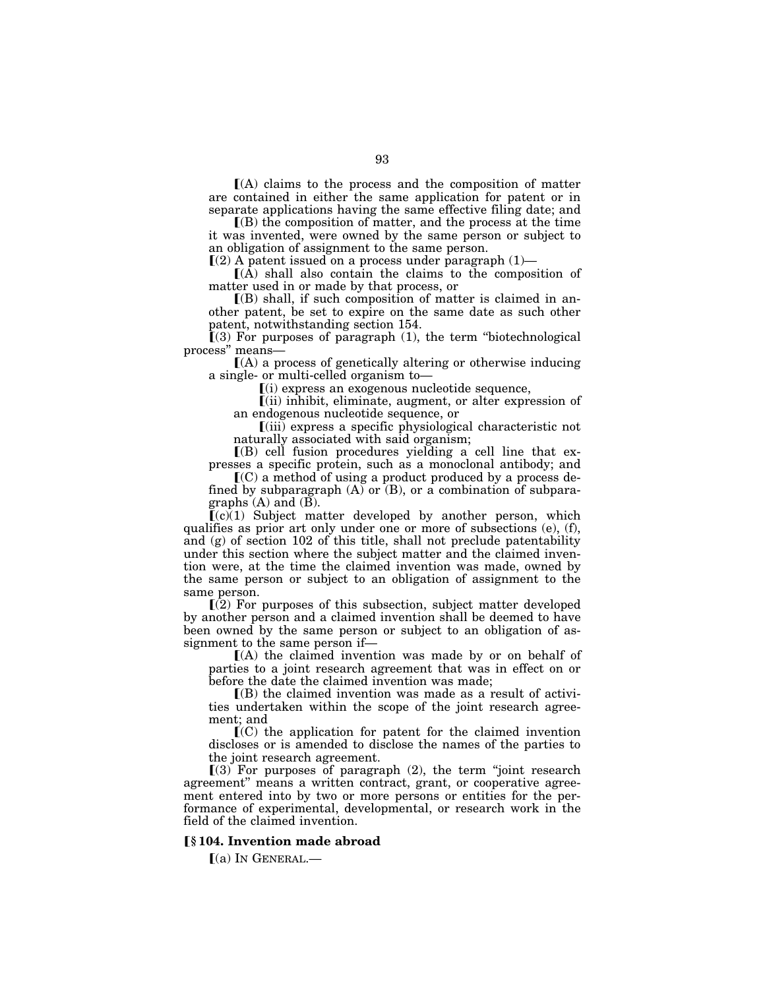$I(A)$  claims to the process and the composition of matter are contained in either the same application for patent or in separate applications having the same effective filing date; and

 $($ B $)$  the composition of matter, and the process at the time it was invented, were owned by the same person or subject to an obligation of assignment to the same person.

 $(2)$  A patent issued on a process under paragraph  $(1)$ —

 $I(A)$  shall also contain the claims to the composition of matter used in or made by that process, or

 $[(B)$  shall, if such composition of matter is claimed in another patent, be set to expire on the same date as such other patent, notwithstanding section 154.

 $(3)$  For purposes of paragraph  $(1)$ , the term "biotechnological process'' means—

 $[(A)$  a process of genetically altering or otherwise inducing a single- or multi-celled organism to—

 $(i)$  express an exogenous nucleotide sequence,

ø(ii) inhibit, eliminate, augment, or alter expression of an endogenous nucleotide sequence, or

ø(iii) express a specific physiological characteristic not naturally associated with said organism;

 $($ B) cell fusion procedures yielding a cell line that expresses a specific protein, such as a monoclonal antibody; and

 $\mathcal{I}(C)$  a method of using a product produced by a process defined by subparagraph  $(A)$  or  $(B)$ , or a combination of subparagraphs  $(A)$  and  $(B)$ .

 $(c)(1)$  Subject matter developed by another person, which qualifies as prior art only under one or more of subsections (e), (f), and (g) of section 102 of this title, shall not preclude patentability under this section where the subject matter and the claimed invention were, at the time the claimed invention was made, owned by the same person or subject to an obligation of assignment to the same person.

 $\overline{Q}$ ) For purposes of this subsection, subject matter developed by another person and a claimed invention shall be deemed to have been owned by the same person or subject to an obligation of assignment to the same person if—

 $(A)$  the claimed invention was made by or on behalf of parties to a joint research agreement that was in effect on or before the date the claimed invention was made;

 $($ B) the claimed invention was made as a result of activities undertaken within the scope of the joint research agreement; and

 $\mathbf{I}(C)$  the application for patent for the claimed invention discloses or is amended to disclose the names of the parties to the joint research agreement.

 $(3)$  For purposes of paragraph (2), the term "joint research" agreement'' means a written contract, grant, or cooperative agreement entered into by two or more persons or entities for the performance of experimental, developmental, or research work in the field of the claimed invention.

#### ø**§ 104. Invention made abroad**

 $(a)$  In GENERAL.—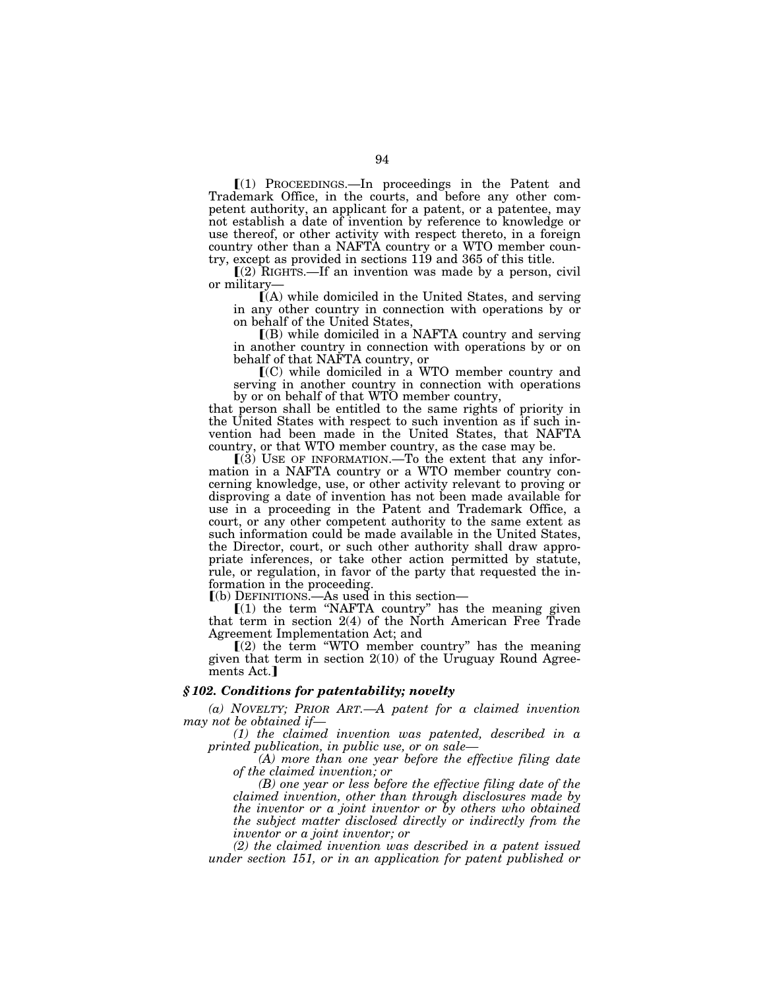$(1)$  PROCEEDINGS.—In proceedings in the Patent and Trademark Office, in the courts, and before any other competent authority, an applicant for a patent, or a patentee, may not establish a date of invention by reference to knowledge or use thereof, or other activity with respect thereto, in a foreign country other than a NAFTA country or a WTO member country, except as provided in sections 119 and 365 of this title.

 $(2)$  RIGHTS.—If an invention was made by a person, civil or military— $\Gamma(A)$  while domiciled in the United States, and serving

in any other country in connection with operations by or on behalf of the United States,

 $($ B) while domiciled in a NAFTA country and serving in another country in connection with operations by or on behalf of that NAFTA country, or

 $(C)$  while domiciled in a WTO member country and serving in another country in connection with operations by or on behalf of that WTO member country,

that person shall be entitled to the same rights of priority in the United States with respect to such invention as if such invention had been made in the United States, that NAFTA country, or that WTO member country, as the case may be.

 $(3)$  USE OF INFORMATION.—To the extent that any information in a NAFTA country or a WTO member country concerning knowledge, use, or other activity relevant to proving or disproving a date of invention has not been made available for use in a proceeding in the Patent and Trademark Office, a court, or any other competent authority to the same extent as such information could be made available in the United States, the Director, court, or such other authority shall draw appropriate inferences, or take other action permitted by statute, rule, or regulation, in favor of the party that requested the information in the proceeding.

 $\lceil$ (b) DEFINITIONS.—As used in this section—

 $(1)$  the term "NAFTA country" has the meaning given that term in section 2(4) of the North American Free Trade Agreement Implementation Act; and

 $(2)$  the term "WTO member country" has the meaning given that term in section 2(10) of the Uruguay Round Agreements Act.<sup>1</sup>

### *§ 102. Conditions for patentability; novelty*

*(a) NOVELTY; PRIOR ART.—A patent for a claimed invention may not be obtained if—*

*(1) the claimed invention was patented, described in a printed publication, in public use, or on sale—*

*(A) more than one year before the effective filing date of the claimed invention; or* 

*(B) one year or less before the effective filing date of the claimed invention, other than through disclosures made by the inventor or a joint inventor or by others who obtained the subject matter disclosed directly or indirectly from the inventor or a joint inventor; or* 

*(2) the claimed invention was described in a patent issued under section 151, or in an application for patent published or*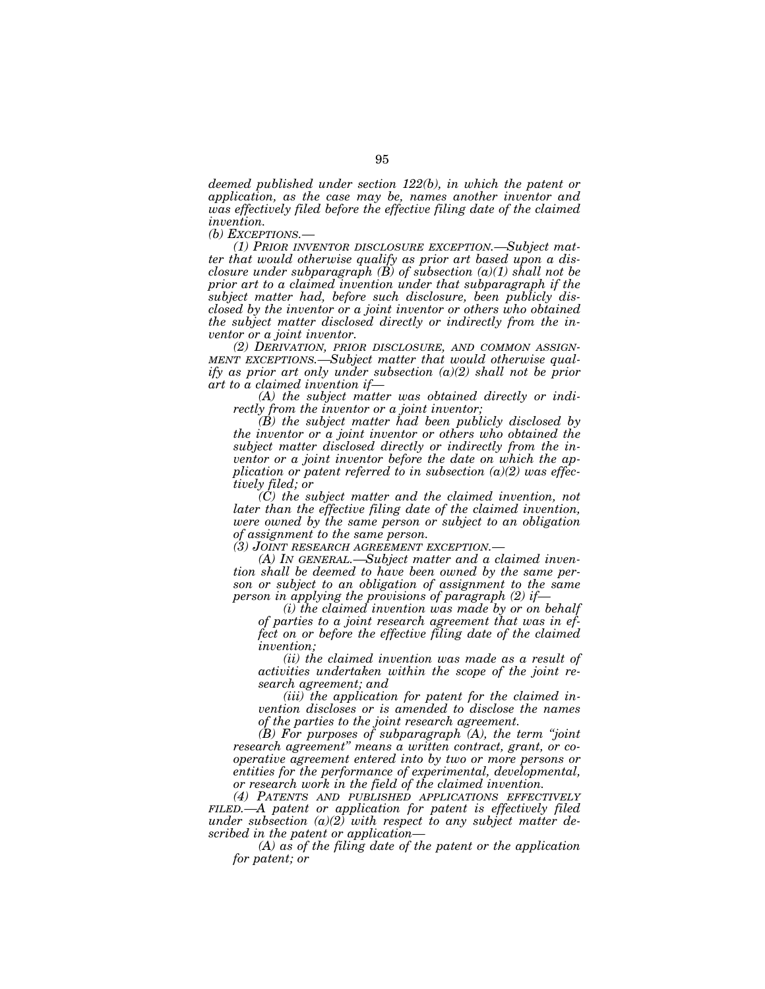*deemed published under section 122(b), in which the patent or application, as the case may be, names another inventor and was effectively filed before the effective filing date of the claimed invention.* 

*(b) EXCEPTIONS.— (1) PRIOR INVENTOR DISCLOSURE EXCEPTION.—Subject matter that would otherwise qualify as prior art based upon a disclosure under subparagraph (B) of subsection (a)(1) shall not be prior art to a claimed invention under that subparagraph if the subject matter had, before such disclosure, been publicly disclosed by the inventor or a joint inventor or others who obtained the subject matter disclosed directly or indirectly from the inventor or a joint inventor.* 

*(2) DERIVATION, PRIOR DISCLOSURE, AND COMMON ASSIGN-MENT EXCEPTIONS.—Subject matter that would otherwise qualify as prior art only under subsection (a)(2) shall not be prior art to a claimed invention if—*

*(A) the subject matter was obtained directly or indirectly from the inventor or a joint inventor;* 

*(B) the subject matter had been publicly disclosed by the inventor or a joint inventor or others who obtained the subject matter disclosed directly or indirectly from the inventor or a joint inventor before the date on which the application or patent referred to in subsection (a)(2) was effectively filed; or* 

*(C) the subject matter and the claimed invention, not later than the effective filing date of the claimed invention, were owned by the same person or subject to an obligation of assignment to the same person.* 

*(3) JOINT RESEARCH AGREEMENT EXCEPTION.—*

*(A) IN GENERAL.—Subject matter and a claimed invention shall be deemed to have been owned by the same person or subject to an obligation of assignment to the same person in applying the provisions of paragraph (2) if—*

*(i) the claimed invention was made by or on behalf of parties to a joint research agreement that was in effect on or before the effective filing date of the claimed invention;* 

*(ii) the claimed invention was made as a result of activities undertaken within the scope of the joint research agreement; and* 

*(iii) the application for patent for the claimed invention discloses or is amended to disclose the names of the parties to the joint research agreement.* 

*(B) For purposes of subparagraph (A), the term ''joint research agreement'' means a written contract, grant, or cooperative agreement entered into by two or more persons or entities for the performance of experimental, developmental, or research work in the field of the claimed invention.* 

*(4) PATENTS AND PUBLISHED APPLICATIONS EFFECTIVELY FILED.—A patent or application for patent is effectively filed under subsection*  $(a)(2)$  *with respect to any subject matter described in the patent or application—* 

*scribed in the patent or application— (A) as of the filing date of the patent or the application for patent; or*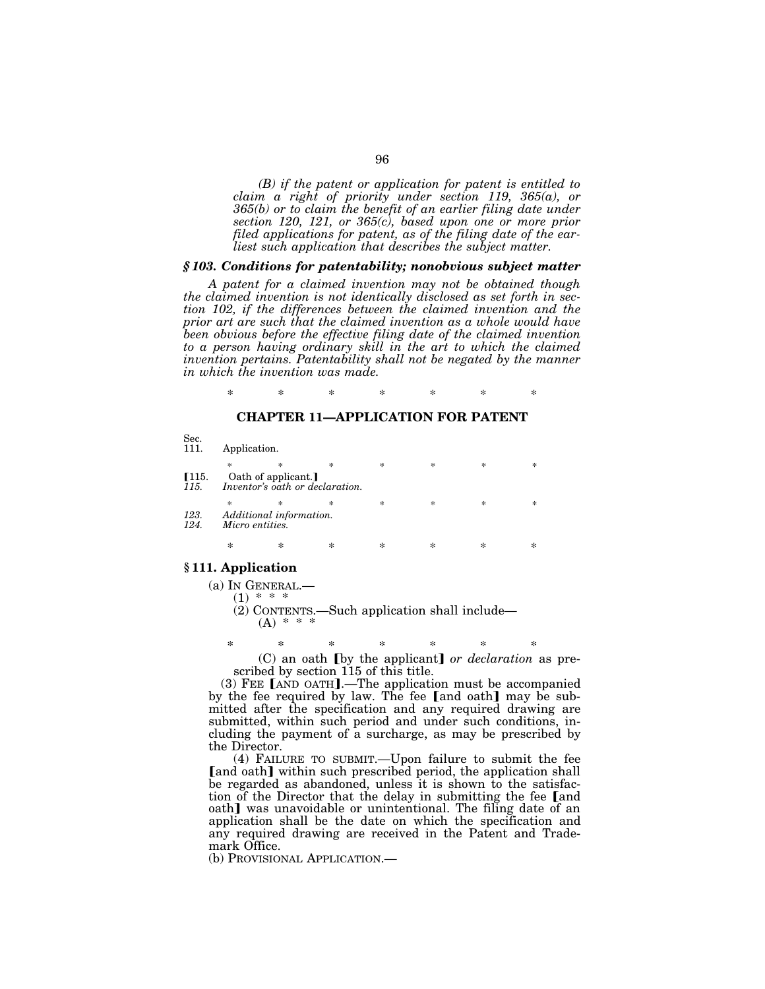*(B) if the patent or application for patent is entitled to claim a right of priority under section 119, 365(a), or 365(b) or to claim the benefit of an earlier filing date under section 120, 121, or 365(c), based upon one or more prior filed applications for patent, as of the filing date of the earliest such application that describes the subject matter.* 

### *§ 103. Conditions for patentability; nonobvious subject matter*

*A patent for a claimed invention may not be obtained though the claimed invention is not identically disclosed as set forth in section 102, if the differences between the claimed invention and the prior art are such that the claimed invention as a whole would have been obvious before the effective filing date of the claimed invention*  to a person having ordinary skill in the art to which the claimed *invention pertains. Patentability shall not be negated by the manner in which the invention was made.* 

# \* \* \* \* \* \* \* **CHAPTER 11—APPLICATION FOR PATENT**

| NCL.<br>111.           | Application.                                          |        |        |   |        |        |        |  |  |  |
|------------------------|-------------------------------------------------------|--------|--------|---|--------|--------|--------|--|--|--|
|                        | $\ast$                                                | 字      | 永      | * | *      | $\ast$ | $\ast$ |  |  |  |
| $\sqrt{115}$ .<br>115. | Oath of applicant.<br>Inventor's oath or declaration. |        |        |   |        |        |        |  |  |  |
|                        | $\ast$                                                | 冰      | ×      | * | *      | $\ast$ | 字      |  |  |  |
| 123.<br>124.           | Additional information.<br>Micro entities.            |        |        |   |        |        |        |  |  |  |
|                        | ×.                                                    | $\ast$ | $\ast$ | × | $\ast$ | $\ast$ | ∗      |  |  |  |

# **§ 111. Application**

 $S_{\alpha\alpha}$ 

(a) IN GENERAL.—

 $(1) * * *$ 

- (2) CONTENTS.—Such application shall include— (A) \* \* \*
- \* \* \* \* \* \* \* (C) an oath øby the applicant¿ *or declaration* as prescribed by section 115 of this title.

 $(3)$  FEE [AND OATH].—The application must be accompanied by the fee required by law. The fee [and oath] may be submitted after the specification and any required drawing are submitted, within such period and under such conditions, including the payment of a surcharge, as may be prescribed by the Director.

(4) FAILURE TO SUBMIT.—Upon failure to submit the fee [and oath] within such prescribed period, the application shall be regarded as abandoned, unless it is shown to the satisfaction of the Director that the delay in submitting the fee [and oath] was unavoidable or unintentional. The filing date of an application shall be the date on which the specification and any required drawing are received in the Patent and Trademark Office.

(b) PROVISIONAL APPLICATION.—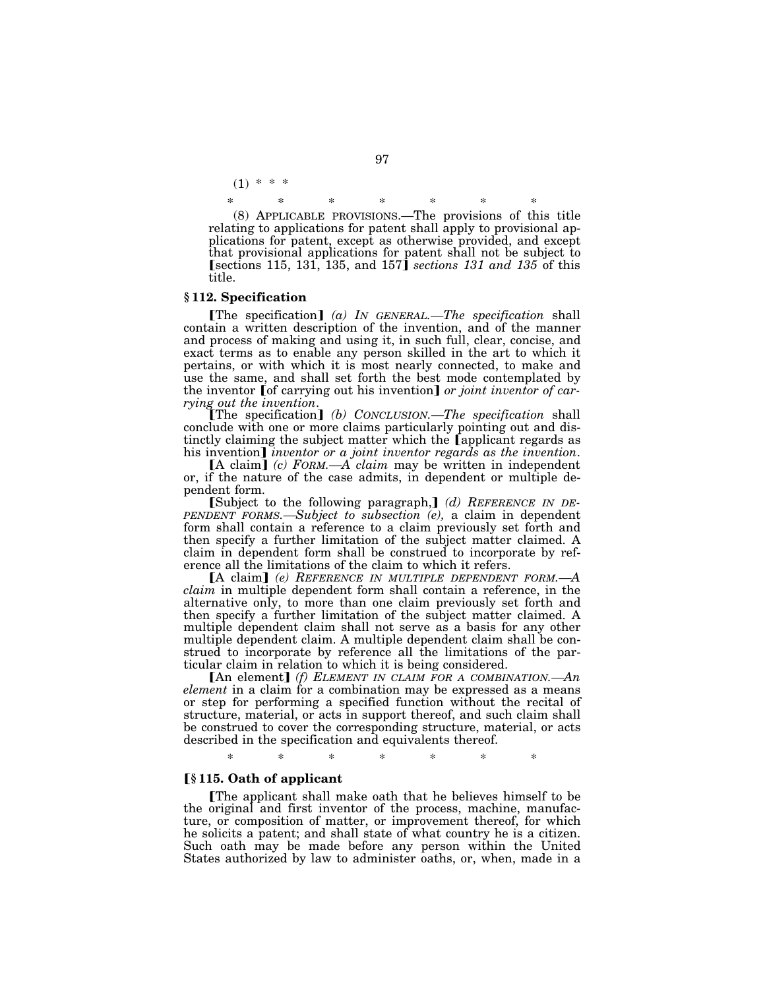\* \* \* \* \* \* \* (8) APPLICABLE PROVISIONS.—The provisions of this title relating to applications for patent shall apply to provisional applications for patent, except as otherwise provided, and except that provisional applications for patent shall not be subject to **[sections 115, 131, 135, and 157]** *sections 131 and 135* of this title.

#### **§ 112. Specification**

 $(1) * * *$ 

øThe specification¿ *(a) IN GENERAL.—The specification* shall contain a written description of the invention, and of the manner and process of making and using it, in such full, clear, concise, and exact terms as to enable any person skilled in the art to which it pertains, or with which it is most nearly connected, to make and use the same, and shall set forth the best mode contemplated by the inventor [of carrying out his invention] *or joint inventor of carrying out the invention.*<br> **The specification** *(b)* CONCLUSION.—The specification shall

conclude with one or more claims particularly pointing out and distinctly claiming the subject matter which the *applicant* regards as his invention] *inventor or a joint inventor regards as the invention*. [A claim] *(c) FORM.—A claim* may be written in independent

or, if the nature of the case admits, in dependent or multiple dependent form.<br>
[Subject to the following paragraph,] (d) REFERENCE IN DE-

PENDENT FORMS.—Subject to subsection (e), a claim in dependent form shall contain a reference to a claim previously set forth and then specify a further limitation of the subject matter claimed. A claim in dependent form shall be construed to incorporate by reference all the limitations of the claim to which it refers.

[A claim] (e) REFERENCE IN MULTIPLE DEPENDENT FORM.<sup>--</sup>A *claim* in multiple dependent form shall contain a reference, in the alternative only, to more than one claim previously set forth and then specify a further limitation of the subject matter claimed. A multiple dependent claim shall not serve as a basis for any other multiple dependent claim. A multiple dependent claim shall be construed to incorporate by reference all the limitations of the particular claim in relation to which it is being considered.

**EXECUTE AND IN EXECUTE IN EXECUTE OF A COMBINATION.**—An **FOR A COMBINATION** *element* in a claim for a combination may be expressed as a means or step for performing a specified function without the recital of structure, material, or acts in support thereof, and such claim shall be construed to cover the corresponding structure, material, or acts described in the specification and equivalents thereof.

\* \* \* \* \* \* \*

# ø**§ 115. Oath of applicant**

øThe applicant shall make oath that he believes himself to be the original and first inventor of the process, machine, manufacture, or composition of matter, or improvement thereof, for which he solicits a patent; and shall state of what country he is a citizen. Such oath may be made before any person within the United States authorized by law to administer oaths, or, when, made in a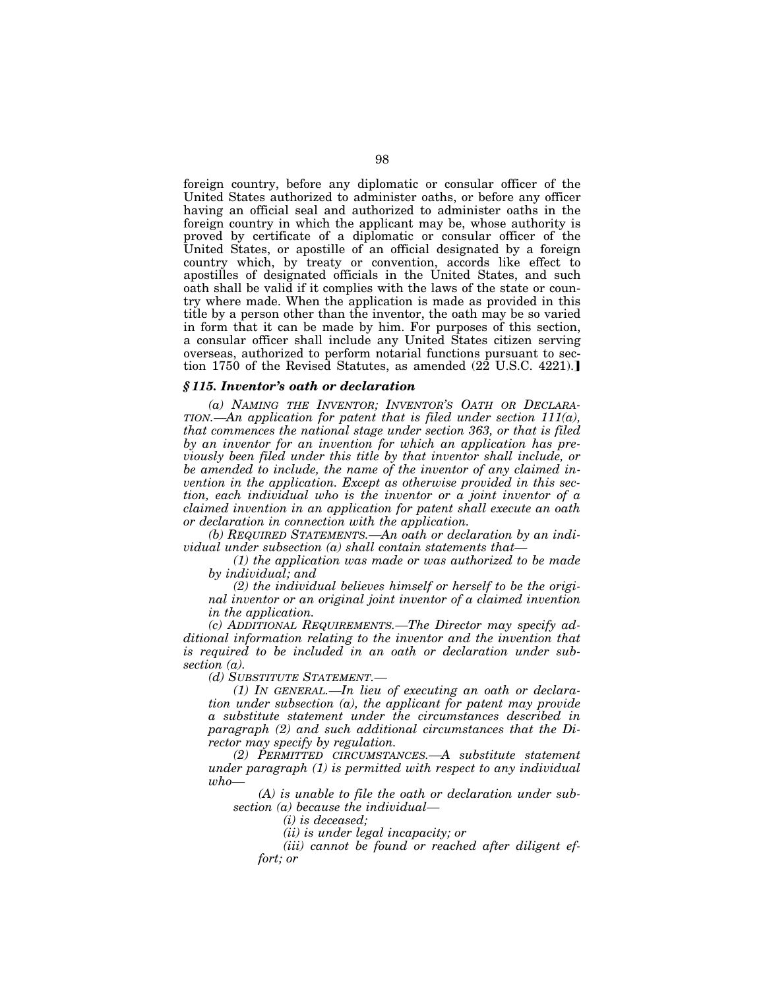foreign country, before any diplomatic or consular officer of the United States authorized to administer oaths, or before any officer having an official seal and authorized to administer oaths in the foreign country in which the applicant may be, whose authority is proved by certificate of a diplomatic or consular officer of the United States, or apostille of an official designated by a foreign country which, by treaty or convention, accords like effect to apostilles of designated officials in the United States, and such oath shall be valid if it complies with the laws of the state or country where made. When the application is made as provided in this title by a person other than the inventor, the oath may be so varied in form that it can be made by him. For purposes of this section, a consular officer shall include any United States citizen serving overseas, authorized to perform notarial functions pursuant to section 1750 of the Revised Statutes, as amended  $(2\overline{2} \text{ U.S.C. } 4221)$ .

#### *§ 115. Inventor's oath or declaration*

*(a) NAMING THE INVENTOR; INVENTOR'S OATH OR DECLARA-TION.—An application for patent that is filed under section 111(a), that commences the national stage under section 363, or that is filed by an inventor for an invention for which an application has previously been filed under this title by that inventor shall include, or be amended to include, the name of the inventor of any claimed invention in the application. Except as otherwise provided in this section, each individual who is the inventor or a joint inventor of a claimed invention in an application for patent shall execute an oath or declaration in connection with the application.* 

*(b) REQUIRED STATEMENTS.—An oath or declaration by an individual under subsection (a) shall contain statements that—*

*(1) the application was made or was authorized to be made by individual; and* 

*(2) the individual believes himself or herself to be the original inventor or an original joint inventor of a claimed invention in the application.* 

*(c) ADDITIONAL REQUIREMENTS.—The Director may specify additional information relating to the inventor and the invention that is required to be included in an oath or declaration under subsection (a).* 

*(d) SUBSTITUTE STATEMENT.—*

*(1) IN GENERAL.—In lieu of executing an oath or declaration under subsection (a), the applicant for patent may provide a substitute statement under the circumstances described in paragraph (2) and such additional circumstances that the Director may specify by regulation.* 

*(2) PERMITTED CIRCUMSTANCES.—A substitute statement under paragraph (1) is permitted with respect to any individual who—*

*(A) is unable to file the oath or declaration under subsection (a) because the individual—*

*(i) is deceased;* 

*(ii) is under legal incapacity; or* 

*(iii) cannot be found or reached after diligent effort; or*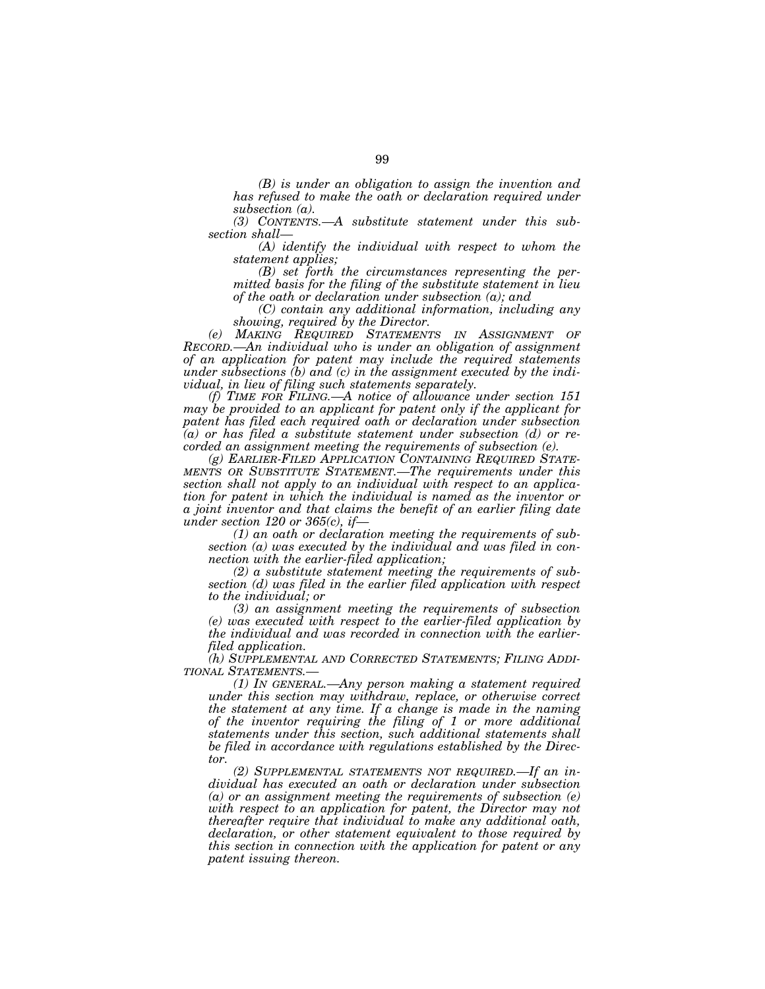*(B) is under an obligation to assign the invention and has refused to make the oath or declaration required under subsection (a).* 

*(3) CONTENTS.—A substitute statement under this sub-*

*section shall— (A) identify the individual with respect to whom the statement applies;* 

*(B) set forth the circumstances representing the permitted basis for the filing of the substitute statement in lieu of the oath or declaration under subsection (a); and* 

*(C) contain any additional information, including any showing, required by the Director.* 

*(e) MAKING REQUIRED STATEMENTS IN ASSIGNMENT OF RECORD.—An individual who is under an obligation of assignment of an application for patent may include the required statements under subsections (b) and (c) in the assignment executed by the individual, in lieu of filing such statements separately.* 

*(f) TIME FOR FILING.—A notice of allowance under section 151 may be provided to an applicant for patent only if the applicant for patent has filed each required oath or declaration under subsection (a) or has filed a substitute statement under subsection (d) or recorded an assignment meeting the requirements of subsection (e).* 

*(g) EARLIER-FILED APPLICATION CONTAINING REQUIRED STATE- MENTS OR SUBSTITUTE STATEMENT.—The requirements under this section shall not apply to an individual with respect to an application for patent in which the individual is named as the inventor or a joint inventor and that claims the benefit of an earlier filing date* 

*(1) an oath or declaration meeting the requirements of subsection (a) was executed by the individual and was filed in connection with the earlier-filed application;* 

*(2) a substitute statement meeting the requirements of subsection (d) was filed in the earlier filed application with respect to the individual; or* 

*(3) an assignment meeting the requirements of subsection (e) was executed with respect to the earlier-filed application by the individual and was recorded in connection with the earlierfiled application.* 

*(h) SUPPLEMENTAL AND CORRECTED STATEMENTS; FILING ADDI- TIONAL STATEMENTS.—*

*(1) IN GENERAL.—Any person making a statement required under this section may withdraw, replace, or otherwise correct the statement at any time. If a change is made in the naming of the inventor requiring the filing of 1 or more additional statements under this section, such additional statements shall be filed in accordance with regulations established by the Director.* 

*(2) SUPPLEMENTAL STATEMENTS NOT REQUIRED.—If an individual has executed an oath or declaration under subsection (a) or an assignment meeting the requirements of subsection (e) with respect to an application for patent, the Director may not thereafter require that individual to make any additional oath, declaration, or other statement equivalent to those required by this section in connection with the application for patent or any patent issuing thereon.*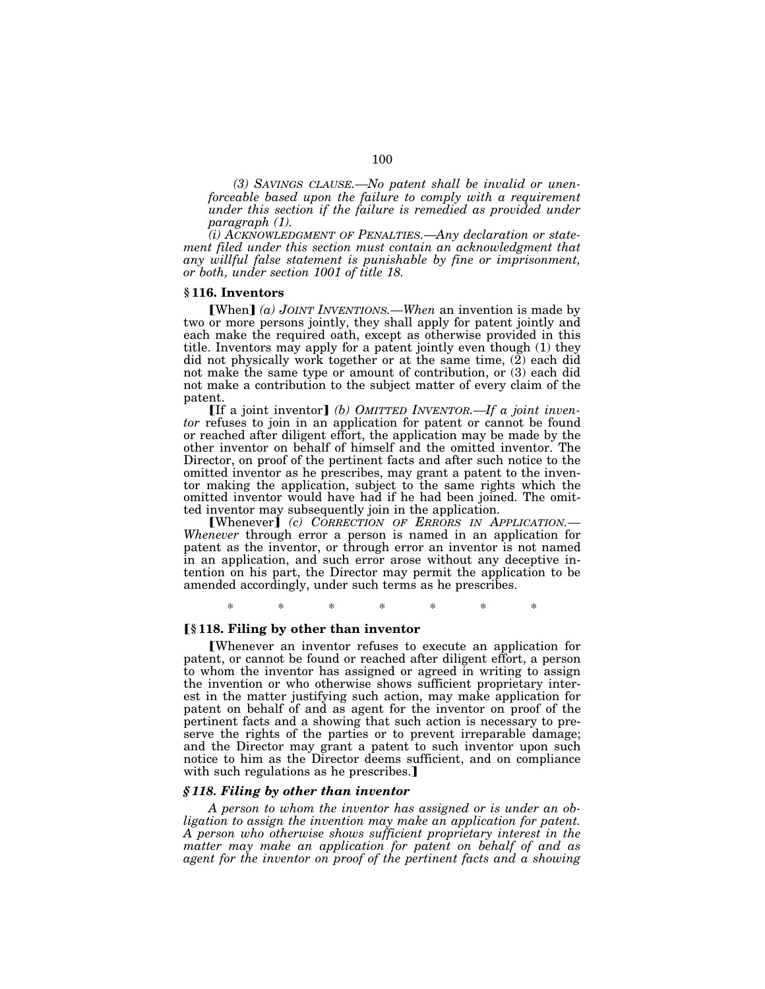*(3) SAVINGS CLAUSE.—No patent shall be invalid or unenforceable based upon the failure to comply with a requirement under this section if the failure is remedied as provided under paragraph (1).* 

*(i) ACKNOWLEDGMENT OF PENALTIES.—Any declaration or statement filed under this section must contain an acknowledgment that any willful false statement is punishable by fine or imprisonment, or both, under section 1001 of title 18.* 

#### **§ 116. Inventors**

**[When]** (a) JOINT **INVENTIONS.—When** an invention is made by two or more persons jointly, they shall apply for patent jointly and each make the required oath, except as otherwise provided in this title. Inventors may apply for a patent jointly even though (1) they did not physically work together or at the same time, (2) each did not make the same type or amount of contribution, or (3) each did not make a contribution to the subject matter of every claim of the patent.

[If a joint inventor] (b) OMITTED *INVENTOR.—If a joint inventor* refuses to join in an application for patent or cannot be found or reached after diligent effort, the application may be made by the other inventor on behalf of himself and the omitted inventor. The Director, on proof of the pertinent facts and after such notice to the omitted inventor as he prescribes, may grant a patent to the inventor making the application, subject to the same rights which the omitted inventor would have had if he had been joined. The omitted inventor may subsequently join in the application.

**EXAMPLE THE INTERFERT OF** *ERRORS IN APPLICATION*.——<br>*Whenever* through error a person is named in an application for patent as the inventor, or through error an inventor is not named in an application, and such error arose without any deceptive intention on his part, the Director may permit the application to be amended accordingly, under such terms as he prescribes.

\* \* \* \* \* \* \*

#### ø**§ 118. Filing by other than inventor**

øWhenever an inventor refuses to execute an application for patent, or cannot be found or reached after diligent effort, a person to whom the inventor has assigned or agreed in writing to assign the invention or who otherwise shows sufficient proprietary interest in the matter justifying such action, may make application for patent on behalf of and as agent for the inventor on proof of the pertinent facts and a showing that such action is necessary to preserve the rights of the parties or to prevent irreparable damage; and the Director may grant a patent to such inventor upon such notice to him as the Director deems sufficient, and on compliance with such regulations as he prescribes.]

#### *§ 118. Filing by other than inventor*

*A person to whom the inventor has assigned or is under an obligation to assign the invention may make an application for patent. A person who otherwise shows sufficient proprietary interest in the matter may make an application for patent on behalf of and as agent for the inventor on proof of the pertinent facts and a showing*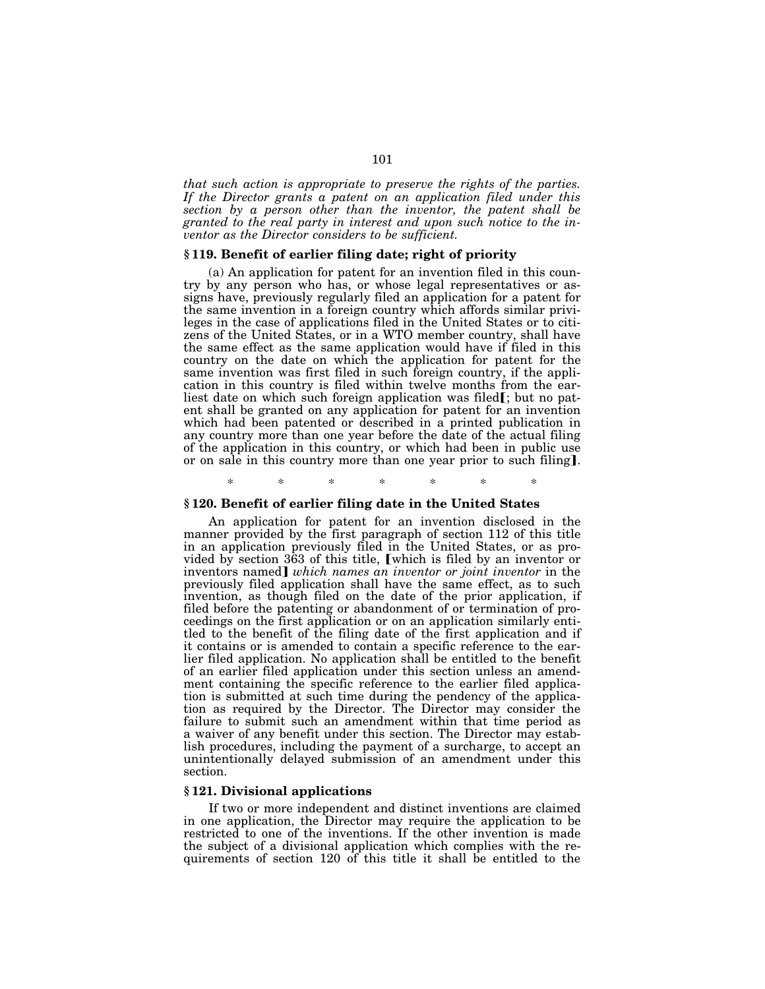*that such action is appropriate to preserve the rights of the parties. If the Director grants a patent on an application filed under this section by a person other than the inventor, the patent shall be granted to the real party in interest and upon such notice to the inventor as the Director considers to be sufficient.* 

#### **§ 119. Benefit of earlier filing date; right of priority**

(a) An application for patent for an invention filed in this country by any person who has, or whose legal representatives or assigns have, previously regularly filed an application for a patent for the same invention in a foreign country which affords similar privileges in the case of applications filed in the United States or to citizens of the United States, or in a WTO member country, shall have the same effect as the same application would have if filed in this country on the date on which the application for patent for the same invention was first filed in such foreign country, if the application in this country is filed within twelve months from the earliest date on which such foreign application was filed  $\mathbf{r}$ ; but no patent shall be granted on any application for patent for an invention which had been patented or described in a printed publication in any country more than one year before the date of the actual filing of the application in this country, or which had been in public use or on sale in this country more than one year prior to such filing.

\* \* \* \* \* \* \*

# **§ 120. Benefit of earlier filing date in the United States**

An application for patent for an invention disclosed in the manner provided by the first paragraph of section 112 of this title in an application previously filed in the United States, or as pro-<br>vided by section 363 of this title, [which is filed by an inventor or inventors named] *which names an inventor or joint inventor* in the previously filed application shall have the same effect, as to such invention, as though filed on the date of the prior application, if filed before the patenting or abandonment of or termination of proceedings on the first application or on an application similarly entitled to the benefit of the filing date of the first application and if it contains or is amended to contain a specific reference to the earlier filed application. No application shall be entitled to the benefit of an earlier filed application under this section unless an amendment containing the specific reference to the earlier filed application is submitted at such time during the pendency of the application as required by the Director. The Director may consider the failure to submit such an amendment within that time period as a waiver of any benefit under this section. The Director may establish procedures, including the payment of a surcharge, to accept an unintentionally delayed submission of an amendment under this section.

#### **§ 121. Divisional applications**

If two or more independent and distinct inventions are claimed in one application, the Director may require the application to be restricted to one of the inventions. If the other invention is made the subject of a divisional application which complies with the requirements of section 120 of this title it shall be entitled to the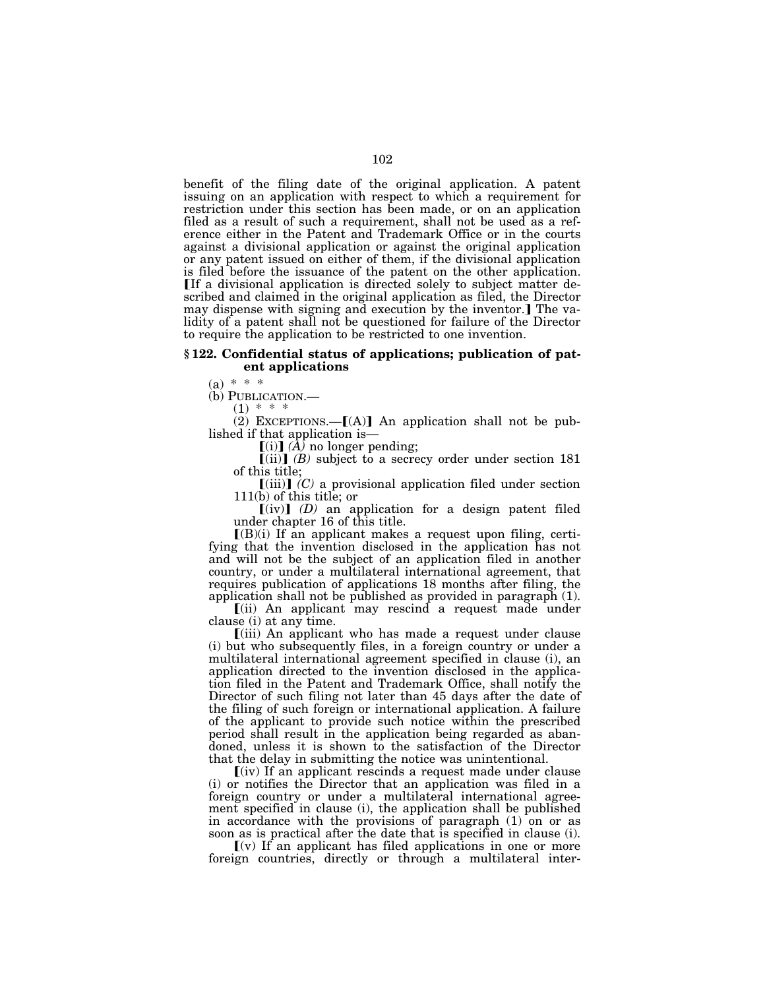benefit of the filing date of the original application. A patent issuing on an application with respect to which a requirement for restriction under this section has been made, or on an application filed as a result of such a requirement, shall not be used as a reference either in the Patent and Trademark Office or in the courts against a divisional application or against the original application or any patent issued on either of them, if the divisional application is filed before the issuance of the patent on the other application. øIf a divisional application is directed solely to subject matter described and claimed in the original application as filed, the Director may dispense with signing and execution by the inventor. The validity of a patent shall not be questioned for failure of the Director to require the application to be restricted to one invention.

#### **§ 122. Confidential status of applications; publication of patent applications**

 $(a) * * *$ 

(b) PUBLICATION.—<br>(1)  $* * *$ 

(2) EXCEPTIONS.— $[(A)]$  An application shall not be published if that application is—

 $\left[$ (i) $\right]$  ( $\overline{A}$ ) no longer pending;

 $[(ii)]$   $(B)$  subject to a secrecy order under section 181 of this title;

 $\lceil$ (iii) $\rceil$  *(C)* a provisional application filed under section 111(b) of this title; or

 $[(iv)]$   $(D)$  an application for a design patent filed under chapter 16 of this title.

 $[(B)(i)$  If an applicant makes a request upon filing, certifying that the invention disclosed in the application has not and will not be the subject of an application filed in another country, or under a multilateral international agreement, that requires publication of applications 18 months after filing, the application shall not be published as provided in paragraph (1).

ø(ii) An applicant may rescind a request made under clause (i) at any time.

ø(iii) An applicant who has made a request under clause (i) but who subsequently files, in a foreign country or under a multilateral international agreement specified in clause (i), an application directed to the invention disclosed in the application filed in the Patent and Trademark Office, shall notify the Director of such filing not later than 45 days after the date of the filing of such foreign or international application. A failure of the applicant to provide such notice within the prescribed period shall result in the application being regarded as abandoned, unless it is shown to the satisfaction of the Director that the delay in submitting the notice was unintentional.

 $\lceil$ (iv) If an applicant rescinds a request made under clause (i) or notifies the Director that an application was filed in a foreign country or under a multilateral international agreement specified in clause (i), the application shall be published in accordance with the provisions of paragraph  $(1)$  on or as soon as is practical after the date that is specified in clause (i).

 $\lceil (v) \rceil$  an applicant has filed applications in one or more foreign countries, directly or through a multilateral inter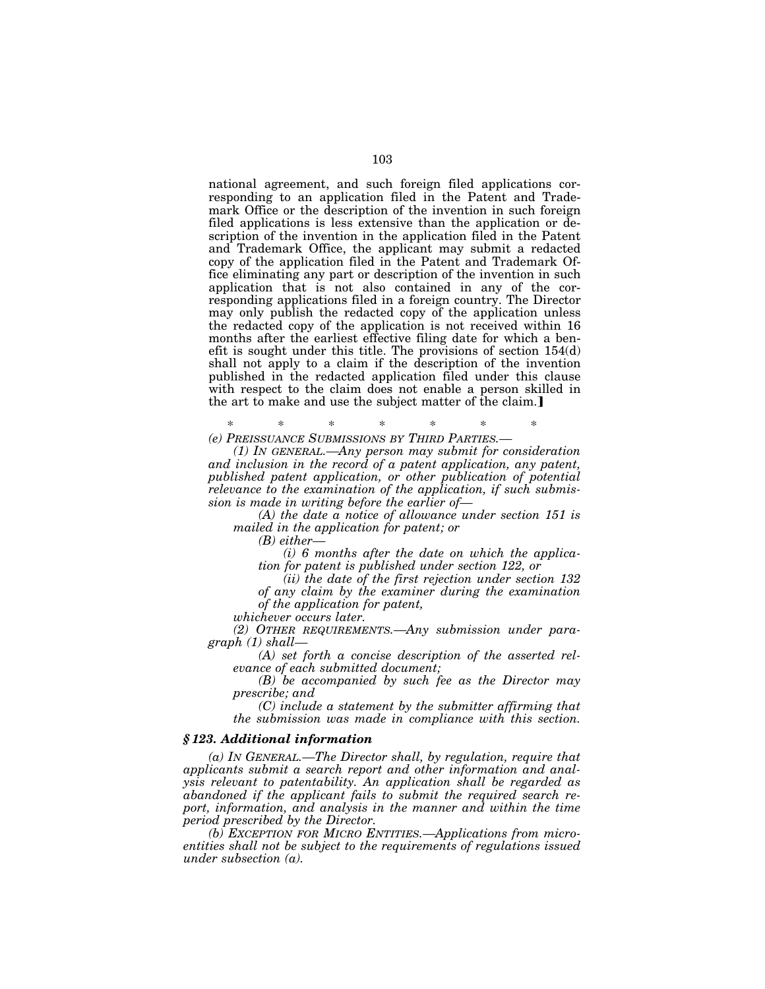national agreement, and such foreign filed applications corresponding to an application filed in the Patent and Trademark Office or the description of the invention in such foreign filed applications is less extensive than the application or description of the invention in the application filed in the Patent and Trademark Office, the applicant may submit a redacted copy of the application filed in the Patent and Trademark Office eliminating any part or description of the invention in such application that is not also contained in any of the corresponding applications filed in a foreign country. The Director may only publish the redacted copy of the application unless the redacted copy of the application is not received within 16 months after the earliest effective filing date for which a benefit is sought under this title. The provisions of section 154(d) shall not apply to a claim if the description of the invention published in the redacted application filed under this clause with respect to the claim does not enable a person skilled in the art to make and use the subject matter of the claim.

\* \* \* \* \* \* \*

*(e) PREISSUANCE SUBMISSIONS BY THIRD PARTIES.—*

*(1) IN GENERAL.—Any person may submit for consideration and inclusion in the record of a patent application, any patent, published patent application, or other publication of potential relevance to the examination of the application, if such submission is made in writing before the earlier of—*

*(A) the date a notice of allowance under section 151 is mailed in the application for patent; or* 

*(B) either—*

*(i) 6 months after the date on which the application for patent is published under section 122, or* 

*(ii) the date of the first rejection under section 132 of any claim by the examiner during the examination of the application for patent,* 

*whichever occurs later.* 

*(2) OTHER REQUIREMENTS.—Any submission under paragraph (1) shall—*

*(A) set forth a concise description of the asserted relevance of each submitted document;* 

*(B) be accompanied by such fee as the Director may prescribe; and* 

*(C) include a statement by the submitter affirming that the submission was made in compliance with this section.* 

### *§ 123. Additional information*

*(a) IN GENERAL.—The Director shall, by regulation, require that applicants submit a search report and other information and analysis relevant to patentability. An application shall be regarded as abandoned if the applicant fails to submit the required search re*port, information, and analysis in the manner and within the time *period prescribed by the Director.* 

*(b) EXCEPTION FOR MICRO ENTITIES.—Applications from microentities shall not be subject to the requirements of regulations issued under subsection (a).*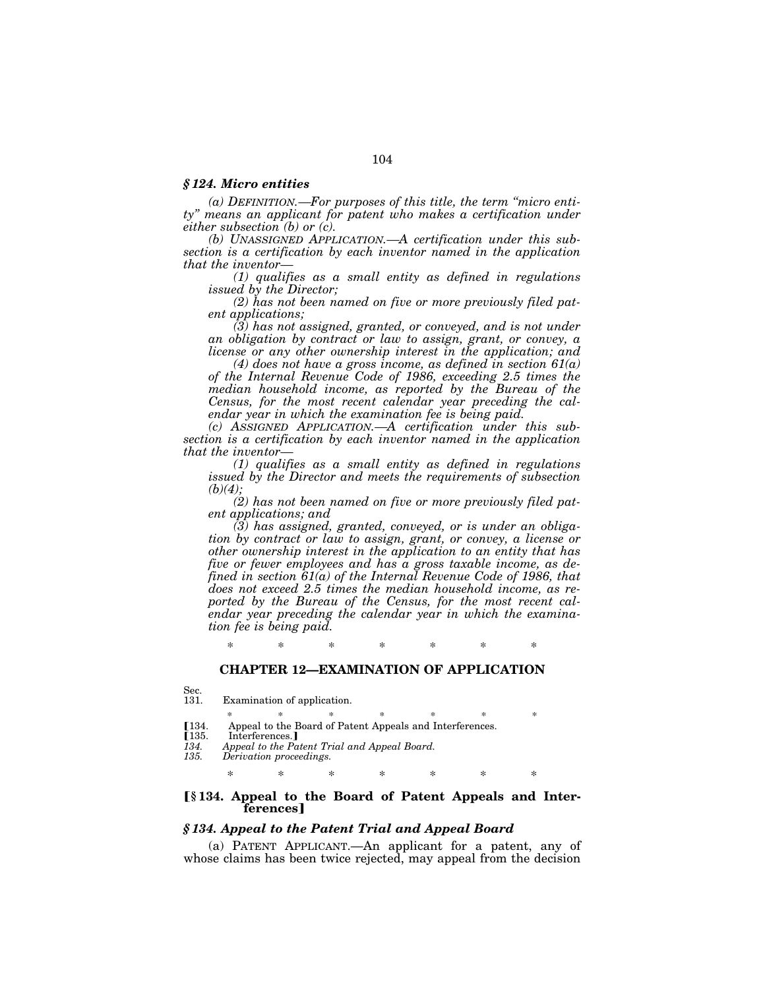# *§ 124. Micro entities*

*(a) DEFINITION.—For purposes of this title, the term ''micro entity'' means an applicant for patent who makes a certification under either subsection (b) or (c).* 

*(b) UNASSIGNED APPLICATION.—A certification under this subsection is a certification by each inventor named in the application that the inventor—*

*(1) qualifies as a small entity as defined in regulations issued by the Director;* 

*(2) has not been named on five or more previously filed patent applications;* 

*(3) has not assigned, granted, or conveyed, and is not under an obligation by contract or law to assign, grant, or convey, a license or any other ownership interest in the application; and* 

*(4) does not have a gross income, as defined in section 61(a) of the Internal Revenue Code of 1986, exceeding 2.5 times the median household income, as reported by the Bureau of the Census, for the most recent calendar year preceding the calendar year in which the examination fee is being paid.* 

*(c) ASSIGNED APPLICATION.—A certification under this subsection is a certification by each inventor named in the application that the inventor—*

*(1) qualifies as a small entity as defined in regulations issued by the Director and meets the requirements of subsection (b)(4);* 

*(2) has not been named on five or more previously filed patent applications; and* 

*(3) has assigned, granted, conveyed, or is under an obligation by contract or law to assign, grant, or convey, a license or other ownership interest in the application to an entity that has five or fewer employees and has a gross taxable income, as defined in section 61(a) of the Internal Revenue Code of 1986, that does not exceed 2.5 times the median household income, as reported by the Bureau of the Census, for the most recent calendar year preceding the calendar year in which the examination fee is being paid.* 

\* \* \* \* \* \* \*

# **CHAPTER 12—EXAMINATION OF APPLICATION**

Sec.<br>131.

- Examination of application.
- \* \* \* \* \* \* \* ø134. Appeal to the Board of Patent Appeals and Interferences.
- [134. Appeal to the B<br>[135. Interferences.]<br>134. Appeal to the Pa
	-
- *134. Appeal to the Patent Trial and Appeal Board. 135. Derivation proceedings.*

\* \* \* \* \* \* \*

# ø**§ 134. Appeal to the Board of Patent Appeals and Interferences**

### *§ 134. Appeal to the Patent Trial and Appeal Board*

(a) PATENT APPLICANT.—An applicant for a patent, any of whose claims has been twice rejected, may appeal from the decision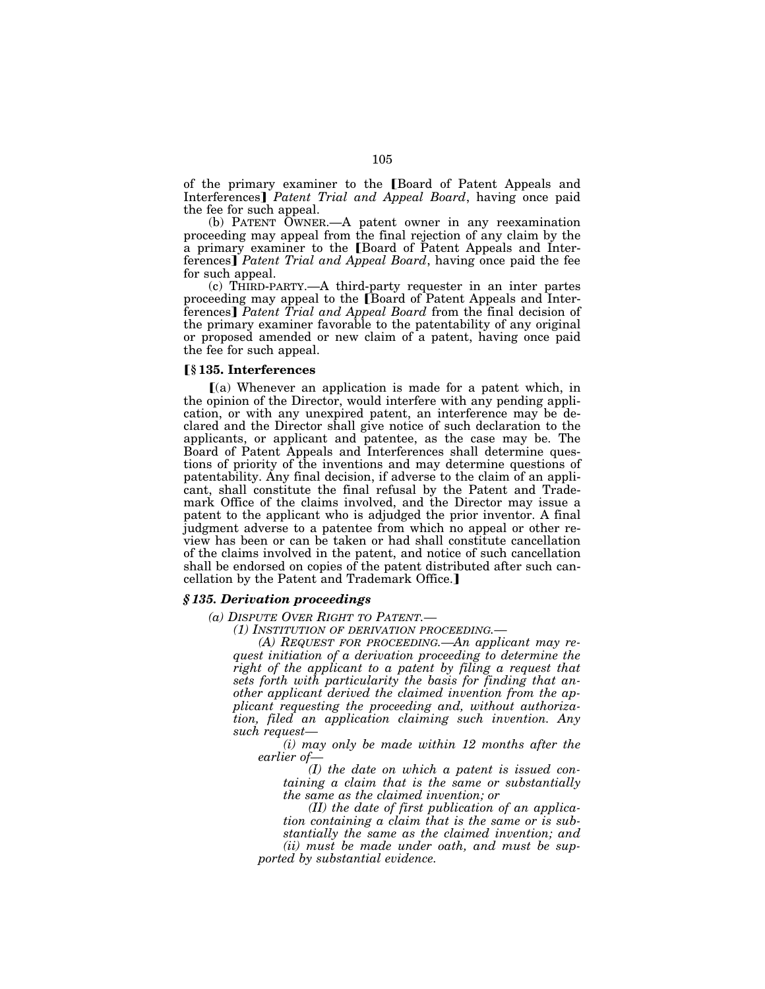of the primary examiner to the [Board of Patent Appeals and Interferences<sup></sup> *Patent Trial and Appeal Board*, having once paid the fee for such appeal.

(b) PATENT OWNER.—A patent owner in any reexamination proceeding may appeal from the final rejection of any claim by the a primary examiner to the [Board of Patent Appeals and Interferences] *Patent Trial and Appeal Board*, having once paid the fee for such appeal.

(c) THIRD-PARTY.—A third-party requester in an inter partes proceeding may appeal to the [Board of Patent Appeals and Interferences] *Patent Trial and Appeal Board* from the final decision of the primary examiner favorable to the patentability of any original or proposed amended or new claim of a patent, having once paid the fee for such appeal.

## ø**§ 135. Interferences**

 $(a)$  Whenever an application is made for a patent which, in the opinion of the Director, would interfere with any pending application, or with any unexpired patent, an interference may be declared and the Director shall give notice of such declaration to the applicants, or applicant and patentee, as the case may be. The Board of Patent Appeals and Interferences shall determine questions of priority of the inventions and may determine questions of patentability. Any final decision, if adverse to the claim of an applicant, shall constitute the final refusal by the Patent and Trademark Office of the claims involved, and the Director may issue a patent to the applicant who is adjudged the prior inventor. A final judgment adverse to a patentee from which no appeal or other review has been or can be taken or had shall constitute cancellation of the claims involved in the patent, and notice of such cancellation shall be endorsed on copies of the patent distributed after such cancellation by the Patent and Trademark Office.

# *§ 135. Derivation proceedings*

*(a) DISPUTE OVER RIGHT TO PATENT.—*

*(1) INSTITUTION OF DERIVATION PROCEEDING.—*

*(A) REQUEST FOR PROCEEDING.—An applicant may request initiation of a derivation proceeding to determine the right of the applicant to a patent by filing a request that sets forth with particularity the basis for finding that another applicant derived the claimed invention from the applicant requesting the proceeding and, without authorization, filed an application claiming such invention. Any such request—*

*(i) may only be made within 12 months after the earlier of—*

*(I) the date on which a patent is issued containing a claim that is the same or substantially the same as the claimed invention; or* 

*(II) the date of first publication of an application containing a claim that is the same or is substantially the same as the claimed invention; and (ii) must be made under oath, and must be supported by substantial evidence.*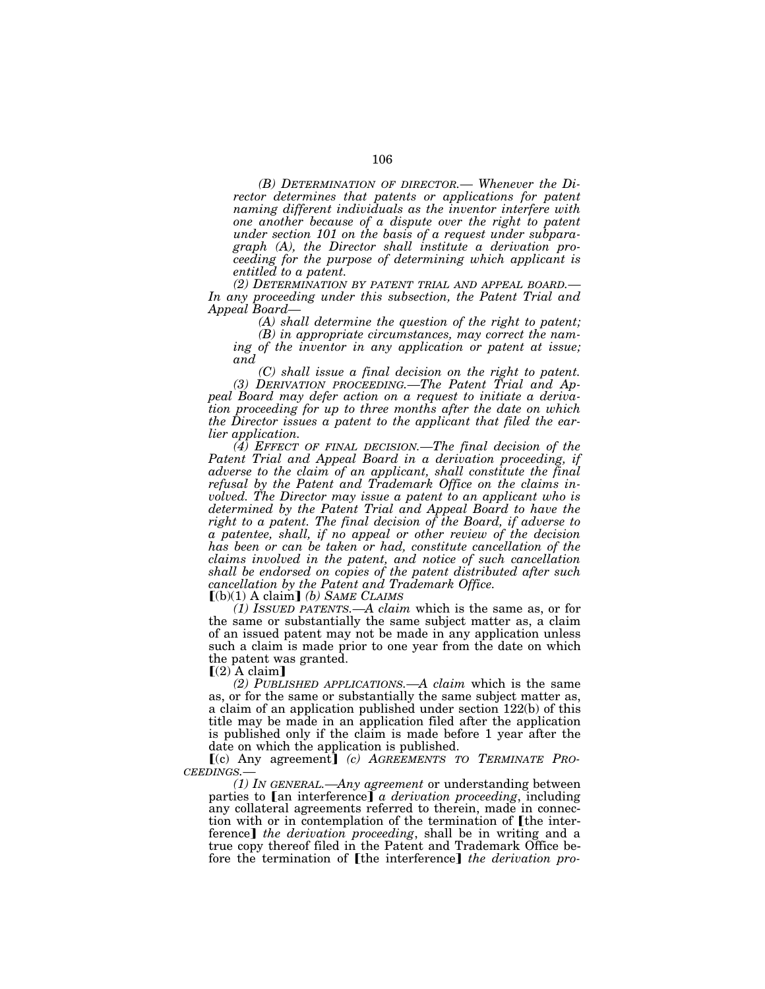*(B) DETERMINATION OF DIRECTOR.— Whenever the Director determines that patents or applications for patent naming different individuals as the inventor interfere with one another because of a dispute over the right to patent under section 101 on the basis of a request under subparagraph (A), the Director shall institute a derivation proceeding for the purpose of determining which applicant is entitled to a patent.* 

*In any proceeding under this subsection, the Patent Trial and Appeal Board—* 

*(A) shall determine the question of the right to patent;* 

*(B) in appropriate circumstances, may correct the naming of the inventor in any application or patent at issue; and* 

*(C) shall issue a final decision on the right to patent. (3) DERIVATION PROCEEDING.—The Patent Trial and Appeal Board may defer action on a request to initiate a derivation proceeding for up to three months after the date on which the Director issues a patent to the applicant that filed the earlier application.* 

*(4) EFFECT OF FINAL DECISION.—The final decision of the*  Patent Trial and Appeal Board in a derivation proceeding, if *adverse to the claim of an applicant, shall constitute the final refusal by the Patent and Trademark Office on the claims involved. The Director may issue a patent to an applicant who is determined by the Patent Trial and Appeal Board to have the right to a patent. The final decision of the Board, if adverse to a patentee, shall, if no appeal or other review of the decision has been or can be taken or had, constitute cancellation of the claims involved in the patent, and notice of such cancellation shall be endorsed on copies of the patent distributed after such cancellation by the Patent and Trademark Office.* 

 $\lceil (b)(1) \text{ A claim} \rceil$  *(b) SAME CLAIMS* 

*(1) ISSUED PATENTS.—A claim* which is the same as, or for the same or substantially the same subject matter as, a claim of an issued patent may not be made in any application unless such a claim is made prior to one year from the date on which the patent was granted.

 $[(2)$  A claim

*(2) PUBLISHED APPLICATIONS.—A claim* which is the same as, or for the same or substantially the same subject matter as, a claim of an application published under section 122(b) of this title may be made in an application filed after the application is published only if the claim is made before 1 year after the date on which the application is published.

 $[(c)$  Any agreement] *(c) AGREEMENTS TO TERMINATE PRO-*<br>*CEEDINGS.*—

*(1) IN GENERAL.—Any agreement* or understanding between parties to [an interference] *a derivation proceeding*, including any collateral agreements referred to therein, made in connection with or in contemplation of the termination of [the interference] the derivation proceeding, shall be in writing and a true copy thereof filed in the Patent and Trademark Office before the termination of **[the interference]** the derivation pro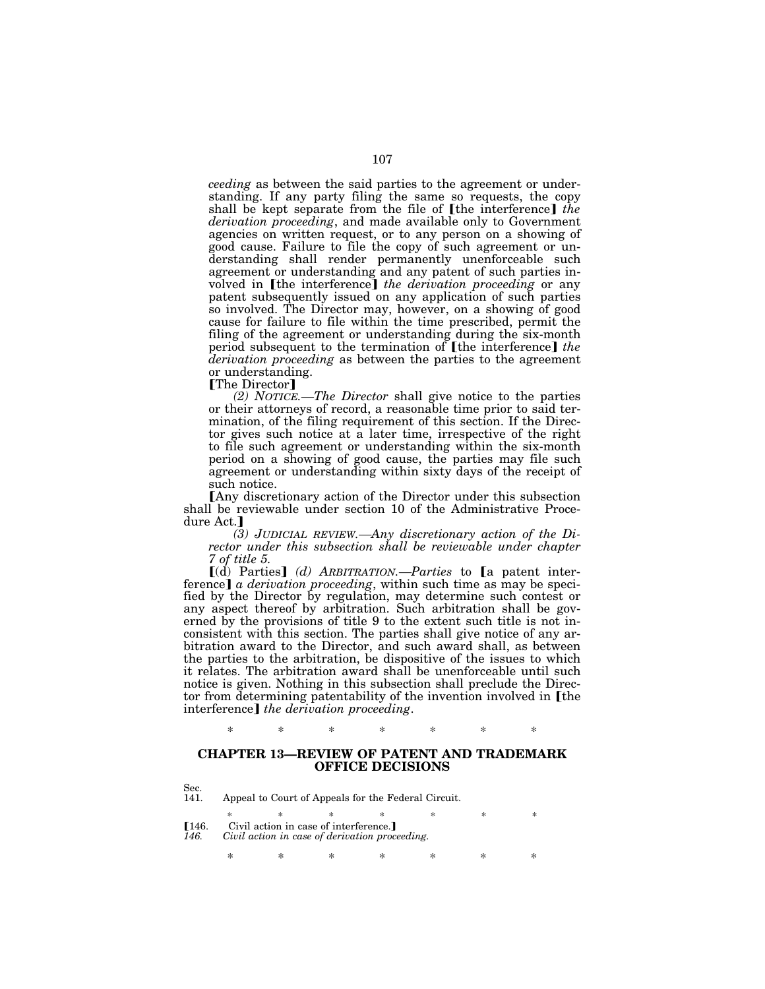*ceeding* as between the said parties to the agreement or understanding. If any party filing the same so requests, the copy shall be kept separate from the file of [the interference] *the derivation proceeding*, and made available only to Government agencies on written request, or to any person on a showing of good cause. Failure to file the copy of such agreement or understanding shall render permanently unenforceable such agreement or understanding and any patent of such parties involved in [the interference] the derivation proceeding or any patent subsequently issued on any application of such parties so involved. The Director may, however, on a showing of good cause for failure to file within the time prescribed, permit the filing of the agreement or understanding during the six-month period subsequent to the termination of [the interference] the *derivation proceeding* as between the parties to the agreement or understanding.

[The Director]

*(2) NOTICE.—The Director* shall give notice to the parties or their attorneys of record, a reasonable time prior to said termination, of the filing requirement of this section. If the Director gives such notice at a later time, irrespective of the right to file such agreement or understanding within the six-month period on a showing of good cause, the parties may file such agreement or understanding within sixty days of the receipt of such notice.

Any discretionary action of the Director under this subsection shall be reviewable under section 10 of the Administrative Procedure Act.<sup>1</sup>

*(3) JUDICIAL REVIEW.—Any discretionary action of the Director under this subsection shall be reviewable under chapter 7 of title 5.* 

[(d) Parties] (d) ARBITRATION.—Parties to [a patent interference] *a derivation proceeding*, within such time as may be specified by the Director by regulation, may determine such contest or any aspect thereof by arbitration. Such arbitration shall be governed by the provisions of title 9 to the extent such title is not inconsistent with this section. The parties shall give notice of any arbitration award to the Director, and such award shall, as between the parties to the arbitration, be dispositive of the issues to which it relates. The arbitration award shall be unenforceable until such notice is given. Nothing in this subsection shall preclude the Director from determining patentability of the invention involved in [the interference] *the derivation proceeding*.

\* \* \* \* \* \* \*

### **CHAPTER 13—REVIEW OF PATENT AND TRADEMARK OFFICE DECISIONS**

Sec.

| 141.          | Appeal to Court of Appeals for the Federal Circuit.                                     |        |   |  |   |        |        |  |  |  |
|---------------|-----------------------------------------------------------------------------------------|--------|---|--|---|--------|--------|--|--|--|
|               |                                                                                         | ×      |   |  | × | ∗      | *.     |  |  |  |
| [146.<br>146. | Civil action in case of interference.<br>Civil action in case of derivation proceeding. |        |   |  |   |        |        |  |  |  |
|               |                                                                                         | $\ast$ | * |  | ж | $\ast$ | $\ast$ |  |  |  |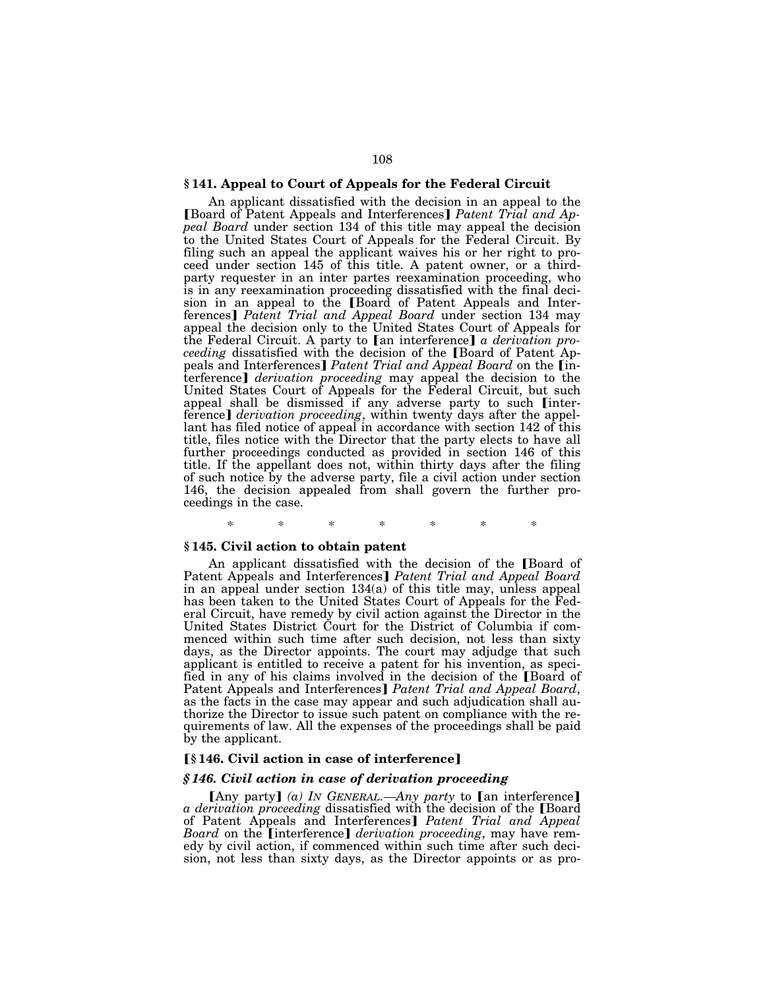## **§ 141. Appeal to Court of Appeals for the Federal Circuit**

An applicant dissatisfied with the decision in an appeal to the [Board of Patent Appeals and Interferences] *Patent Trial and Appeal Board* under section 134 of this title may appeal the decision to the United States Court of Appeals for the Federal Circuit. By filing such an appeal the applicant waives his or her right to proceed under section 145 of this title. A patent owner, or a thirdparty requester in an inter partes reexamination proceeding, who is in any reexamination proceeding dissatisfied with the final decision in an appeal to the [Board of Patent Appeals and Interferences] Patent Trial and Appeal Board under section 134 may appeal the decision only to the United States Court of Appeals for the Federal Circuit. A party to [an interference] a *derivation proceeding* dissatisfied with the decision of the [Board of Patent Appeals and Interferences] *Patent Trial and Appeal Board* on the [interference¿ *derivation proceeding* may appeal the decision to the United States Court of Appeals for the Federal Circuit, but such appeal shall be dismissed if any adverse party to such [interference] *derivation proceeding*, within twenty days after the appellant has filed notice of appeal in accordance with section 142 of this title, files notice with the Director that the party elects to have all further proceedings conducted as provided in section 146 of this title. If the appellant does not, within thirty days after the filing of such notice by the adverse party, file a civil action under section 146, the decision appealed from shall govern the further proceedings in the case.

# \* \* \* \* \* \* \*

#### **§ 145. Civil action to obtain patent**

An applicant dissatisfied with the decision of the [Board of Patent Appeals and Interferences] Patent Trial and Appeal Board in an appeal under section 134(a) of this title may, unless appeal has been taken to the United States Court of Appeals for the Federal Circuit, have remedy by civil action against the Director in the United States District Court for the District of Columbia if commenced within such time after such decision, not less than sixty days, as the Director appoints. The court may adjudge that such applicant is entitled to receive a patent for his invention, as specified in any of his claims involved in the decision of the [Board of Patent Appeals and Interferences] Patent Trial and Appeal Board, as the facts in the case may appear and such adjudication shall authorize the Director to issue such patent on compliance with the requirements of law. All the expenses of the proceedings shall be paid by the applicant.

#### ø**§ 146. Civil action in case of interference**¿

### *§ 146. Civil action in case of derivation proceeding*

[Any party]  $(a)$  *IN GENERAL.—Any party* to [an interference] *a derivation proceeding* dissatisfied with the decision of the [Board of Patent Appeals and Interferences¿ *Patent Trial and Appeal Board* on the *[interference] derivation proceeding*, may have remedy by civil action, if commenced within such time after such decision, not less than sixty days, as the Director appoints or as pro-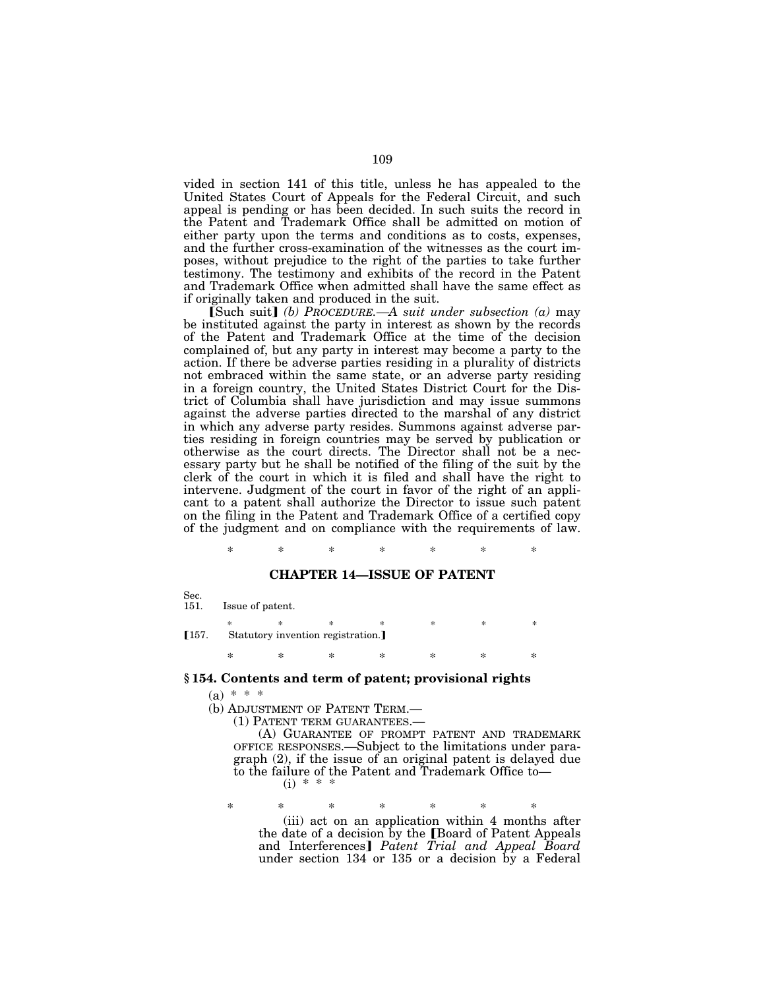vided in section 141 of this title, unless he has appealed to the United States Court of Appeals for the Federal Circuit, and such appeal is pending or has been decided. In such suits the record in the Patent and Trademark Office shall be admitted on motion of either party upon the terms and conditions as to costs, expenses, and the further cross-examination of the witnesses as the court imposes, without prejudice to the right of the parties to take further testimony. The testimony and exhibits of the record in the Patent and Trademark Office when admitted shall have the same effect as if originally taken and produced in the suit.

**[Such suit]** *(b) PROCEDURE.—A suit under subsection (a)* may be instituted against the party in interest as shown by the records of the Patent and Trademark Office at the time of the decision complained of, but any party in interest may become a party to the action. If there be adverse parties residing in a plurality of districts not embraced within the same state, or an adverse party residing in a foreign country, the United States District Court for the District of Columbia shall have jurisdiction and may issue summons against the adverse parties directed to the marshal of any district in which any adverse party resides. Summons against adverse parties residing in foreign countries may be served by publication or otherwise as the court directs. The Director shall not be a necessary party but he shall be notified of the filing of the suit by the clerk of the court in which it is filed and shall have the right to intervene. Judgment of the court in favor of the right of an applicant to a patent shall authorize the Director to issue such patent on the filing in the Patent and Trademark Office of a certified copy of the judgment and on compliance with the requirements of law.

## \* \* \* \* \* \* \* **CHAPTER 14—ISSUE OF PATENT**

| Sec.<br>151. |              | Issue of patent.                  |        |                                                       |                       |                  |        |
|--------------|--------------|-----------------------------------|--------|-------------------------------------------------------|-----------------------|------------------|--------|
|              | sk.          |                                   | 冰      | $\mathcal{H}$                                         | $\frac{1}{2\sqrt{2}}$ | $\frac{1}{2\pi}$ | 字      |
| [157.        |              | Statutory invention registration. |        |                                                       |                       |                  |        |
|              | $\ast$       | $\ast$                            | $\ast$ | $\ast$                                                | $\ast$                | $\ast$           | $\ast$ |
|              |              |                                   |        | §154. Contents and term of patent; provisional rights |                       |                  |        |
|              | * * *<br>(a) |                                   |        |                                                       |                       |                  |        |
|              |              |                                   |        | (b) ADJUSTMENT OF PATENT TERM.-                       |                       |                  |        |
|              |              |                                   |        | (1) PATENT TERM GUARANTEES.—                          |                       |                  |        |

(A) GUARANTEE OF PROMPT PATENT AND TRADEMARK OFFICE RESPONSES.—Subject to the limitations under paragraph (2), if the issue of an original patent is delayed due to the failure of the Patent and Trademark Office to—  $(i) * * *$ 

\* \* \* \* \* \* \* (iii) act on an application within 4 months after the date of a decision by the **Board** of Patent Appeals and Interferences] *Patent Trial and Appeal Board* under section 134 or 135 or a decision by a Federal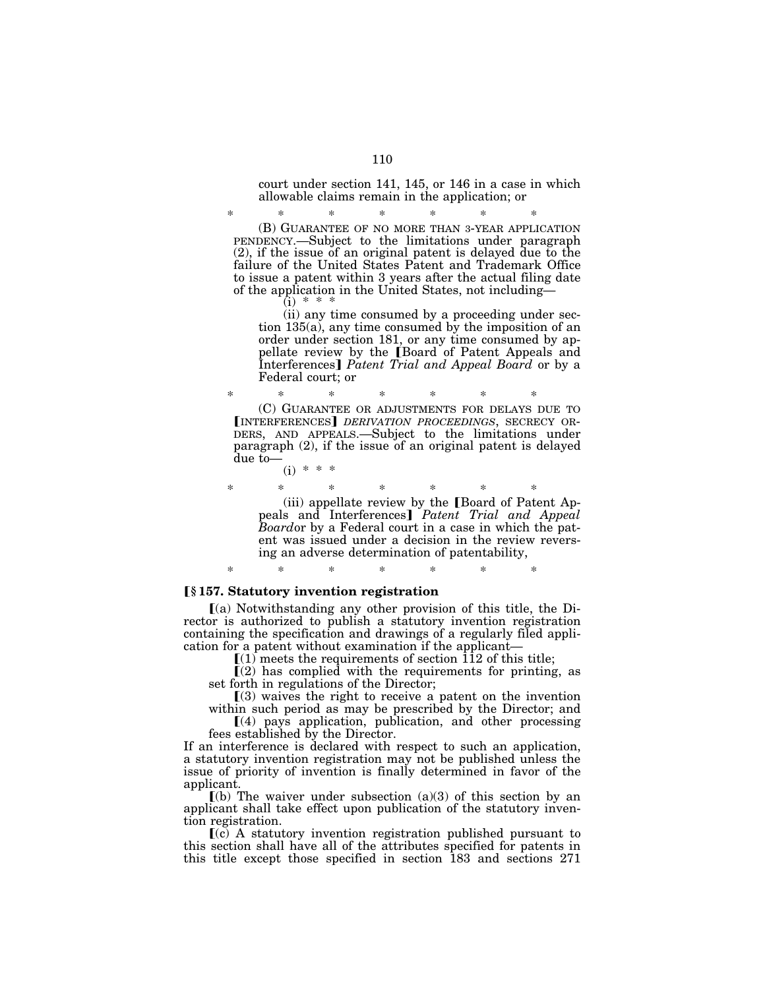court under section 141, 145, or 146 in a case in which allowable claims remain in the application; or

\* \* \* \* \* \* \* (B) GUARANTEE OF NO MORE THAN 3-YEAR APPLICATION PENDENCY.—Subject to the limitations under paragraph (2), if the issue of an original patent is delayed due to the failure of the United States Patent and Trademark Office to issue a patent within 3 years after the actual filing date of the application in the United States, not including—<br> $(i) * * * *$ 

(ii) any time consumed by a proceeding under section 135(a), any time consumed by the imposition of an order under section 181, or any time consumed by appellate review by the [Board of Patent Appeals and Interferences¿ *Patent Trial and Appeal Board* or by a Federal court; or

\* \* \* \* \* \* \* (C) GUARANTEE OR ADJUSTMENTS FOR DELAYS DUE TO [INTERFERENCES] *DERIVATION PROCEEDINGS*, SECRECY OR-DERS, AND APPEALS.—Subject to the limitations under paragraph (2), if the issue of an original patent is delayed due to—

 $(i) * * *$ 

\* \* \* \* \* \* \*  $(iii)$  appellate review by the [Board of Patent Appeals and Interferences] Patent Trial and Appeal *Board*or by a Federal court in a case in which the patent was issued under a decision in the review reversing an adverse determination of patentability,

## ø**§ 157. Statutory invention registration**

ø(a) Notwithstanding any other provision of this title, the Director is authorized to publish a statutory invention registration containing the specification and drawings of a regularly filed application for a patent without examination if the applicant—

\* \* \* \* \* \* \*

 $[(1)$  meets the requirements of section  $112$  of this title;

 $\Gamma(2)$  has complied with the requirements for printing, as set forth in regulations of the Director;

 $(3)$  waives the right to receive a patent on the invention within such period as may be prescribed by the Director; and

 $(a)$  pays application, publication, and other processing fees established by the Director.

If an interference is declared with respect to such an application, a statutory invention registration may not be published unless the issue of priority of invention is finally determined in favor of the applicant.

 $(a)(b)$  The waiver under subsection  $(a)(3)$  of this section by an applicant shall take effect upon publication of the statutory invention registration.

 $(c)$  A statutory invention registration published pursuant to this section shall have all of the attributes specified for patents in this title except those specified in section 183 and sections 271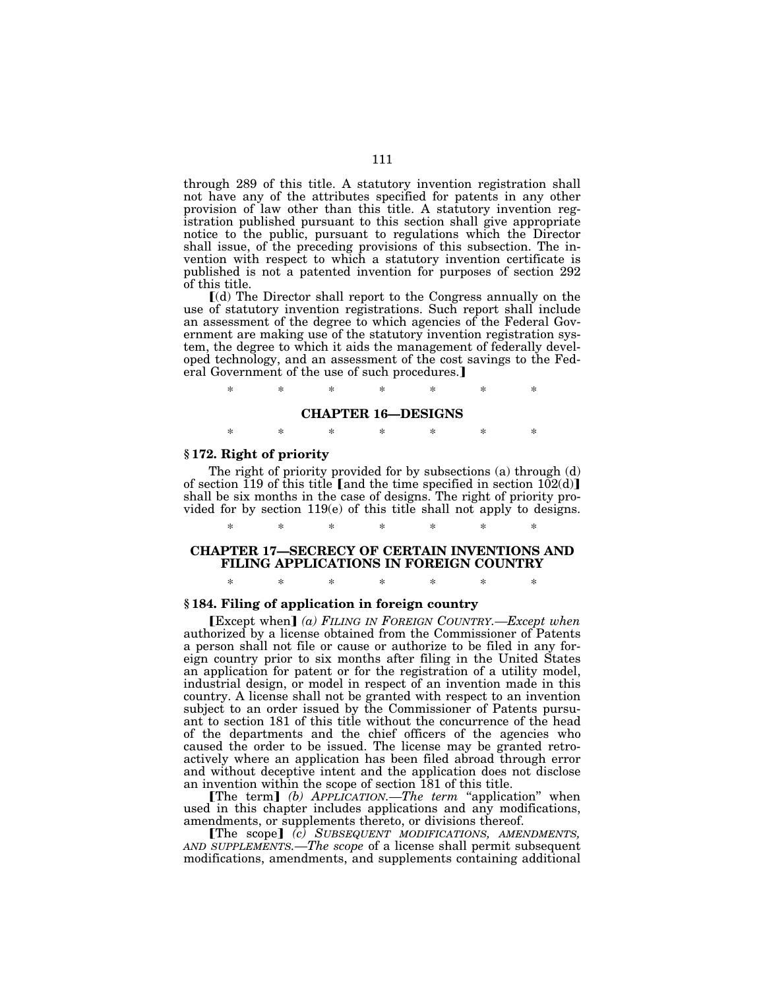through 289 of this title. A statutory invention registration shall not have any of the attributes specified for patents in any other provision of law other than this title. A statutory invention registration published pursuant to this section shall give appropriate notice to the public, pursuant to regulations which the Director shall issue, of the preceding provisions of this subsection. The invention with respect to which a statutory invention certificate is published is not a patented invention for purposes of section 292 of this title.

 $\lceil$ (d) The Director shall report to the Congress annually on the use of statutory invention registrations. Such report shall include an assessment of the degree to which agencies of the Federal Government are making use of the statutory invention registration system, the degree to which it aids the management of federally developed technology, and an assessment of the cost savings to the Federal Government of the use of such procedures.

## \* \* \* \* \* \* \*

#### **CHAPTER 16—DESIGNS**

\* \* \* \* \* \* \*

#### **§ 172. Right of priority**

The right of priority provided for by subsections (a) through (d) of section 119 of this title  $\lceil \text{and the time specified in section 102(d)} \rceil$ shall be six months in the case of designs. The right of priority provided for by section 119(e) of this title shall not apply to designs.

## **CHAPTER 17—SECRECY OF CERTAIN INVENTIONS AND FILING APPLICATIONS IN FOREIGN COUNTRY**

\* \* \* \* \* \* \*

\* \* \* \* \* \* \*

#### **§ 184. Filing of application in foreign country**

[Except when] *(a) FILING IN FOREIGN COUNTRY.—Except when* authorized by a license obtained from the Commissioner of Patents a person shall not file or cause or authorize to be filed in any foreign country prior to six months after filing in the United States an application for patent or for the registration of a utility model, industrial design, or model in respect of an invention made in this country. A license shall not be granted with respect to an invention subject to an order issued by the Commissioner of Patents pursuant to section 181 of this title without the concurrence of the head of the departments and the chief officers of the agencies who caused the order to be issued. The license may be granted retroactively where an application has been filed abroad through error and without deceptive intent and the application does not disclose an invention within the scope of section 181 of this title.

**The term** (b) APPLICATION.—The term "application" when used in this chapter includes applications and any modifications, amendments, or supplements thereto, or divisions thereof.

**[The scope]** *(c)* SUBSEQUENT MODIFICATIONS, AMENDMENTS, *AND SUPPLEMENTS.—The scope* of a license shall permit subsequent modifications, amendments, and supplements containing additional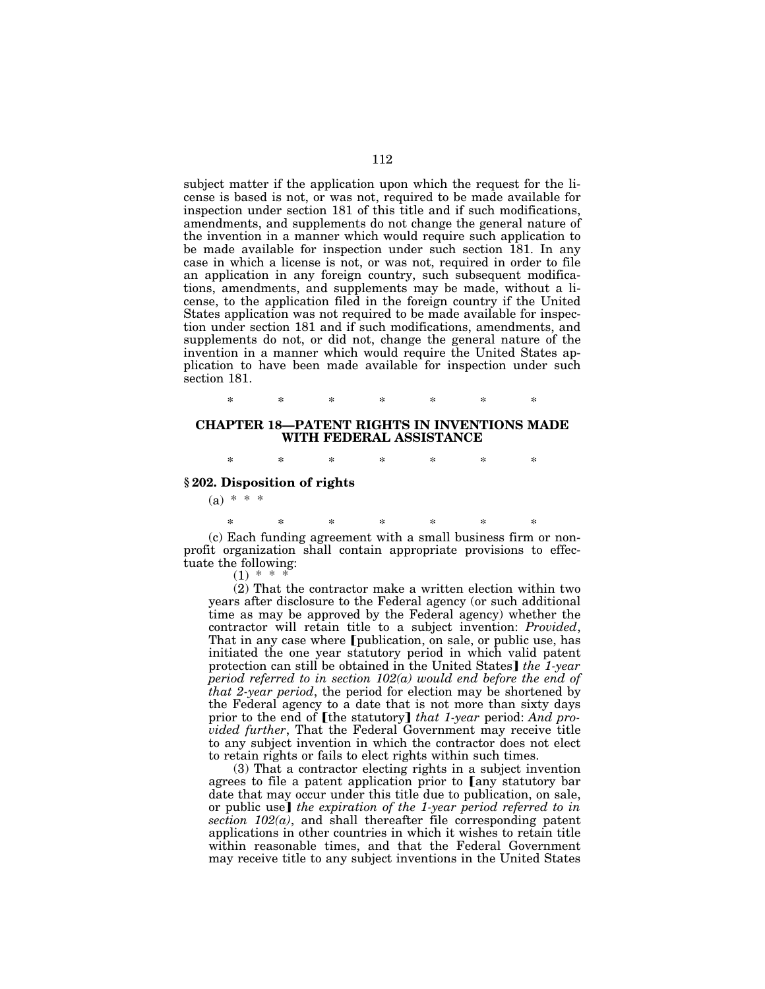subject matter if the application upon which the request for the license is based is not, or was not, required to be made available for inspection under section 181 of this title and if such modifications, amendments, and supplements do not change the general nature of the invention in a manner which would require such application to be made available for inspection under such section 181. In any case in which a license is not, or was not, required in order to file an application in any foreign country, such subsequent modifications, amendments, and supplements may be made, without a license, to the application filed in the foreign country if the United States application was not required to be made available for inspection under section 181 and if such modifications, amendments, and supplements do not, or did not, change the general nature of the invention in a manner which would require the United States application to have been made available for inspection under such section 181.

\* \* \* \* \* \* \*

#### **CHAPTER 18—PATENT RIGHTS IN INVENTIONS MADE WITH FEDERAL ASSISTANCE**

\* \* \* \* \* \* \*

#### **§ 202. Disposition of rights**

 $(a) * * *$ 

\* \* \* \* \* \* \*

(c) Each funding agreement with a small business firm or nonprofit organization shall contain appropriate provisions to effectuate the following:

 $(1) * *$ 

(2) That the contractor make a written election within two years after disclosure to the Federal agency (or such additional time as may be approved by the Federal agency) whether the contractor will retain title to a subject invention: *Provided*, That in any case where [publication, on sale, or public use, has initiated the one year statutory period in which valid patent protection can still be obtained in the United States] the 1-year *period referred to in section 102(a) would end before the end of that 2-year period*, the period for election may be shortened by the Federal agency to a date that is not more than sixty days prior to the end of [the statutory] *that 1-year* period: And pro*vided further*, That the Federal Government may receive title to any subject invention in which the contractor does not elect to retain rights or fails to elect rights within such times.

(3) That a contractor electing rights in a subject invention agrees to file a patent application prior to [any statutory bar date that may occur under this title due to publication, on sale, or public use] the expiration of the 1-year period referred to in *section*  $102(a)$ *,* and shall thereafter file corresponding patent applications in other countries in which it wishes to retain title within reasonable times, and that the Federal Government may receive title to any subject inventions in the United States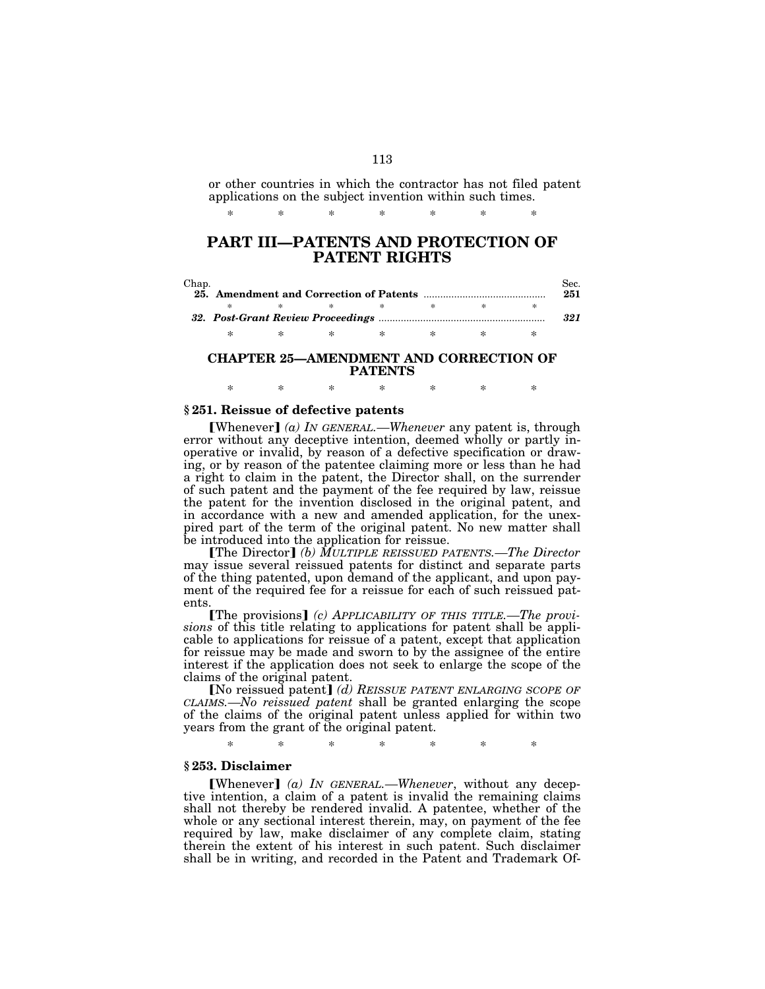or other countries in which the contractor has not filed patent applications on the subject invention within such times.

## **PART III—PATENTS AND PROTECTION OF PATENT RIGHTS**

\* \* \* \* \* \* \*

| Chap. |   |   |              |  |        |    |  |     |
|-------|---|---|--------------|--|--------|----|--|-----|
|       |   |   |              |  |        |    |  |     |
|       |   |   |              |  |        |    |  | 321 |
|       | × | × | $\mathbb{R}$ |  | $\ast$ | ж. |  |     |

#### **CHAPTER 25—AMENDMENT AND CORRECTION OF PATENTS**

\* \* \* \* \* \* \*

#### **§ 251. Reissue of defective patents**

**[Whenever]** (*a)* IN GENERAL.—Whenever any patent is, through error without any deceptive intention, deemed wholly or partly inoperative or invalid, by reason of a defective specification or drawing, or by reason of the patentee claiming more or less than he had a right to claim in the patent, the Director shall, on the surrender of such patent and the payment of the fee required by law, reissue the patent for the invention disclosed in the original patent, and in accordance with a new and amended application, for the unexpired part of the term of the original patent. No new matter shall be introduced into the application for reissue.

øThe Director¿ *(b) MULTIPLE REISSUED PATENTS.—The Director*  may issue several reissued patents for distinct and separate parts of the thing patented, upon demand of the applicant, and upon payment of the required fee for a reissue for each of such reissued patents.

[The provisions] (c) APPLICABILITY OF THIS TITLE.-The provi*sions* of this title relating to applications for patent shall be applicable to applications for reissue of a patent, except that application for reissue may be made and sworn to by the assignee of the entire interest if the application does not seek to enlarge the scope of the claims of the original patent.

[No reissued patent] (d) REISSUE PATENT ENLARGING SCOPE OF *CLAIMS.—No reissued patent* shall be granted enlarging the scope of the claims of the original patent unless applied for within two years from the grant of the original patent.

\* \* \* \* \* \* \*

#### **§ 253. Disclaimer**

**[Whenever]** (a) IN GENERAL.—Whenever, without any deceptive intention, a claim of a patent is invalid the remaining claims shall not thereby be rendered invalid. A patentee, whether of the whole or any sectional interest therein, may, on payment of the fee required by law, make disclaimer of any complete claim, stating therein the extent of his interest in such patent. Such disclaimer shall be in writing, and recorded in the Patent and Trademark Of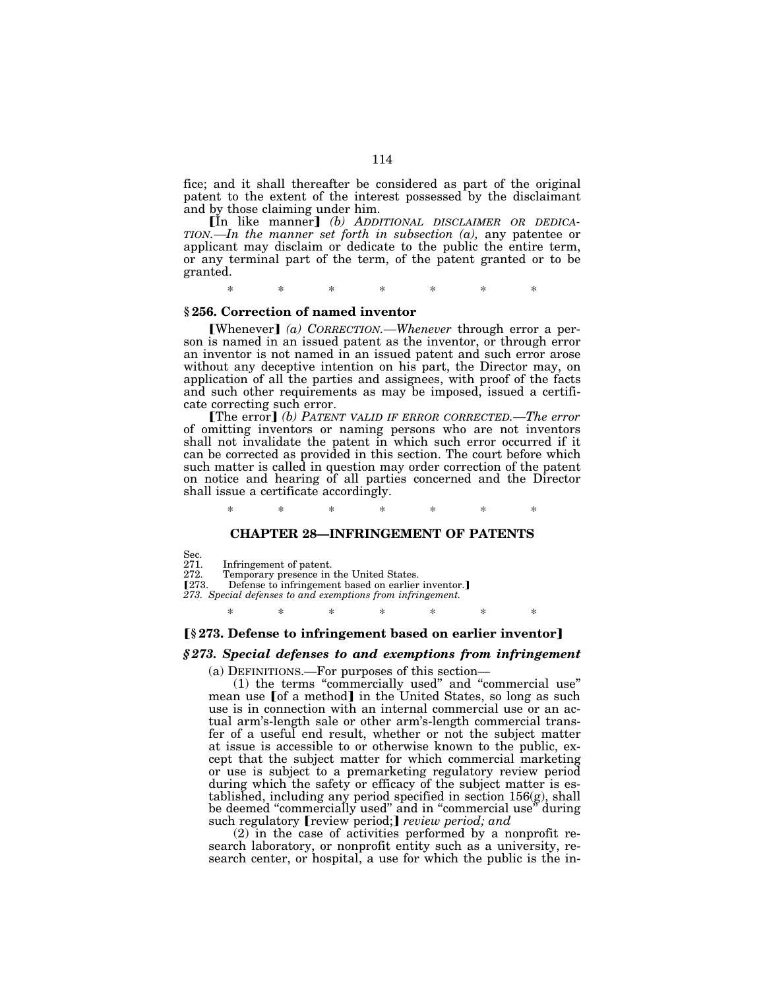fice; and it shall thereafter be considered as part of the original patent to the extent of the interest possessed by the disclaimant and by those claiming under him.<br>  $\begin{bmatrix} \text{In} \text{ like manner} \\ \end{bmatrix}$  (b) ADDITIONAL DISCLAIMER OR DEDICA-

TION.—In the manner set forth in subsection (a), any patentee or applicant may disclaim or dedicate to the public the entire term, or any terminal part of the term, of the patent granted or to be granted.

\* \* \* \* \* \* \*

#### **§ 256. Correction of named inventor**

**[Whenever]** (a) CORRECTION.—Whenever through error a person is named in an issued patent as the inventor, or through error an inventor is not named in an issued patent and such error arose without any deceptive intention on his part, the Director may, on application of all the parties and assignees, with proof of the facts and such other requirements as may be imposed, issued a certificate correcting such error.

øThe error¿ *(b) PATENT VALID IF ERROR CORRECTED.—The error*  of omitting inventors or naming persons who are not inventors shall not invalidate the patent in which such error occurred if it can be corrected as provided in this section. The court before which such matter is called in question may order correction of the patent on notice and hearing of all parties concerned and the Director shall issue a certificate accordingly.

#### \* \* \* \* \* \* \*

#### **CHAPTER 28—INFRINGEMENT OF PATENTS**

Sec.<br>271.

271. Infringement of patent.<br>272. Temporary presence in 272. Temporary presence in the United States.<br>1273. Defense to infringement based on earlier

Defense to infringement based on earlier inventor.]

*273. Special defenses to and exemptions from infringement.* 

\* \* \* \* \* \* \*

#### **[§273. Defense to infringement based on earlier inventor]**

#### *§ 273. Special defenses to and exemptions from infringement*

(a) DEFINITIONS.—For purposes of this section—<br>
(1) the terms "commercially used" and "commercial use"<br>
mean use  $\lceil$  of a method $\rceil$  in the United States, so long as such use is in connection with an internal commercial use or an actual arm's-length sale or other arm's-length commercial transfer of a useful end result, whether or not the subject matter at issue is accessible to or otherwise known to the public, except that the subject matter for which commercial marketing or use is subject to a premarketing regulatory review period during which the safety or efficacy of the subject matter is established, including any period specified in section 156(g), shall be deemed ''commercially used'' and in ''commercial use'' during such regulatory *[review period;] review period; and* 

(2) in the case of activities performed by a nonprofit research laboratory, or nonprofit entity such as a university, research center, or hospital, a use for which the public is the in-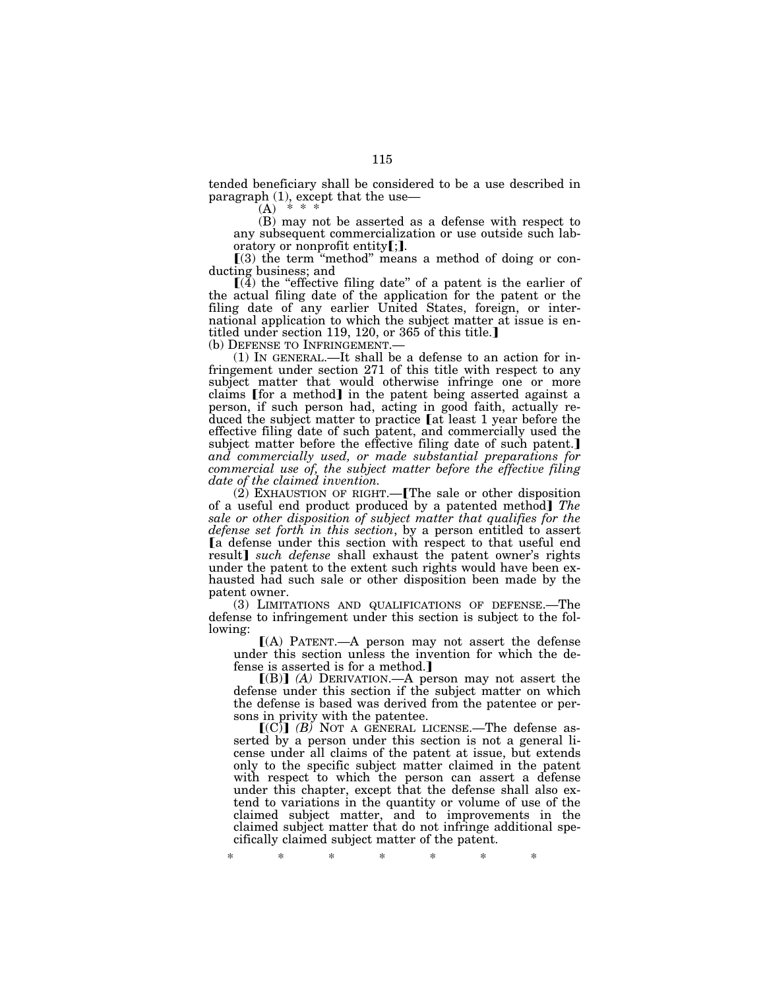tended beneficiary shall be considered to be a use described in paragraph (1), except that the use—<br>(A)  $* * *$ 

(B) may not be asserted as a defense with respect to any subsequent commercialization or use outside such laboratory or nonprofit entity[;].

 $(3)$  the term "method" means a method of doing or conducting business; and

 $(A)$  the "effective filing date" of a patent is the earlier of the actual filing date of the application for the patent or the filing date of any earlier United States, foreign, or international application to which the subject matter at issue is entitled under section 119, 120, or 365 of this title.

(b) DEFENSE TO INFRINGEMENT.— (1) IN GENERAL.—It shall be a defense to an action for infringement under section 271 of this title with respect to any subject matter that would otherwise infringe one or more claims [for a method] in the patent being asserted against a person, if such person had, acting in good faith, actually reduced the subject matter to practice [at least 1 year before the effective filing date of such patent, and commercially used the subject matter before the effective filing date of such patent. *and commercially used, or made substantial preparations for* 

*commercial use of, the subject matter before the effective filing date of the claimed invention.* 

 $(2)$  EXHAUSTION OF RIGHT.—**[The sale or other disposition** of a useful end product produced by a patented method] The *sale or other disposition of subject matter that qualifies for the defense set forth in this section*, by a person entitled to assert a defense under this section with respect to that useful end result] *such defense* shall exhaust the patent owner's rights under the patent to the extent such rights would have been exhausted had such sale or other disposition been made by the patent owner.

(3) LIMITATIONS AND QUALIFICATIONS OF DEFENSE.—The defense to infringement under this section is subject to the following:

 $(A)$  PATENT.—A person may not assert the defense under this section unless the invention for which the defense is asserted is for a method.]

[(B)] (A) DERIVATION.—A person may not assert the defense under this section if the subject matter on which the defense is based was derived from the patentee or persons in privity with the patentee.

 $(C)$  *(B)* NOT A GENERAL LICENSE.—The defense asserted by a person under this section is not a general license under all claims of the patent at issue, but extends only to the specific subject matter claimed in the patent with respect to which the person can assert a defense under this chapter, except that the defense shall also extend to variations in the quantity or volume of use of the claimed subject matter, and to improvements in the claimed subject matter that do not infringe additional specifically claimed subject matter of the patent.

\* \* \* \* \* \* \*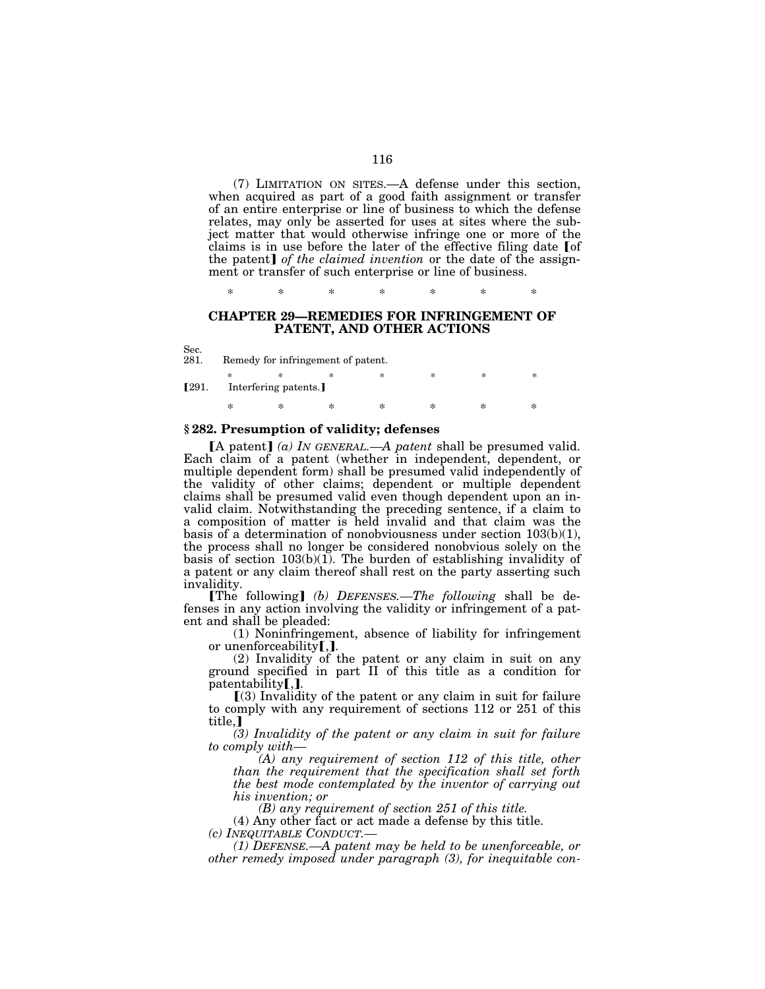(7) LIMITATION ON SITES.—A defense under this section, when acquired as part of a good faith assignment or transfer of an entire enterprise or line of business to which the defense relates, may only be asserted for uses at sites where the subject matter that would otherwise infringe one or more of the claims is in use before the later of the effective filing date  $\lceil \cdot \rceil$ the patent] *of the claimed invention* or the date of the assignment or transfer of such enterprise or line of business.

\* \* \* \* \* \* \*

#### **CHAPTER 29—REMEDIES FOR INFRINGEMENT OF PATENT, AND OTHER ACTIONS**

Sec.<br>281. Remedy for infringement of patent.

| [291. | Interfering patents.] |   | ж  | ∗ | * | ж |  |
|-------|-----------------------|---|----|---|---|---|--|
|       | ×                     | × | ж. | × | × | × |  |

#### **§ 282. Presumption of validity; defenses**

 $[A$  patent] (a) IN GENERAL.—A patent shall be presumed valid. Each claim of a patent (whether in independent, dependent, or multiple dependent form) shall be presumed valid independently of the validity of other claims; dependent or multiple dependent claims shall be presumed valid even though dependent upon an invalid claim. Notwithstanding the preceding sentence, if a claim to a composition of matter is held invalid and that claim was the basis of a determination of nonobviousness under section  $103(b)(1)$ , the process shall no longer be considered nonobvious solely on the basis of section  $103(b)(1)$ . The burden of establishing invalidity of a patent or any claim thereof shall rest on the party asserting such invalidity.

**The following** (b) DEFENSES.—The following shall be defenses in any action involving the validity or infringement of a patent and shall be pleaded:

(1) Noninfringement, absence of liability for infringement or unenforceability [.].

(2) Invalidity of the patent or any claim in suit on any ground specified in part II of this title as a condition for patentability<sub>[,]</sub>.

 $(3)$  Invalidity of the patent or any claim in suit for failure to comply with any requirement of sections 112 or 251 of this  $\text{title}, \textbf{]}$ 

*(3) Invalidity of the patent or any claim in suit for failure to comply with—*

*(A) any requirement of section 112 of this title, other than the requirement that the specification shall set forth the best mode contemplated by the inventor of carrying out his invention; or* 

*(B) any requirement of section 251 of this title.* 

(4) Any other fact or act made a defense by this title. *(c) INEQUITABLE CONDUCT.—*

*(1) DEFENSE.—A patent may be held to be unenforceable, or other remedy imposed under paragraph (3), for inequitable con-*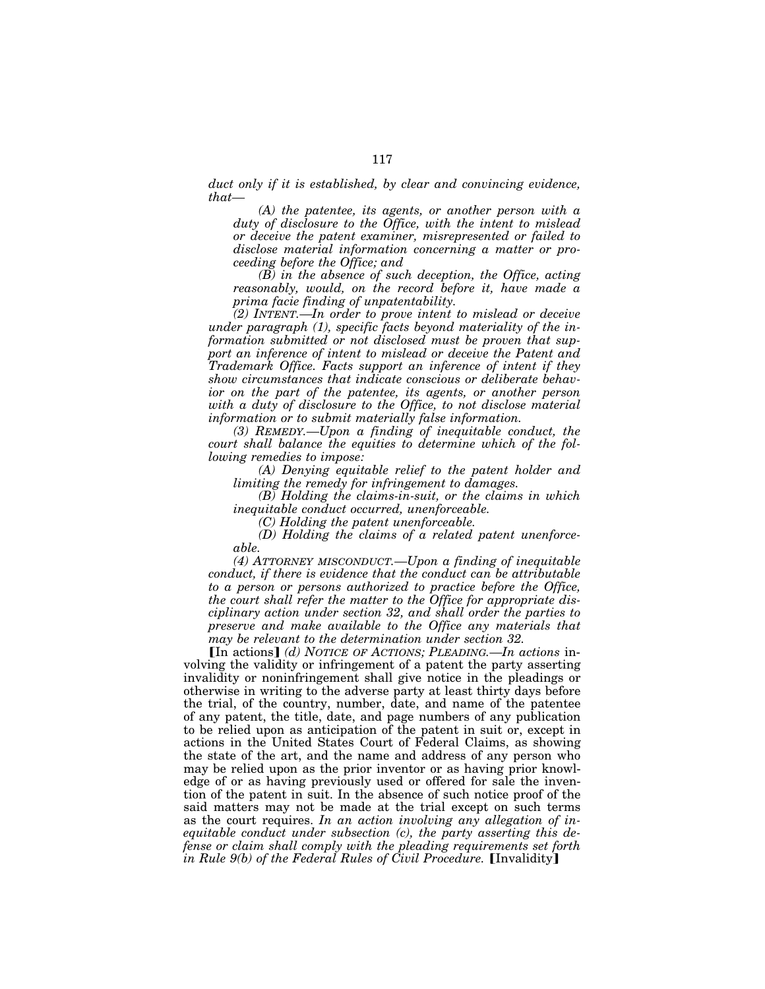*duct only if it is established, by clear and convincing evidence, that—*

*(A) the patentee, its agents, or another person with a duty of disclosure to the Office, with the intent to mislead or deceive the patent examiner, misrepresented or failed to disclose material information concerning a matter or proceeding before the Office; and* 

*(B) in the absence of such deception, the Office, acting reasonably, would, on the record before it, have made a prima facie finding of unpatentability.* 

*(2) INTENT.—In order to prove intent to mislead or deceive under paragraph (1), specific facts beyond materiality of the information submitted or not disclosed must be proven that support an inference of intent to mislead or deceive the Patent and Trademark Office. Facts support an inference of intent if they show circumstances that indicate conscious or deliberate behavior on the part of the patentee, its agents, or another person with a duty of disclosure to the Office, to not disclose material information or to submit materially false information.* 

*(3) REMEDY.—Upon a finding of inequitable conduct, the court shall balance the equities to determine which of the following remedies to impose:* 

*(A) Denying equitable relief to the patent holder and limiting the remedy for infringement to damages.* 

*(B) Holding the claims-in-suit, or the claims in which inequitable conduct occurred, unenforceable.* 

*(C) Holding the patent unenforceable.* 

*(D) Holding the claims of a related patent unenforceable.* 

*(4) ATTORNEY MISCONDUCT.—Upon a finding of inequitable conduct, if there is evidence that the conduct can be attributable to a person or persons authorized to practice before the Office, the court shall refer the matter to the Office for appropriate disciplinary action under section 32, and shall order the parties to preserve and make available to the Office any materials that may be relevant to the determination under section 32.* 

[In actions] *(d) NOTICE OF ACTIONS; PLEADING.—In actions* involving the validity or infringement of a patent the party asserting invalidity or noninfringement shall give notice in the pleadings or otherwise in writing to the adverse party at least thirty days before the trial, of the country, number, date, and name of the patentee of any patent, the title, date, and page numbers of any publication to be relied upon as anticipation of the patent in suit or, except in actions in the United States Court of Federal Claims, as showing the state of the art, and the name and address of any person who may be relied upon as the prior inventor or as having prior knowledge of or as having previously used or offered for sale the invention of the patent in suit. In the absence of such notice proof of the said matters may not be made at the trial except on such terms as the court requires. *In an action involving any allegation of inequitable conduct under subsection (c), the party asserting this defense or claim shall comply with the pleading requirements set forth in Rule 9(b) of the Federal Rules of Civil Procedure.* [Invalidity]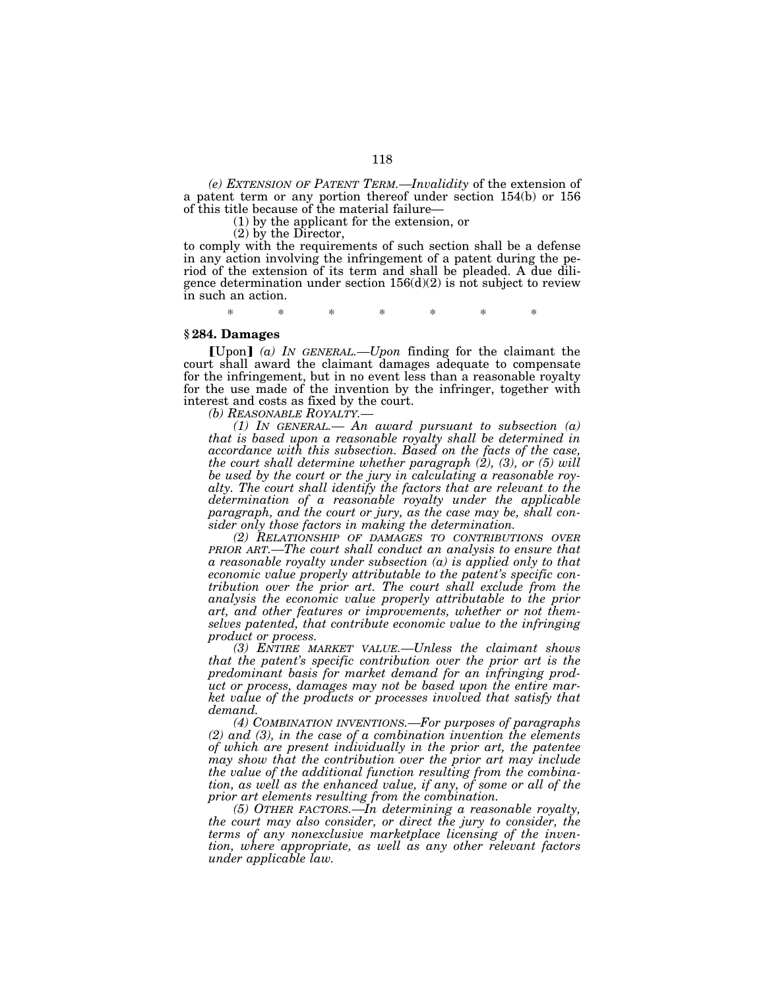*(e) EXTENSION OF PATENT TERM.—Invalidity* of the extension of a patent term or any portion thereof under section 154(b) or 156 of this title because of the material failure— (1) by the applicant for the extension, or

(2) by the Director,

to comply with the requirements of such section shall be a defense in any action involving the infringement of a patent during the period of the extension of its term and shall be pleaded. A due diligence determination under section  $156(d)(2)$  is not subject to review in such an action.

\* \* \* \* \* \* \*

#### **§ 284. Damages**

 $\lceil \text{Upon} \rceil$  *(a)* IN GENERAL.—Upon finding for the claimant the court shall award the claimant damages adequate to compensate for the infringement, but in no event less than a reasonable royalty for the use made of the invention by the infringer, together with interest and costs as fixed by the court.

*(b) REASONABLE ROYALTY.— (1) IN GENERAL.— An award pursuant to subsection (a) that is based upon a reasonable royalty shall be determined in accordance with this subsection. Based on the facts of the case, the court shall determine whether paragraph (2), (3), or (5) will be used by the court or the jury in calculating a reasonable royalty. The court shall identify the factors that are relevant to the determination of a reasonable royalty under the applicable paragraph, and the court or jury, as the case may be, shall consider only those factors in making the determination.* 

*(2) RELATIONSHIP OF DAMAGES TO CONTRIBUTIONS OVER PRIOR ART.—The court shall conduct an analysis to ensure that a reasonable royalty under subsection (a) is applied only to that economic value properly attributable to the patent's specific contribution over the prior art. The court shall exclude from the analysis the economic value properly attributable to the prior art, and other features or improvements, whether or not themselves patented, that contribute economic value to the infringing product or process.* 

*(3) ENTIRE MARKET VALUE.—Unless the claimant shows that the patent's specific contribution over the prior art is the predominant basis for market demand for an infringing product or process, damages may not be based upon the entire market value of the products or processes involved that satisfy that demand.* 

*(4) COMBINATION INVENTIONS.—For purposes of paragraphs (2) and (3), in the case of a combination invention the elements of which are present individually in the prior art, the patentee may show that the contribution over the prior art may include the value of the additional function resulting from the combination, as well as the enhanced value, if any, of some or all of the prior art elements resulting from the combination.* 

*(5) OTHER FACTORS.—In determining a reasonable royalty, the court may also consider, or direct the jury to consider, the terms of any nonexclusive marketplace licensing of the invention, where appropriate, as well as any other relevant factors under applicable law.*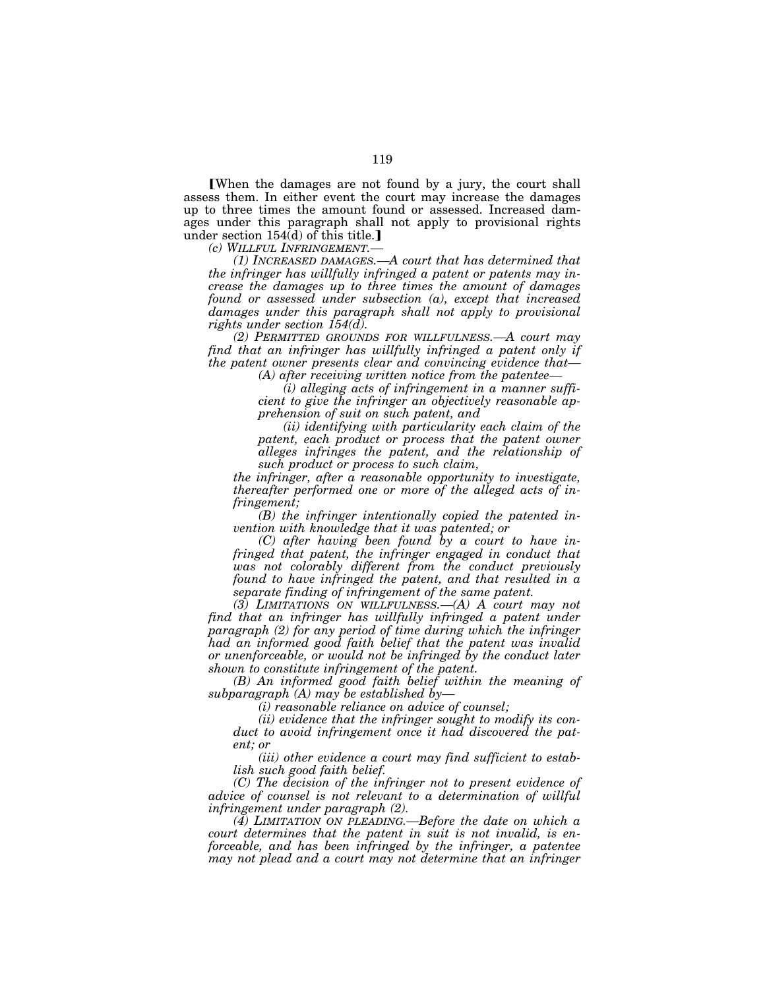øWhen the damages are not found by a jury, the court shall assess them. In either event the court may increase the damages up to three times the amount found or assessed. Increased damages under this paragraph shall not apply to provisional rights under section  $154(d)$  of this title.]

*(c) WILLFUL INFRINGEMENT.—*

*(1) INCREASED DAMAGES.—A court that has determined that the infringer has willfully infringed a patent or patents may increase the damages up to three times the amount of damages found or assessed under subsection (a), except that increased damages under this paragraph shall not apply to provisional rights under section 154(d).* 

*(2) PERMITTED GROUNDS FOR WILLFULNESS.—A court may*  find that an infringer has willfully infringed a patent only if *the patent owner presents clear and convincing evidence that— (A) after receiving written notice from the patentee—*

*(i) alleging acts of infringement in a manner sufficient to give the infringer an objectively reasonable apprehension of suit on such patent, and* 

*(ii) identifying with particularity each claim of the*  patent, each product or process that the patent owner *alleges infringes the patent, and the relationship of such product or process to such claim,* 

*the infringer, after a reasonable opportunity to investigate, thereafter performed one or more of the alleged acts of infringement;* 

*(B) the infringer intentionally copied the patented invention with knowledge that it was patented; or* 

*(C) after having been found by a court to have infringed that patent, the infringer engaged in conduct that was not colorably different from the conduct previously found to have infringed the patent, and that resulted in a separate finding of infringement of the same patent.* 

*(3) LIMITATIONS ON WILLFULNESS.—(A) A court may not*  find that an infringer has willfully infringed a patent under *paragraph (2) for any period of time during which the infringer had an informed good faith belief that the patent was invalid or unenforceable, or would not be infringed by the conduct later shown to constitute infringement of the patent.* 

*(B) An informed good faith belief within the meaning of subparagraph (A) may be established by—*

*(i) reasonable reliance on advice of counsel;* 

*(ii) evidence that the infringer sought to modify its conduct to avoid infringement once it had discovered the patent; or* 

*(iii) other evidence a court may find sufficient to establish such good faith belief.* 

*(C) The decision of the infringer not to present evidence of advice of counsel is not relevant to a determination of willful infringement under paragraph (2).* 

*(4) LIMITATION ON PLEADING.—Before the date on which a court determines that the patent in suit is not invalid, is enforceable, and has been infringed by the infringer, a patentee may not plead and a court may not determine that an infringer*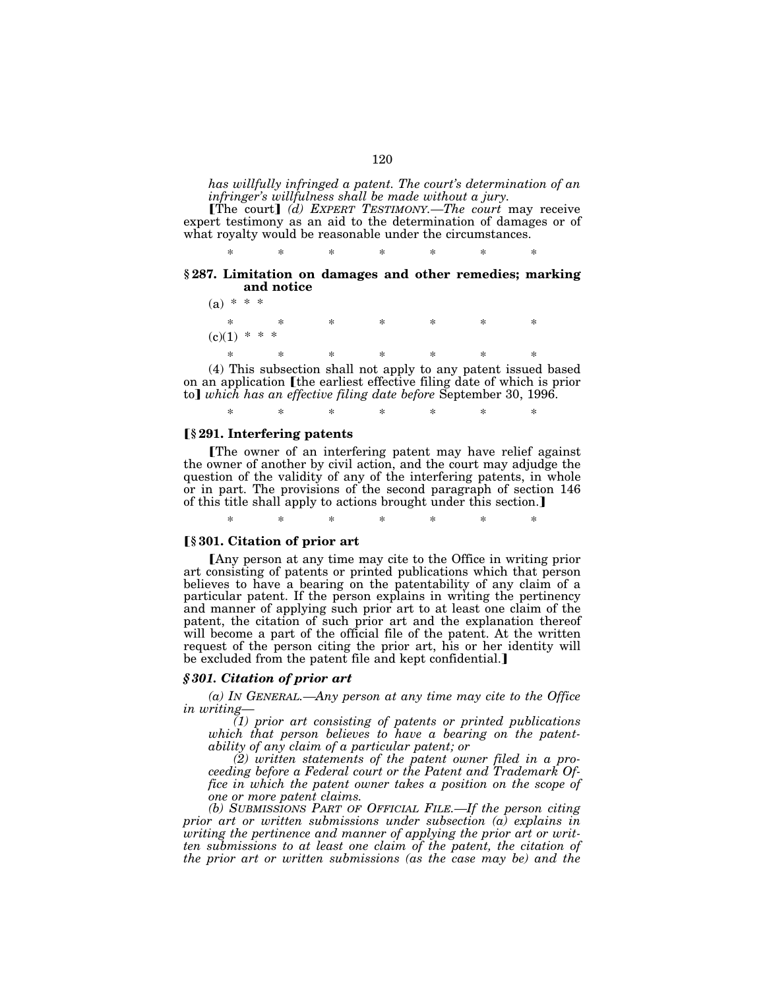*has willfully infringed a patent. The court's determination of an infringer's willfulness shall be made without a jury.* 

[The court] *(d) EXPERT TESTIMONY.—The court* may receive expert testimony as an aid to the determination of damages or of what royalty would be reasonable under the circumstances.

\* \* \* \* \* \* \*

#### **§ 287. Limitation on damages and other remedies; marking and notice**

| $(a) * * * *$  |        |   |   |        |   |   |  |  |
|----------------|--------|---|---|--------|---|---|--|--|
| $\ast$         | $\ast$ | ∗ | ∗ | ∗      | * | ∗ |  |  |
| $(c)(1) * * *$ |        |   |   |        |   |   |  |  |
| $\ast$         | ∗      | ∗ | ∗ | $\ast$ | ∗ | ∗ |  |  |

(4) This subsection shall not apply to any patent issued based on an application [the earliest effective filing date of which is prior to] which has an effective filing date before September 30, 1996.

\* \* \* \* \* \* \*

#### ø**§ 291. Interfering patents**

øThe owner of an interfering patent may have relief against the owner of another by civil action, and the court may adjudge the question of the validity of any of the interfering patents, in whole or in part. The provisions of the second paragraph of section 146 of this title shall apply to actions brought under this section.

\* \* \* \* \* \* \*

#### ø**§ 301. Citation of prior art**

Any person at any time may cite to the Office in writing prior art consisting of patents or printed publications which that person believes to have a bearing on the patentability of any claim of a particular patent. If the person explains in writing the pertinency and manner of applying such prior art to at least one claim of the patent, the citation of such prior art and the explanation thereof will become a part of the official file of the patent. At the written request of the person citing the prior art, his or her identity will be excluded from the patent file and kept confidential.]

#### *§ 301. Citation of prior art*

*(a) IN GENERAL.—Any person at any time may cite to the Office in writing—*

*(1) prior art consisting of patents or printed publications which that person believes to have a bearing on the patentability of any claim of a particular patent; or* 

*(2) written statements of the patent owner filed in a proceeding before a Federal court or the Patent and Trademark Office in which the patent owner takes a position on the scope of one or more patent claims.* 

*(b) SUBMISSIONS PART OF OFFICIAL FILE.—If the person citing prior art or written submissions under subsection (a) explains in writing the pertinence and manner of applying the prior art or written submissions to at least one claim of the patent, the citation of the prior art or written submissions (as the case may be) and the*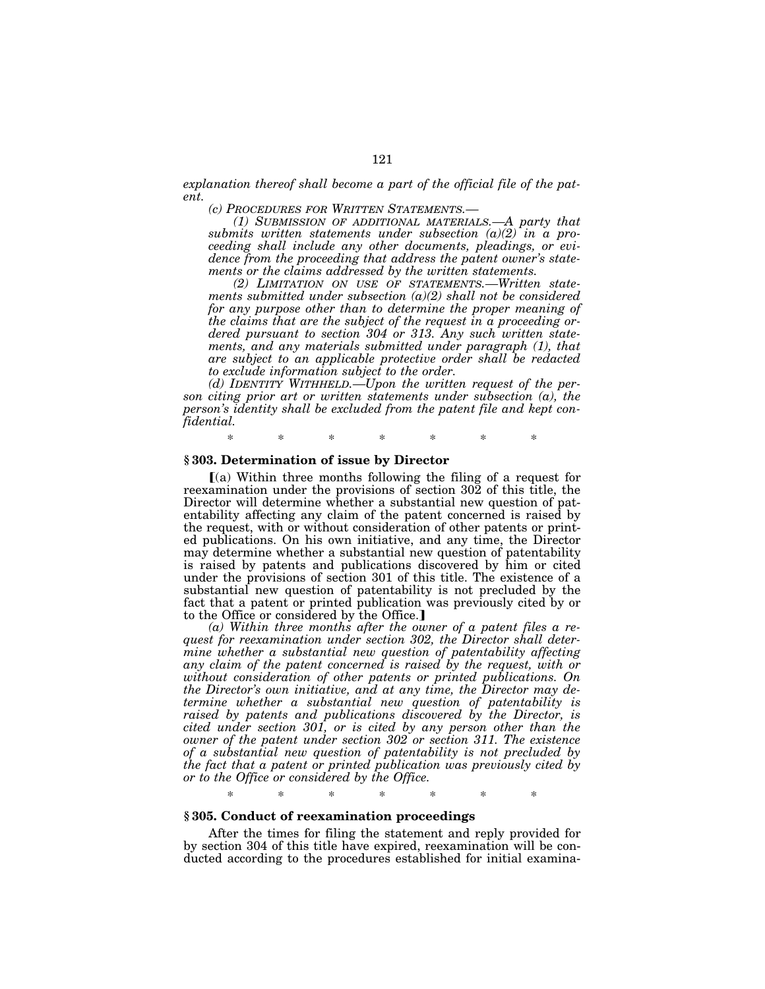*explanation thereof shall become a part of the official file of the pat*ent.<br>*(c) Procedures for Written Statements*.—

*(1) SUBMISSION OF ADDITIONAL MATERIALS.*—A party that *submits written statements under subsection (a)(2) in a proceeding shall include any other documents, pleadings, or evidence from the proceeding that address the patent owner's statements or the claims addressed by the written statements.* 

*(2) LIMITATION ON USE OF STATEMENTS.—Written statements submitted under subsection (a)(2) shall not be considered for any purpose other than to determine the proper meaning of the claims that are the subject of the request in a proceeding ordered pursuant to section 304 or 313. Any such written statements, and any materials submitted under paragraph (1), that are subject to an applicable protective order shall be redacted to exclude information subject to the order.* 

*(d) IDENTITY WITHHELD.—Upon the written request of the person citing prior art or written statements under subsection (a), the person's identity shall be excluded from the patent file and kept confidential.* 

\* \* \* \* \* \* \*

#### **§ 303. Determination of issue by Director**

 $(a)$  Within three months following the filing of a request for reexamination under the provisions of section 302 of this title, the Director will determine whether a substantial new question of patentability affecting any claim of the patent concerned is raised by the request, with or without consideration of other patents or printed publications. On his own initiative, and any time, the Director may determine whether a substantial new question of patentability is raised by patents and publications discovered by him or cited under the provisions of section 301 of this title. The existence of a substantial new question of patentability is not precluded by the fact that a patent or printed publication was previously cited by or to the Office or considered by the Office.

*(a) Within three months after the owner of a patent files a request for reexamination under section 302, the Director shall determine whether a substantial new question of patentability affecting any claim of the patent concerned is raised by the request, with or without consideration of other patents or printed publications. On the Director's own initiative, and at any time, the Director may determine whether a substantial new question of patentability is*  raised by patents and publications discovered by the Director, is *cited under section 301, or is cited by any person other than the owner of the patent under section 302 or section 311. The existence of a substantial new question of patentability is not precluded by the fact that a patent or printed publication was previously cited by or to the Office or considered by the Office.* 

\* \* \* \* \* \* \*

#### **§ 305. Conduct of reexamination proceedings**

After the times for filing the statement and reply provided for by section 304 of this title have expired, reexamination will be conducted according to the procedures established for initial examina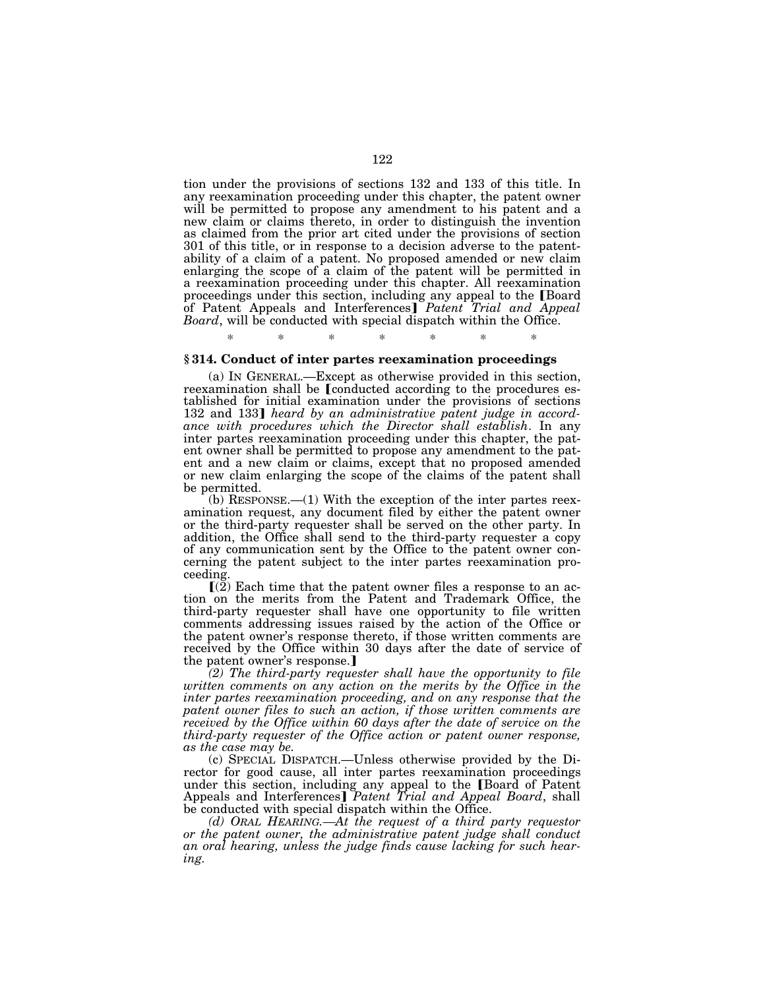tion under the provisions of sections 132 and 133 of this title. In any reexamination proceeding under this chapter, the patent owner will be permitted to propose any amendment to his patent and a new claim or claims thereto, in order to distinguish the invention as claimed from the prior art cited under the provisions of section 301 of this title, or in response to a decision adverse to the patentability of a claim of a patent. No proposed amended or new claim enlarging the scope of a claim of the patent will be permitted in a reexamination proceeding under this chapter. All reexamination proceedings under this section, including any appeal to the [Board] of Patent Appeals and Interferences¿ *Patent Trial and Appeal Board*, will be conducted with special dispatch within the Office.

#### **§ 314. Conduct of inter partes reexamination proceedings**

\* \* \* \* \* \* \*

(a) IN GENERAL.—Except as otherwise provided in this section, reexamination shall be [conducted according to the procedures established for initial examination under the provisions of sections 132 and 133] *heard by an administrative patent judge in accordance with procedures which the Director shall establish*. In any inter partes reexamination proceeding under this chapter, the patent owner shall be permitted to propose any amendment to the patent and a new claim or claims, except that no proposed amended or new claim enlarging the scope of the claims of the patent shall be permitted.

(b) RESPONSE.—(1) With the exception of the inter partes reexamination request, any document filed by either the patent owner or the third-party requester shall be served on the other party. In addition, the Office shall send to the third-party requester a copy of any communication sent by the Office to the patent owner concerning the patent subject to the inter partes reexamination proceeding.

 $\mathbb{I}(\overline{2})$  Each time that the patent owner files a response to an action on the merits from the Patent and Trademark Office, the third-party requester shall have one opportunity to file written comments addressing issues raised by the action of the Office or the patent owner's response thereto, if those written comments are received by the Office within 30 days after the date of service of the patent owner's response.

*(2) The third-party requester shall have the opportunity to file written comments on any action on the merits by the Office in the inter partes reexamination proceeding, and on any response that the patent owner files to such an action, if those written comments are received by the Office within 60 days after the date of service on the third-party requester of the Office action or patent owner response, as the case may be.* 

(c) SPECIAL DISPATCH.—Unless otherwise provided by the Director for good cause, all inter partes reexamination proceedings under this section, including any appeal to the [Board of Patent Appeals and Interferences¿ *Patent Trial and Appeal Board*, shall be conducted with special dispatch within the Office.

*(d) ORAL HEARING.—At the request of a third party requestor or the patent owner, the administrative patent judge shall conduct an oral hearing, unless the judge finds cause lacking for such hearing.*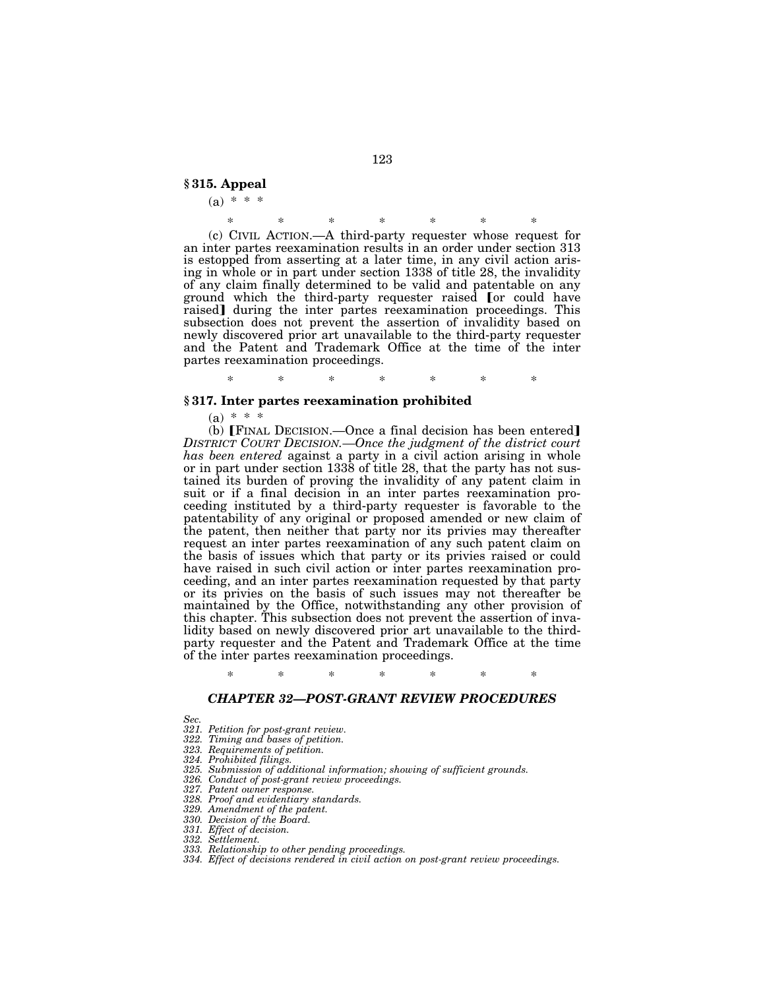#### **§ 315. Appeal**

 $(a) * * * *$ 

\* \* \* \* \* \* \*

(c) CIVIL ACTION.—A third-party requester whose request for an inter partes reexamination results in an order under section 313 is estopped from asserting at a later time, in any civil action arising in whole or in part under section 1338 of title 28, the invalidity of any claim finally determined to be valid and patentable on any ground which the third-party requester raised [or could have raised] during the inter partes reexamination proceedings. This subsection does not prevent the assertion of invalidity based on newly discovered prior art unavailable to the third-party requester and the Patent and Trademark Office at the time of the inter partes reexamination proceedings.

\* \* \* \* \* \* \*

#### **§ 317. Inter partes reexamination prohibited**

 $(a) * * * *$ 

(b)  $[$ FINAL DECISION.—Once a final decision has been entered $]$ *DISTRICT COURT DECISION.—Once the judgment of the district court has been entered* against a party in a civil action arising in whole or in part under section 1338 of title 28, that the party has not sustained its burden of proving the invalidity of any patent claim in suit or if a final decision in an inter partes reexamination proceeding instituted by a third-party requester is favorable to the patentability of any original or proposed amended or new claim of the patent, then neither that party nor its privies may thereafter request an inter partes reexamination of any such patent claim on the basis of issues which that party or its privies raised or could have raised in such civil action or inter partes reexamination proceeding, and an inter partes reexamination requested by that party or its privies on the basis of such issues may not thereafter be maintained by the Office, notwithstanding any other provision of this chapter. This subsection does not prevent the assertion of invalidity based on newly discovered prior art unavailable to the thirdparty requester and the Patent and Trademark Office at the time of the inter partes reexamination proceedings.

# \* \* \* \* \* \* \* *CHAPTER 32—POST-GRANT REVIEW PROCEDURES*

*Sec.* 

- *321. Petition for post-grant review.*
- *322. Timing and bases of petition.*
- *323. Requirements of petition.*
- *324. Prohibited filings.*
- *325. Submission of additional information; showing of sufficient grounds.*
- *326. Conduct of post-grant review proceedings.*
- *327. Patent owner response.*
- *328. Proof and evidentiary standards.*
- *329. Amendment of the patent.*
- *330. Decision of the Board.*
- *331. Effect of decision.*
- *332. Settlement.*
- *333. Relationship to other pending proceedings.*
- *334. Effect of decisions rendered in civil action on post-grant review proceedings.*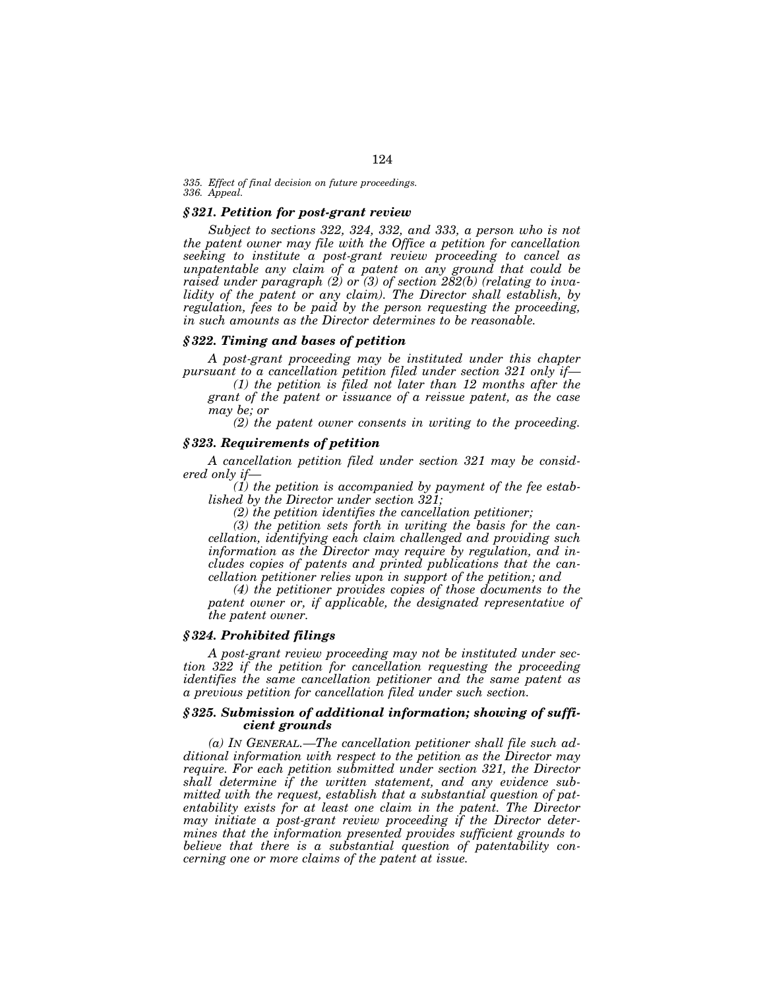*335. Effect of final decision on future proceedings. 336. Appeal.* 

#### *§ 321. Petition for post-grant review*

*Subject to sections 322, 324, 332, and 333, a person who is not the patent owner may file with the Office a petition for cancellation seeking to institute a post-grant review proceeding to cancel as unpatentable any claim of a patent on any ground that could be raised under paragraph (2) or (3) of section 282(b) (relating to invalidity of the patent or any claim). The Director shall establish, by regulation, fees to be paid by the person requesting the proceeding, in such amounts as the Director determines to be reasonable.* 

#### *§ 322. Timing and bases of petition*

*A post-grant proceeding may be instituted under this chapter pursuant to a cancellation petition filed under section 321 only if—*

*(1) the petition is filed not later than 12 months after the grant of the patent or issuance of a reissue patent, as the case may be; or* 

*(2) the patent owner consents in writing to the proceeding.* 

#### *§ 323. Requirements of petition*

*A cancellation petition filed under section 321 may be considered only if—*

*(1) the petition is accompanied by payment of the fee established by the Director under section 321;* 

*(2) the petition identifies the cancellation petitioner;* 

*(3) the petition sets forth in writing the basis for the cancellation, identifying each claim challenged and providing such information as the Director may require by regulation, and includes copies of patents and printed publications that the cancellation petitioner relies upon in support of the petition; and* 

*(4) the petitioner provides copies of those documents to the patent owner or, if applicable, the designated representative of the patent owner.* 

#### *§ 324. Prohibited filings*

*A post-grant review proceeding may not be instituted under section 322 if the petition for cancellation requesting the proceeding identifies the same cancellation petitioner and the same patent as a previous petition for cancellation filed under such section.* 

#### *§ 325. Submission of additional information; showing of sufficient grounds*

*(a) IN GENERAL.—The cancellation petitioner shall file such additional information with respect to the petition as the Director may require. For each petition submitted under section 321, the Director shall determine if the written statement, and any evidence submitted with the request, establish that a substantial question of patentability exists for at least one claim in the patent. The Director may initiate a post-grant review proceeding if the Director determines that the information presented provides sufficient grounds to believe that there is a substantial question of patentability concerning one or more claims of the patent at issue.*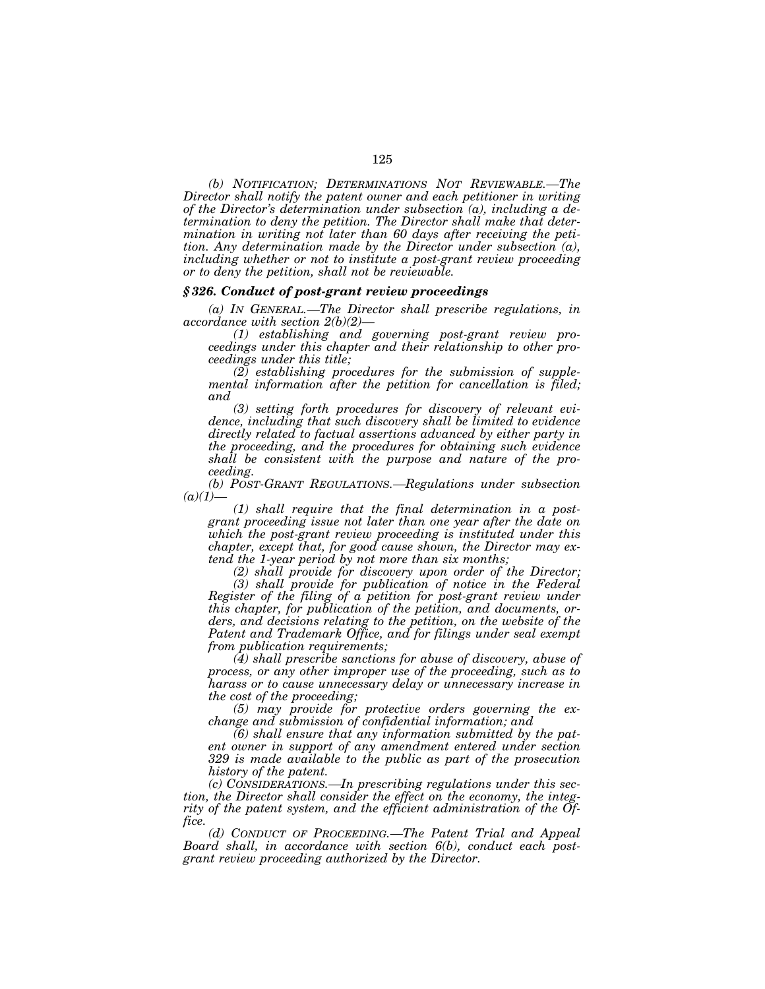*(b) NOTIFICATION; DETERMINATIONS NOT REVIEWABLE.—The Director shall notify the patent owner and each petitioner in writing of the Director's determination under subsection (a), including a determination to deny the petition. The Director shall make that determination in writing not later than 60 days after receiving the petition. Any determination made by the Director under subsection (a), including whether or not to institute a post-grant review proceeding or to deny the petition, shall not be reviewable.* 

#### *§ 326. Conduct of post-grant review proceedings*

(a) IN GENERAL.—The Director shall prescribe regulations, in accordance with section  $2(b)(2)$ —

*accordance with section 2(b)(2)— (1) establishing and governing post-grant review proceedings under this chapter and their relationship to other proceedings under this title;* 

*(2) establishing procedures for the submission of supplemental information after the petition for cancellation is filed; and* 

*(3) setting forth procedures for discovery of relevant evidence, including that such discovery shall be limited to evidence directly related to factual assertions advanced by either party in the proceeding, and the procedures for obtaining such evidence shall be consistent with the purpose and nature of the proceeding.* 

*(b) POST-GRANT REGULATIONS.—Regulations under subsection*   $(a)(1)$ —  $(1)$  shall require that the final determination in a post-

*grant proceeding issue not later than one year after the date on which the post-grant review proceeding is instituted under this chapter, except that, for good cause shown, the Director may extend the 1-year period by not more than six months;* 

*(2) shall provide for discovery upon order of the Director; (3) shall provide for publication of notice in the Federal Register of the filing of a petition for post-grant review under this chapter, for publication of the petition, and documents, orders, and decisions relating to the petition, on the website of the Patent and Trademark Office, and for filings under seal exempt from publication requirements;* 

*(4) shall prescribe sanctions for abuse of discovery, abuse of process, or any other improper use of the proceeding, such as to harass or to cause unnecessary delay or unnecessary increase in the cost of the proceeding;* 

*(5) may provide for protective orders governing the exchange and submission of confidential information; and* 

*(6) shall ensure that any information submitted by the patent owner in support of any amendment entered under section 329 is made available to the public as part of the prosecution history of the patent.* 

*(c) CONSIDERATIONS.—In prescribing regulations under this section, the Director shall consider the effect on the economy, the integrity of the patent system, and the efficient administration of the Office.* 

*(d) CONDUCT OF PROCEEDING.—The Patent Trial and Appeal Board shall, in accordance with section 6(b), conduct each postgrant review proceeding authorized by the Director.*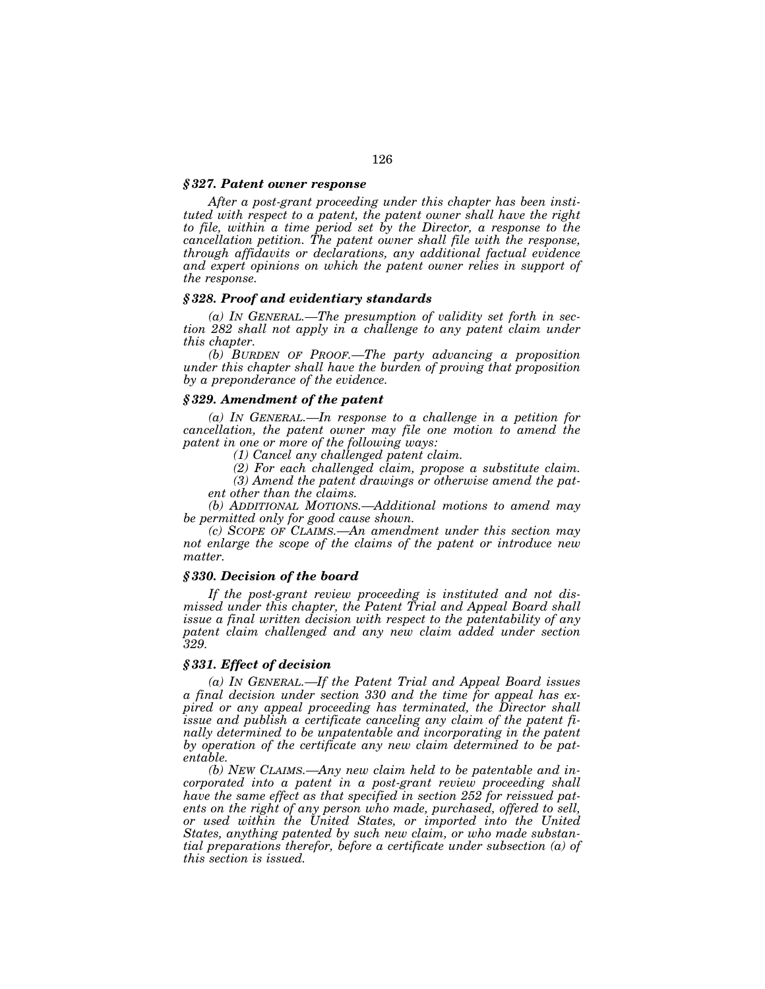#### *§ 327. Patent owner response*

*After a post-grant proceeding under this chapter has been instituted with respect to a patent, the patent owner shall have the right to file, within a time period set by the Director, a response to the cancellation petition. The patent owner shall file with the response, through affidavits or declarations, any additional factual evidence and expert opinions on which the patent owner relies in support of the response.* 

## *§ 328. Proof and evidentiary standards*

*(a) IN GENERAL.—The presumption of validity set forth in section 282 shall not apply in a challenge to any patent claim under this chapter.* 

*(b) BURDEN OF PROOF.—The party advancing a proposition under this chapter shall have the burden of proving that proposition by a preponderance of the evidence.* 

#### *§ 329. Amendment of the patent*

*(a) IN GENERAL.—In response to a challenge in a petition for cancellation, the patent owner may file one motion to amend the patent in one or more of the following ways:* 

*(1) Cancel any challenged patent claim.* 

*(2) For each challenged claim, propose a substitute claim.* 

*(3) Amend the patent drawings or otherwise amend the pat-*

*ent other than the claims.* 

*(b) ADDITIONAL MOTIONS.—Additional motions to amend may be permitted only for good cause shown.* 

*(c) SCOPE OF CLAIMS.—An amendment under this section may not enlarge the scope of the claims of the patent or introduce new matter.* 

#### *§ 330. Decision of the board*

*If the post-grant review proceeding is instituted and not dismissed under this chapter, the Patent Trial and Appeal Board shall issue a final written decision with respect to the patentability of any patent claim challenged and any new claim added under section 329.* 

#### *§ 331. Effect of decision*

*(a) IN GENERAL.—If the Patent Trial and Appeal Board issues a final decision under section 330 and the time for appeal has expired or any appeal proceeding has terminated, the Director shall issue and publish a certificate canceling any claim of the patent finally determined to be unpatentable and incorporating in the patent by operation of the certificate any new claim determined to be patentable.* 

*(b) NEW CLAIMS.—Any new claim held to be patentable and incorporated into a patent in a post-grant review proceeding shall have the same effect as that specified in section 252 for reissued patents on the right of any person who made, purchased, offered to sell, or used within the United States, or imported into the United States, anything patented by such new claim, or who made substantial preparations therefor, before a certificate under subsection (a) of this section is issued.*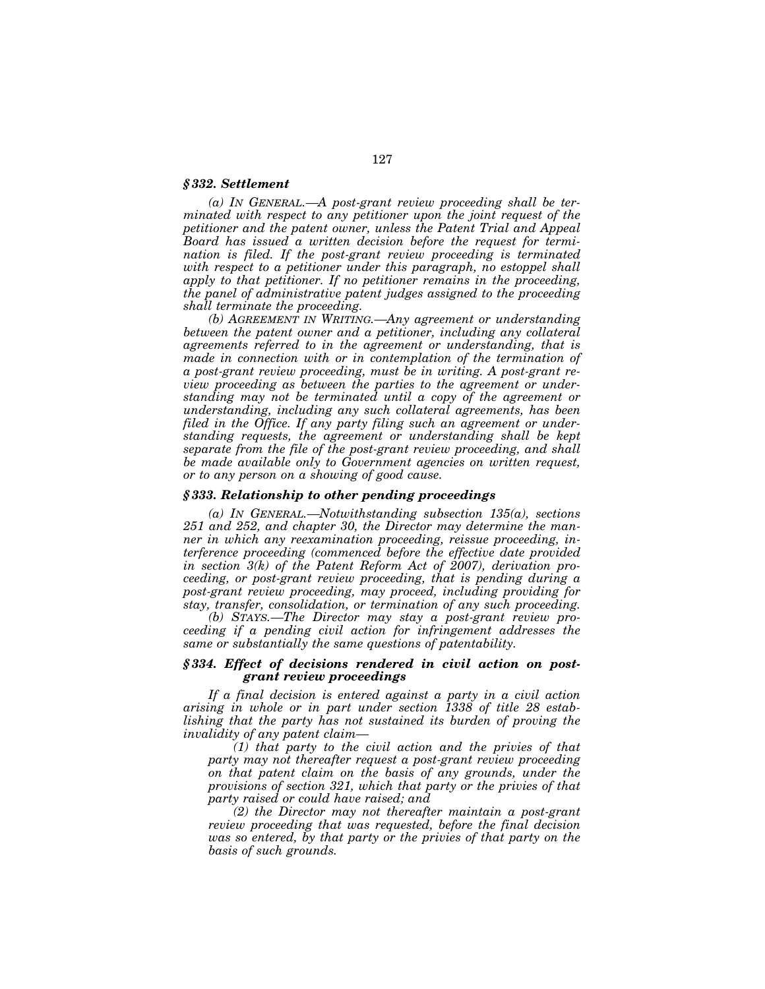#### *§ 332. Settlement*

*(a) IN GENERAL.—A post-grant review proceeding shall be terminated with respect to any petitioner upon the joint request of the petitioner and the patent owner, unless the Patent Trial and Appeal Board has issued a written decision before the request for termination is filed. If the post-grant review proceeding is terminated with respect to a petitioner under this paragraph, no estoppel shall apply to that petitioner. If no petitioner remains in the proceeding, the panel of administrative patent judges assigned to the proceeding shall terminate the proceeding.* 

*(b) AGREEMENT IN WRITING.—Any agreement or understanding between the patent owner and a petitioner, including any collateral agreements referred to in the agreement or understanding, that is made in connection with or in contemplation of the termination of a post-grant review proceeding, must be in writing. A post-grant review proceeding as between the parties to the agreement or understanding may not be terminated until a copy of the agreement or understanding, including any such collateral agreements, has been filed in the Office. If any party filing such an agreement or understanding requests, the agreement or understanding shall be kept separate from the file of the post-grant review proceeding, and shall be made available only to Government agencies on written request, or to any person on a showing of good cause.* 

#### *§ 333. Relationship to other pending proceedings*

*(a) IN GENERAL.—Notwithstanding subsection 135(a), sections 251 and 252, and chapter 30, the Director may determine the manner in which any reexamination proceeding, reissue proceeding, interference proceeding (commenced before the effective date provided in section 3(k) of the Patent Reform Act of 2007), derivation proceeding, or post-grant review proceeding, that is pending during a post-grant review proceeding, may proceed, including providing for stay, transfer, consolidation, or termination of any such proceeding.* 

*(b) STAYS.—The Director may stay a post-grant review proceeding if a pending civil action for infringement addresses the same or substantially the same questions of patentability.* 

#### *§ 334. Effect of decisions rendered in civil action on postgrant review proceedings*

*If a final decision is entered against a party in a civil action arising in whole or in part under section 1338 of title 28 estab*lishing that the party has not sustained its burden of proving the *invalidity of any patent claim—*

*(1) that party to the civil action and the privies of that party may not thereafter request a post-grant review proceeding on that patent claim on the basis of any grounds, under the provisions of section 321, which that party or the privies of that party raised or could have raised; and* 

*(2) the Director may not thereafter maintain a post-grant review proceeding that was requested, before the final decision was so entered, by that party or the privies of that party on the basis of such grounds.*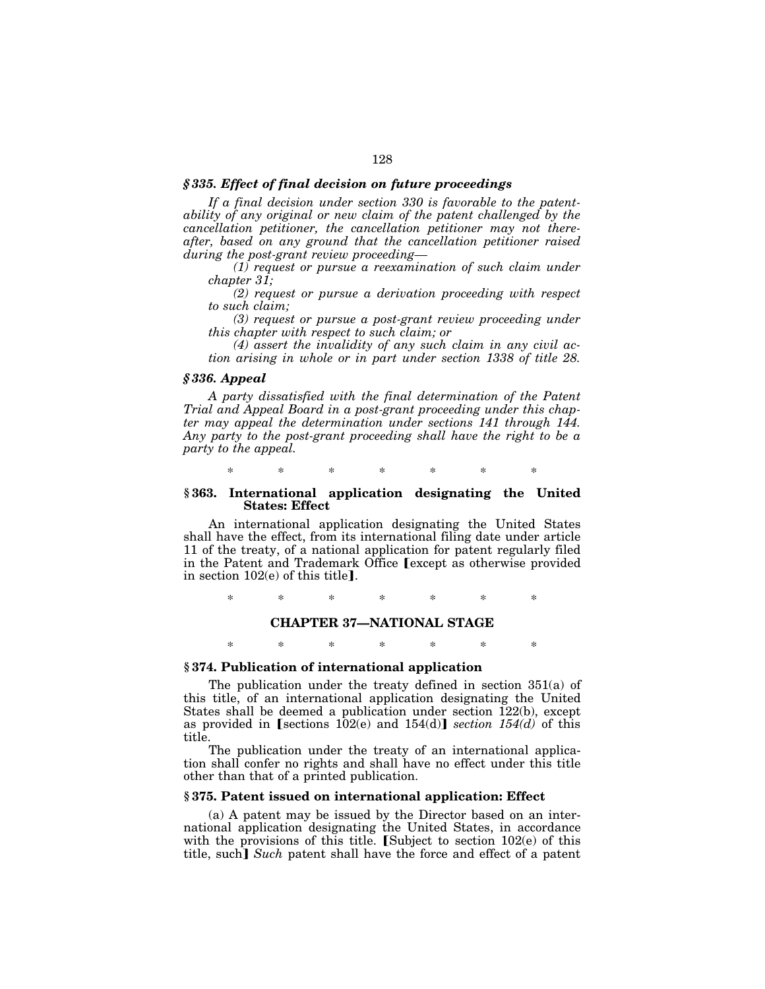#### *§ 335. Effect of final decision on future proceedings*

*If a final decision under section 330 is favorable to the patentability of any original or new claim of the patent challenged by the cancellation petitioner, the cancellation petitioner may not thereafter, based on any ground that the cancellation petitioner raised during the post-grant review proceeding—*

*(1) request or pursue a reexamination of such claim under chapter 31;* 

*(2) request or pursue a derivation proceeding with respect to such claim;* 

*(3) request or pursue a post-grant review proceeding under this chapter with respect to such claim; or* 

*(4) assert the invalidity of any such claim in any civil action arising in whole or in part under section 1338 of title 28.* 

#### *§ 336. Appeal*

*A party dissatisfied with the final determination of the Patent Trial and Appeal Board in a post-grant proceeding under this chapter may appeal the determination under sections 141 through 144. Any party to the post-grant proceeding shall have the right to be a party to the appeal.* 

\* \* \* \* \* \* \*

#### **§ 363. International application designating the United States: Effect**

An international application designating the United States shall have the effect, from its international filing date under article 11 of the treaty, of a national application for patent regularly filed in the Patent and Trademark Office [except as otherwise provided in section  $102(e)$  of this title].

\* \* \* \* \* \* \*

#### **CHAPTER 37—NATIONAL STAGE**

\* \* \* \* \* \* \*

#### **§ 374. Publication of international application**

The publication under the treaty defined in section 351(a) of this title, of an international application designating the United States shall be deemed a publication under section 122(b), except as provided in [sections  $102(e)$  and  $154(d)$ ] *section*  $154(d)$  of this title.

The publication under the treaty of an international application shall confer no rights and shall have no effect under this title other than that of a printed publication.

#### **§ 375. Patent issued on international application: Effect**

(a) A patent may be issued by the Director based on an international application designating the United States, in accordance with the provisions of this title. Subject to section  $102(e)$  of this title, such] *Such* patent shall have the force and effect of a patent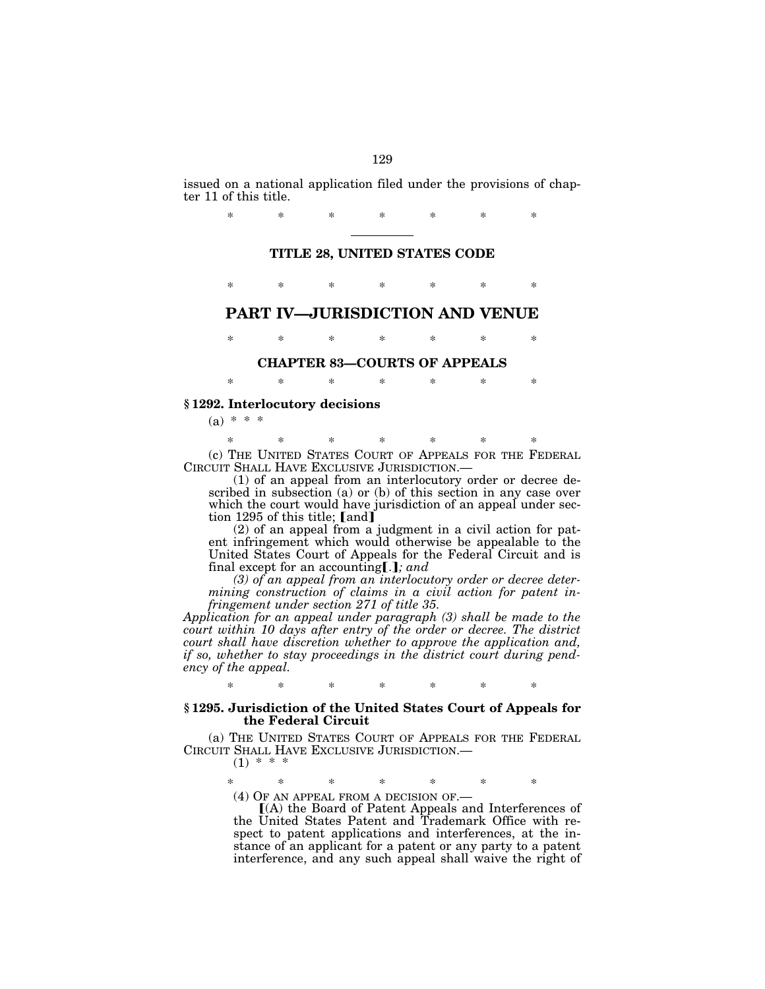issued on a national application filed under the provisions of chapter 11 of this title.

\* \* \* \* \* \* \*

#### **TITLE 28, UNITED STATES CODE**

\* \* \* \* \* \* \*

### **PART IV—JURISDICTION AND VENUE**

\* \* \* \* \* \* \*

## **CHAPTER 83—COURTS OF APPEALS**

\* \* \* \* \* \* \*

#### **§ 1292. Interlocutory decisions**

 $(a) * * *$ 

\* \* \* \* \* \* \* (c) THE UNITED STATES COURT OF APPEALS FOR THE FEDERAL CIRCUIT SHALL HAVE EXCLUSIVE JURISDICTION.—

(1) of an appeal from an interlocutory order or decree described in subsection (a) or (b) of this section in any case over which the court would have jurisdiction of an appeal under section 1295 of this title;  $\lceil \text{and} \rceil$ 

(2) of an appeal from a judgment in a civil action for patent infringement which would otherwise be appealable to the United States Court of Appeals for the Federal Circuit and is final except for an accounting[.]; and

*(3) of an appeal from an interlocutory order or decree determining construction of claims in a civil action for patent infringement under section 271 of title 35.* 

*Application for an appeal under paragraph (3) shall be made to the court within 10 days after entry of the order or decree. The district court shall have discretion whether to approve the application and, if so, whether to stay proceedings in the district court during pendency of the appeal.* 

\* \* \* \* \* \* \* **§ 1295. Jurisdiction of the United States Court of Appeals for** 

# **the Federal Circuit**

(a) THE UNITED STATES COURT OF APPEALS FOR THE FEDERAL CIRCUIT SHALL HAVE EXCLUSIVE JURISDICTION.—

 $(1) * * * *$ 

\* \* \* \* \* \* \*

(4) OF AN APPEAL FROM A DECISION OF.—

ø(A) the Board of Patent Appeals and Interferences of the United States Patent and Trademark Office with respect to patent applications and interferences, at the instance of an applicant for a patent or any party to a patent interference, and any such appeal shall waive the right of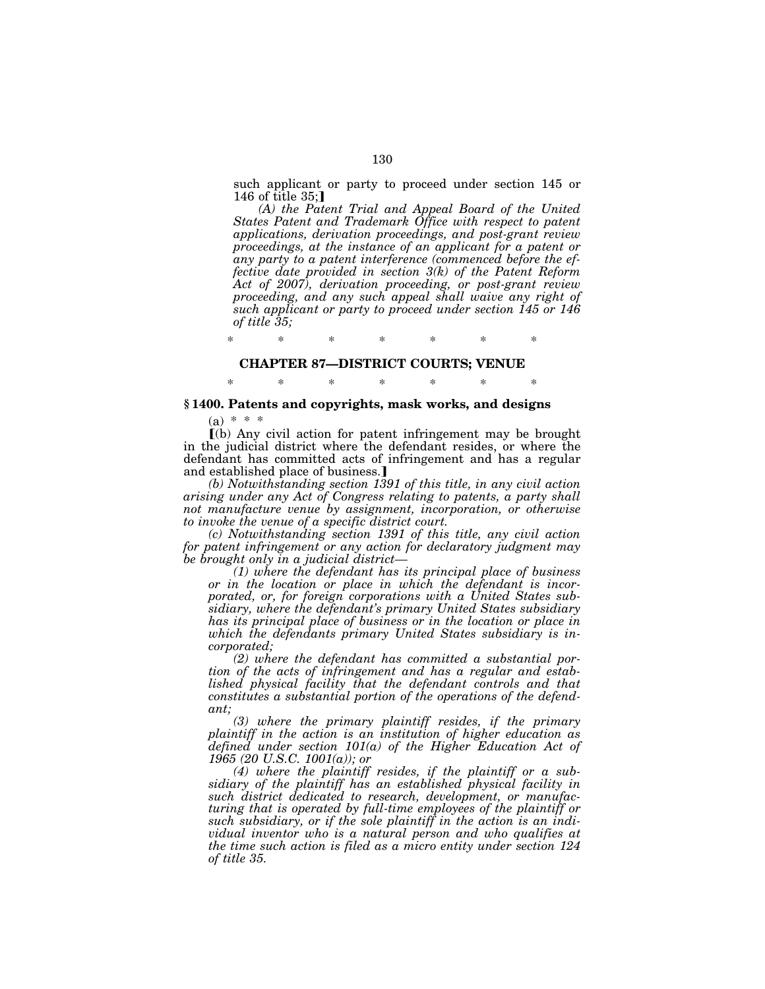such applicant or party to proceed under section 145 or 146 of title  $35$ ;

*(A) the Patent Trial and Appeal Board of the United States Patent and Trademark Office with respect to patent applications, derivation proceedings, and post-grant review proceedings, at the instance of an applicant for a patent or any party to a patent interference (commenced before the effective date provided in section 3(k) of the Patent Reform Act of 2007), derivation proceeding, or post-grant review proceeding, and any such appeal shall waive any right of such applicant or party to proceed under section 145 or 146 of title 35;* 

\* \* \* \* \* \* \*

# **CHAPTER 87—DISTRICT COURTS; VENUE**  \* \* \* \* \* \* \*

#### **§ 1400. Patents and copyrights, mask works, and designs**

 $(a) * * *$ 

 $\lceil$ (b) Any civil action for patent infringement may be brought in the judicial district where the defendant resides, or where the defendant has committed acts of infringement and has a regular and established place of business.]

*(b) Notwithstanding section 1391 of this title, in any civil action arising under any Act of Congress relating to patents, a party shall not manufacture venue by assignment, incorporation, or otherwise to invoke the venue of a specific district court.* 

*(c) Notwithstanding section 1391 of this title, any civil action for patent infringement or any action for declaratory judgment may be brought only in a judicial district— (1) where the defendant has its principal place of business* 

*or in the location or place in which the defendant is incorporated, or, for foreign corporations with a United States subsidiary, where the defendant's primary United States subsidiary has its principal place of business or in the location or place in which the defendants primary United States subsidiary is incorporated;* 

*(2) where the defendant has committed a substantial portion of the acts of infringement and has a regular and established physical facility that the defendant controls and that constitutes a substantial portion of the operations of the defendant;* 

*(3) where the primary plaintiff resides, if the primary plaintiff in the action is an institution of higher education as defined under section 101(a) of the Higher Education Act of 1965 (20 U.S.C. 1001(a)); or* 

*(4) where the plaintiff resides, if the plaintiff or a subsidiary of the plaintiff has an established physical facility in such district dedicated to research, development, or manufacturing that is operated by full-time employees of the plaintiff or such subsidiary, or if the sole plaintiff in the action is an individual inventor who is a natural person and who qualifies at the time such action is filed as a micro entity under section 124 of title 35.*